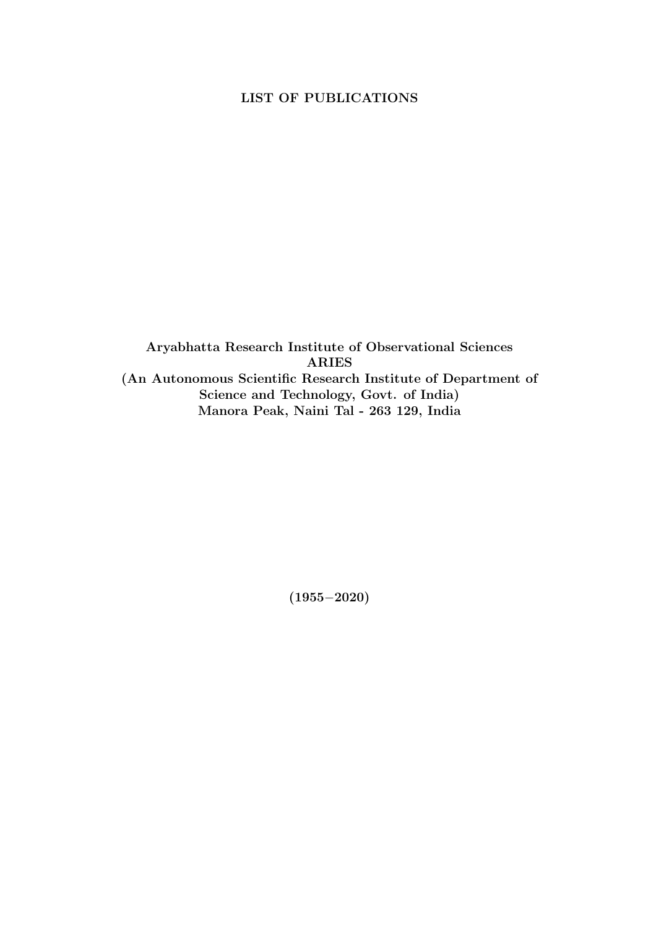## LIST OF PUBLICATIONS

Aryabhatta Research Institute of Observational Sciences ARIES (An Autonomous Scientific Research Institute of Department of Science and Technology, Govt. of India) Manora Peak, Naini Tal - 263 129, India

(1955−2020)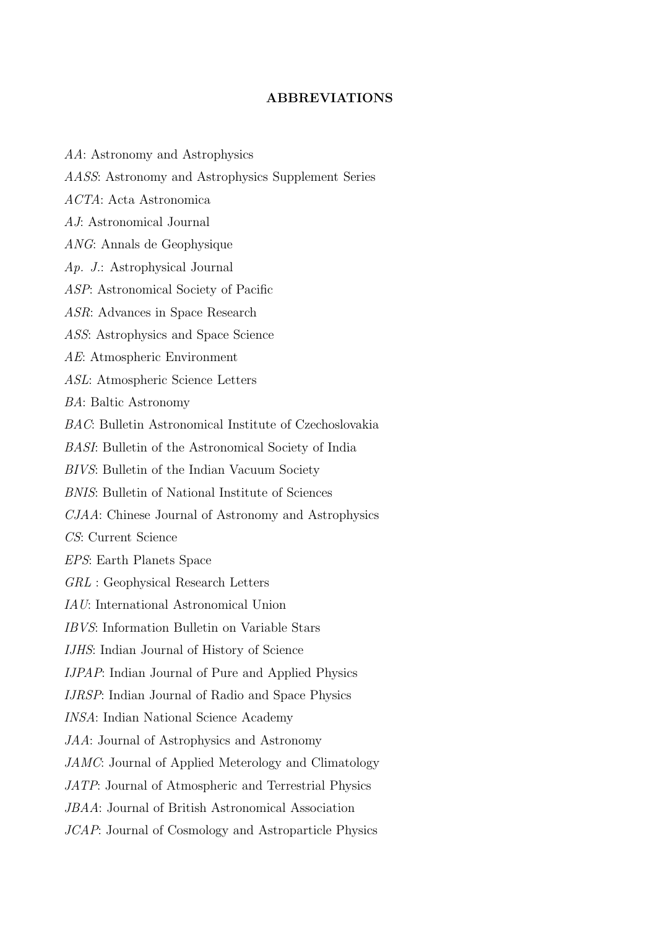## ABBREVIATIONS

AA: Astronomy and Astrophysics AASS: Astronomy and Astrophysics Supplement Series ACTA: Acta Astronomica AJ: Astronomical Journal ANG: Annals de Geophysique Ap. J.: Astrophysical Journal ASP: Astronomical Society of Pacific ASR: Advances in Space Research ASS: Astrophysics and Space Science AE: Atmospheric Environment ASL: Atmospheric Science Letters BA: Baltic Astronomy BAC: Bulletin Astronomical Institute of Czechoslovakia BASI: Bulletin of the Astronomical Society of India BIVS: Bulletin of the Indian Vacuum Society BNIS: Bulletin of National Institute of Sciences CJAA: Chinese Journal of Astronomy and Astrophysics CS: Current Science EPS: Earth Planets Space GRL : Geophysical Research Letters IAU: International Astronomical Union IBVS: Information Bulletin on Variable Stars IJHS: Indian Journal of History of Science IJPAP: Indian Journal of Pure and Applied Physics IJRSP: Indian Journal of Radio and Space Physics INSA: Indian National Science Academy JAA: Journal of Astrophysics and Astronomy JAMC: Journal of Applied Meterology and Climatology JATP: Journal of Atmospheric and Terrestrial Physics JBAA: Journal of British Astronomical Association JCAP: Journal of Cosmology and Astroparticle Physics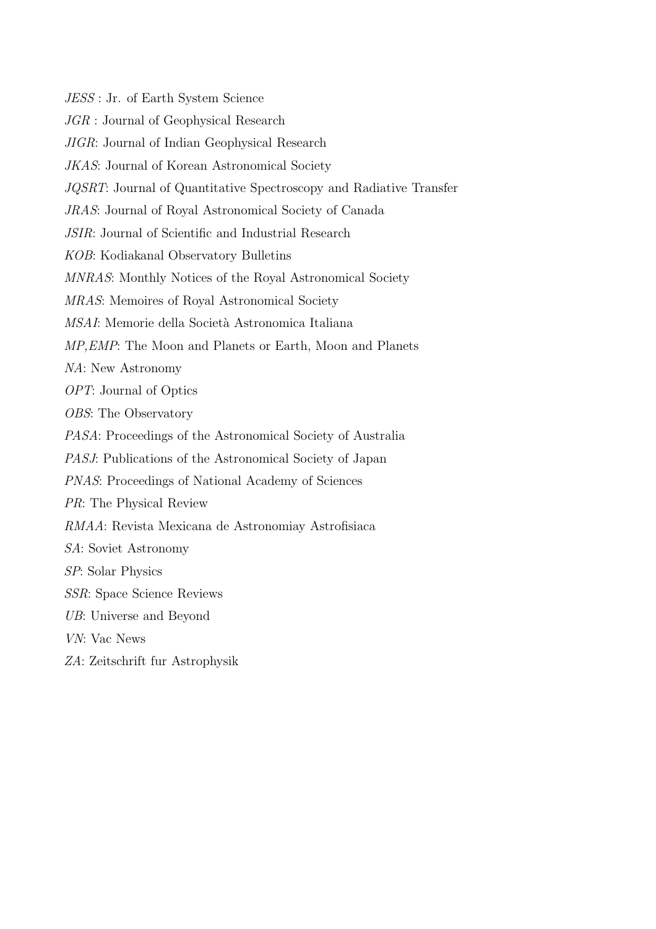JESS : Jr. of Earth System Science JGR : Journal of Geophysical Research JIGR: Journal of Indian Geophysical Research JKAS: Journal of Korean Astronomical Society JQSRT: Journal of Quantitative Spectroscopy and Radiative Transfer JRAS: Journal of Royal Astronomical Society of Canada JSIR: Journal of Scientific and Industrial Research KOB: Kodiakanal Observatory Bulletins MNRAS: Monthly Notices of the Royal Astronomical Society MRAS: Memoires of Royal Astronomical Society MSAI: Memorie della Società Astronomica Italiana MP,EMP: The Moon and Planets or Earth, Moon and Planets NA: New Astronomy OPT: Journal of Optics OBS: The Observatory PASA: Proceedings of the Astronomical Society of Australia PASJ: Publications of the Astronomical Society of Japan PNAS: Proceedings of National Academy of Sciences PR: The Physical Review RMAA: Revista Mexicana de Astronomiay Astrofisiaca SA: Soviet Astronomy SP: Solar Physics SSR: Space Science Reviews UB: Universe and Beyond VN: Vac News ZA: Zeitschrift fur Astrophysik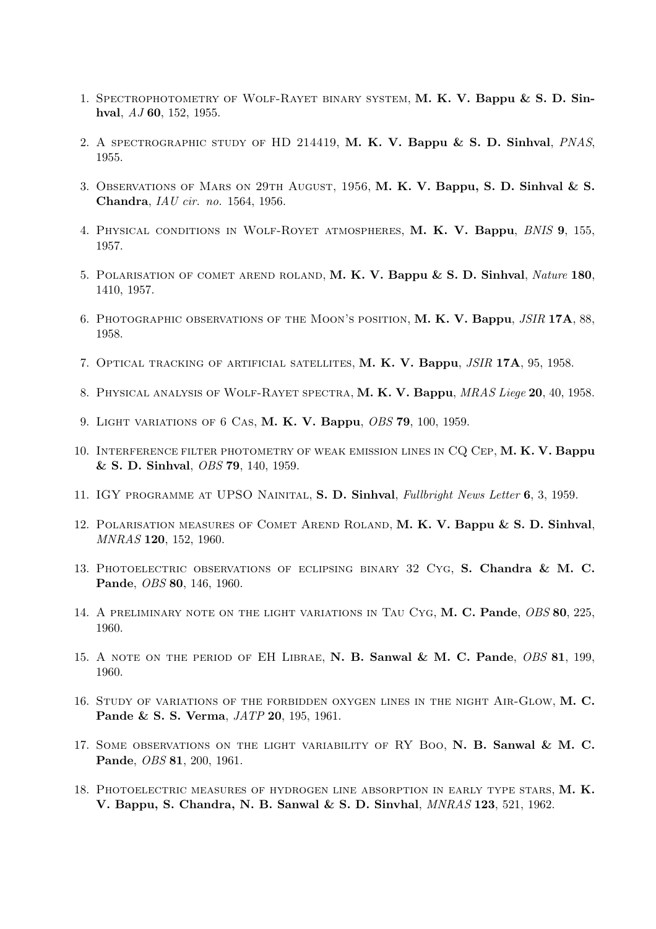- 1. Spectrophotometry of Wolf-Rayet binary system, M. K. V. Bappu & S. D. Sinhval, AJ 60, 152, 1955.
- 2. A SPECTROGRAPHIC STUDY OF HD 214419, M. K. V. Bappu & S. D. Sinhval, PNAS, 1955.
- 3. Observations of Mars on 29th August, 1956, M. K. V. Bappu, S. D. Sinhval & S. Chandra, IAU cir. no. 1564, 1956.
- 4. Physical conditions in Wolf-Royet atmospheres, M. K. V. Bappu, BNIS 9, 155, 1957.
- 5. Polarisation of comet arend roland, M. K. V. Bappu & S. D. Sinhval, Nature 180, 1410, 1957.
- 6. Photographic observations of the Moon's position, M. K. V. Bappu, JSIR 17A, 88, 1958.
- 7. Optical tracking of artificial satellites, M. K. V. Bappu, JSIR 17A, 95, 1958.
- 8. Physical analysis of Wolf-Rayet spectra, M. K. V. Bappu, MRAS Liege 20, 40, 1958.
- 9. Light variations of 6 Cas, M. K. V. Bappu, OBS 79, 100, 1959.
- 10. INTERFERENCE FILTER PHOTOMETRY OF WEAK EMISSION LINES IN CQ CEP, M. K. V. Bappu & S. D. Sinhval, OBS 79, 140, 1959.
- 11. IGY PROGRAMME AT UPSO NAINITAL, S. D. Sinhval, Fullbright News Letter 6, 3, 1959.
- 12. Polarisation measures of Comet Arend Roland, M. K. V. Bappu & S. D. Sinhval, MNRAS 120, 152, 1960.
- 13. Photoelectric observations of eclipsing binary 32 Cyg, S. Chandra & M. C. Pande, OBS 80, 146, 1960.
- 14. A PRELIMINARY NOTE ON THE LIGHT VARIATIONS IN TAU CYG, M. C. Pande, OBS 80, 225, 1960.
- 15. A NOTE ON THE PERIOD OF EH LIBRAE, N. B. Sanwal & M. C. Pande, OBS 81, 199, 1960.
- 16. Study of variations of the forbidden oxygen lines in the night Air-Glow, M. C. Pande & S. S. Verma, JATP 20, 195, 1961.
- 17. SOME OBSERVATIONS ON THE LIGHT VARIABILITY OF RY BOO, N. B. Sanwal & M. C. Pande, OBS 81, 200, 1961.
- 18. Photoelectric measures of hydrogen line absorption in early type stars, M. K. V. Bappu, S. Chandra, N. B. Sanwal & S. D. Sinvhal, MNRAS 123, 521, 1962.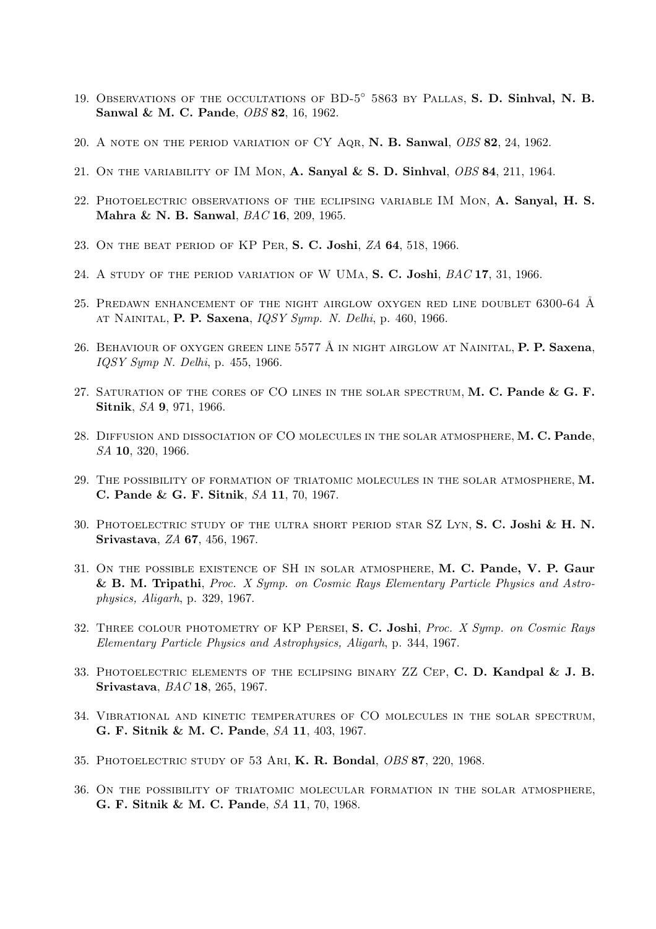- 19. OBSERVATIONS OF THE OCCULTATIONS OF BD-5<sup>°</sup> 5863 by Pallas, S. D. Sinhval, N. B. Sanwal & M. C. Pande, OBS 82, 16, 1962.
- 20. A note on the period variation of CY Aqr, N. B. Sanwal, OBS 82, 24, 1962.
- 21. ON THE VARIABILITY OF IM MON, A. Sanyal & S. D. Sinhval,  $\overline{OBS}$  84, 211, 1964.
- 22. Photoelectric observations of the eclipsing variable IM Mon, A. Sanyal, H. S. Mahra & N. B. Sanwal, BAC 16, 209, 1965.
- 23. On the beat period of KP Per, S. C. Joshi, ZA 64, 518, 1966.
- 24. A STUDY OF THE PERIOD VARIATION OF W UMA, S. C. Joshi, BAC 17, 31, 1966.
- 25. PREDAWN ENHANCEMENT OF THE NIGHT AIRGLOW OXYGEN RED LINE DOUBLET  $6300-64$  Å at Nainital, P. P. Saxena, IQSY Symp. N. Delhi, p. 460, 1966.
- 26. BEHAVIOUR OF OXYGEN GREEN LINE 5577 Å IN NIGHT AIRGLOW AT NAINITAL, **P. P. Saxena**, IQSY Symp N. Delhi, p. 455, 1966.
- 27. SATURATION OF THE CORES OF CO LINES IN THE SOLAR SPECTRUM,  $M$ . C. Pande & G. F. Sitnik, SA 9, 971, 1966.
- 28. DIFFUSION AND DISSOCIATION OF CO MOLECULES IN THE SOLAR ATMOSPHERE, M. C. Pande, SA 10, 320, 1966.
- 29. The possibility of formation of triatomic molecules in the solar atmosphere, M. C. Pande & G. F. Sitnik, SA 11, 70, 1967.
- 30. Photoelectric study of the ultra short period star SZ Lyn, S. C. Joshi & H. N. Srivastava, ZA 67, 456, 1967.
- 31. On the possible existence of SH in solar atmosphere, M. C. Pande, V. P. Gaur & B. M. Tripathi, Proc. X Symp. on Cosmic Rays Elementary Particle Physics and Astrophysics, Aligarh, p. 329, 1967.
- 32. THREE COLOUR PHOTOMETRY OF KP PERSEI, S. C. Joshi, Proc. X Symp. on Cosmic Rays Elementary Particle Physics and Astrophysics, Aligarh, p. 344, 1967.
- 33. PHOTOELECTRIC ELEMENTS OF THE ECLIPSING BINARY  $ZZ$  CEP, C. D. Kandpal & J. B. Srivastava, BAC 18, 265, 1967.
- 34. Vibrational and kinetic temperatures of CO molecules in the solar spectrum, G. F. Sitnik & M. C. Pande, SA 11, 403, 1967.
- 35. Photoelectric study of 53 Ari, K. R. Bondal, OBS 87, 220, 1968.
- 36. On the possibility of triatomic molecular formation in the solar atmosphere, G. F. Sitnik & M. C. Pande, SA 11, 70, 1968.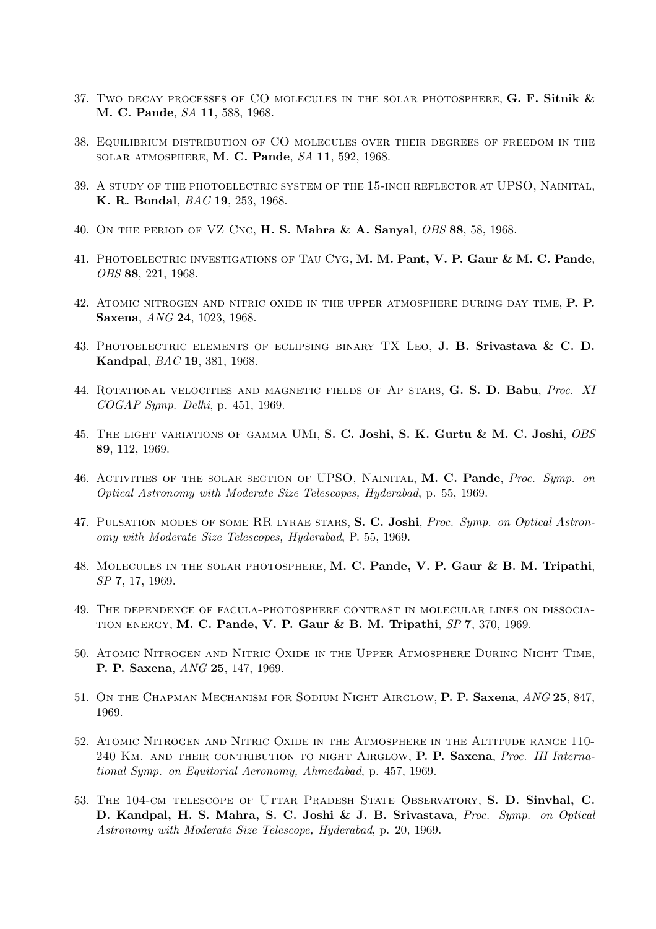- 37. Two decay processes of CO MOLECULES IN THE SOLAR PHOTOSPHERE,  $G.$  F. Sitnik  $\&$ M. C. Pande, SA 11, 588, 1968.
- 38. Equilibrium distribution of CO molecules over their degrees of freedom in the solar atmosphere, M. C. Pande, SA 11, 592, 1968.
- 39. A study of the photoelectric system of the 15-inch reflector at UPSO, Nainital, K. R. Bondal, BAC 19, 253, 1968.
- 40. On the period of VZ Cnc, H. S. Mahra & A. Sanyal, OBS 88, 58, 1968.
- 41. Photoelectric investigations of Tau Cyg, M. M. Pant, V. P. Gaur & M. C. Pande, OBS 88, 221, 1968.
- 42. Atomic nitrogen and nitric oxide in the upper atmosphere during day time, P. P. Saxena, ANG 24, 1023, 1968.
- 43. Photoelectric elements of eclipsing binary TX Leo, J. B. Srivastava & C. D. Kandpal, BAC 19, 381, 1968.
- 44. ROTATIONAL VELOCITIES AND MAGNETIC FIELDS OF AP STARS, G. S. D. Babu, Proc. XI COGAP Symp. Delhi, p. 451, 1969.
- 45. THE LIGHT VARIATIONS OF GAMMA UMI, S. C. Joshi, S. K. Gurtu & M. C. Joshi, OBS 89, 112, 1969.
- 46. ACTIVITIES OF THE SOLAR SECTION OF UPSO, NAINITAL, M. C. Pande, Proc. Symp. on Optical Astronomy with Moderate Size Telescopes, Hyderabad, p. 55, 1969.
- 47. PULSATION MODES OF SOME RR LYRAE STARS, S. C. Joshi, *Proc. Symp. on Optical Astron*omy with Moderate Size Telescopes, Hyderabad, P. 55, 1969.
- 48. Molecules in the solar photosphere, M. C. Pande, V. P. Gaur & B. M. Tripathi, SP 7, 17, 1969.
- 49. The dependence of facula-photosphere contrast in molecular lines on dissocia-TION ENERGY, M. C. Pande, V. P. Gaur & B. M. Tripathi,  $SP$  7, 370, 1969.
- 50. Atomic Nitrogen and Nitric Oxide in the Upper Atmosphere During Night Time, P. P. Saxena, ANG 25, 147, 1969.
- 51. On the Chapman Mechanism for Sodium Night Airglow, P. P. Saxena, ANG 25, 847, 1969.
- 52. Atomic Nitrogen and Nitric Oxide in the Atmosphere in the Altitude range 110- 240 KM. AND THEIR CONTRIBUTION TO NIGHT AIRGLOW, P. P. Saxena, Proc. III International Symp. on Equitorial Aeronomy, Ahmedabad, p. 457, 1969.
- 53. The 104-cm telescope of Uttar Pradesh State Observatory, S. D. Sinvhal, C. D. Kandpal, H. S. Mahra, S. C. Joshi & J. B. Srivastava, Proc. Symp. on Optical Astronomy with Moderate Size Telescope, Hyderabad, p. 20, 1969.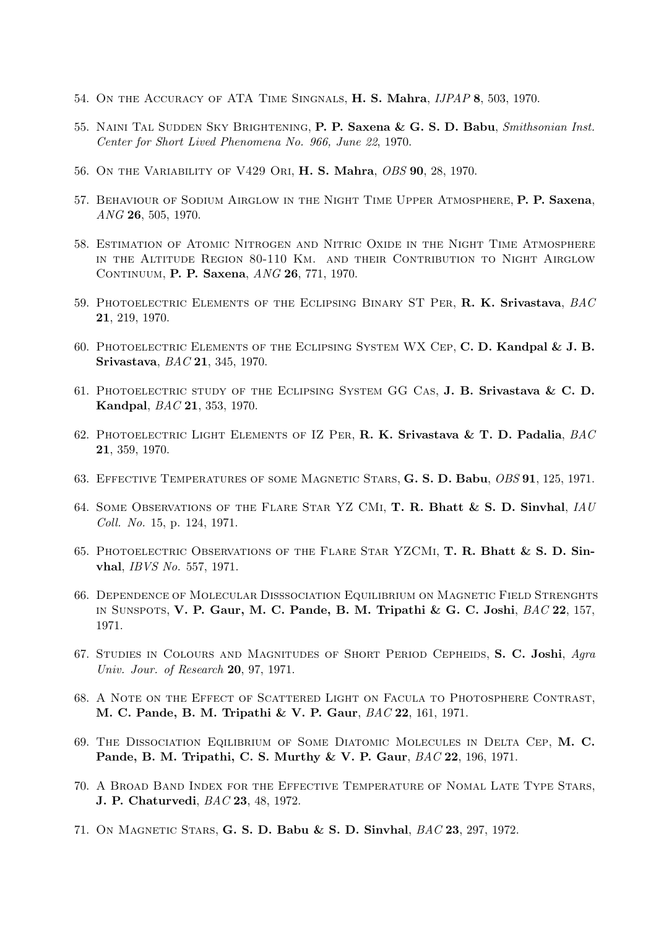- 54. ON THE ACCURACY OF ATA TIME SINGNALS, H. S. Mahra,  $JIPAP$  8, 503, 1970.
- 55. NAINI TAL SUDDEN SKY BRIGHTENING, P. P. Saxena & G. S. D. Babu, Smithsonian Inst. Center for Short Lived Phenomena No. 966, June 22, 1970.
- 56. On the Variability of V429 Ori, H. S. Mahra, OBS 90, 28, 1970.
- 57. Behaviour of Sodium Airglow in the Night Time Upper Atmosphere, P. P. Saxena, ANG 26, 505, 1970.
- 58. Estimation of Atomic Nitrogen and Nitric Oxide in the Night Time Atmosphere in the Altitude Region 80-110 Km. and their Contribution to Night Airglow CONTINUUM, P. P. Saxena, ANG 26, 771, 1970.
- 59. PHOTOELECTRIC ELEMENTS OF THE ECLIPSING BINARY ST PER, **R. K. Srivastava**,  $BAC$ 21, 219, 1970.
- 60. PHOTOELECTRIC ELEMENTS OF THE ECLIPSING SYSTEM WX CEP, C. D. Kandpal  $\&$  J. B. Srivastava, BAC 21, 345, 1970.
- 61. Photoelectric study of the Eclipsing System GG Cas, J. B. Srivastava & C. D. Kandpal, BAC 21, 353, 1970.
- 62. PHOTOELECTRIC LIGHT ELEMENTS OF IZ PER, R. K. Srivastava & T. D. Padalia,  $BAC$ 21, 359, 1970.
- 63. Effective Temperatures of some Magnetic Stars, G. S. D. Babu, OBS 91, 125, 1971.
- 64. Some Observations of the Flare Star YZ CMi, T. R. Bhatt & S. D. Sinvhal, IAU Coll. No. 15, p. 124, 1971.
- 65. Photoelectric Observations of the Flare Star YZCMi, T. R. Bhatt & S. D. Sinvhal, IBVS No. 557, 1971.
- 66. Dependence of Molecular Disssociation Equilibrium on Magnetic Field Strenghts in Sunspots, V. P. Gaur, M. C. Pande, B. M. Tripathi & G. C. Joshi, BAC 22, 157, 1971.
- 67. STUDIES IN COLOURS AND MAGNITUDES OF SHORT PERIOD CEPHEIDS, S. C. Joshi, Agra Univ. Jour. of Research 20, 97, 1971.
- 68. A Note on the Effect of Scattered Light on Facula to Photosphere Contrast, M. C. Pande, B. M. Tripathi & V. P. Gaur, BAC 22, 161, 1971.
- 69. The Dissociation Eqilibrium of Some Diatomic Molecules in Delta Cep, M. C. Pande, B. M. Tripathi, C. S. Murthy & V. P. Gaur, BAC 22, 196, 1971.
- 70. A Broad Band Index for the Effective Temperature of Nomal Late Type Stars, J. P. Chaturvedi, BAC 23, 48, 1972.
- 71. On Magnetic Stars, G. S. D. Babu & S. D. Sinvhal, BAC 23, 297, 1972.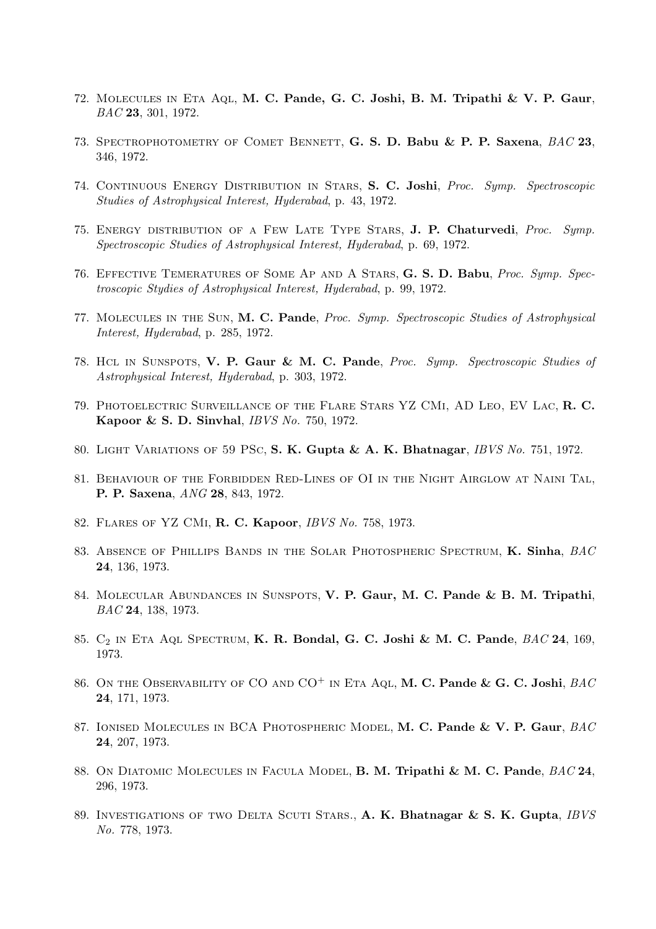- 72. Molecules in Eta Aql, M. C. Pande, G. C. Joshi, B. M. Tripathi & V. P. Gaur, BAC 23, 301, 1972.
- 73. SPECTROPHOTOMETRY OF COMET BENNETT, G. S. D. Babu & P. P. Saxena, BAC 23, 346, 1972.
- 74. CONTINUOUS ENERGY DISTRIBUTION IN STARS, S. C. Joshi, Proc. Symp. Spectroscopic Studies of Astrophysical Interest, Hyderabad, p. 43, 1972.
- 75. ENERGY DISTRIBUTION OF A FEW LATE TYPE STARS, J. P. Chaturvedi, Proc. Symp. Spectroscopic Studies of Astrophysical Interest, Hyderabad, p. 69, 1972.
- 76. Effective Temeratures of Some Ap and A Stars, G. S. D. Babu, Proc. Symp. Spectroscopic Stydies of Astrophysical Interest, Hyderabad, p. 99, 1972.
- 77. Molecules in the Sun, M. C. Pande, Proc. Symp. Spectroscopic Studies of Astrophysical Interest, Hyderabad, p. 285, 1972.
- 78. Hcl in Sunspots, V. P. Gaur & M. C. Pande, Proc. Symp. Spectroscopic Studies of Astrophysical Interest, Hyderabad, p. 303, 1972.
- 79. Photoelectric Surveillance of the Flare Stars YZ CMi, AD Leo, EV Lac, R. C. Kapoor & S. D. Sinvhal, IBVS No. 750, 1972.
- 80. Light Variations of 59 PSc, S. K. Gupta & A. K. Bhatnagar, IBVS No. 751, 1972.
- 81. Behaviour of the Forbidden Red-Lines of OI in the Night Airglow at Naini Tal, P. P. Saxena, ANG 28, 843, 1972.
- 82. Flares of YZ CMi, R. C. Kapoor, IBVS No. 758, 1973.
- 83. ABSENCE OF PHILLIPS BANDS IN THE SOLAR PHOTOSPHERIC SPECTRUM, K. Sinha, BAC 24, 136, 1973.
- 84. Molecular Abundances in Sunspots, V. P. Gaur, M. C. Pande & B. M. Tripathi, BAC 24, 138, 1973.
- 85. C<sub>2</sub> IN ETA AQL SPECTRUM, K. R. Bondal, G. C. Joshi & M. C. Pande, BAC 24, 169, 1973.
- 86. ON THE OBSERVABILITY OF CO AND  $CO<sup>+</sup>$  IN ETA AQL, M. C. Pande & G. C. Joshi,  $BAC$ 24, 171, 1973.
- 87. IONISED MOLECULES IN BCA PHOTOSPHERIC MODEL, M. C. Pande & V. P. Gaur, BAC 24, 207, 1973.
- 88. On DIATOMIC MOLECULES IN FACULA MODEL, B. M. Tripathi & M. C. Pande,  $BAC24$ , 296, 1973.
- 89. INVESTIGATIONS OF TWO DELTA SCUTI STARS., A. K. Bhatnagar & S. K. Gupta, IBVS No. 778, 1973.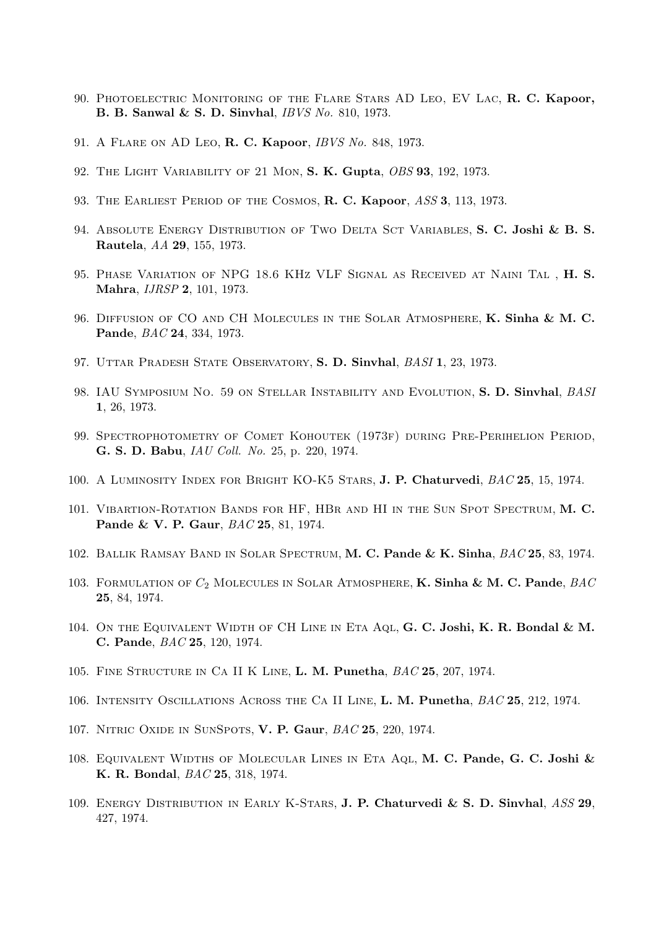- 90. Photoelectric Monitoring of the Flare Stars AD Leo, EV Lac, R. C. Kapoor, B. B. Sanwal & S. D. Sinvhal, IBVS No. 810, 1973.
- 91. A Flare on AD Leo, R. C. Kapoor, IBVS No. 848, 1973.
- 92. THE LIGHT VARIABILITY OF 21 MON, S. K. Gupta, OBS 93, 192, 1973.
- 93. THE EARLIEST PERIOD OF THE COSMOS, R. C. Kapoor, ASS 3, 113, 1973.
- 94. ABSOLUTE ENERGY DISTRIBUTION OF TWO DELTA SCT VARIABLES, S. C. Joshi & B. S. Rautela, AA 29, 155, 1973.
- 95. Phase Variation of NPG 18.6 KHz VLF Signal as Received at Naini Tal , H. S. Mahra, IJRSP 2, 101, 1973.
- 96. DIFFUSION OF CO AND CH MOLECULES IN THE SOLAR ATMOSPHERE, K. Sinha & M. C. Pande, BAC 24, 334, 1973.
- 97. UTTAR PRADESH STATE OBSERVATORY, S. D. Sinvhal, BASI 1, 23, 1973.
- 98. IAU SYMPOSIUM NO. 59 ON STELLAR INSTABILITY AND EVOLUTION, S. D. Sinvhal, BASI 1, 26, 1973.
- 99. Spectrophotometry of Comet Kohoutek (1973f) during Pre-Perihelion Period, G. S. D. Babu, IAU Coll. No. 25, p. 220, 1974.
- 100. A Luminosity Index for Bright KO-K5 Stars, J. P. Chaturvedi, BAC 25, 15, 1974.
- 101. VIBARTION-ROTATION BANDS FOR HF, HBR AND HI IN THE SUN SPOT SPECTRUM, M. C. Pande & V. P. Gaur, BAC 25, 81, 1974.
- 102. BALLIK RAMSAY BAND IN SOLAR SPECTRUM, M. C. Pande & K. Sinha,  $BAC$  25, 83, 1974.
- 103. FORMULATION OF  $C_2$  MOLECULES IN SOLAR ATMOSPHERE, **K. Sinha & M. C. Pande**, *BAC* 25, 84, 1974.
- 104. ON THE EQUIVALENT WIDTH OF CH LINE IN ETA AQL, G. C. Joshi, K. R. Bondal & M. C. Pande, BAC 25, 120, 1974.
- 105. FINE STRUCTURE IN CA II K LINE, L. M. Punetha,  $BAC$  25, 207, 1974.
- 106. INTENSITY OSCILLATIONS ACROSS THE CA II LINE, L. M. Punetha,  $BAC$  25, 212, 1974.
- 107. Nitric Oxide in SunSpots, V. P. Gaur, BAC 25, 220, 1974.
- 108. EQUIVALENT WIDTHS OF MOLECULAR LINES IN ETA AQL, M. C. Pande, G. C. Joshi & K. R. Bondal, BAC 25, 318, 1974.
- 109. Energy Distribution in Early K-Stars, J. P. Chaturvedi & S. D. Sinvhal, ASS 29, 427, 1974.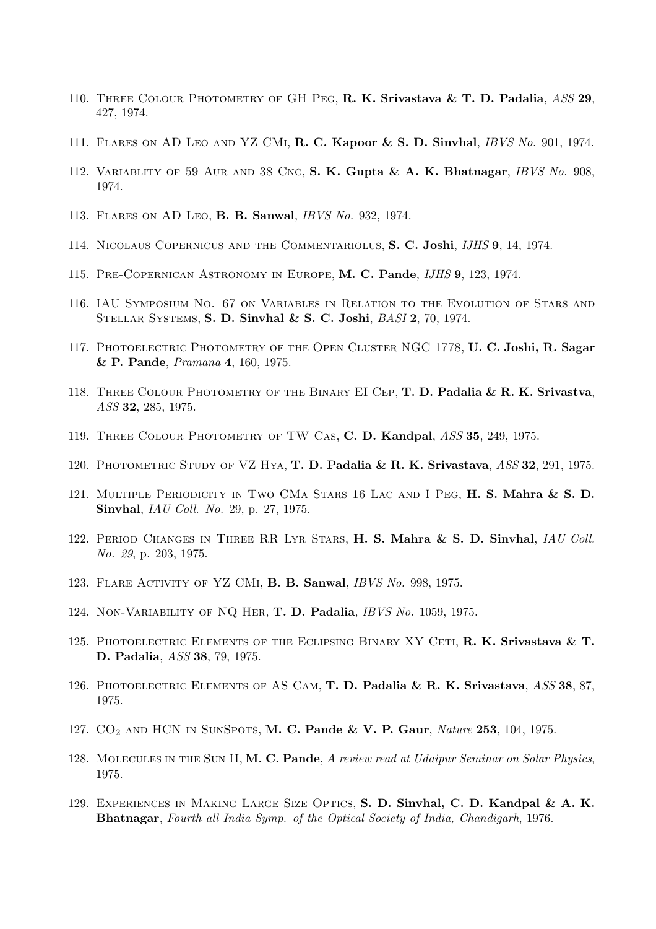- 110. THREE COLOUR PHOTOMETRY OF GH PEG, R. K. Srivastava & T. D. Padalia, ASS 29, 427, 1974.
- 111. Flares on AD Leo and YZ CMi, R. C. Kapoor & S. D. Sinvhal, IBVS No. 901, 1974.
- 112. VARIABLITY OF 59 AUR AND 38 CNC, S. K. Gupta & A. K. Bhatnagar, *IBVS No.* 908, 1974.
- 113. Flares on AD Leo, B. B. Sanwal, IBVS No. 932, 1974.
- 114. Nicolaus Copernicus and the Commentariolus, S. C. Joshi, IJHS 9, 14, 1974.
- 115. Pre-Copernican Astronomy in Europe, M. C. Pande, IJHS 9, 123, 1974.
- 116. IAU Symposium No. 67 on Variables in Relation to the Evolution of Stars and Stellar Systems, S. D. Sinvhal & S. C. Joshi, BASI 2, 70, 1974.
- 117. PHOTOELECTRIC PHOTOMETRY OF THE OPEN CLUSTER NGC 1778, U.C. Joshi, R. Sagar & P. Pande, Pramana 4, 160, 1975.
- 118. THREE COLOUR PHOTOMETRY OF THE BINARY EI CEP, T. D. Padalia & R. K. Srivastva, ASS 32, 285, 1975.
- 119. THREE COLOUR PHOTOMETRY OF TW CAS, C. D. Kandpal, ASS 35, 249, 1975.
- 120. PHOTOMETRIC STUDY OF VZ HYA, T. D. Padalia & R. K. Srivastava,  $ASS$  32, 291, 1975.
- 121. Multiple Periodicity in Two CMa Stars 16 Lac and I Peg, H. S. Mahra & S. D. Sinvhal, IAU Coll. No. 29, p. 27, 1975.
- 122. PERIOD CHANGES IN THREE RR LYR STARS, H. S. Mahra & S. D. Sinvhal, IAU Coll. No. 29, p. 203, 1975.
- 123. Flare Activity of YZ CMi, B. B. Sanwal, IBVS No. 998, 1975.
- 124. Non-Variability of NQ Her, T. D. Padalia, IBVS No. 1059, 1975.
- 125. PHOTOELECTRIC ELEMENTS OF THE ECLIPSING BINARY XY CETI, R. K. Srivastava & T. D. Padalia, ASS 38, 79, 1975.
- 126. PHOTOELECTRIC ELEMENTS OF AS CAM, T. D. Padalia & R. K. Srivastava, ASS 38, 87, 1975.
- 127.  $CO<sub>2</sub>$  AND HCN IN SUNSPOTS, M. C. Pande & V. P. Gaur, Nature 253, 104, 1975.
- 128. MOLECULES IN THE SUN II, M. C. Pande, A review read at Udaipur Seminar on Solar Physics, 1975.
- 129. Experiences in Making Large Size Optics, S. D. Sinvhal, C. D. Kandpal & A. K. Bhatnagar, Fourth all India Symp. of the Optical Society of India, Chandigarh, 1976.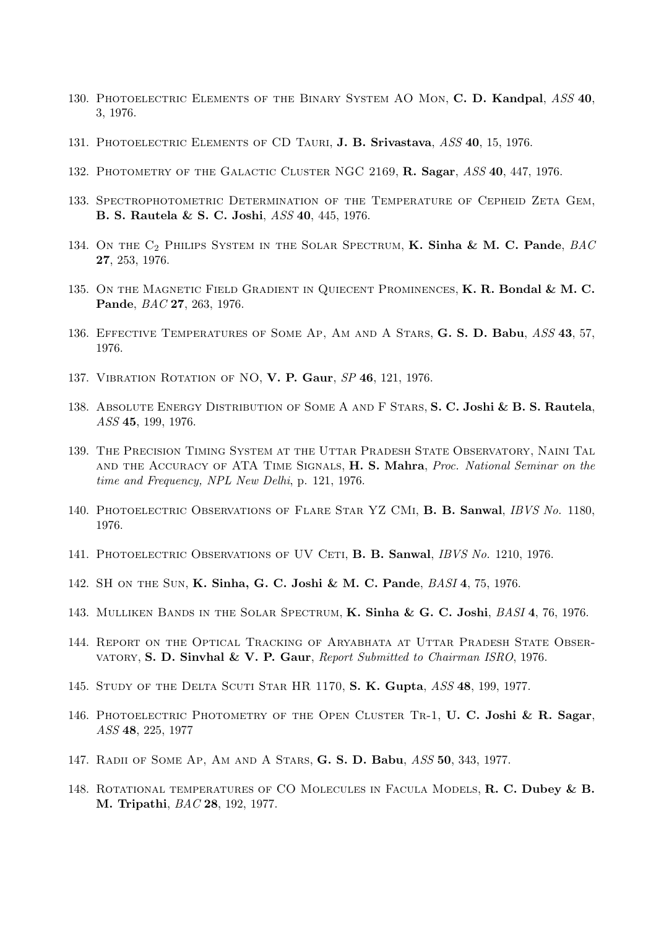- 130. PHOTOELECTRIC ELEMENTS OF THE BINARY SYSTEM AO MON, C. D. Kandpal, ASS 40, 3, 1976.
- 131. PHOTOELECTRIC ELEMENTS OF CD TAURI, J. B. Srivastava, ASS 40, 15, 1976.
- 132. PHOTOMETRY OF THE GALACTIC CLUSTER NGC 2169, R. Sagar, ASS 40, 447, 1976.
- 133. Spectrophotometric Determination of the Temperature of Cepheid Zeta Gem, B. S. Rautela & S. C. Joshi, ASS 40, 445, 1976.
- 134. ON THE  $C_2$  PHILIPS SYSTEM IN THE SOLAR SPECTRUM, K. Sinha & M. C. Pande,  $BAC$ 27, 253, 1976.
- 135. ON THE MAGNETIC FIELD GRADIENT IN QUIECENT PROMINENCES, K. R. Bondal & M. C. Pande, BAC 27, 263, 1976.
- 136. EFFECTIVE TEMPERATURES OF SOME AP, AM AND A STARS, G. S. D. Babu, ASS 43, 57, 1976.
- 137. VIBRATION ROTATION OF NO, V. P. Gaur, SP 46, 121, 1976.
- 138. ABSOLUTE ENERGY DISTRIBUTION OF SOME A AND F STARS, S. C. Joshi & B. S. Rautela, ASS 45, 199, 1976.
- 139. The Precision Timing System at the Uttar Pradesh State Observatory, Naini Tal AND THE ACCURACY OF ATA TIME SIGNALS, H. S. Mahra, Proc. National Seminar on the time and Frequency, NPL New Delhi, p. 121, 1976.
- 140. PHOTOELECTRIC OBSERVATIONS OF FLARE STAR YZ CMI, B. B. Sanwal, IBVS No. 1180, 1976.
- 141. PHOTOELECTRIC OBSERVATIONS OF UV CETI, **B. B. Sanwal**, *IBVS No.* 1210, 1976.
- 142. SH on the Sun, K. Sinha, G. C. Joshi & M. C. Pande, BASI 4, 75, 1976.
- 143. MULLIKEN BANDS IN THE SOLAR SPECTRUM, K. Sinha & G. C. Joshi, BASI 4, 76, 1976.
- 144. Report on the Optical Tracking of Aryabhata at Uttar Pradesh State Observatory, S. D. Sinvhal & V. P. Gaur, Report Submitted to Chairman ISRO, 1976.
- 145. STUDY OF THE DELTA SCUTI STAR HR 1170, S. K. Gupta, ASS 48, 199, 1977.
- 146. PHOTOELECTRIC PHOTOMETRY OF THE OPEN CLUSTER TR-1, U. C. Joshi & R. Sagar, ASS 48, 225, 1977
- 147. Radii of Some Ap, Am and A Stars, G. S. D. Babu, ASS 50, 343, 1977.
- 148. ROTATIONAL TEMPERATURES OF CO MOLECULES IN FACULA MODELS, R. C. Dubey & B. M. Tripathi, BAC 28, 192, 1977.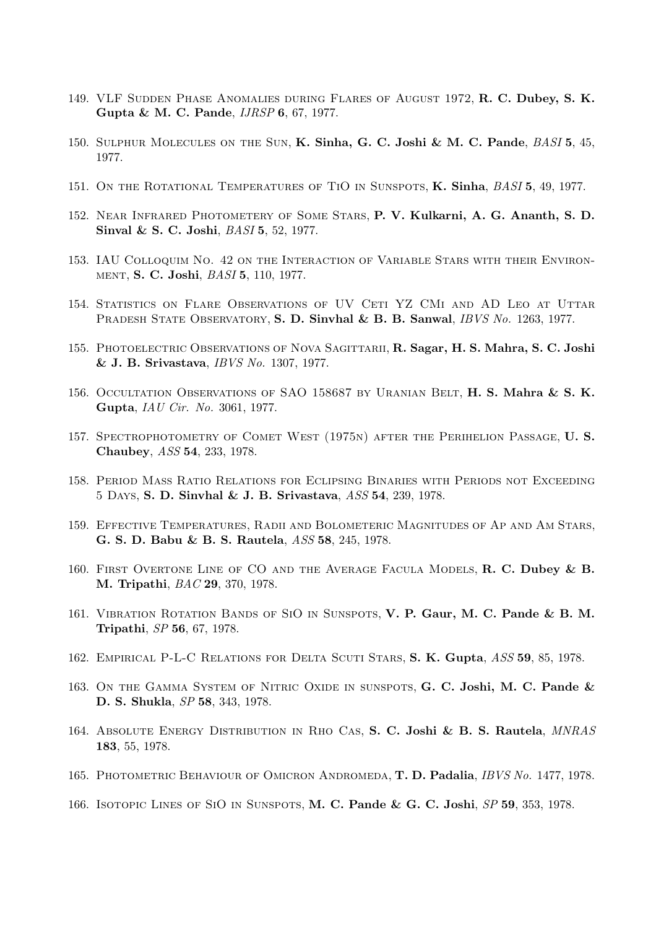- 149. VLF Sudden Phase Anomalies during Flares of August 1972, R. C. Dubey, S. K. Gupta & M. C. Pande, IJRSP 6, 67, 1977.
- 150. SULPHUR MOLECULES ON THE SUN, K. Sinha, G. C. Joshi & M. C. Pande, BASI 5, 45, 1977.
- 151. ON THE ROTATIONAL TEMPERATURES OF TIO IN SUNSPOTS, K. Sinha, BASI 5, 49, 1977.
- 152. Near Infrared Photometery of Some Stars, P. V. Kulkarni, A. G. Ananth, S. D. Sinval & S. C. Joshi, *BASI* 5, 52, 1977.
- 153. IAU Colloquim No. 42 on the Interaction of Variable Stars with their Environment, S. C. Joshi, BASI 5, 110, 1977.
- 154. Statistics on Flare Observations of UV Ceti YZ CMi and AD Leo at Uttar PRADESH STATE OBSERVATORY, S. D. Sinvhal & B. B. Sanwal, IBVS No. 1263, 1977.
- 155. PHOTOELECTRIC OBSERVATIONS OF NOVA SAGITTARII, R. Sagar, H. S. Mahra, S. C. Joshi & J. B. Srivastava, IBVS No. 1307, 1977.
- 156. OCCULTATION OBSERVATIONS OF SAO 158687 BY URANIAN BELT, H. S. Mahra & S. K. Gupta, IAU Cir. No. 3061, 1977.
- 157. Spectrophotometry of Comet West (1975n) after the Perihelion Passage, U. S. Chaubey, ASS 54, 233, 1978.
- 158. Period Mass Ratio Relations for Eclipsing Binaries with Periods not Exceeding 5 Days, S. D. Sinvhal & J. B. Srivastava, ASS 54, 239, 1978.
- 159. Effective Temperatures, Radii and Bolometeric Magnitudes of Ap and Am Stars, G. S. D. Babu & B. S. Rautela, ASS 58, 245, 1978.
- 160. FIRST OVERTONE LINE OF CO AND THE AVERAGE FACULA MODELS, R. C. Dubey & B. M. Tripathi, BAC 29, 370, 1978.
- 161. VIBRATION ROTATION BANDS OF SIO IN SUNSPOTS, V. P. Gaur, M. C. Pande & B. M. Tripathi, SP 56, 67, 1978.
- 162. Empirical P-L-C Relations for Delta Scuti Stars, S. K. Gupta, ASS 59, 85, 1978.
- 163. ON THE GAMMA SYSTEM OF NITRIC OXIDE IN SUNSPOTS, G. C. Joshi, M. C. Pande & D. S. Shukla, SP 58, 343, 1978.
- 164. ABSOLUTE ENERGY DISTRIBUTION IN RHO CAS, S. C. Joshi & B. S. Rautela, MNRAS 183, 55, 1978.
- 165. PHOTOMETRIC BEHAVIOUR OF OMICRON ANDROMEDA, T. D. Padalia, IBVS No. 1477, 1978.
- 166. Isotopic Lines of SiO in Sunspots, M. C. Pande & G. C. Joshi, SP 59, 353, 1978.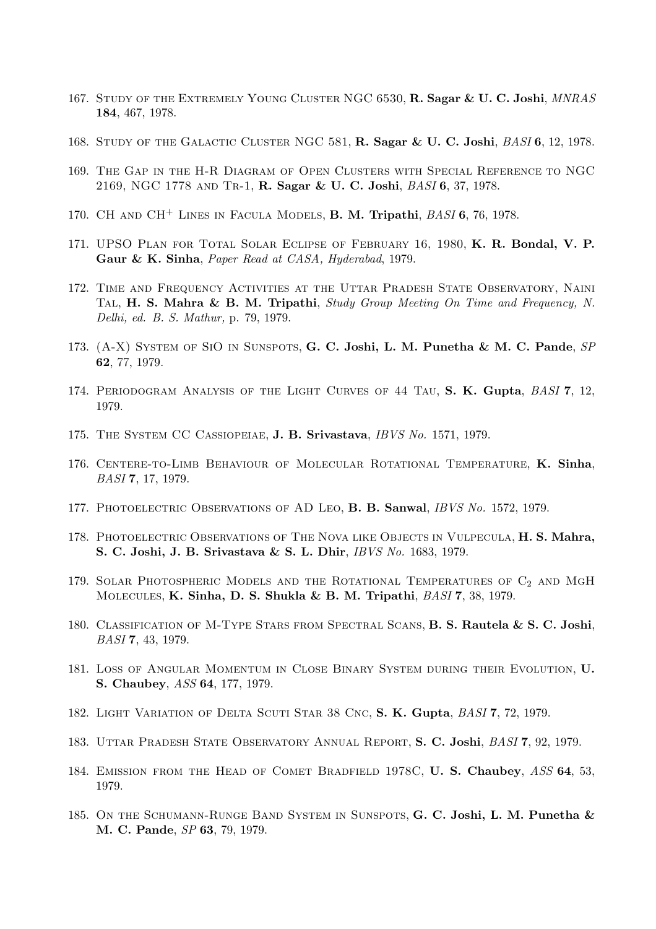- 167. STUDY OF THE EXTREMELY YOUNG CLUSTER NGC 6530, R. Sagar & U. C. Joshi, MNRAS 184, 467, 1978.
- 168. STUDY OF THE GALACTIC CLUSTER NGC 581, **R. Sagar & U. C. Joshi**, *BASI* 6, 12, 1978.
- 169. The Gap in the H-R Diagram of Open Clusters with Special Reference to NGC 2169, NGC 1778 and Tr-1, R. Sagar & U. C. Joshi, BASI 6, 37, 1978.
- 170. CH and CH<sup>+</sup> Lines in Facula Models, B. M. Tripathi, BASI 6, 76, 1978.
- 171. UPSO Plan for Total Solar Eclipse of February 16, 1980, K. R. Bondal, V. P. Gaur & K. Sinha, Paper Read at CASA, Hyderabad, 1979.
- 172. Time and Frequency Activities at the Uttar Pradesh State Observatory, Naini TAL, H. S. Mahra & B. M. Tripathi, Study Group Meeting On Time and Frequency, N. Delhi, ed. B. S. Mathur, p. 79, 1979.
- 173. (A-X) SYSTEM OF SIO IN SUNSPOTS, G. C. Joshi, L. M. Punetha & M. C. Pande, SP 62, 77, 1979.
- 174. PERIODOGRAM ANALYSIS OF THE LIGHT CURVES OF 44 TAU, S. K. Gupta, BASI 7, 12, 1979.
- 175. The System CC Cassiopeiae, J. B. Srivastava, IBVS No. 1571, 1979.
- 176. Centere-to-Limb Behaviour of Molecular Rotational Temperature, K. Sinha, BASI 7, 17, 1979.
- 177. PHOTOELECTRIC OBSERVATIONS OF AD LEO, B. B. Sanwal, IBVS No. 1572, 1979.
- 178. Photoelectric Observations of The Nova like Objects in Vulpecula, H. S. Mahra, S. C. Joshi, J. B. Srivastava & S. L. Dhir, IBVS No. 1683, 1979.
- 179. SOLAR PHOTOSPHERIC MODELS AND THE ROTATIONAL TEMPERATURES OF  $C_2$  and MGH Molecules, K. Sinha, D. S. Shukla & B. M. Tripathi, BASI 7, 38, 1979.
- 180. CLASSIFICATION OF M-TYPE STARS FROM SPECTRAL SCANS, B. S. Rautela & S. C. Joshi. BASI 7, 43, 1979.
- 181. Loss of Angular Momentum in Close Binary System during their Evolution, U. S. Chaubey, ASS 64, 177, 1979.
- 182. LIGHT VARIATION OF DELTA SCUTI STAR 38 CNC, S. K. Gupta, BASI 7, 72, 1979.
- 183. Uttar Pradesh State Observatory Annual Report, S. C. Joshi, BASI 7, 92, 1979.
- 184. EMISSION FROM THE HEAD OF COMET BRADFIELD 1978C, U. S. Chaubey, ASS 64, 53, 1979.
- 185. On the Schumann-Runge Band System in Sunspots, G. C. Joshi, L. M. Punetha & M. C. Pande, SP 63, 79, 1979.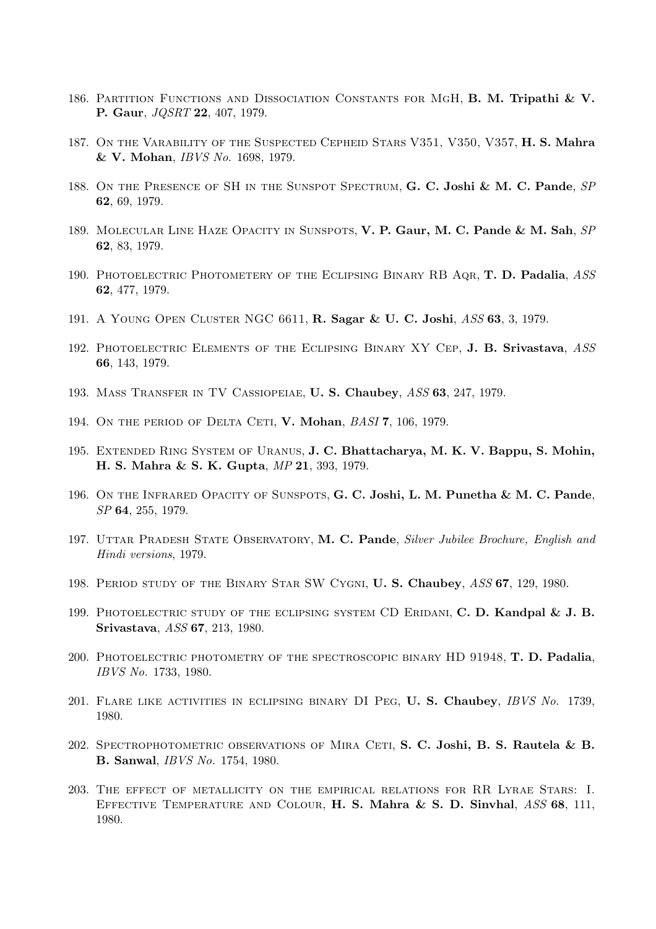- 186. PARTITION FUNCTIONS AND DISSOCIATION CONSTANTS FOR MGH, B. M. Tripathi & V. P. Gaur, JQSRT 22, 407, 1979.
- 187. ON THE VARABILITY OF THE SUSPECTED CEPHEID STARS V351, V350, V357, H. S. Mahra & V. Mohan, IBVS No. 1698, 1979.
- 188. ON THE PRESENCE OF SH IN THE SUNSPOT SPECTRUM, G. C. Joshi & M. C. Pande, SP 62, 69, 1979.
- 189. MOLECULAR LINE HAZE OPACITY IN SUNSPOTS, V. P. Gaur, M. C. Pande & M. Sah, SP 62, 83, 1979.
- 190. Photoelectric Photometery of the Eclipsing Binary RB Aqr, T. D. Padalia, ASS 62, 477, 1979.
- 191. A Young Open Cluster NGC 6611, R. Sagar & U. C. Joshi, ASS 63, 3, 1979.
- 192. PHOTOELECTRIC ELEMENTS OF THE ECLIPSING BINARY XY CEP, J. B. Srivastava, ASS 66, 143, 1979.
- 193. Mass Transfer in TV Cassiopeiae, U. S. Chaubey, ASS 63, 247, 1979.
- 194. ON THE PERIOD OF DELTA CETI, V. Mohan, BASI 7, 106, 1979.
- 195. Extended Ring System of Uranus, J. C. Bhattacharya, M. K. V. Bappu, S. Mohin, H. S. Mahra & S. K. Gupta, MP 21, 393, 1979.
- 196. ON THE INFRARED OPACITY OF SUNSPOTS, G. C. Joshi, L. M. Punetha & M. C. Pande, SP 64, 255, 1979.
- 197. UTTAR PRADESH STATE OBSERVATORY, M. C. Pande, Silver Jubilee Brochure, English and Hindi versions, 1979.
- 198. Period study of the Binary Star SW Cygni, U. S. Chaubey, ASS 67, 129, 1980.
- 199. PHOTOELECTRIC STUDY OF THE ECLIPSING SYSTEM CD ERIDANI, C. D. Kandpal  $\&$  J. B. Srivastava, ASS 67, 213, 1980.
- 200. PHOTOELECTRIC PHOTOMETRY OF THE SPECTROSCOPIC BINARY HD 91948, T. D. Padalia, IBVS No. 1733, 1980.
- 201. Flare like activities in eclipsing binary DI Peg, U. S. Chaubey, IBVS No. 1739, 1980.
- 202. SPECTROPHOTOMETRIC OBSERVATIONS OF MIRA CETI, S. C. Joshi, B. S. Rautela & B. B. Sanwal, IBVS No. 1754, 1980.
- 203. The effect of metallicity on the empirical relations for RR Lyrae Stars: I. EFFECTIVE TEMPERATURE AND COLOUR, H. S. Mahra & S. D. Sinvhal, ASS 68, 111, 1980.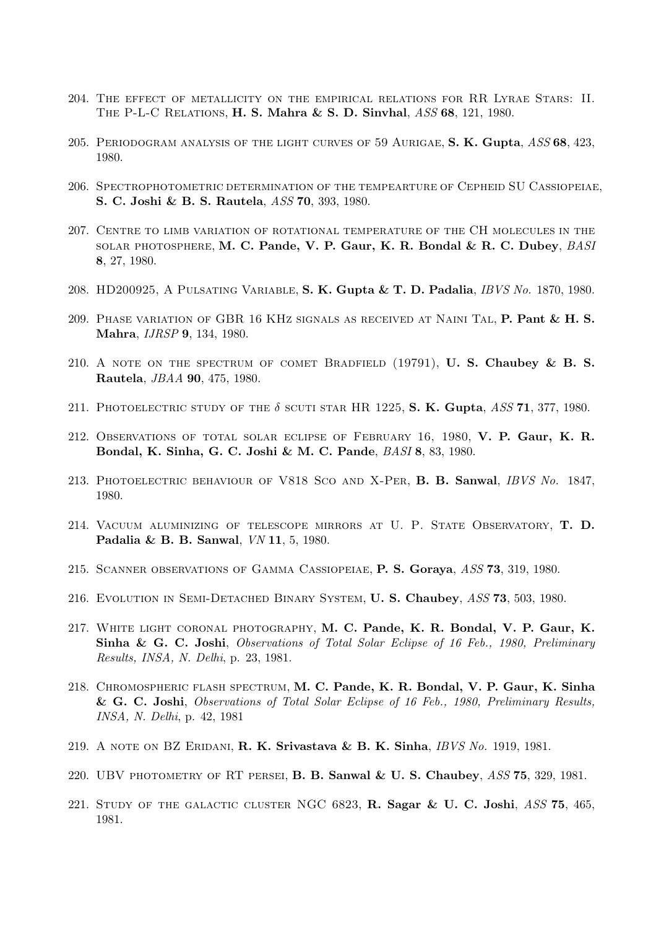- 204. The effect of metallicity on the empirical relations for RR Lyrae Stars: II. The P-L-C Relations, H. S. Mahra & S. D. Sinvhal, ASS 68, 121, 1980.
- 205. PERIODOGRAM ANALYSIS OF THE LIGHT CURVES OF 59 AURIGAE, S. K. Gupta, ASS 68, 423, 1980.
- 206. Spectrophotometric determination of the tempearture of Cepheid SU Cassiopeiae, S. C. Joshi & B. S. Rautela, ASS 70, 393, 1980.
- 207. Centre to limb variation of rotational temperature of the CH molecules in the solar photosphere, M. C. Pande, V. P. Gaur, K. R. Bondal & R. C. Dubey, BASI 8, 27, 1980.
- 208. HD200925, A Pulsating Variable, S. K. Gupta & T. D. Padalia, IBVS No. 1870, 1980.
- 209. Phase variation of GBR 16 KHz signals as received at Naini Tal, P. Pant & H. S. Mahra, IJRSP 9, 134, 1980.
- 210. A NOTE ON THE SPECTRUM OF COMET BRADFIELD  $(19791)$ , **U. S. Chaubey & B. S.** Rautela, JBAA 90, 475, 1980.
- 211. PHOTOELECTRIC STUDY OF THE  $\delta$  scuti star HR 1225, S. K. Gupta, ASS 71, 377, 1980.
- 212. Observations of total solar eclipse of February 16, 1980, V. P. Gaur, K. R. Bondal, K. Sinha, G. C. Joshi & M. C. Pande, BASI 8, 83, 1980.
- 213. PHOTOELECTRIC BEHAVIOUR OF V818 SCO AND X-PER, B. B. Sanwal, IBVS No. 1847, 1980.
- 214. Vacuum aluminizing of telescope mirrors at U. P. State Observatory, T. D. Padalia & B. B. Sanwal, VN 11, 5, 1980.
- 215. Scanner observations of Gamma Cassiopeiae, P. S. Goraya, ASS 73, 319, 1980.
- 216. Evolution in Semi-Detached Binary System, U. S. Chaubey, ASS 73, 503, 1980.
- 217. White light coronal photography, M. C. Pande, K. R. Bondal, V. P. Gaur, K. Sinha & G. C. Joshi, Observations of Total Solar Eclipse of 16 Feb., 1980, Preliminary Results, INSA, N. Delhi, p. 23, 1981.
- 218. Chromospheric flash spectrum, M. C. Pande, K. R. Bondal, V. P. Gaur, K. Sinha & G. C. Joshi, Observations of Total Solar Eclipse of 16 Feb., 1980, Preliminary Results, INSA, N. Delhi, p. 42, 1981
- 219. A NOTE ON BZ ERIDANI,  $\mathbf{R}$ . K. Srivastava & B. K. Sinha, IBVS No. 1919, 1981.
- 220. UBV PHOTOMETRY OF RT PERSEI, B. B. Sanwal & U. S. Chaubey,  $ASS 75$ , 329, 1981.
- 221. STUDY OF THE GALACTIC CLUSTER NGC 6823, R. Sagar & U. C. Joshi,  $ASS$  75, 465, 1981.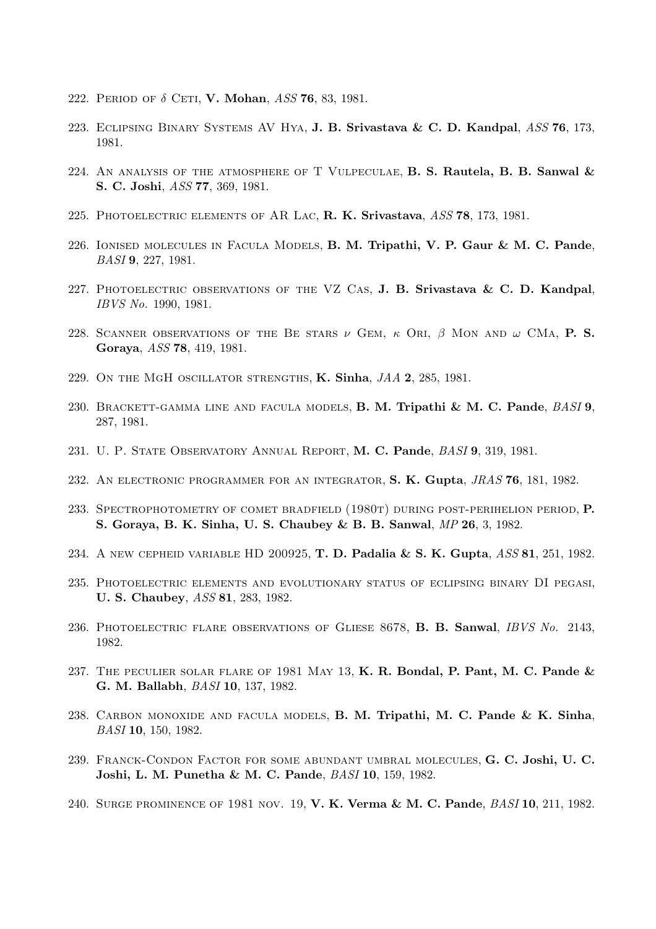- 222. PERIOD OF  $\delta$  CETI, V. Mohan, ASS 76, 83, 1981.
- 223. Eclipsing Binary Systems AV Hya, J. B. Srivastava & C. D. Kandpal, ASS 76, 173, 1981.
- 224. AN ANALYSIS OF THE ATMOSPHERE OF T VULPECULAE, B. S. Rautela, B. B. Sanwal  $\&$ S. C. Joshi, ASS 77, 369, 1981.
- 225. PHOTOELECTRIC ELEMENTS OF AR LAC, R. K. Srivastava, ASS 78, 173, 1981.
- 226. Ionised molecules in Facula Models, B. M. Tripathi, V. P. Gaur & M. C. Pande, BASI 9, 227, 1981.
- 227. PHOTOELECTRIC OBSERVATIONS OF THE VZ CAS, J. B. Srivastava  $\&$  C. D. Kandpal, IBVS No. 1990, 1981.
- 228. SCANNER OBSERVATIONS OF THE BE STARS  $\nu$  GEM,  $\kappa$  Ori,  $\beta$  Mon and  $\omega$  CMa, P. S. Goraya, ASS 78, 419, 1981.
- 229. ON THE MGH OSCILLATOR STRENGTHS,  $K$ . Sinha,  $JAA$  2, 285, 1981.
- 230. BRACKETT-GAMMA LINE AND FACULA MODELS, B. M. Tripathi & M. C. Pande, BASI 9, 287, 1981.
- 231. U. P. STATE OBSERVATORY ANNUAL REPORT, M. C. Pande, BASI 9, 319, 1981.
- 232. AN ELECTRONIC PROGRAMMER FOR AN INTEGRATOR, S. K. Gupta, JRAS 76, 181, 1982.
- 233. SPECTROPHOTOMETRY OF COMET BRADFIELD (1980T) DURING POST-PERIHELION PERIOD, P. S. Goraya, B. K. Sinha, U. S. Chaubey & B. B. Sanwal, MP 26, 3, 1982.
- 234. A NEW CEPHEID VARIABLE HD 200925, **T. D. Padalia & S. K. Gupta**, ASS 81, 251, 1982.
- 235. Photoelectric elements and evolutionary status of eclipsing binary DI pegasi, U. S. Chaubey, ASS 81, 283, 1982.
- 236. PHOTOELECTRIC FLARE OBSERVATIONS OF GLIESE 8678, B. B. Sanwal, IBVS No. 2143, 1982.
- 237. THE PECULIER SOLAR FLARE OF 1981 MAY 13, K. R. Bondal, P. Pant, M. C. Pande  $\&$ G. M. Ballabh, BASI 10, 137, 1982.
- 238. CARBON MONOXIDE AND FACULA MODELS, **B. M. Tripathi, M. C. Pande & K. Sinha**, BASI 10, 150, 1982.
- 239. Franck-Condon Factor for some abundant umbral molecules, G. C. Joshi, U. C. Joshi, L. M. Punetha & M. C. Pande, BASI 10, 159, 1982.
- 240. Surge prominence of 1981 nov. 19, V. K. Verma & M. C. Pande, BASI 10, 211, 1982.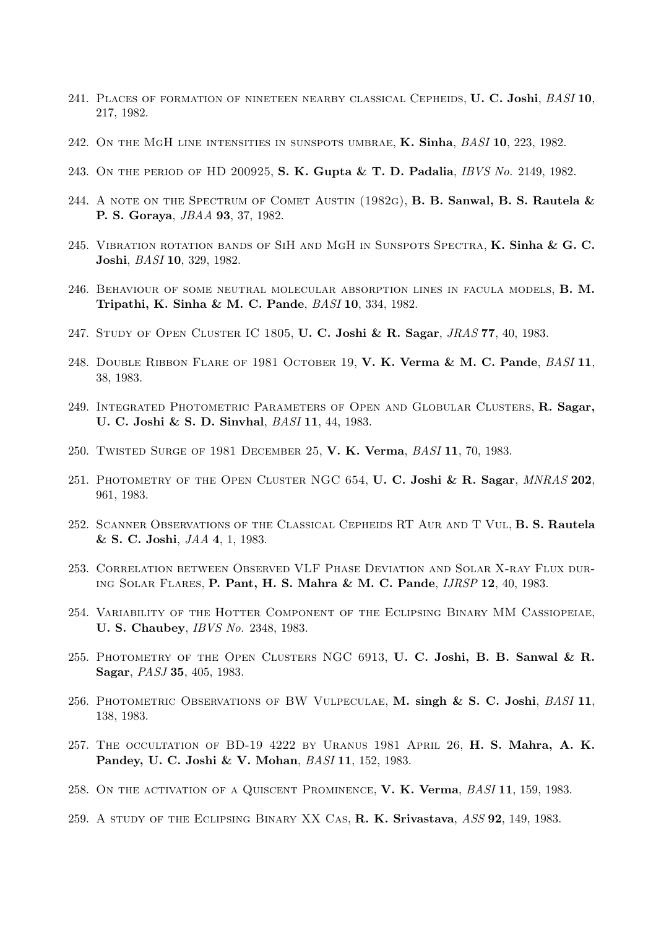- 241. PLACES OF FORMATION OF NINETEEN NEARBY CLASSICAL CEPHEIDS, U. C. Joshi,  $BASI$  10, 217, 1982.
- 242. ON THE MGH LINE INTENSITIES IN SUNSPOTS UMBRAE, K. Sinha,  $BASI$  10, 223, 1982.
- 243. ON THE PERIOD OF HD 200925, S. K. Gupta & T. D. Padalia, *IBVS No.* 2149, 1982.
- 244. A NOTE ON THE SPECTRUM OF COMET AUSTIN  $(1982G)$ , **B. B. Sanwal, B. S. Rautela &** P. S. Goraya, JBAA 93, 37, 1982.
- 245. VIBRATION ROTATION BANDS OF SIH AND MGH IN SUNSPOTS SPECTRA,  $K$ . Sinha &  $G$ . C. Joshi, BASI 10, 329, 1982.
- 246. Behaviour of some neutral molecular absorption lines in facula models, B. M. Tripathi, K. Sinha & M. C. Pande, BASI 10, 334, 1982.
- 247. STUDY OF OPEN CLUSTER IC 1805, U. C. Joshi & R. Sagar, JRAS 77, 40, 1983.
- 248. DOUBLE RIBBON FLARE OF 1981 OCTOBER 19, V. K. Verma & M. C. Pande, BASI 11, 38, 1983.
- 249. Integrated Photometric Parameters of Open and Globular Clusters, R. Sagar, U. C. Joshi & S. D. Sinvhal, BASI 11, 44, 1983.
- 250. Twisted Surge of 1981 December 25, V. K. Verma, BASI 11, 70, 1983.
- 251. PHOTOMETRY OF THE OPEN CLUSTER NGC 654, U.C. Joshi & R. Sagar, MNRAS 202. 961, 1983.
- 252. Scanner Observations of the Classical Cepheids RT Aur and T Vul, B. S. Rautela & S. C. Joshi, JAA 4, 1, 1983.
- 253. Correlation between Observed VLF Phase Deviation and Solar X-ray Flux during Solar Flares, P. Pant, H. S. Mahra & M. C. Pande, IJRSP 12, 40, 1983.
- 254. Variability of the Hotter Component of the Eclipsing Binary MM Cassiopeiae, U. S. Chaubey, IBVS No. 2348, 1983.
- 255. PHOTOMETRY OF THE OPEN CLUSTERS NGC 6913, U. C. Joshi, B. B. Sanwal & R. Sagar, PASJ 35, 405, 1983.
- 256. PHOTOMETRIC OBSERVATIONS OF BW VULPECULAE, M. singh & S. C. Joshi, BASI 11, 138, 1983.
- 257. THE OCCULTATION OF BD-19 4222 BY URANUS 1981 APRIL 26, H. S. Mahra, A. K. Pandey, U. C. Joshi & V. Mohan, BASI 11, 152, 1983.
- 258. ON THE ACTIVATION OF A QUISCENT PROMINENCE, V. K. Verma, BASI 11, 159, 1983.
- 259. A STUDY OF THE ECLIPSING BINARY XX CAS, R. K. Srivastava, ASS 92, 149, 1983.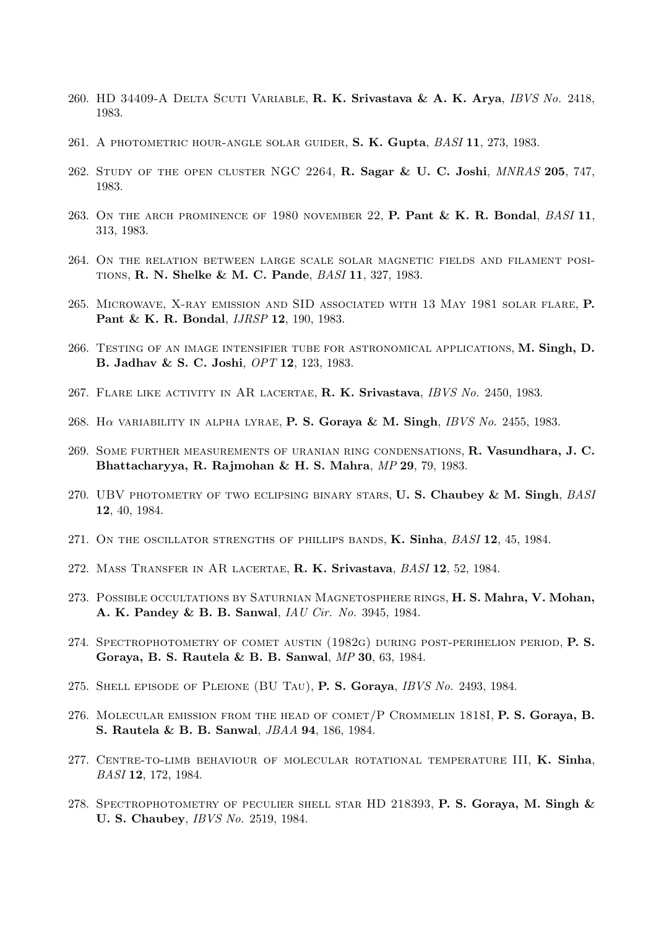- 260. HD 34409-A Delta Scuti Variable, R. K. Srivastava & A. K. Arya, IBVS No. 2418, 1983.
- 261. A PHOTOMETRIC HOUR-ANGLE SOLAR GUIDER, S. K. Gupta, BASI 11, 273, 1983.
- 262. Study of the open cluster NGC 2264, R. Sagar & U. C. Joshi, MNRAS 205, 747, 1983.
- 263. ON THE ARCH PROMINENCE OF 1980 NOVEMBER 22, P. Pant & K. R. Bondal, BASI 11, 313, 1983.
- 264. On the relation between large scale solar magnetic fields and filament positions, R. N. Shelke & M. C. Pande, BASI 11, 327, 1983.
- 265. Microwave, X-ray emission and SID associated with 13 May 1981 solar flare, P. Pant & K. R. Bondal, *IJRSP* 12, 190, 1983.
- 266. Testing of an image intensifier tube for astronomical applications, M. Singh, D. B. Jadhav & S. C. Joshi, OPT 12, 123, 1983.
- 267. FLARE LIKE ACTIVITY IN AR LACERTAE, R. K. Srivastava, IBVS No. 2450, 1983.
- 268. H $\alpha$  variability in alpha lyrae, P. S. Goraya & M. Singh, IBVS No. 2455, 1983.
- 269. Some further measurements of uranian ring condensations, R. Vasundhara, J. C. Bhattacharyya, R. Rajmohan & H. S. Mahra, MP 29, 79, 1983.
- 270. UBV PHOTOMETRY OF TWO ECLIPSING BINARY STARS, U.S. Chaubey & M. Singh, BASI 12, 40, 1984.
- 271. ON THE OSCILLATOR STRENGTHS OF PHILLIPS BANDS, K. Sinha, BASI 12, 45, 1984.
- 272. Mass Transfer in AR lacertae, R. K. Srivastava, BASI 12, 52, 1984.
- 273. Possible occultations by Saturnian Magnetosphere rings, H. S. Mahra, V. Mohan, A. K. Pandey & B. B. Sanwal, IAU Cir. No. 3945, 1984.
- 274. Spectrophotometry of comet austin (1982g) during post-perihelion period, P. S. Goraya, B. S. Rautela & B. B. Sanwal, MP 30, 63, 1984.
- 275. SHELL EPISODE OF PLEIONE (BU TAU), P. S. Goraya, IBVS No. 2493, 1984.
- 276. Molecular emission from the head of comet/P Crommelin 1818I, P. S. Goraya, B. S. Rautela & B. B. Sanwal, JBAA 94, 186, 1984.
- 277. CENTRE-TO-LIMB BEHAVIOUR OF MOLECULAR ROTATIONAL TEMPERATURE III, K. Sinha, BASI 12, 172, 1984.
- 278. SPECTROPHOTOMETRY OF PECULIER SHELL STAR HD 218393, P. S. Goraya, M. Singh & U. S. Chaubey, IBVS No. 2519, 1984.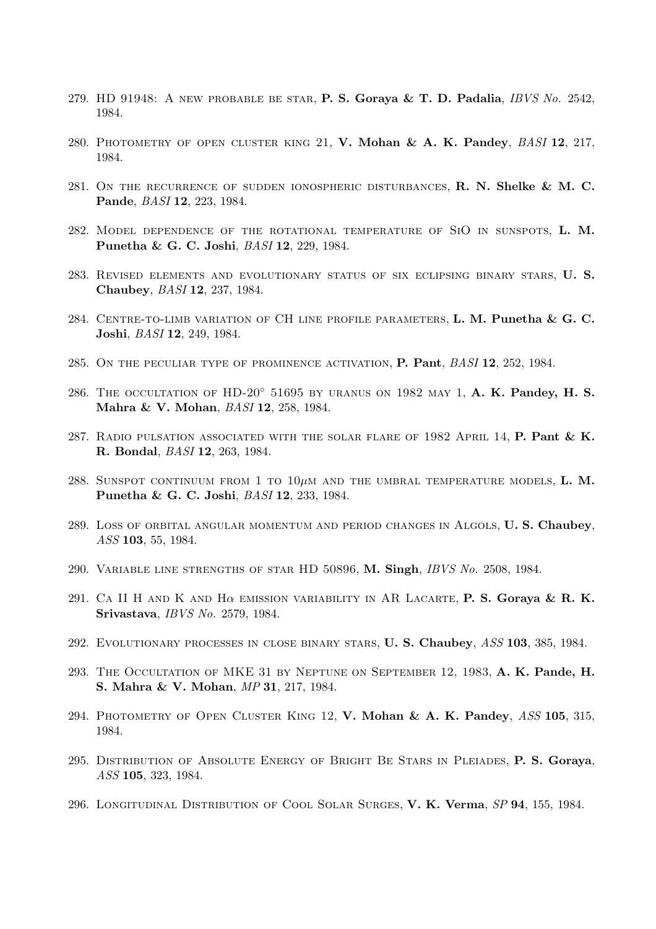- 279. HD 91948: A NEW PROBABLE BE STAR, P. S. Goraya & T. D. Padalia,  $IBVS$  No. 2542, 1984.
- 280. PHOTOMETRY OF OPEN CLUSTER KING 21, V. Mohan & A. K. Pandey, BASI 12, 217, 1984.
- 281. ON THE RECURRENCE OF SUDDEN IONOSPHERIC DISTURBANCES, R. N. Shelke & M. C. Pande, BASI 12, 223, 1984.
- 282. Model dependence of the rotational temperature of SiO in sunspots, L. M. Punetha & G. C. Joshi, BASI 12, 229, 1984.
- 283. Revised elements and evolutionary status of six eclipsing binary stars, U. S. Chaubey, BASI 12, 237, 1984.
- 284. CENTRE-TO-LIMB VARIATION OF CH LINE PROFILE PARAMETERS, L. M. Punetha & G. C. Joshi, BASI 12, 249, 1984.
- 285. ON THE PECULIAR TYPE OF PROMINENCE ACTIVATION, P. Pant, BASI 12, 252, 1984.
- 286. THE OCCULTATION OF  $HD-20°$  51695 by URANUS ON 1982 MAY 1, A. K. Pandey, H. S. Mahra & V. Mohan, BASI 12, 258, 1984.
- 287. RADIO PULSATION ASSOCIATED WITH THE SOLAR FLARE OF 1982 APRIL 14, P. Pant & K. R. Bondal, BASI 12, 263, 1984.
- 288. SUNSPOT CONTINUUM FROM 1 TO  $10\mu$ m and the umbral temperature models, L. M. Punetha & G. C. Joshi, BASI 12, 233, 1984.
- 289. Loss of orbital angular momentum and period changes in Algols, U. S. Chaubey, ASS 103, 55, 1984.
- 290. Variable line strengths of star HD 50896, M. Singh, IBVS No. 2508, 1984.
- 291. CA II H AND K AND H $\alpha$  emission variability in AR Lacarte, P. S. Gorava & R. K. Srivastava, IBVS No. 2579, 1984.
- 292. EVOLUTIONARY PROCESSES IN CLOSE BINARY STARS, **U. S. Chaubey**, *ASS* 103, 385, 1984.
- 293. THE OCCULTATION OF MKE 31 BY NEPTUNE ON SEPTEMBER 12, 1983, A. K. Pande, H. S. Mahra & V. Mohan, MP 31, 217, 1984.
- 294. PHOTOMETRY OF OPEN CLUSTER KING 12, V. Mohan & A. K. Pandey, ASS 105, 315, 1984.
- 295. Distribution of Absolute Energy of Bright Be Stars in Pleiades, P. S. Goraya, ASS 105, 323, 1984.
- 296. Longitudinal Distribution of Cool Solar Surges, V. K. Verma, SP 94, 155, 1984.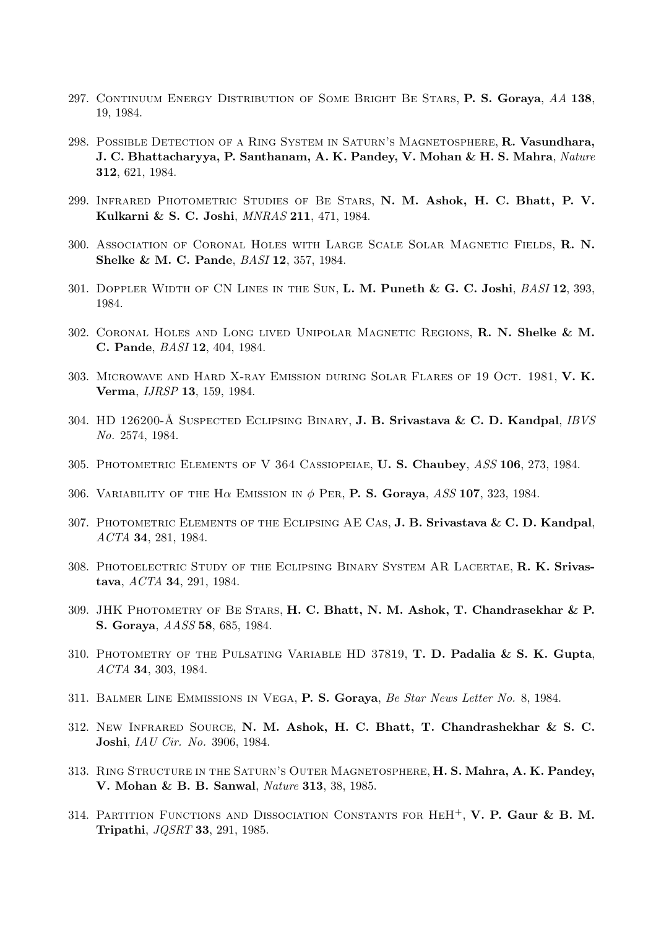- 297. CONTINUUM ENERGY DISTRIBUTION OF SOME BRIGHT BE STARS, P. S. Goraya, AA 138, 19, 1984.
- 298. Possible Detection of a Ring System in Saturn's Magnetosphere, R. Vasundhara, J. C. Bhattacharyya, P. Santhanam, A. K. Pandey, V. Mohan & H. S. Mahra, Nature 312, 621, 1984.
- 299. Infrared Photometric Studies of Be Stars, N. M. Ashok, H. C. Bhatt, P. V. Kulkarni & S. C. Joshi, MNRAS 211, 471, 1984.
- 300. Association of Coronal Holes with Large Scale Solar Magnetic Fields, R. N. Shelke & M. C. Pande, BASI 12, 357, 1984.
- 301. DOPPLER WIDTH OF CN LINES IN THE SUN, L. M. Puneth  $\&\, G. C.$  Joshi,  $BASI 12$ , 393, 1984.
- 302. Coronal Holes and Long lived Unipolar Magnetic Regions, R. N. Shelke & M. C. Pande, BASI 12, 404, 1984.
- 303. Microwave and Hard X-ray Emission during Solar Flares of 19 Oct. 1981, V. K. Verma, IJRSP 13, 159, 1984.
- 304. HD 126200-Å SUSPECTED ECLIPSING BINARY, J. B. Srivastava & C. D. Kandpal, IBVS No. 2574, 1984.
- 305. Photometric Elements of V 364 Cassiopeiae, U. S. Chaubey, ASS 106, 273, 1984.
- 306. VARIABILITY OF THE H $\alpha$  EMISSION IN  $\phi$  PER, P. S. Goraya, ASS 107, 323, 1984.
- 307. PHOTOMETRIC ELEMENTS OF THE ECLIPSING AE CAS, **J. B. Srivastava & C. D. Kandpal**, ACTA 34, 281, 1984.
- 308. PHOTOELECTRIC STUDY OF THE ECLIPSING BINARY SYSTEM AR LACERTAE, R. K. Srivastava, ACTA 34, 291, 1984.
- 309. JHK PHOTOMETRY OF BE STARS, H. C. Bhatt, N. M. Ashok, T. Chandrasekhar & P. S. Goraya, AASS 58, 685, 1984.
- 310. PHOTOMETRY OF THE PULSATING VARIABLE HD 37819, T. D. Padalia  $\& S. K. Gupta$ , ACTA 34, 303, 1984.
- 311. BALMER LINE EMMISSIONS IN VEGA, P. S. Goraya, Be Star News Letter No. 8, 1984.
- 312. New Infrared Source, N. M. Ashok, H. C. Bhatt, T. Chandrashekhar & S. C. Joshi, IAU Cir. No. 3906, 1984.
- 313. Ring Structure in the Saturn's Outer Magnetosphere, H. S. Mahra, A. K. Pandey, V. Mohan & B. B. Sanwal, Nature 313, 38, 1985.
- 314. PARTITION FUNCTIONS AND DISSOCIATION CONSTANTS FOR  $HEH^+$ , V. P. Gaur & B. M. Tripathi, JQSRT 33, 291, 1985.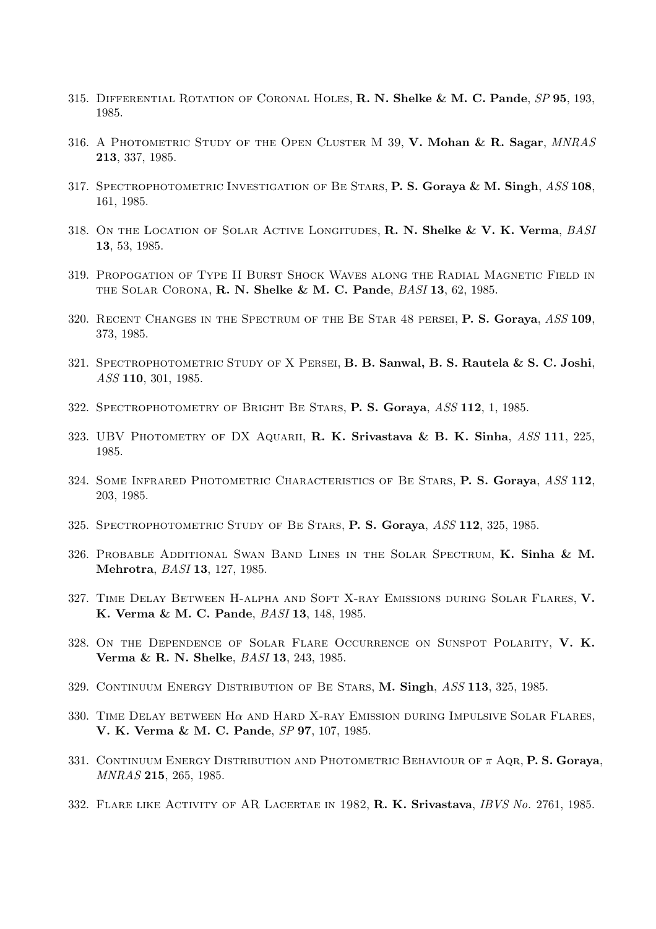- 315. DIFFERENTIAL ROTATION OF CORONAL HOLES, R. N. Shelke & M. C. Pande,  $SP$  95, 193, 1985.
- 316. A PHOTOMETRIC STUDY OF THE OPEN CLUSTER M 39, V. Mohan & R. Sagar, MNRAS 213, 337, 1985.
- 317. SPECTROPHOTOMETRIC INVESTIGATION OF BE STARS, P. S. Goraya & M. Singh, ASS 108, 161, 1985.
- 318. ON THE LOCATION OF SOLAR ACTIVE LONGITUDES, R. N. Shelke & V. K. Verma, BASI 13, 53, 1985.
- 319. Propogation of Type II Burst Shock Waves along the Radial Magnetic Field in the Solar Corona, R. N. Shelke & M. C. Pande, BASI 13, 62, 1985.
- 320. RECENT CHANGES IN THE SPECTRUM OF THE BE STAR 48 PERSEI, P. S. Goraya, ASS 109, 373, 1985.
- 321. Spectrophotometric Study of X Persei, B. B. Sanwal, B. S. Rautela & S. C. Joshi, ASS 110, 301, 1985.
- 322. Spectrophotometry of Bright Be Stars, P. S. Goraya, ASS 112, 1, 1985.
- 323. UBV PHOTOMETRY OF DX AQUARII, R. K. Srivastava & B. K. Sinha, ASS 111, 225, 1985.
- 324. Some Infrared Photometric Characteristics of Be Stars, P. S. Goraya, ASS 112, 203, 1985.
- 325. SPECTROPHOTOMETRIC STUDY OF BE STARS, P. S. Goraya, ASS 112, 325, 1985.
- 326. Probable Additional Swan Band Lines in the Solar Spectrum, K. Sinha & M. Mehrotra, BASI 13, 127, 1985.
- 327. Time Delay Between H-alpha and Soft X-ray Emissions during Solar Flares, V. K. Verma & M. C. Pande, BASI 13, 148, 1985.
- 328. ON THE DEPENDENCE OF SOLAR FLARE OCCURRENCE ON SUNSPOT POLARITY, V. K. Verma & R. N. Shelke, BASI 13, 243, 1985.
- 329. Continuum Energy Distribution of Be Stars, M. Singh, ASS 113, 325, 1985.
- 330. TIME DELAY BETWEEN H $\alpha$  and Hard X-ray Emission during Impulsive Solar Flares, V. K. Verma & M. C. Pande, SP 97, 107, 1985.
- 331. CONTINUUM ENERGY DISTRIBUTION AND PHOTOMETRIC BEHAVIOUR OF  $\pi$  AQR, P. S. Goraya, MNRAS 215, 265, 1985.
- 332. FLARE LIKE ACTIVITY OF AR LACERTAE IN 1982, R. K. Srivastava, IBVS No. 2761, 1985.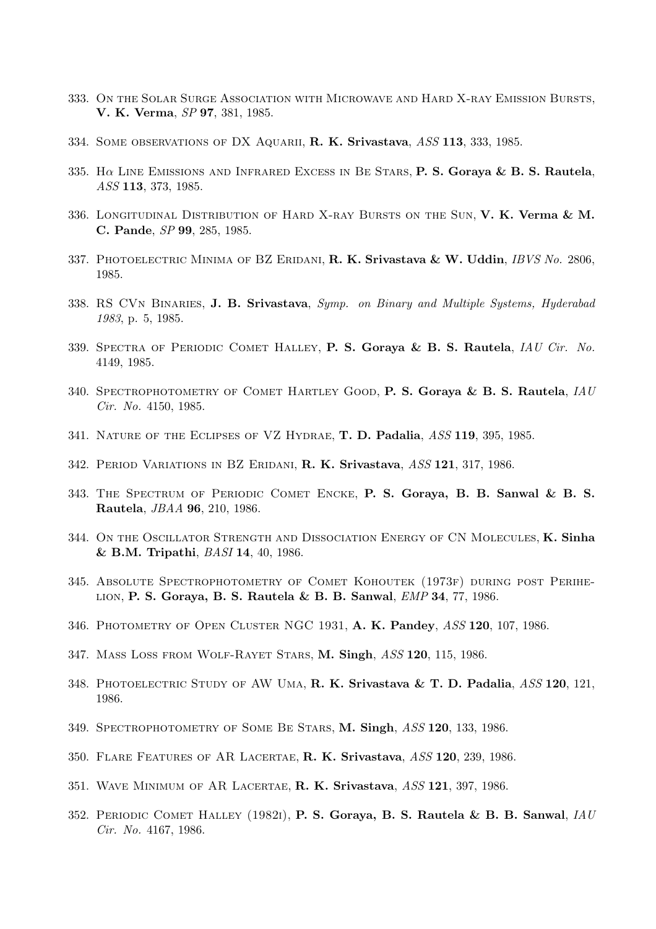- 333. On the Solar Surge Association with Microwave and Hard X-ray Emission Bursts, V. K. Verma, SP 97, 381, 1985.
- 334. SOME OBSERVATIONS OF DX AQUARII, R. K. Srivastava, ASS 113, 333, 1985.
- 335. H $\alpha$  LINE EMISSIONS AND INFRARED EXCESS IN BE STARS, P. S. Goraya & B. S. Rautela, ASS 113, 373, 1985.
- 336. LONGITUDINAL DISTRIBUTION OF HARD X-RAY BURSTS ON THE SUN, V. K. Verma & M. C. Pande, SP 99, 285, 1985.
- 337. PHOTOELECTRIC MINIMA OF BZ ERIDANI, R. K. Srivastava & W. Uddin, IBVS No. 2806, 1985.
- 338. RS CVN BINARIES, J. B. Srivastava, Symp. on Binary and Multiple Systems, Hyderabad 1983, p. 5, 1985.
- 339. SPECTRA OF PERIODIC COMET HALLEY, P. S. Goraya & B. S. Rautela, IAU Cir. No. 4149, 1985.
- 340. SPECTROPHOTOMETRY OF COMET HARTLEY GOOD, P. S. Goraya & B. S. Rautela, IAU Cir. No. 4150, 1985.
- 341. NATURE OF THE ECLIPSES OF VZ HYDRAE, T. D. Padalia, ASS 119, 395, 1985.
- 342. PERIOD VARIATIONS IN BZ ERIDANI, R. K. Srivastava, ASS 121, 317, 1986.
- 343. The Spectrum of Periodic Comet Encke, P. S. Goraya, B. B. Sanwal & B. S. Rautela, JBAA 96, 210, 1986.
- 344. ON THE OSCILLATOR STRENGTH AND DISSOCIATION ENERGY OF CN MOLECULES, K. Sinha & B.M. Tripathi, BASI 14, 40, 1986.
- 345. Absolute Spectrophotometry of Comet Kohoutek (1973f) during post Perihelion, P. S. Goraya, B. S. Rautela & B. B. Sanwal, EMP 34, 77, 1986.
- 346. PHOTOMETRY OF OPEN CLUSTER NGC 1931, A. K. Pandey, ASS 120, 107, 1986.
- 347. Mass Loss from Wolf-Rayet Stars, M. Singh, ASS 120, 115, 1986.
- 348. Photoelectric Study of AW Uma, R. K. Srivastava & T. D. Padalia, ASS 120, 121, 1986.
- 349. SPECTROPHOTOMETRY OF SOME BE STARS, M. Singh, ASS 120, 133, 1986.
- 350. Flare Features of AR Lacertae, R. K. Srivastava, ASS 120, 239, 1986.
- 351. WAVE MINIMUM OF AR LACERTAE, R. K. Srivastava, ASS 121, 397, 1986.
- 352. PERIODIC COMET HALLEY (1982I), P. S. Goraya, B. S. Rautela & B. B. Sanwal, IAU Cir. No. 4167, 1986.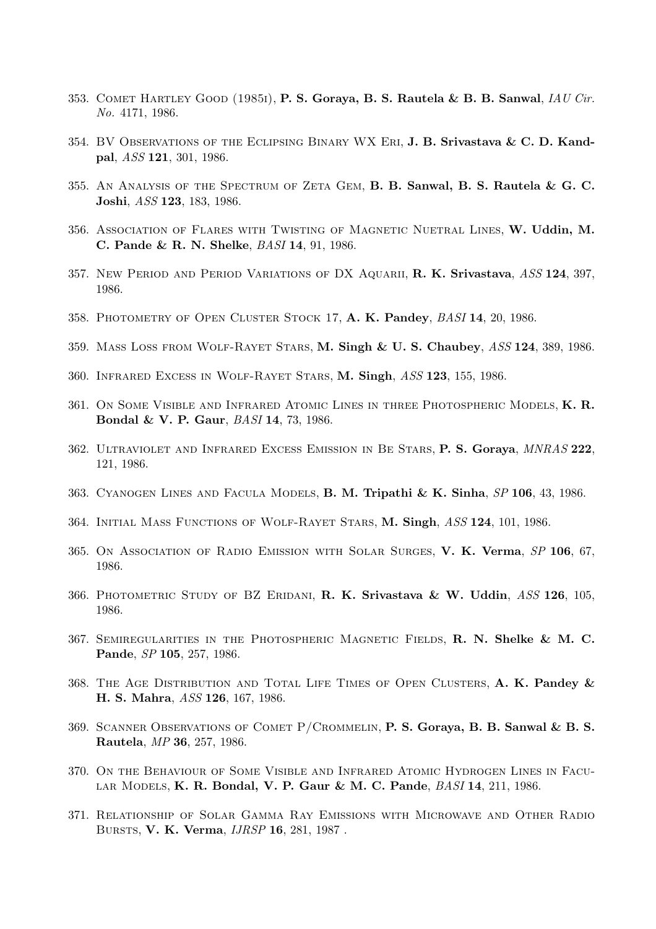- 353. COMET HARTLEY GOOD  $(1985i)$ , P. S. Goraya, B. S. Rautela & B. B. Sanwal, IAU Cir. No. 4171, 1986.
- 354. BV Observations of the Eclipsing Binary WX Eri, J. B. Srivastava & C. D. Kandpal, ASS 121, 301, 1986.
- 355. AN ANALYSIS OF THE SPECTRUM OF ZETA GEM, B. B. Sanwal, B. S. Rautela & G. C. Joshi, ASS 123, 183, 1986.
- 356. ASSOCIATION OF FLARES WITH TWISTING OF MAGNETIC NUETRAL LINES, W. Uddin, M. C. Pande & R. N. Shelke, BASI 14, 91, 1986.
- 357. New Period and Period Variations of DX Aquarii, R. K. Srivastava, ASS 124, 397, 1986.
- 358. PHOTOMETRY OF OPEN CLUSTER STOCK 17, A. K. Pandey, BASI 14, 20, 1986.
- 359. Mass Loss from Wolf-Rayet Stars, M. Singh & U. S. Chaubey, ASS 124, 389, 1986.
- 360. Infrared Excess in Wolf-Rayet Stars, M. Singh, ASS 123, 155, 1986.
- 361. On Some Visible and Infrared Atomic Lines in three Photospheric Models, K. R. Bondal & V. P. Gaur, BASI 14, 73, 1986.
- 362. Ultraviolet and Infrared Excess Emission in Be Stars, P. S. Goraya, MNRAS 222, 121, 1986.
- 363. Cyanogen Lines and Facula Models, B. M. Tripathi & K. Sinha, SP 106, 43, 1986.
- 364. Initial Mass Functions of Wolf-Rayet Stars, M. Singh, ASS 124, 101, 1986.
- 365. On Association of Radio Emission with Solar Surges, V. K. Verma, SP 106, 67, 1986.
- 366. PHOTOMETRIC STUDY OF BZ ERIDANI, R. K. Srivastava & W. Uddin, ASS 126, 105, 1986.
- 367. Semiregularities in the Photospheric Magnetic Fields, R. N. Shelke & M. C. Pande, SP 105, 257, 1986.
- 368. THE AGE DISTRIBUTION AND TOTAL LIFE TIMES OF OPEN CLUSTERS, A. K. Pandey & H. S. Mahra, ASS 126, 167, 1986.
- 369. SCANNER OBSERVATIONS OF COMET P/CROMMELIN, **P. S. Goraya, B. B. Sanwal & B. S.** Rautela, MP 36, 257, 1986.
- 370. On the Behaviour of Some Visible and Infrared Atomic Hydrogen Lines in Facular Models, K. R. Bondal, V. P. Gaur & M. C. Pande, BASI 14, 211, 1986.
- 371. Relationship of Solar Gamma Ray Emissions with Microwave and Other Radio Bursts, V. K. Verma, IJRSP 16, 281, 1987 .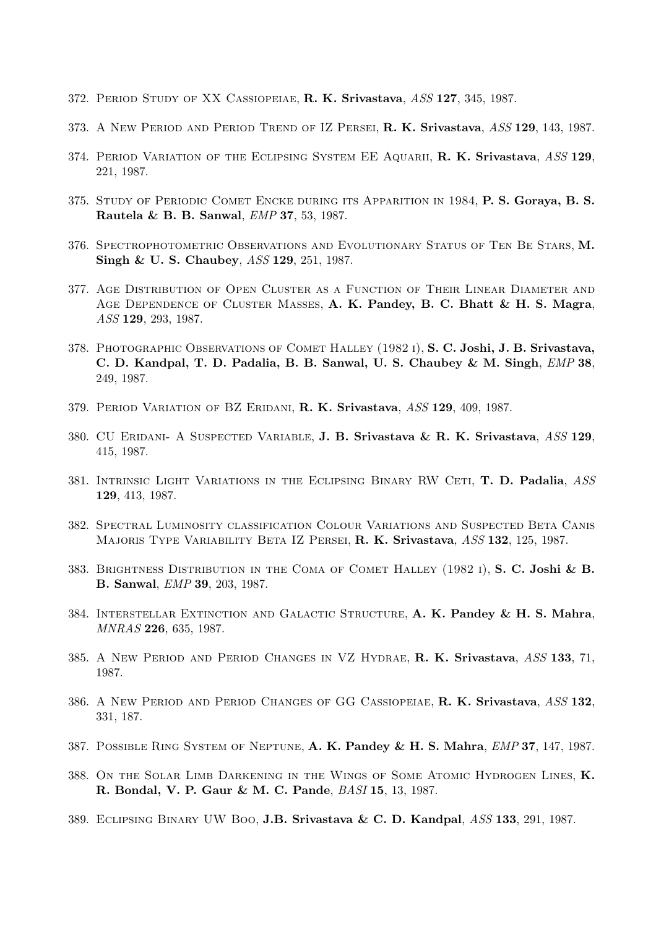- 372. PERIOD STUDY OF XX CASSIOPEIAE, R. K. Srivastava, ASS 127, 345, 1987.
- 373. A NEW PERIOD AND PERIOD TREND OF IZ PERSEI, R. K. Srivastava, ASS 129, 143, 1987.
- 374. PERIOD VARIATION OF THE ECLIPSING SYSTEM EE AQUARII, R. K. Srivastava, ASS 129, 221, 1987.
- 375. STUDY OF PERIODIC COMET ENCKE DURING ITS APPARITION IN 1984, P. S. Goraya, B. S. Rautela & B. B. Sanwal, EMP 37, 53, 1987.
- 376. Spectrophotometric Observations and Evolutionary Status of Ten Be Stars, M. Singh & U. S. Chaubey, ASS 129, 251, 1987.
- 377. Age Distribution of Open Cluster as a Function of Their Linear Diameter and AGE DEPENDENCE OF CLUSTER MASSES, A. K. Pandey, B. C. Bhatt & H. S. Magra, ASS 129, 293, 1987.
- 378. PHOTOGRAPHIC OBSERVATIONS OF COMET HALLEY (1982 I), S. C. Joshi, J. B. Srivastava, C. D. Kandpal, T. D. Padalia, B. B. Sanwal, U. S. Chaubey & M. Singh, EMP 38, 249, 1987.
- 379. PERIOD VARIATION OF BZ ERIDANI, R. K. Srivastava, ASS 129, 409, 1987.
- 380. CU Eridani- A Suspected Variable, J. B. Srivastava & R. K. Srivastava, ASS 129, 415, 1987.
- 381. INTRINSIC LIGHT VARIATIONS IN THE ECLIPSING BINARY RW CETI, T. D. Padalia, ASS 129, 413, 1987.
- 382. Spectral Luminosity classification Colour Variations and Suspected Beta Canis MAJORIS TYPE VARIABILITY BETA IZ PERSEI, R. K. Srivastava, ASS 132, 125, 1987.
- 383. BRIGHTNESS DISTRIBUTION IN THE COMA OF COMET HALLEY  $(1982 1)$ , S. C. Joshi & B. B. Sanwal, EMP 39, 203, 1987.
- 384. Interstellar Extinction and Galactic Structure, A. K. Pandey & H. S. Mahra, MNRAS 226, 635, 1987.
- 385. A New Period and Period Changes in VZ Hydrae, R. K. Srivastava, ASS 133, 71, 1987.
- 386. A NEW PERIOD AND PERIOD CHANGES OF GG CASSIOPEIAE, R. K. Srivastava, ASS 132, 331, 187.
- 387. Possible Ring System of Neptune, A. K. Pandey & H. S. Mahra, EMP 37, 147, 1987.
- 388. On the Solar Limb Darkening in the Wings of Some Atomic Hydrogen Lines, K. R. Bondal, V. P. Gaur & M. C. Pande, BASI 15, 13, 1987.
- 389. Eclipsing Binary UW Boo, J.B. Srivastava & C. D. Kandpal, ASS 133, 291, 1987.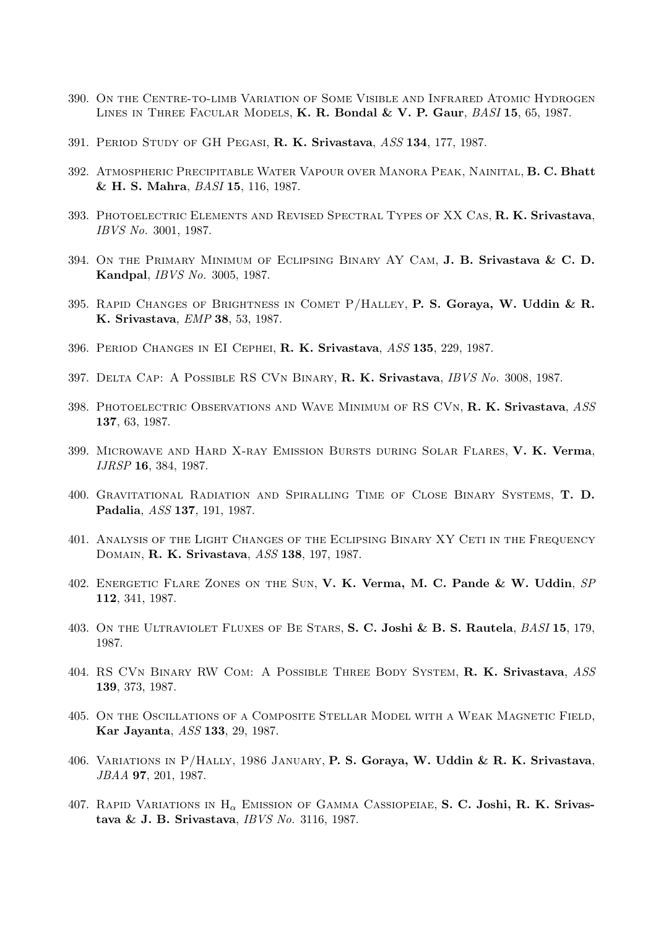- 390. On the Centre-to-limb Variation of Some Visible and Infrared Atomic Hydrogen LINES IN THREE FACULAR MODELS, K. R. Bondal & V. P. Gaur, BASI 15, 65, 1987.
- 391. PERIOD STUDY OF GH PEGASI, R. K. Srivastava, ASS 134, 177, 1987.
- 392. Atmospheric Precipitable Water Vapour over Manora Peak, Nainital, B. C. Bhatt & H. S. Mahra, BASI 15, 116, 1987.
- 393. Photoelectric Elements and Revised Spectral Types of XX Cas, R. K. Srivastava, IBVS No. 3001, 1987.
- 394. On the Primary Minimum of Eclipsing Binary AY Cam, J. B. Srivastava & C. D. Kandpal, IBVS No. 3005, 1987.
- 395. RAPID CHANGES OF BRIGHTNESS IN COMET P/HALLEY, P. S. Goraya, W. Uddin & R. K. Srivastava, EMP 38, 53, 1987.
- 396. Period Changes in EI Cephei, R. K. Srivastava, ASS 135, 229, 1987.
- 397. Delta Cap: A Possible RS CVn Binary, R. K. Srivastava, IBVS No. 3008, 1987.
- 398. PHOTOELECTRIC OBSERVATIONS AND WAVE MINIMUM OF RS CVN, R. K. Srivastava, ASS 137, 63, 1987.
- 399. MICROWAVE AND HARD X-RAY EMISSION BURSTS DURING SOLAR FLARES, V. K. Verma, IJRSP 16, 384, 1987.
- 400. Gravitational Radiation and Spiralling Time of Close Binary Systems, T. D. Padalia, ASS 137, 191, 1987.
- 401. Analysis of the Light Changes of the Eclipsing Binary XY Ceti in the Frequency Domain, R. K. Srivastava, ASS 138, 197, 1987.
- 402. ENERGETIC FLARE ZONES ON THE SUN, V. K. Verma, M. C. Pande & W. Uddin, SP 112, 341, 1987.
- 403. ON THE ULTRAVIOLET FLUXES OF BE STARS, S. C. Joshi & B. S. Rautela, *BASI* 15, 179, 1987.
- 404. RS CVn Binary RW Com: A Possible Three Body System, R. K. Srivastava, ASS 139, 373, 1987.
- 405. On the Oscillations of a Composite Stellar Model with a Weak Magnetic Field, Kar Jayanta, ASS 133, 29, 1987.
- 406. Variations in P/Hally, 1986 January, P. S. Goraya, W. Uddin & R. K. Srivastava, JBAA 97, 201, 1987.
- 407. RAPID VARIATIONS IN  $H_{\alpha}$  Emission of Gamma Cassiopeiae, S. C. Joshi, R. K. Srivastava & J. B. Srivastava, IBVS No. 3116, 1987.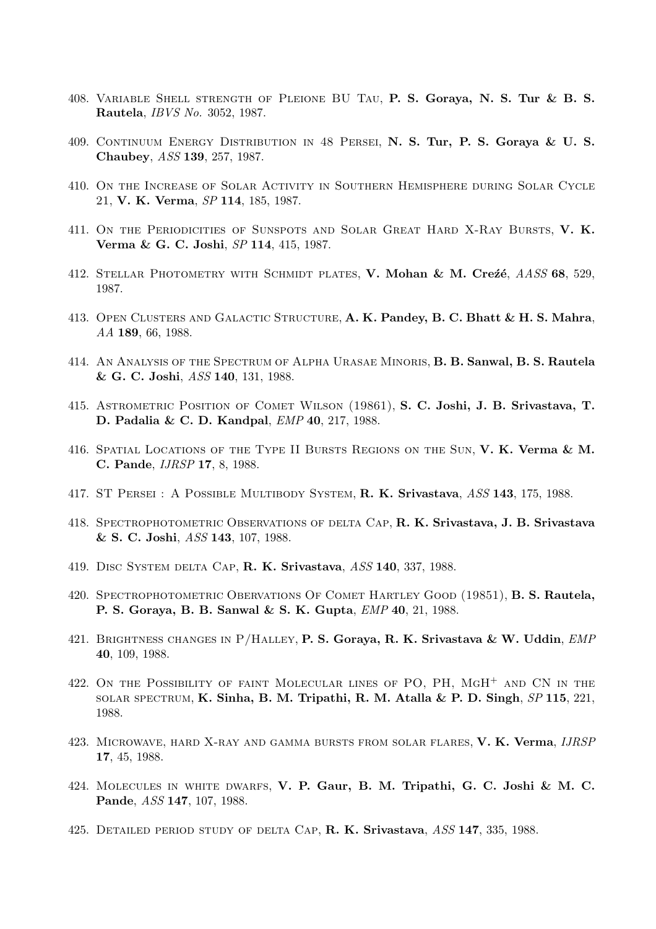- 408. Variable Shell strength of Pleione BU Tau, P. S. Goraya, N. S. Tur & B. S. Rautela, IBVS No. 3052, 1987.
- 409. Continuum Energy Distribution in 48 Persei, N. S. Tur, P. S. Goraya & U. S. Chaubey, ASS 139, 257, 1987.
- 410. On the Increase of Solar Activity in Southern Hemisphere during Solar Cycle 21, V. K. Verma, SP 114, 185, 1987.
- 411. ON THE PERIODICITIES OF SUNSPOTS AND SOLAR GREAT HARD X-RAY BURSTS, V. K. Verma & G. C. Joshi, SP 114, 415, 1987.
- 412. STELLAR PHOTOMETRY WITH SCHMIDT PLATES, V. Mohan & M. Crezé,  $AASS$  68, 529, 1987.
- 413. Open Clusters and Galactic Structure, A. K. Pandey, B. C. Bhatt & H. S. Mahra, AA 189, 66, 1988.
- 414. An Analysis of the Spectrum of Alpha Urasae Minoris, B. B. Sanwal, B. S. Rautela & G. C. Joshi, ASS 140, 131, 1988.
- 415. Astrometric Position of Comet Wilson (19861), S. C. Joshi, J. B. Srivastava, T. D. Padalia & C. D. Kandpal, EMP 40, 217, 1988.
- 416. SPATIAL LOCATIONS OF THE TYPE II BURSTS REGIONS ON THE SUN, V. K. Verma & M. C. Pande, IJRSP 17, 8, 1988.
- 417. ST Persei : A Possible Multibody System, R. K. Srivastava, ASS 143, 175, 1988.
- 418. Spectrophotometric Observations of delta Cap, R. K. Srivastava, J. B. Srivastava & S. C. Joshi, ASS 143, 107, 1988.
- 419. Disc System delta Cap, R. K. Srivastava, ASS 140, 337, 1988.
- 420. Spectrophotometric Obervations Of Comet Hartley Good (19851), B. S. Rautela, P. S. Goraya, B. B. Sanwal & S. K. Gupta, EMP 40, 21, 1988.
- 421. BRIGHTNESS CHANGES IN P/HALLEY, P. S. Goraya, R. K. Srivastava & W. Uddin, EMP 40, 109, 1988.
- 422. ON THE POSSIBILITY OF FAINT MOLECULAR LINES OF PO, PH, MGH<sup>+</sup> AND CN IN THE solar spectrum, K. Sinha, B. M. Tripathi, R. M. Atalla & P. D. Singh, SP 115, 221, 1988.
- 423. MICROWAVE, HARD X-RAY AND GAMMA BURSTS FROM SOLAR FLARES, V. K. Verma, IJRSP 17, 45, 1988.
- 424. Molecules in white dwarfs, V. P. Gaur, B. M. Tripathi, G. C. Joshi & M. C. Pande, ASS 147, 107, 1988.
- 425. DETAILED PERIOD STUDY OF DELTA CAP, R. K. Srivastava, ASS 147, 335, 1988.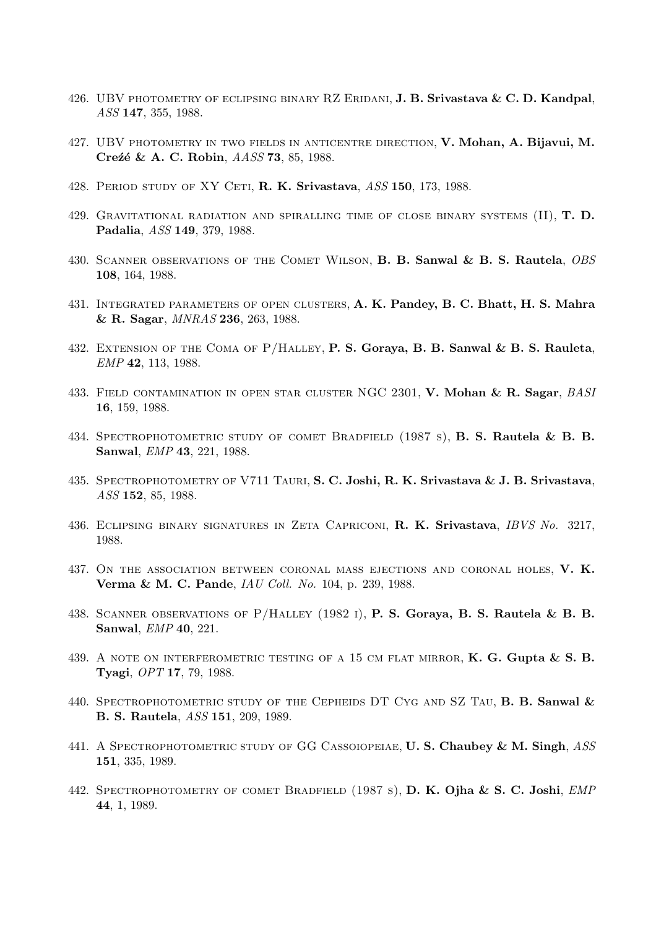- 426. UBV PHOTOMETRY OF ECLIPSING BINARY RZ ERIDANI, **J. B. Srivastava & C. D. Kandpal**, ASS 147, 355, 1988.
- 427. UBV photometry in two fields in anticentre direction, V. Mohan, A. Bijavui, M. Creźé & A. C. Robin, AASS 73, 85, 1988.
- 428. PERIOD STUDY OF XY CETI, R. K. Srivastava, ASS 150, 173, 1988.
- 429. GRAVITATIONAL RADIATION AND SPIRALLING TIME OF CLOSE BINARY SYSTEMS  $(II)$ , **T. D.** Padalia, ASS 149, 379, 1988.
- 430. SCANNER OBSERVATIONS OF THE COMET WILSON, B. B. Sanwal & B. S. Rautela, OBS 108, 164, 1988.
- 431. Integrated parameters of open clusters, A. K. Pandey, B. C. Bhatt, H. S. Mahra & R. Sagar, MNRAS 236, 263, 1988.
- 432. Extension of the Coma of P/Halley, P. S. Goraya, B. B. Sanwal & B. S. Rauleta, EMP 42, 113, 1988.
- 433. FIELD CONTAMINATION IN OPEN STAR CLUSTER NGC 2301, V. Mohan & R. Sagar, BASI 16, 159, 1988.
- 434. SPECTROPHOTOMETRIC STUDY OF COMET BRADFIELD (1987 s), **B. S. Rautela & B. B.** Sanwal, EMP 43, 221, 1988.
- 435. SPECTROPHOTOMETRY OF V711 TAURI, S. C. Joshi, R. K. Srivastava & J. B. Srivastava, ASS 152, 85, 1988.
- 436. ECLIPSING BINARY SIGNATURES IN ZETA CAPRICONI, R. K. Srivastava, IBVS No. 3217, 1988.
- 437. ON THE ASSOCIATION BETWEEN CORONAL MASS EJECTIONS AND CORONAL HOLES, V. K. Verma & M. C. Pande, IAU Coll. No. 104, p. 239, 1988.
- 438. SCANNER OBSERVATIONS OF  $P/H$ ALLEY (1982 I), **P. S. Goraya, B. S. Rautela & B. B.** Sanwal, EMP 40, 221.
- 439. A NOTE ON INTERFEROMETRIC TESTING OF A 15 CM FLAT MIRROR, K. G. Gupta  $\& S. B.$ Tyagi, OPT 17, 79, 1988.
- 440. SPECTROPHOTOMETRIC STUDY OF THE CEPHEIDS DT CYG AND SZ TAU, B. B. Sanwal & B. S. Rautela, ASS 151, 209, 1989.
- 441. A SPECTROPHOTOMETRIC STUDY OF GG CASSOIOPEIAE, U.S. Chaubey & M. Singh, ASS 151, 335, 1989.
- 442. SPECTROPHOTOMETRY OF COMET BRADFIELD (1987 s), D. K. Ojha & S. C. Joshi, EMP 44, 1, 1989.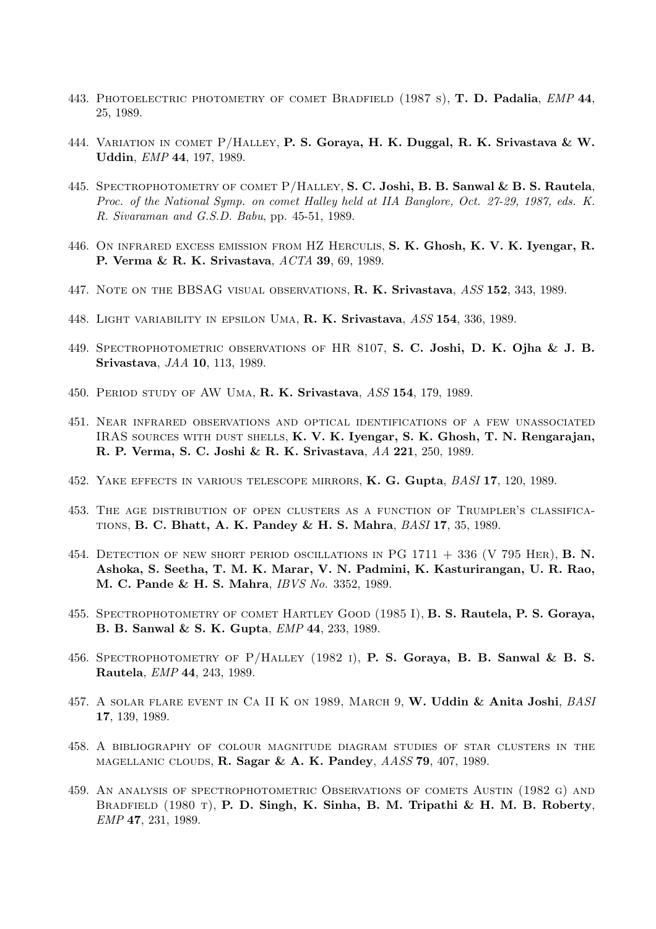- 443. PHOTOELECTRIC PHOTOMETRY OF COMET BRADFIELD (1987 s), **T. D. Padalia**, *EMP* 44, 25, 1989.
- 444. VARIATION IN COMET P/HALLEY, P. S. Goraya, H. K. Duggal, R. K. Srivastava & W. Uddin, EMP 44, 197, 1989.
- 445. SPECTROPHOTOMETRY OF COMET P/HALLEY, S. C. Joshi, B. B. Sanwal & B. S. Rautela, Proc. of the National Symp. on comet Halley held at IIA Banglore, Oct. 27-29, 1987, eds. K. R. Sivaraman and G.S.D. Babu, pp. 45-51, 1989.
- 446. On infrared excess emission from HZ Herculis, S. K. Ghosh, K. V. K. Iyengar, R. P. Verma & R. K. Srivastava, ACTA 39, 69, 1989.
- 447. NOTE ON THE BBSAG VISUAL OBSERVATIONS, R. K. Srivastava, ASS 152, 343, 1989.
- 448. LIGHT VARIABILITY IN EPSILON UMA, R. K. Srivastava, ASS 154, 336, 1989.
- 449. Spectrophotometric observations of HR 8107, S. C. Joshi, D. K. Ojha & J. B. Srivastava, JAA 10, 113, 1989.
- 450. Period study of AW Uma, R. K. Srivastava, ASS 154, 179, 1989.
- 451. Near infrared observations and optical identifications of a few unassociated IRAS sources with dust shells, K. V. K. Iyengar, S. K. Ghosh, T. N. Rengarajan, R. P. Verma, S. C. Joshi & R. K. Srivastava, AA 221, 250, 1989.
- 452. YAKE EFFECTS IN VARIOUS TELESCOPE MIRRORS, K. G. Gupta, BASI 17, 120, 1989.
- 453. The age distribution of open clusters as a function of Trumpler's classifications, B. C. Bhatt, A. K. Pandey & H. S. Mahra, BASI 17, 35, 1989.
- 454. DETECTION OF NEW SHORT PERIOD OSCILLATIONS IN PG  $1711 + 336$  (V 795 HER), **B. N.** Ashoka, S. Seetha, T. M. K. Marar, V. N. Padmini, K. Kasturirangan, U. R. Rao, M. C. Pande & H. S. Mahra, IBVS No. 3352, 1989.
- 455. Spectrophotometry of comet Hartley Good (1985 I), B. S. Rautela, P. S. Goraya, B. B. Sanwal & S. K. Gupta, EMP 44, 233, 1989.
- 456. Spectrophotometry of P/Halley (1982 i), P. S. Goraya, B. B. Sanwal & B. S. Rautela, EMP 44, 243, 1989.
- 457. A SOLAR FLARE EVENT IN CA II K ON 1989, MARCH 9, W. Uddin & Anita Joshi, BASI 17, 139, 1989.
- 458. A bibliography of colour magnitude diagram studies of star clusters in the magellanic clouds, R. Sagar & A. K. Pandey, AASS 79, 407, 1989.
- 459. An analysis of spectrophotometric Observations of comets Austin (1982 g) and BRADFIELD (1980 T), P. D. Singh, K. Sinha, B. M. Tripathi & H. M. B. Roberty, EMP 47, 231, 1989.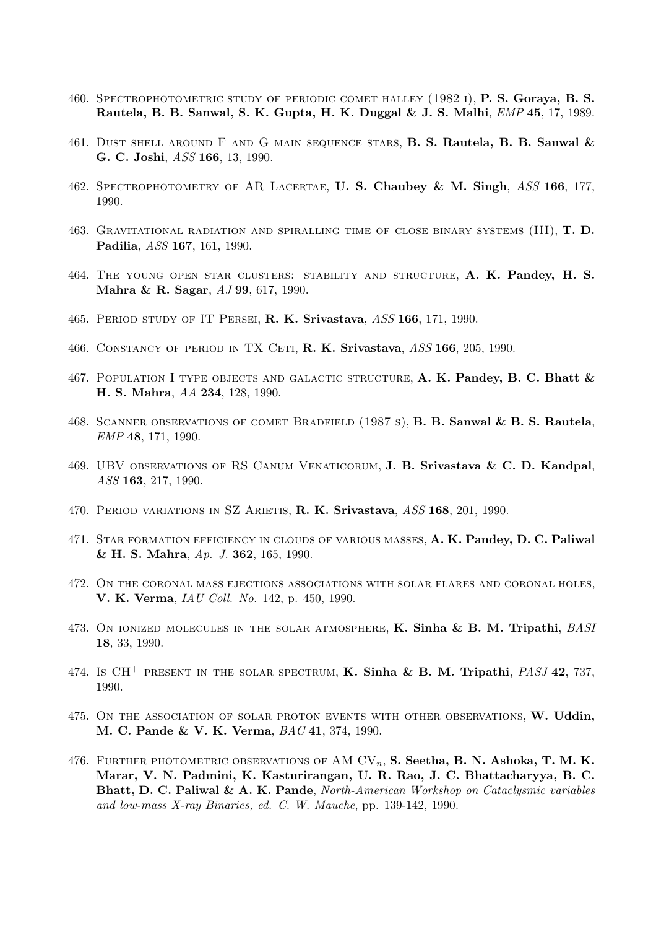- 460. Spectrophotometric study of periodic comet halley (1982 i), P. S. Goraya, B. S. Rautela, B. B. Sanwal, S. K. Gupta, H. K. Duggal & J. S. Malhi, EMP 45, 17, 1989.
- 461. DUST SHELL AROUND F AND G MAIN SEQUENCE STARS, B. S. Rautela, B. B. Sanwal  $\&$ G. C. Joshi, ASS 166, 13, 1990.
- 462. SPECTROPHOTOMETRY OF AR LACERTAE, U. S. Chaubey & M. Singh, ASS 166, 177, 1990.
- 463. GRAVITATIONAL RADIATION AND SPIRALLING TIME OF CLOSE BINARY SYSTEMS  $(III)$ , **T. D.** Padilia, ASS 167, 161, 1990.
- 464. The young open star clusters: stability and structure, A. K. Pandey, H. S. Mahra & R. Sagar, AJ 99, 617, 1990.
- 465. PERIOD STUDY OF IT PERSEI, R. K. Srivastava, ASS 166, 171, 1990.
- 466. CONSTANCY OF PERIOD IN TX CETI, R. K. Srivastava, ASS 166, 205, 1990.
- 467. POPULATION I TYPE OBJECTS AND GALACTIC STRUCTURE, A. K. Pandey, B. C. Bhatt  $\&$ H. S. Mahra, AA 234, 128, 1990.
- 468. Scanner observations of comet Bradfield (1987 s), B. B. Sanwal & B. S. Rautela, EMP 48, 171, 1990.
- 469. UBV observations of RS Canum Venaticorum, J. B. Srivastava & C. D. Kandpal, ASS 163, 217, 1990.
- 470. PERIOD VARIATIONS IN SZ ARIETIS, R. K. Srivastava, ASS 168, 201, 1990.
- 471. STAR FORMATION EFFICIENCY IN CLOUDS OF VARIOUS MASSES, A. K. Pandey, D. C. Paliwal & H. S. Mahra, Ap. J. 362, 165, 1990.
- 472. On the coronal mass ejections associations with solar flares and coronal holes, V. K. Verma, IAU Coll. No. 142, p. 450, 1990.
- 473. ON IONIZED MOLECULES IN THE SOLAR ATMOSPHERE, K. Sinha & B. M. Tripathi, BASI 18, 33, 1990.
- 474. Is CH<sup>+</sup> PRESENT IN THE SOLAR SPECTRUM, **K. Sinha & B. M. Tripathi**, *PASJ* 42, 737, 1990.
- 475. ON THE ASSOCIATION OF SOLAR PROTON EVENTS WITH OTHER OBSERVATIONS, W. Uddin, M. C. Pande & V. K. Verma, BAC 41, 374, 1990.
- 476. FURTHER PHOTOMETRIC OBSERVATIONS OF AM  $CV_n$ , S. Seetha, B. N. Ashoka, T. M. K. Marar, V. N. Padmini, K. Kasturirangan, U. R. Rao, J. C. Bhattacharyya, B. C. Bhatt, D. C. Paliwal & A. K. Pande, North-American Workshop on Cataclysmic variables and low-mass X-ray Binaries, ed. C. W. Mauche, pp. 139-142, 1990.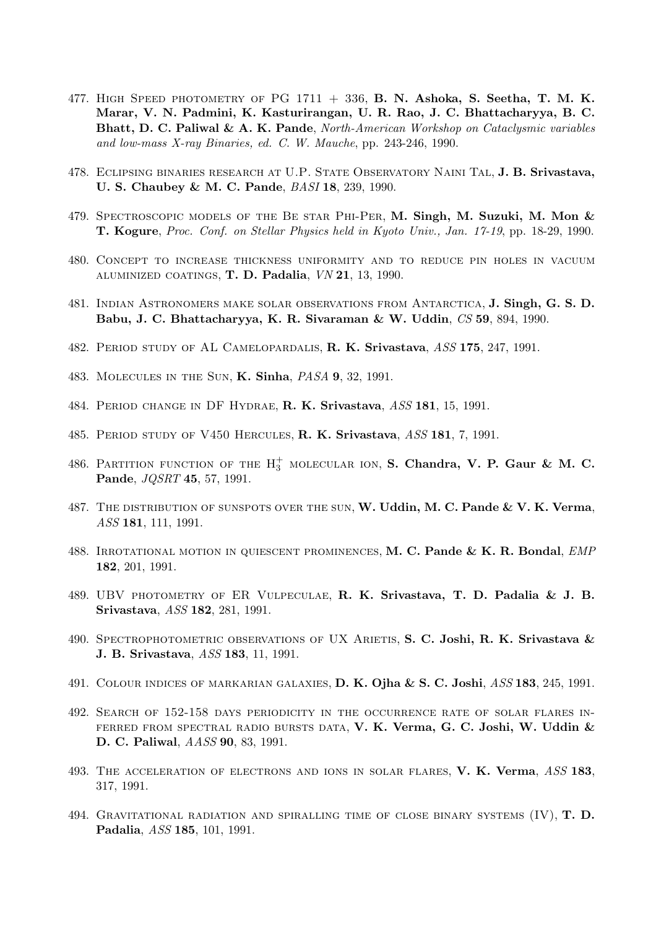- 477. HIGH SPEED PHOTOMETRY OF PG  $1711 + 336$ , B. N. Ashoka, S. Seetha, T. M. K. Marar, V. N. Padmini, K. Kasturirangan, U. R. Rao, J. C. Bhattacharyya, B. C. Bhatt, D. C. Paliwal & A. K. Pande, North-American Workshop on Cataclysmic variables and low-mass X-ray Binaries, ed. C. W. Mauche, pp. 243-246, 1990.
- 478. ECLIPSING BINARIES RESEARCH AT U.P. STATE OBSERVATORY NAINI TAL, J. B. Srivastava, U. S. Chaubey & M. C. Pande, BASI 18, 239, 1990.
- 479. SPECTROSCOPIC MODELS OF THE BE STAR PHI-PER, M. Singh, M. Suzuki, M. Mon & T. Kogure, Proc. Conf. on Stellar Physics held in Kyoto Univ., Jan. 17-19, pp. 18-29, 1990.
- 480. Concept to increase thickness uniformity and to reduce pin holes in vacuum aluminized coatings, T. D. Padalia, VN 21, 13, 1990.
- 481. Indian Astronomers make solar observations from Antarctica, J. Singh, G. S. D. Babu, J. C. Bhattacharyya, K. R. Sivaraman & W. Uddin, CS 59, 894, 1990.
- 482. PERIOD STUDY OF AL CAMELOPARDALIS, R. K. Srivastava, ASS 175, 247, 1991.
- 483. Molecules in the Sun, K. Sinha, PASA 9, 32, 1991.
- 484. Period change in DF Hydrae, R. K. Srivastava, ASS 181, 15, 1991.
- 485. PERIOD STUDY OF V450 HERCULES, R. K. Srivastava, ASS 181, 7, 1991.
- 486. PARTITION FUNCTION OF THE  $H_3^+$  molecular ion, **S. Chandra, V. P. Gaur & M. C.** Pande, JQSRT 45, 57, 1991.
- 487. THE DISTRIBUTION OF SUNSPOTS OVER THE SUN, W. Uddin, M. C. Pande & V. K. Verma, ASS 181, 111, 1991.
- 488. IRROTATIONAL MOTION IN QUIESCENT PROMINENCES, M. C. Pande & K. R. Bondal, EMP 182, 201, 1991.
- 489. UBV photometry of ER Vulpeculae, R. K. Srivastava, T. D. Padalia & J. B. Srivastava, ASS 182, 281, 1991.
- 490. SPECTROPHOTOMETRIC OBSERVATIONS OF UX ARIETIS, S. C. Joshi, R. K. Srivastava & J. B. Srivastava, ASS 183, 11, 1991.
- 491. COLOUR INDICES OF MARKARIAN GALAXIES, D. K. Ojha & S. C. Joshi, ASS 183, 245, 1991.
- 492. Search of 152-158 days periodicity in the occurrence rate of solar flares inferred from spectral radio bursts data, V. K. Verma, G. C. Joshi, W. Uddin & D. C. Paliwal, AASS 90, 83, 1991.
- 493. THE ACCELERATION OF ELECTRONS AND IONS IN SOLAR FLARES, V. K. Verma, ASS 183, 317, 1991.
- 494. GRAVITATIONAL RADIATION AND SPIRALLING TIME OF CLOSE BINARY SYSTEMS  $(IV)$ , **T. D.** Padalia, ASS 185, 101, 1991.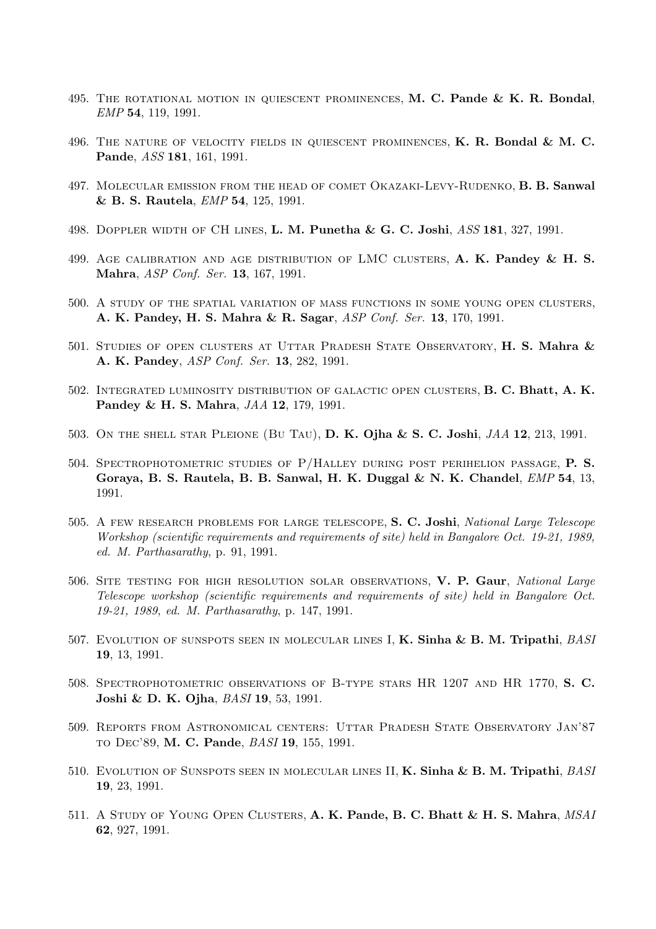- 495. THE ROTATIONAL MOTION IN QUIESCENT PROMINENCES,  $M$ . C. Pande & K. R. Bondal, EMP 54, 119, 1991.
- 496. THE NATURE OF VELOCITY FIELDS IN QUIESCENT PROMINENCES,  $K$ . R. Bondal  $\&$  M. C. Pande, ASS 181, 161, 1991.
- 497. Molecular emission from the head of comet Okazaki-Levy-Rudenko, B. B. Sanwal & B. S. Rautela, EMP 54, 125, 1991.
- 498. DOPPLER WIDTH OF CH LINES, **L. M. Punetha & G. C. Joshi**, *ASS* 181, 327, 1991.
- 499. AGE CALIBRATION AND AGE DISTRIBUTION OF LMC CLUSTERS, A. K. Pandey & H. S. Mahra, ASP Conf. Ser. 13, 167, 1991.
- 500. A study of the spatial variation of mass functions in some young open clusters, A. K. Pandey, H. S. Mahra & R. Sagar, ASP Conf. Ser. 13, 170, 1991.
- 501. STUDIES OF OPEN CLUSTERS AT UTTAR PRADESH STATE OBSERVATORY, H. S. Mahra & A. K. Pandey, ASP Conf. Ser. 13, 282, 1991.
- 502. Integrated luminosity distribution of galactic open clusters, B. C. Bhatt, A. K. Pandey & H. S. Mahra, JAA 12, 179, 1991.
- 503. On the shell star Pleione (Bu Tau), D. K. Ojha & S. C. Joshi, JAA 12, 213, 1991.
- 504. Spectrophotometric studies of P/Halley during post perihelion passage, P. S. Goraya, B. S. Rautela, B. B. Sanwal, H. K. Duggal & N. K. Chandel, EMP 54, 13, 1991.
- 505. A FEW RESEARCH PROBLEMS FOR LARGE TELESCOPE, S. C. Joshi, National Large Telescope Workshop (scientific requirements and requirements of site) held in Bangalore Oct. 19-21, 1989, ed. M. Parthasarathy, p. 91, 1991.
- 506. SITE TESTING FOR HIGH RESOLUTION SOLAR OBSERVATIONS, V. P. Gaur, National Large Telescope workshop (scientific requirements and requirements of site) held in Bangalore Oct. 19-21, 1989, ed. M. Parthasarathy, p. 147, 1991.
- 507. EVOLUTION OF SUNSPOTS SEEN IN MOLECULAR LINES I, K. Sinha & B. M. Tripathi, *BASI* 19, 13, 1991.
- 508. Spectrophotometric observations of B-type stars HR 1207 and HR 1770, S. C. Joshi & D. K. Ojha, BASI 19, 53, 1991.
- 509. Reports from Astronomical centers: Uttar Pradesh State Observatory Jan'87 to Dec'89, M. C. Pande, BASI 19, 155, 1991.
- 510. EVOLUTION OF SUNSPOTS SEEN IN MOLECULAR LINES II, K. Sinha & B. M. Tripathi, BASI 19, 23, 1991.
- 511. A STUDY OF YOUNG OPEN CLUSTERS, A. K. Pande, B. C. Bhatt & H. S. Mahra, MSAI 62, 927, 1991.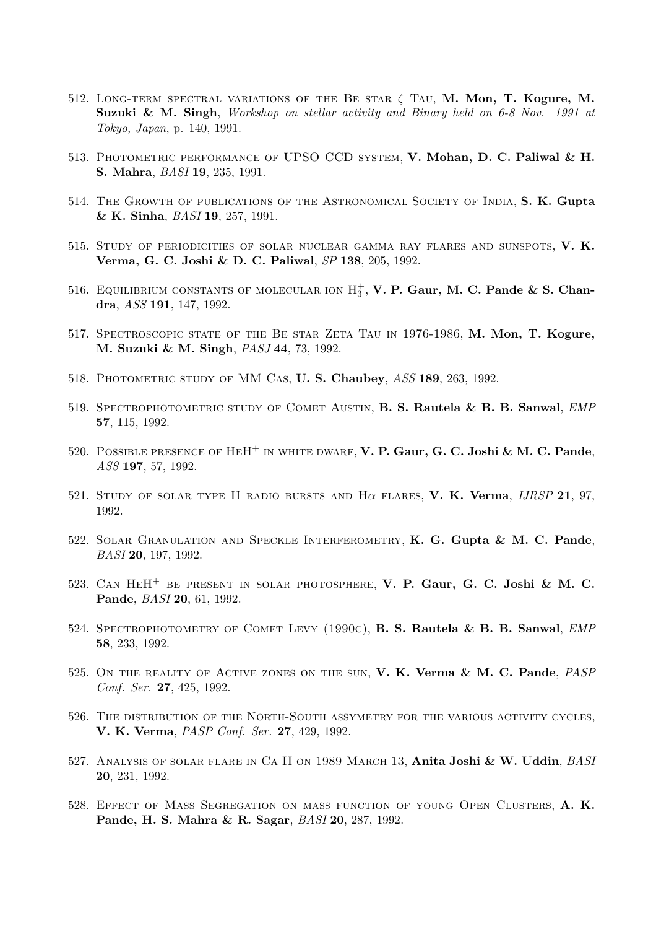- 512. LONG-TERM SPECTRAL VARIATIONS OF THE BE STAR  $\zeta$  Tau, M. Mon, T. Kogure, M. Suzuki & M. Singh, Workshop on stellar activity and Binary held on 6-8 Nov. 1991 at Tokyo, Japan, p. 140, 1991.
- 513. Photometric performance of UPSO CCD system, V. Mohan, D. C. Paliwal & H. S. Mahra, BASI 19, 235, 1991.
- 514. The Growth of publications of the Astronomical Society of India, S. K. Gupta & K. Sinha, BASI 19, 257, 1991.
- 515. Study of periodicities of solar nuclear gamma ray flares and sunspots, V. K. Verma, G. C. Joshi & D. C. Paliwal, SP 138, 205, 1992.
- 516. EQUILIBRIUM CONSTANTS OF MOLECULAR ION  $H_3^+$ , **V. P. Gaur, M. C. Pande & S. Chan**dra, ASS 191, 147, 1992.
- 517. SPECTROSCOPIC STATE OF THE BE STAR ZETA TAU IN 1976-1986, M. Mon, T. Kogure, M. Suzuki & M. Singh, PASJ 44, 73, 1992.
- 518. PHOTOMETRIC STUDY OF MM CAS, U. S. Chaubey, ASS 189, 263, 1992.
- 519. SPECTROPHOTOMETRIC STUDY OF COMET AUSTIN, B. S. Rautela & B. B. Sanwal, EMP 57, 115, 1992.
- 520. POSSIBLE PRESENCE OF HEH<sup>+</sup> IN WHITE DWARF, V. P. Gaur, G. C. Joshi & M. C. Pande, ASS 197, 57, 1992.
- 521. STUDY OF SOLAR TYPE II RADIO BURSTS AND  $H\alpha$  flares, V. K. Verma, IJRSP 21, 97, 1992.
- 522. Solar Granulation and Speckle Interferometry, K. G. Gupta & M. C. Pande, BASI 20, 197, 1992.
- 523. Can HeH<sup>+</sup> be present in solar photosphere, V. P. Gaur, G. C. Joshi & M. C. Pande, BASI 20, 61, 1992.
- 524. SPECTROPHOTOMETRY OF COMET LEVY (1990C), B. S. Rautela & B. B. Sanwal, EMP 58, 233, 1992.
- 525. ON THE REALITY OF ACTIVE ZONES ON THE SUN, V. K. Verma & M. C. Pande, PASP Conf. Ser. 27, 425, 1992.
- 526. The distribution of the North-South assymetry for the various activity cycles, V. K. Verma, PASP Conf. Ser. 27, 429, 1992.
- 527. ANALYSIS OF SOLAR FLARE IN CA II ON 1989 MARCH 13, Anita Joshi & W. Uddin, BASI 20, 231, 1992.
- 528. Effect of Mass Segregation on mass function of young Open Clusters, A. K. Pande, H. S. Mahra & R. Sagar, BASI 20, 287, 1992.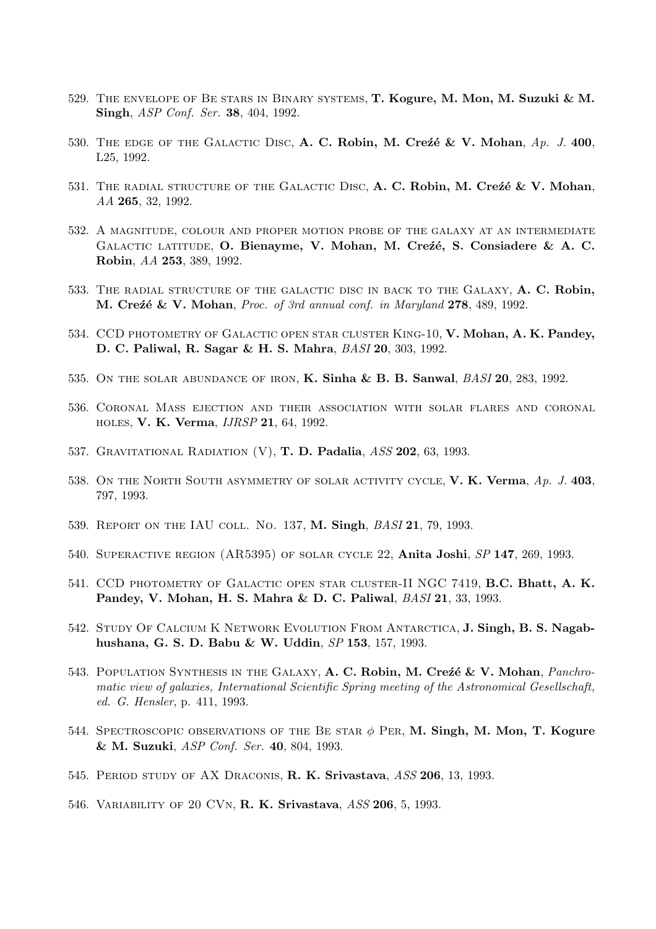- 529. The envelope of Be stars in Binary systems, T. Kogure, M. Mon, M. Suzuki & M. Singh, *ASP Conf. Ser.* **38**, 404, 1992.
- 530. THE EDGE OF THE GALACTIC DISC, A. C. Robin, M. Crez<sup>e</sup> & V. Mohan, Ap. J. 400, L25, 1992.
- 531. THE RADIAL STRUCTURE OF THE GALACTIC DISC,  $A$ . C. Robin, M. Crez<sup>e</sup> & V. Mohan, AA 265, 32, 1992.
- 532. A magnitude, colour and proper motion probe of the galaxy at an intermediate GALACTIC LATITUDE, O. Bienayme, V. Mohan, M. Creźé, S. Consiadere & A. C. Robin, AA 253, 389, 1992.
- 533. THE RADIAL STRUCTURE OF THE GALACTIC DISC IN BACK TO THE GALAXY, A. C. Robin, M. Cre $\acute{\textbf{z}}$  & V. Mohan, Proc. of 3rd annual conf. in Maryland 278, 489, 1992.
- 534. CCD PHOTOMETRY OF GALACTIC OPEN STAR CLUSTER KING-10, V. Mohan, A. K. Pandey, D. C. Paliwal, R. Sagar & H. S. Mahra, BASI 20, 303, 1992.
- 535. ON THE SOLAR ABUNDANCE OF IRON, **K. Sinha & B. B. Sanwal**,  $BASI$  **20**, 283, 1992.
- 536. Coronal Mass ejection and their association with solar flares and coronal holes, V. K. Verma, IJRSP 21, 64, 1992.
- 537. GRAVITATIONAL RADIATION (V), T. D. Padalia, ASS 202, 63, 1993.
- 538. ON THE NORTH SOUTH ASYMMETRY OF SOLAR ACTIVITY CYCLE, V. K. Verma,  $Ap. J. 403$ , 797, 1993.
- 539. Report on the IAU coll. No. 137, M. Singh, BASI 21, 79, 1993.
- 540. Superactive region (AR5395) of solar cycle 22, Anita Joshi, SP 147, 269, 1993.
- 541. CCD photometry of Galactic open star cluster-II NGC 7419, B.C. Bhatt, A. K. Pandey, V. Mohan, H. S. Mahra & D. C. Paliwal, BASI 21, 33, 1993.
- 542. Study Of Calcium K Network Evolution From Antarctica, J. Singh, B. S. Nagabhushana, G. S. D. Babu & W. Uddin, SP 153, 157, 1993.
- 543. POPULATION SYNTHESIS IN THE GALAXY, A. C. Robin, M. Creze & V. Mohan, *Panchro*matic view of galaxies, International Scientific Spring meeting of the Astronomical Gesellschaft, ed. G. Hensler, p. 411, 1993.
- 544. SPECTROSCOPIC OBSERVATIONS OF THE BE STAR  $\phi$  PER, M. Singh, M. Mon, T. Kogure & M. Suzuki, ASP Conf. Ser. 40, 804, 1993.
- 545. Period study of AX Draconis, R. K. Srivastava, ASS 206, 13, 1993.
- 546. Variability of 20 CVn, R. K. Srivastava, ASS 206, 5, 1993.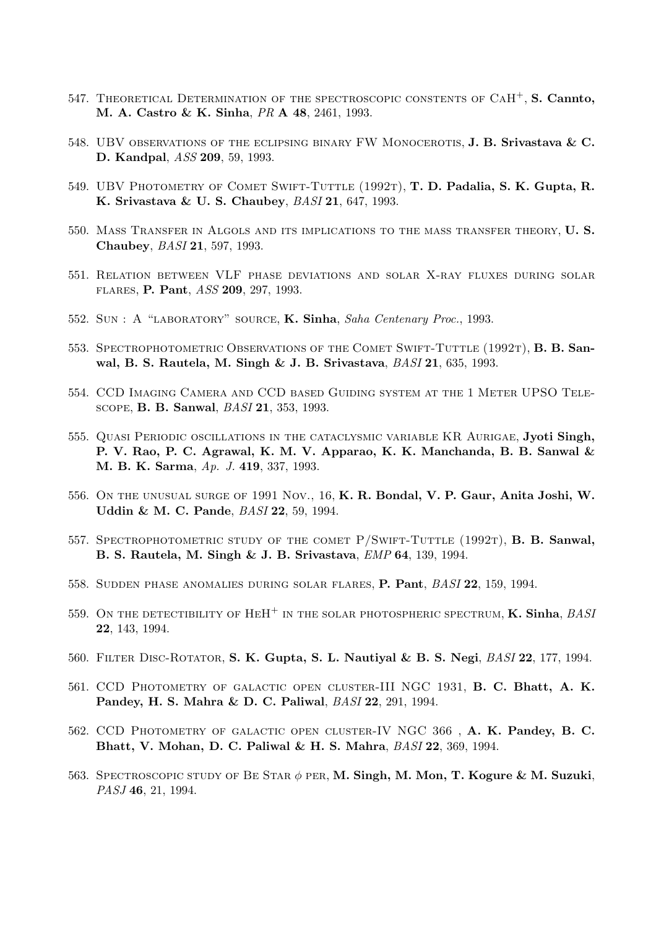- 547. THEORETICAL DETERMINATION OF THE SPECTROSCOPIC CONSTENTS OF  $CAH^{+}$ , S. Cannto, M. A. Castro & K. Sinha, PR A 48, 2461, 1993.
- 548. UBV OBSERVATIONS OF THE ECLIPSING BINARY FW MONOCEROTIS, J. B. Srivastava & C. D. Kandpal, ASS 209, 59, 1993.
- 549. UBV PHOTOMETRY OF COMET SWIFT-TUTTLE (1992T), T. D. Padalia, S. K. Gupta, R. K. Srivastava & U. S. Chaubey, BASI 21, 647, 1993.
- 550. MASS TRANSFER IN ALGOLS AND ITS IMPLICATIONS TO THE MASS TRANSFER THEORY, U.S. Chaubey, BASI 21, 597, 1993.
- 551. Relation between VLF phase deviations and solar X-ray fluxes during solar flares, P. Pant, ASS 209, 297, 1993.
- 552. SUN : A "LABORATORY" SOURCE, K. Sinha, Saha Centenary Proc., 1993.
- 553. SPECTROPHOTOMETRIC OBSERVATIONS OF THE COMET SWIFT-TUTTLE (1992T), **B. B. San**wal, B. S. Rautela, M. Singh & J. B. Srivastava, BASI 21, 635, 1993.
- 554. CCD Imaging Camera and CCD based Guiding system at the 1 Meter UPSO Telescope, B. B. Sanwal, BASI 21, 353, 1993.
- 555. Quasi Periodic oscillations in the cataclysmic variable KR Aurigae, Jyoti Singh, P. V. Rao, P. C. Agrawal, K. M. V. Apparao, K. K. Manchanda, B. B. Sanwal & M. B. K. Sarma, Ap. J. 419, 337, 1993.
- 556. On the unusual surge of 1991 Nov., 16, K. R. Bondal, V. P. Gaur, Anita Joshi, W. Uddin & M. C. Pande, BASI 22, 59, 1994.
- 557. SPECTROPHOTOMETRIC STUDY OF THE COMET P/SWIFT-TUTTLE (1992T), **B. B. Sanwal,** B. S. Rautela, M. Singh & J. B. Srivastava, EMP 64, 139, 1994.
- 558. Sudden phase anomalies during solar flares, P. Pant, BASI 22, 159, 1994.
- 559. ON THE DETECTIBILITY OF  $HEH^+$  in the solar photospheric spectrum, **K. Sinha**, *BASI* 22, 143, 1994.
- 560. Filter Disc-Rotator, S. K. Gupta, S. L. Nautiyal & B. S. Negi, BASI 22, 177, 1994.
- 561. CCD Photometry of galactic open cluster-III NGC 1931, B. C. Bhatt, A. K. Pandey, H. S. Mahra & D. C. Paliwal, BASI 22, 291, 1994.
- 562. CCD Photometry of galactic open cluster-IV NGC 366 , A. K. Pandey, B. C. Bhatt, V. Mohan, D. C. Paliwal & H. S. Mahra, BASI 22, 369, 1994.
- 563. SPECTROSCOPIC STUDY OF BE STAR  $\phi$  PER, M. Singh, M. Mon, T. Kogure & M. Suzuki, PASJ 46, 21, 1994.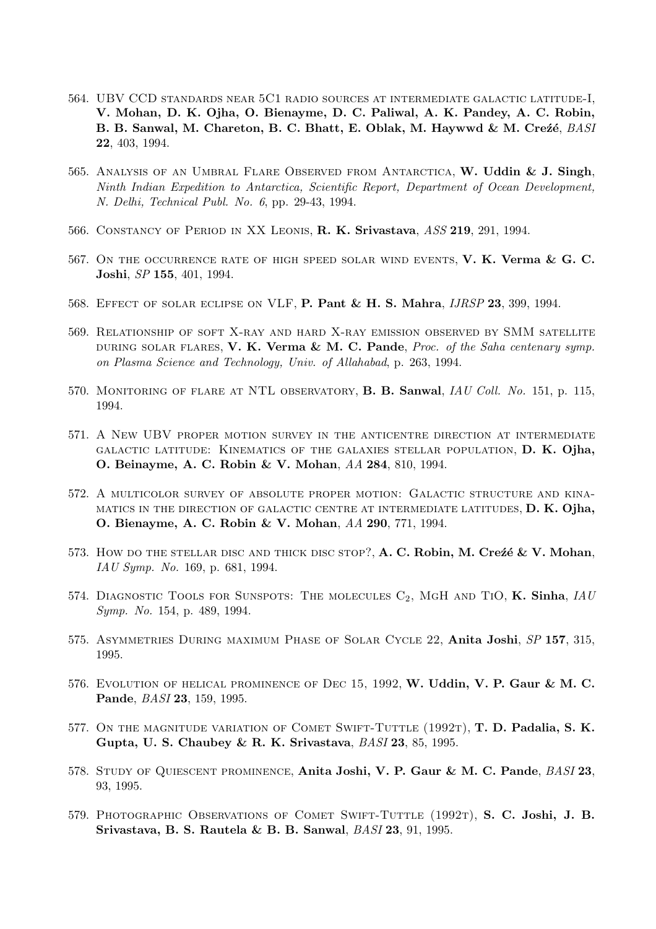- 564. UBV CCD standards near 5C1 radio sources at intermediate galactic latitude-I, V. Mohan, D. K. Ojha, O. Bienayme, D. C. Paliwal, A. K. Pandey, A. C. Robin, B. B. Sanwal, M. Chareton, B. C. Bhatt, E. Oblak, M. Haywwd & M. Creze, BASI 22, 403, 1994.
- 565. ANALYSIS OF AN UMBRAL FLARE OBSERVED FROM ANTARCTICA, W. Uddin & J. Singh, Ninth Indian Expedition to Antarctica, Scientific Report, Department of Ocean Development, N. Delhi, Technical Publ. No. 6, pp. 29-43, 1994.
- 566. CONSTANCY OF PERIOD IN XX LEONIS, R. K. Srivastava, ASS 219, 291, 1994.
- 567. ON THE OCCURRENCE RATE OF HIGH SPEED SOLAR WIND EVENTS, V. K. Verma & G. C. Joshi, SP 155, 401, 1994.
- 568. Effect of solar eclipse on VLF, P. Pant & H. S. Mahra, IJRSP 23, 399, 1994.
- 569. Relationship of soft X-ray and hard X-ray emission observed by SMM satellite DURING SOLAR FLARES, V. K. Verma & M. C. Pande, Proc. of the Saha centenary symp. on Plasma Science and Technology, Univ. of Allahabad, p. 263, 1994.
- 570. MONITORING OF FLARE AT NTL OBSERVATORY, **B. B. Sanwal**, *IAU Coll. No.* 151, p. 115, 1994.
- 571. A New UBV proper motion survey in the anticentre direction at intermediate galactic latitude: Kinematics of the galaxies stellar population, D. K. Ojha, O. Beinayme, A. C. Robin & V. Mohan, AA 284, 810, 1994.
- 572. A multicolor survey of absolute proper motion: Galactic structure and kinamatics in the direction of galactic centre at intermediate latitudes, D. K. Ojha, O. Bienayme, A. C. Robin & V. Mohan, AA 290, 771, 1994.
- 573. How do the stellar disc and thick disc stop?,  $A$ . C. Robin, M. Crezé & V. Mohan, IAU Symp. No. 169, p. 681, 1994.
- 574. DIAGNOSTIC TOOLS FOR SUNSPOTS: THE MOLECULES  $C_2$ , MGH AND TIO, K. Sinha, IAU Symp. No. 154, p. 489, 1994.
- 575. Asymmetries During maximum Phase of Solar Cycle 22, Anita Joshi, SP 157, 315, 1995.
- 576. Evolution of helical prominence of Dec 15, 1992, W. Uddin, V. P. Gaur & M. C. Pande, BASI 23, 159, 1995.
- 577. ON THE MAGNITUDE VARIATION OF COMET SWIFT-TUTTLE  $(1992T)$ , **T. D. Padalia, S. K.** Gupta, U. S. Chaubey & R. K. Srivastava, BASI 23, 85, 1995.
- 578. STUDY OF QUIESCENT PROMINENCE, Anita Joshi, V. P. Gaur & M. C. Pande, BASI 23, 93, 1995.
- 579. PHOTOGRAPHIC OBSERVATIONS OF COMET SWIFT-TUTTLE (1992T), S. C. Joshi, J. B. Srivastava, B. S. Rautela & B. B. Sanwal, BASI 23, 91, 1995.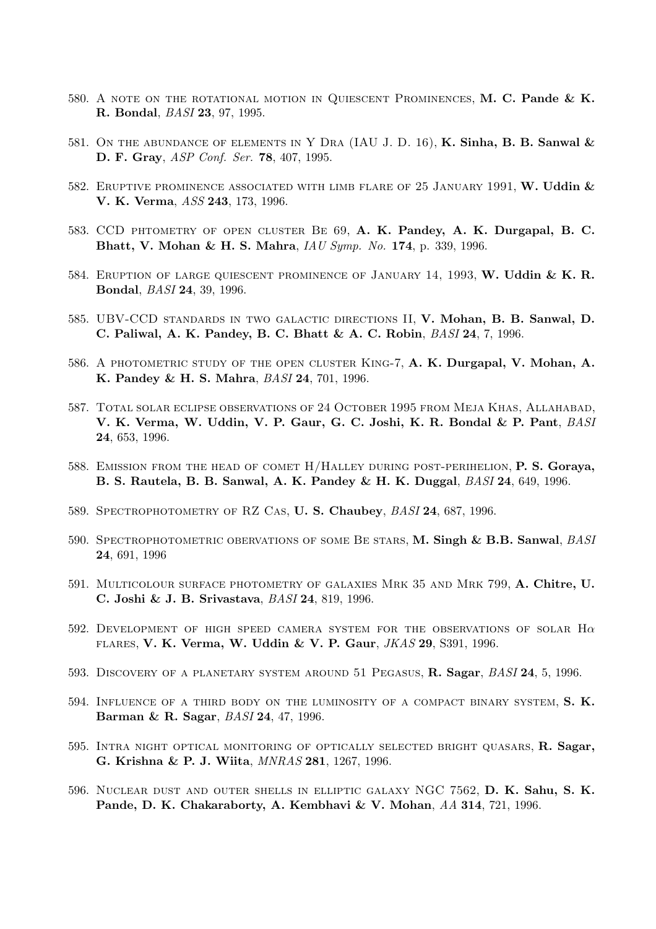- 580. A NOTE ON THE ROTATIONAL MOTION IN QUIESCENT PROMINENCES, M. C. Pande & K. R. Bondal, BASI 23, 97, 1995.
- 581. ON THE ABUNDANCE OF ELEMENTS IN Y DRA (IAU J. D. 16), K. Sinha, B. B. Sanwal  $\&$ D. F. Gray, *ASP Conf. Ser.* **78**, 407, 1995.
- 582. ERUPTIVE PROMINENCE ASSOCIATED WITH LIMB FLARE OF 25 JANUARY 1991, W. Uddin  $\&$ V. K. Verma, ASS 243, 173, 1996.
- 583. CCD phtometry of open cluster Be 69, A. K. Pandey, A. K. Durgapal, B. C. Bhatt, V. Mohan & H. S. Mahra, IAU Symp. No. 174, p. 339, 1996.
- 584. ERUPTION OF LARGE QUIESCENT PROMINENCE OF JANUARY 14, 1993, W. Uddin & K. R. Bondal, BASI 24, 39, 1996.
- 585. UBV-CCD standards in two galactic directions II, V. Mohan, B. B. Sanwal, D. C. Paliwal, A. K. Pandey, B. C. Bhatt & A. C. Robin, BASI 24, 7, 1996.
- 586. A PHOTOMETRIC STUDY OF THE OPEN CLUSTER KING-7, A. K. Durgapal, V. Mohan, A. K. Pandey & H. S. Mahra, BASI 24, 701, 1996.
- 587. Total solar eclipse observations of 24 October 1995 from Meja Khas, Allahabad, V. K. Verma, W. Uddin, V. P. Gaur, G. C. Joshi, K. R. Bondal & P. Pant, BASI 24, 653, 1996.
- 588. EMISSION FROM THE HEAD OF COMET H/HALLEY DURING POST-PERIHELION, P. S. Goraya, B. S. Rautela, B. B. Sanwal, A. K. Pandey & H. K. Duggal, BASI 24, 649, 1996.
- 589. SPECTROPHOTOMETRY OF RZ CAS, U.S. Chaubey, BASI 24, 687, 1996.
- 590. SPECTROPHOTOMETRIC OBERVATIONS OF SOME BE STARS, M. Singh & B.B. Sanwal, BASI 24, 691, 1996
- 591. Multicolour surface photometry of galaxies Mrk 35 and Mrk 799, A. Chitre, U. C. Joshi & J. B. Srivastava, BASI 24, 819, 1996.
- 592. DEVELOPMENT OF HIGH SPEED CAMERA SYSTEM FOR THE OBSERVATIONS OF SOLAR  $H\alpha$ flares, V. K. Verma, W. Uddin & V. P. Gaur, JKAS 29, S391, 1996.
- 593. DISCOVERY OF A PLANETARY SYSTEM AROUND 51 PEGASUS, R. Sagar, BASI 24, 5, 1996.
- 594. INFLUENCE OF A THIRD BODY ON THE LUMINOSITY OF A COMPACT BINARY SYSTEM, S. K. Barman & R. Sagar, BASI 24, 47, 1996.
- 595. INTRA NIGHT OPTICAL MONITORING OF OPTICALLY SELECTED BRIGHT QUASARS, R. Sagar, G. Krishna & P. J. Wiita, MNRAS 281, 1267, 1996.
- 596. Nuclear dust and outer shells in elliptic galaxy NGC 7562, D. K. Sahu, S. K. Pande, D. K. Chakaraborty, A. Kembhavi & V. Mohan, AA 314, 721, 1996.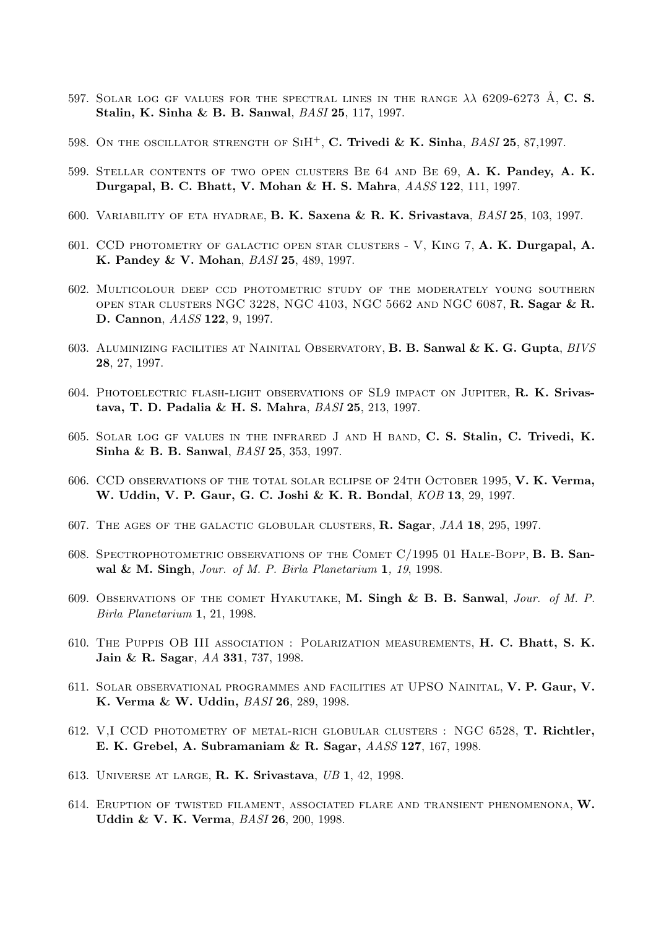- 597. SOLAR LOG GF VALUES FOR THE SPECTRAL LINES IN THE RANGE  $\lambda\lambda$  6209-6273 Å, C. S. Stalin, K. Sinha & B. B. Sanwal, BASI 25, 117, 1997.
- 598. ON THE OSCILLATOR STRENGTH OF  $SH^+$ , C. Trivedi & K. Sinha,  $BASI$  25, 87,1997.
- 599. Stellar contents of two open clusters Be 64 and Be 69, A. K. Pandey, A. K. Durgapal, B. C. Bhatt, V. Mohan & H. S. Mahra, AASS 122, 111, 1997.
- 600. Variability of eta hyadrae, B. K. Saxena & R. K. Srivastava, BASI 25, 103, 1997.
- 601. CCD photometry of galactic open star clusters V, King 7, A. K. Durgapal, A. K. Pandey & V. Mohan, BASI 25, 489, 1997.
- 602. Multicolour deep ccd photometric study of the moderately young southern open star clusters NGC 3228, NGC 4103, NGC 5662 and NGC 6087, R. Sagar & R. D. Cannon, AASS 122, 9, 1997.
- 603. ALUMINIZING FACILITIES AT NAINITAL OBSERVATORY, B. B. Sanwal & K. G. Gupta, BIVS 28, 27, 1997.
- 604. Photoelectric flash-light observations of SL9 impact on Jupiter, R. K. Srivastava, T. D. Padalia & H. S. Mahra, BASI 25, 213, 1997.
- 605. Solar log gf values in the infrared J and H band, C. S. Stalin, C. Trivedi, K. Sinha & B. B. Sanwal, *BASI* 25, 353, 1997.
- 606. CCD observations of the total solar eclipse of 24th October 1995, V. K. Verma, W. Uddin, V. P. Gaur, G. C. Joshi & K. R. Bondal, KOB 13, 29, 1997.
- 607. The ages of the galactic globular clusters, R. Sagar, JAA 18, 295, 1997.
- 608. Spectrophotometric observations of the Comet C/1995 01 Hale-Bopp, B. B. Sanwal & M. Singh, Jour. of M. P. Birla Planetarium 1, 19, 1998.
- 609. OBSERVATIONS OF THE COMET HYAKUTAKE, M. Singh & B. B. Sanwal, Jour. of M. P. Birla Planetarium 1, 21, 1998.
- 610. The Puppis OB III association : Polarization measurements, H. C. Bhatt, S. K. Jain & R. Sagar, AA 331, 737, 1998.
- 611. Solar observational programmes and facilities at UPSO Nainital, V. P. Gaur, V. K. Verma & W. Uddin, BASI 26, 289, 1998.
- 612. V,I CCD photometry of metal-rich globular clusters : NGC 6528, T. Richtler, E. K. Grebel, A. Subramaniam & R. Sagar, AASS 127, 167, 1998.
- 613. Universe at large, R. K. Srivastava, UB 1, 42, 1998.
- 614. Eruption of twisted filament, associated flare and transient phenomenona, W. Uddin & V. K. Verma, BASI 26, 200, 1998.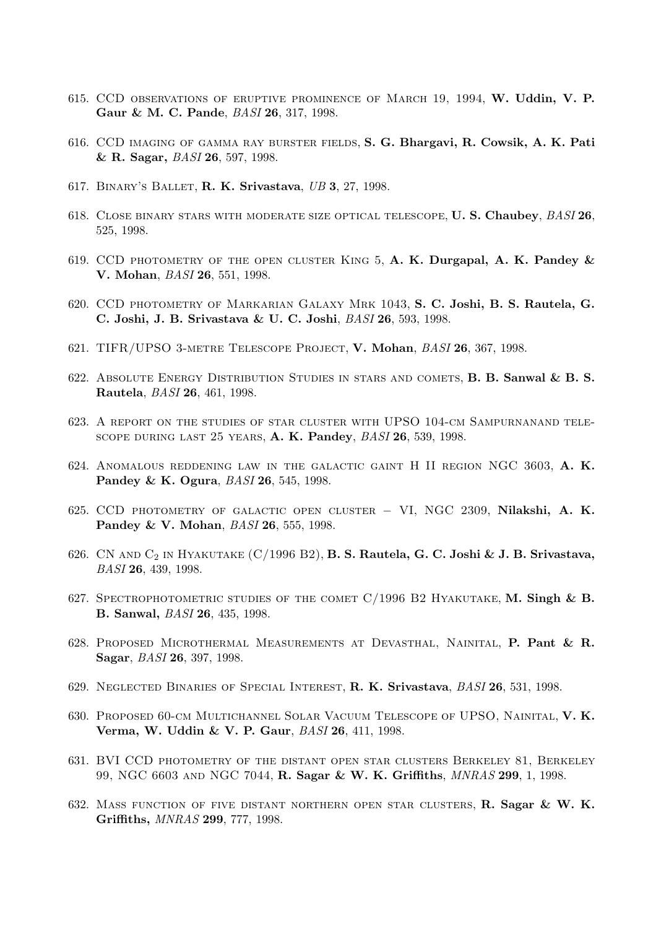- 615. CCD OBSERVATIONS OF ERUPTIVE PROMINENCE OF MARCH 19, 1994, W. Uddin, V. P. Gaur & M. C. Pande, BASI 26, 317, 1998.
- 616. CCD imaging of gamma ray burster fields, S. G. Bhargavi, R. Cowsik, A. K. Pati & R. Sagar, BASI 26, 597, 1998.
- 617. BINARY'S BALLET, R. K. Srivastava, UB 3, 27, 1998.
- 618. Close binary stars with moderate size optical telescope, U. S. Chaubey, BASI 26, 525, 1998.
- 619. CCD photometry of the open cluster King 5, A. K. Durgapal, A. K. Pandey & V. Mohan, BASI 26, 551, 1998.
- 620. CCD photometry of Markarian Galaxy Mrk 1043, S. C. Joshi, B. S. Rautela, G. C. Joshi, J. B. Srivastava & U. C. Joshi, BASI 26, 593, 1998.
- 621. TIFR/UPSO 3-metre Telescope Project, V. Mohan, BASI 26, 367, 1998.
- 622. Absolute Energy Distribution Studies in stars and comets, B. B. Sanwal & B. S. Rautela, BASI 26, 461, 1998.
- 623. A report on the studies of star cluster with UPSO 104-cm Sampurnanand telescope during last 25 years, A. K. Pandey, BASI 26, 539, 1998.
- 624. Anomalous reddening law in the galactic gaint H II region NGC 3603, A. K. Pandey & K. Ogura, BASI 26, 545, 1998.
- 625. CCD photometry of galactic open cluster − VI, NGC 2309, Nilakshi, A. K. Pandey & V. Mohan, *BASI* 26, 555, 1998.
- 626. CN AND  $C_2$  IN HYAKUTAKE  $(C/1996 B2)$ , **B. S. Rautela, G. C. Joshi & J. B. Srivastava**, BASI 26, 439, 1998.
- 627. SPECTROPHOTOMETRIC STUDIES OF THE COMET C/1996 B2 HYAKUTAKE, M. Singh & B. B. Sanwal, BASI 26, 435, 1998.
- 628. Proposed Microthermal Measurements at Devasthal, Nainital, P. Pant & R. Sagar, BASI 26, 397, 1998.
- 629. NEGLECTED BINARIES OF SPECIAL INTEREST, R. K. Srivastava, BASI 26, 531, 1998.
- 630. Proposed 60-cm Multichannel Solar Vacuum Telescope of UPSO, Nainital, V. K. Verma, W. Uddin & V. P. Gaur, BASI 26, 411, 1998.
- 631. BVI CCD photometry of the distant open star clusters Berkeley 81, Berkeley 99, NGC 6603 and NGC 7044, R. Sagar & W. K. Griffiths, MNRAS 299, 1, 1998.
- 632. Mass function of five distant northern open star clusters, R. Sagar & W. K. Griffiths, MNRAS 299, 777, 1998.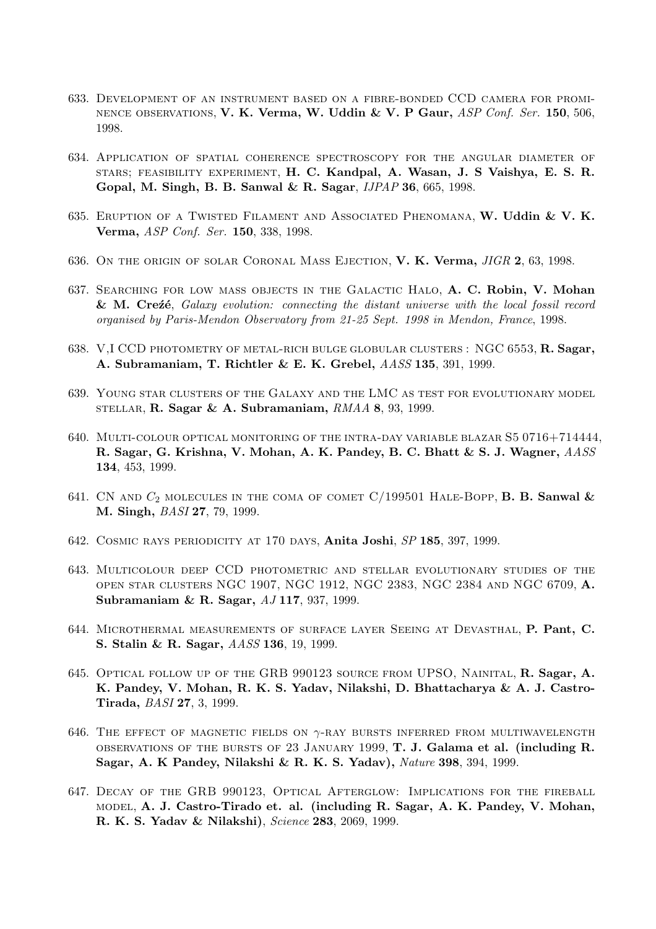- 633. Development of an instrument based on a fibre-bonded CCD camera for promi-NENCE OBSERVATIONS, V. K. Verma, W. Uddin & V. P Gaur, ASP Conf. Ser. 150, 506, 1998.
- 634. Application of spatial coherence spectroscopy for the angular diameter of stars; feasibility experiment, H. C. Kandpal, A. Wasan, J. S Vaishya, E. S. R. Gopal, M. Singh, B. B. Sanwal & R. Sagar, IJPAP 36, 665, 1998.
- 635. ERUPTION OF A TWISTED FILAMENT AND ASSOCIATED PHENOMANA, W. Uddin & V. K. Verma, ASP Conf. Ser. 150, 338, 1998.
- 636. On the origin of solar Coronal Mass Ejection, V. K. Verma, JIGR 2, 63, 1998.
- 637. Searching for low mass objects in the Galactic Halo, A. C. Robin, V. Mohan  $&$  M. Cre $\acute{z}e$ , Galaxy evolution: connecting the distant universe with the local fossil record organised by Paris-Mendon Observatory from 21-25 Sept. 1998 in Mendon, France, 1998.
- 638. V,I CCD PHOTOMETRY OF METAL-RICH BULGE GLOBULAR CLUSTERS : NGC 6553, R. Sagar, A. Subramaniam, T. Richtler & E. K. Grebel, AASS 135, 391, 1999.
- 639. Young star clusters of the Galaxy and the LMC as test for evolutionary model STELLAR, R. Sagar & A. Subramaniam,  $RMAA$  8, 93, 1999.
- 640. Multi-colour optical monitoring of the intra-day variable blazar S5 0716+714444, R. Sagar, G. Krishna, V. Mohan, A. K. Pandey, B. C. Bhatt & S. J. Wagner,  $AASS$ 134, 453, 1999.
- 641. CN AND  $C_2$  molecules in the coma of comet  $C/199501$  Hale-Bopp, **B. B. Sanwal &** M. Singh, BASI 27, 79, 1999.
- 642. Cosmic rays periodicity at 170 days, Anita Joshi, SP 185, 397, 1999.
- 643. Multicolour deep CCD photometric and stellar evolutionary studies of the open star clusters NGC 1907, NGC 1912, NGC 2383, NGC 2384 and NGC 6709, A. Subramaniam & R. Sagar, AJ 117, 937, 1999.
- 644. Microthermal measurements of surface layer Seeing at Devasthal, P. Pant, C. S. Stalin & R. Sagar, AASS 136, 19, 1999.
- 645. Optical follow up of the GRB 990123 source from UPSO, Nainital, R. Sagar, A. K. Pandey, V. Mohan, R. K. S. Yadav, Nilakshi, D. Bhattacharya & A. J. Castro-Tirada, BASI 27, 3, 1999.
- 646. THE EFFECT OF MAGNETIC FIELDS ON  $\gamma$ -RAY BURSTS INFERRED FROM MULTIWAVELENGTH observations of the bursts of 23 January 1999, T. J. Galama et al. (including R. Sagar, A. K Pandey, Nilakshi & R. K. S. Yadav), Nature 398, 394, 1999.
- 647. Decay of the GRB 990123, Optical Afterglow: Implications for the fireball model, A. J. Castro-Tirado et. al. (including R. Sagar, A. K. Pandey, V. Mohan, R. K. S. Yadav & Nilakshi), Science 283, 2069, 1999.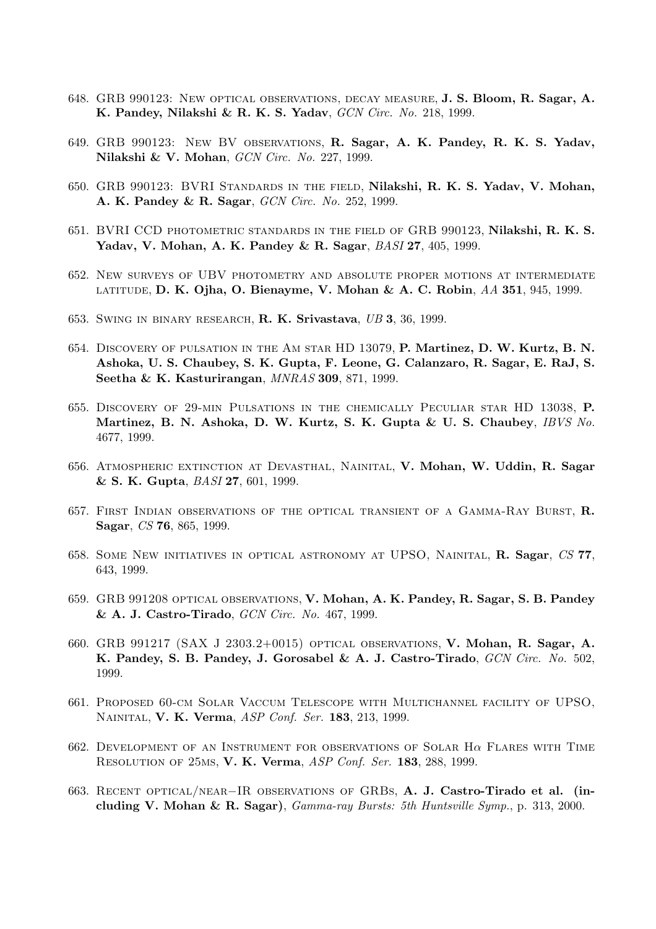- 648. GRB 990123: New optical observations, decay measure, J. S. Bloom, R. Sagar, A. K. Pandey, Nilakshi & R. K. S. Yadav, GCN Circ. No. 218, 1999.
- 649. GRB 990123: New BV observations, R. Sagar, A. K. Pandey, R. K. S. Yadav, Nilakshi & V. Mohan, GCN Circ. No. 227, 1999.
- 650. GRB 990123: BVRI Standards in the field, Nilakshi, R. K. S. Yadav, V. Mohan, A. K. Pandey & R. Sagar, GCN Circ. No. 252, 1999.
- 651. BVRI CCD photometric standards in the field of GRB 990123, Nilakshi, R. K. S. Yadav, V. Mohan, A. K. Pandey & R. Sagar, BASI 27, 405, 1999.
- 652. New surveys of UBV photometry and absolute proper motions at intermediate latitude, D. K. Ojha, O. Bienayme, V. Mohan & A. C. Robin, AA 351, 945, 1999.
- 653. Swing in binary research, R. K. Srivastava, UB 3, 36, 1999.
- 654. Discovery of pulsation in the Am star HD 13079, P. Martinez, D. W. Kurtz, B. N. Ashoka, U. S. Chaubey, S. K. Gupta, F. Leone, G. Calanzaro, R. Sagar, E. RaJ, S. Seetha & K. Kasturirangan, MNRAS 309, 871, 1999.
- 655. Discovery of 29-min Pulsations in the chemically Peculiar star HD 13038, P. Martinez, B. N. Ashoka, D. W. Kurtz, S. K. Gupta & U. S. Chaubey, IBVS No. 4677, 1999.
- 656. Atmospheric extinction at Devasthal, Nainital, V. Mohan, W. Uddin, R. Sagar & S. K. Gupta, BASI 27, 601, 1999.
- 657. First Indian observations of the optical transient of a Gamma-Ray Burst, R. Sagar, CS 76, 865, 1999.
- 658. Some New initiatives in optical astronomy at UPSO, Nainital, R. Sagar, CS 77, 643, 1999.
- 659. GRB 991208 optical observations, V. Mohan, A. K. Pandey, R. Sagar, S. B. Pandey & A. J. Castro-Tirado, GCN Circ. No. 467, 1999.
- 660. GRB 991217 (SAX J 2303.2+0015) optical observations, V. Mohan, R. Sagar, A. K. Pandey, S. B. Pandey, J. Gorosabel & A. J. Castro-Tirado, GCN Circ. No. 502, 1999.
- 661. Proposed 60-cm Solar Vaccum Telescope with Multichannel facility of UPSO, Nainital, V. K. Verma, ASP Conf. Ser. 183, 213, 1999.
- 662. Development of an Instrument for observations of Solar Hα Flares with Time Resolution of 25ms, V. K. Verma, ASP Conf. Ser. 183, 288, 1999.
- 663. Recent optical/near−IR observations of GRBs, A. J. Castro-Tirado et al. (including V. Mohan & R. Sagar),  $Gamma-ray$  Bursts: 5th Huntsville Symp., p. 313, 2000.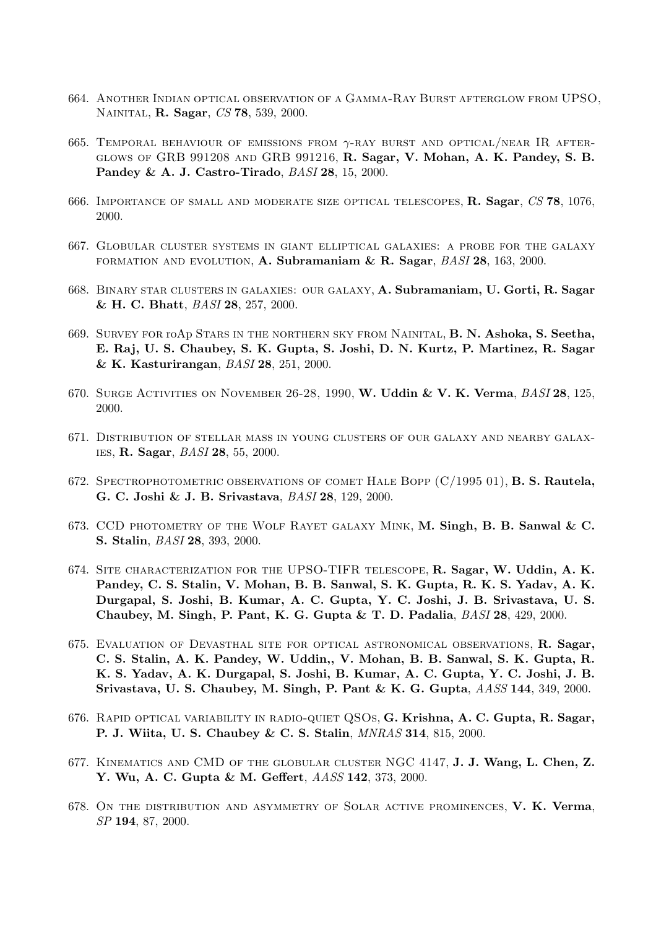- 664. Another Indian optical observation of a Gamma-Ray Burst afterglow from UPSO, NAINITAL, **R. Sagar**, *CS* 78, 539, 2000.
- 665. TEMPORAL BEHAVIOUR OF EMISSIONS FROM  $\gamma$ -RAY BURST AND OPTICAL/NEAR IR AFTERglows of GRB 991208 and GRB 991216, R. Sagar, V. Mohan, A. K. Pandey, S. B. Pandey & A. J. Castro-Tirado, BASI 28, 15, 2000.
- 666. Importance of small and moderate size optical telescopes, R. Sagar, CS 78, 1076, 2000.
- 667. Globular cluster systems in giant elliptical galaxies: a probe for the galaxy FORMATION AND EVOLUTION, A. Subramaniam  $\&$  R. Sagar,  $BASI$  28, 163, 2000.
- 668. Binary star clusters in galaxies: our galaxy, A. Subramaniam, U. Gorti, R. Sagar & H. C. Bhatt, BASI 28, 257, 2000.
- 669. Survey for roAp Stars in the northern sky from Nainital, B. N. Ashoka, S. Seetha, E. Raj, U. S. Chaubey, S. K. Gupta, S. Joshi, D. N. Kurtz, P. Martinez, R. Sagar & K. Kasturirangan, BASI 28, 251, 2000.
- 670. Surge Activities on November 26-28, 1990, W. Uddin & V. K. Verma, BASI 28, 125, 2000.
- 671. Distribution of stellar mass in young clusters of our galaxy and nearby galaxies, R. Sagar, BASI 28, 55, 2000.
- 672. SPECTROPHOTOMETRIC OBSERVATIONS OF COMET HALE BOPP  $(C/1995 01)$ , **B. S. Rautela,** G. C. Joshi & J. B. Srivastava, BASI 28, 129, 2000.
- 673. CCD photometry of the Wolf Rayet galaxy Mink, M. Singh, B. B. Sanwal & C. S. Stalin, BASI 28, 393, 2000.
- 674. SITE CHARACTERIZATION FOR THE UPSO-TIFR TELESCOPE, R. Sagar, W. Uddin, A. K. Pandey, C. S. Stalin, V. Mohan, B. B. Sanwal, S. K. Gupta, R. K. S. Yadav, A. K. Durgapal, S. Joshi, B. Kumar, A. C. Gupta, Y. C. Joshi, J. B. Srivastava, U. S. Chaubey, M. Singh, P. Pant, K. G. Gupta & T. D. Padalia,  $BASI$  28, 429, 2000.
- 675. Evaluation of Devasthal site for optical astronomical observations, R. Sagar, C. S. Stalin, A. K. Pandey, W. Uddin,, V. Mohan, B. B. Sanwal, S. K. Gupta, R. K. S. Yadav, A. K. Durgapal, S. Joshi, B. Kumar, A. C. Gupta, Y. C. Joshi, J. B. Srivastava, U. S. Chaubey, M. Singh, P. Pant & K. G. Gupta, AASS 144, 349, 2000.
- 676. Rapid optical variability in radio-quiet QSOs, G. Krishna, A. C. Gupta, R. Sagar, P. J. Wiita, U. S. Chaubey & C. S. Stalin, MNRAS 314, 815, 2000.
- 677. Kinematics and CMD of the globular cluster NGC 4147, J. J. Wang, L. Chen, Z. Y. Wu, A. C. Gupta & M. Geffert, AASS 142, 373, 2000.
- 678. On the distribution and asymmetry of Solar active prominences, V. K. Verma, SP 194, 87, 2000.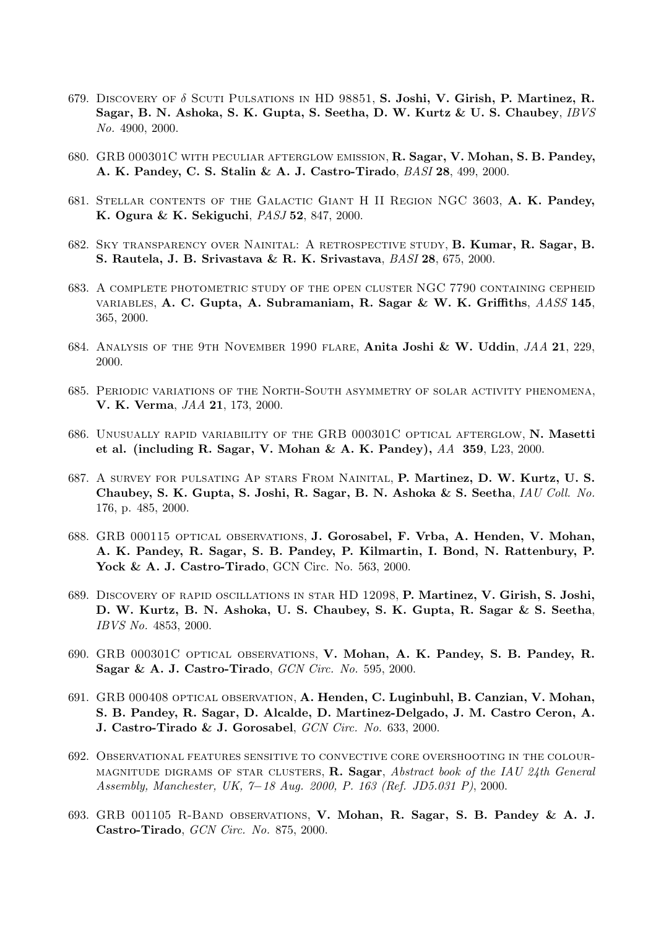- 679. DISCOVERY OF  $\delta$  SCUTI PULSATIONS IN HD 98851, S. Joshi, V. Girish, P. Martinez, R. Sagar, B. N. Ashoka, S. K. Gupta, S. Seetha, D. W. Kurtz & U. S. Chaubey, IBVS No. 4900, 2000.
- 680. GRB 000301C with peculiar afterglow emission, R. Sagar, V. Mohan, S. B. Pandey, A. K. Pandey, C. S. Stalin & A. J. Castro-Tirado, BASI 28, 499, 2000.
- 681. Stellar contents of the Galactic Giant H II Region NGC 3603, A. K. Pandey, K. Ogura & K. Sekiguchi, PASJ 52, 847, 2000.
- 682. Sky transparency over Nainital: A retrospective study, B. Kumar, R. Sagar, B. S. Rautela, J. B. Srivastava & R. K. Srivastava, BASI 28, 675, 2000.
- 683. A complete photometric study of the open cluster NGC 7790 containing cepheid variables, A. C. Gupta, A. Subramaniam, R. Sagar & W. K. Griffiths, AASS 145, 365, 2000.
- 684. Analysis of the 9th November 1990 flare, Anita Joshi & W. Uddin, JAA 21, 229, 2000.
- 685. Periodic variations of the North-South asymmetry of solar activity phenomena, V. K. Verma, JAA 21, 173, 2000.
- 686. Unusually rapid variability of the GRB 000301C optical afterglow, N. Masetti et al. (including R. Sagar, V. Mohan & A. K. Pandey),  $AA$  359, L23, 2000.
- 687. A survey for pulsating Ap stars From Nainital, P. Martinez, D. W. Kurtz, U. S. Chaubey, S. K. Gupta, S. Joshi, R. Sagar, B. N. Ashoka & S. Seetha, IAU Coll. No. 176, p. 485, 2000.
- 688. GRB 000115 optical observations, J. Gorosabel, F. Vrba, A. Henden, V. Mohan, A. K. Pandey, R. Sagar, S. B. Pandey, P. Kilmartin, I. Bond, N. Rattenbury, P. Yock & A. J. Castro-Tirado, GCN Circ. No. 563, 2000.
- 689. Discovery of rapid oscillations in star HD 12098, P. Martinez, V. Girish, S. Joshi, D. W. Kurtz, B. N. Ashoka, U. S. Chaubey, S. K. Gupta, R. Sagar & S. Seetha, IBVS No. 4853, 2000.
- 690. GRB 000301C optical observations, V. Mohan, A. K. Pandey, S. B. Pandey, R. Sagar & A. J. Castro-Tirado, GCN Circ. No. 595, 2000.
- 691. GRB 000408 optical observation, A. Henden, C. Luginbuhl, B. Canzian, V. Mohan, S. B. Pandey, R. Sagar, D. Alcalde, D. Martinez-Delgado, J. M. Castro Ceron, A. J. Castro-Tirado & J. Gorosabel, GCN Circ. No. 633, 2000.
- 692. Observational features sensitive to convective core overshooting in the colour-MAGNITUDE DIGRAMS OF STAR CLUSTERS, R. Sagar, Abstract book of the IAU 24th General Assembly, Manchester, UK, 7−18 Aug. 2000, P. 163 (Ref. JD5.031 P), 2000.
- 693. GRB 001105 R-Band observations, V. Mohan, R. Sagar, S. B. Pandey & A. J. Castro-Tirado, GCN Circ. No. 875, 2000.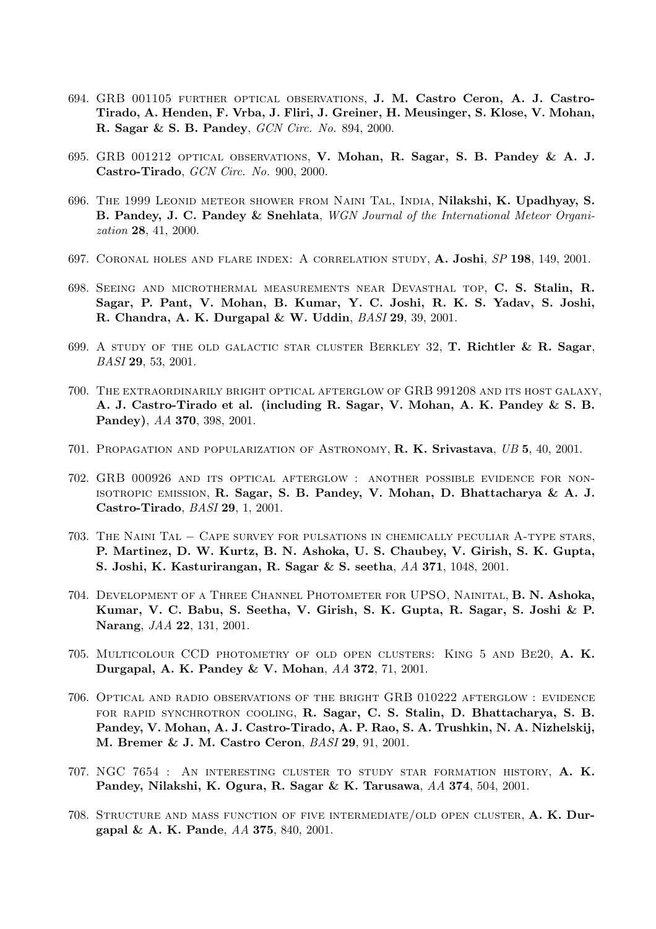- 694. GRB 001105 further optical observations, J. M. Castro Ceron, A. J. Castro-Tirado, A. Henden, F. Vrba, J. Fliri, J. Greiner, H. Meusinger, S. Klose, V. Mohan, R. Sagar & S. B. Pandey, GCN Circ. No. 894, 2000.
- 695. GRB 001212 optical observations, V. Mohan, R. Sagar, S. B. Pandey & A. J. Castro-Tirado, GCN Circ. No. 900, 2000.
- 696. The 1999 Leonid meteor shower from Naini Tal, India, Nilakshi, K. Upadhyay, S. B. Pandey, J. C. Pandey & Snehlata, WGN Journal of the International Meteor Organization 28, 41, 2000.
- 697. Coronal holes and flare index: A correlation study, A. Joshi, SP 198, 149, 2001.
- 698. Seeing and microthermal measurements near Devasthal top, C. S. Stalin, R. Sagar, P. Pant, V. Mohan, B. Kumar, Y. C. Joshi, R. K. S. Yadav, S. Joshi, R. Chandra, A. K. Durgapal & W. Uddin, BASI 29, 39, 2001.
- 699. A STUDY OF THE OLD GALACTIC STAR CLUSTER BERKLEY 32, **T. Richtler & R. Sagar**, BASI 29, 53, 2001.
- 700. The extraordinarily bright optical afterglow of GRB 991208 and its host galaxy, A. J. Castro-Tirado et al. (including R. Sagar, V. Mohan, A. K. Pandey & S. B. Pandey), AA 370, 398, 2001.
- 701. Propagation and popularization of Astronomy, R. K. Srivastava, UB 5, 40, 2001.
- 702. GRB 000926 and its optical afterglow : another possible evidence for nonisotropic emission, R. Sagar, S. B. Pandey, V. Mohan, D. Bhattacharya & A. J. Castro-Tirado, BASI 29, 1, 2001.
- 703. The Naini Tal − Cape survey for pulsations in chemically peculiar A-type stars, P. Martinez, D. W. Kurtz, B. N. Ashoka, U. S. Chaubey, V. Girish, S. K. Gupta, S. Joshi, K. Kasturirangan, R. Sagar & S. seetha, AA 371, 1048, 2001.
- 704. Development of a Three Channel Photometer for UPSO, Nainital, B. N. Ashoka, Kumar, V. C. Babu, S. Seetha, V. Girish, S. K. Gupta, R. Sagar, S. Joshi & P. Narang, JAA 22, 131, 2001.
- 705. Multicolour CCD photometry of old open clusters: King 5 and Be20, A. K. Durgapal, A. K. Pandey & V. Mohan, AA 372, 71, 2001.
- 706. Optical and radio observations of the bright GRB 010222 afterglow : evidence for rapid synchrotron cooling, R. Sagar, C. S. Stalin, D. Bhattacharya, S. B. Pandey, V. Mohan, A. J. Castro-Tirado, A. P. Rao, S. A. Trushkin, N. A. Nizhelskij, M. Bremer & J. M. Castro Ceron, BASI 29, 91, 2001.
- 707. NGC 7654 : An interesting cluster to study star formation history, A. K. Pandey, Nilakshi, K. Ogura, R. Sagar & K. Tarusawa, AA 374, 504, 2001.
- 708. Structure and mass function of five intermediate/old open cluster, A. K. Durgapal & A. K. Pande, AA 375, 840, 2001.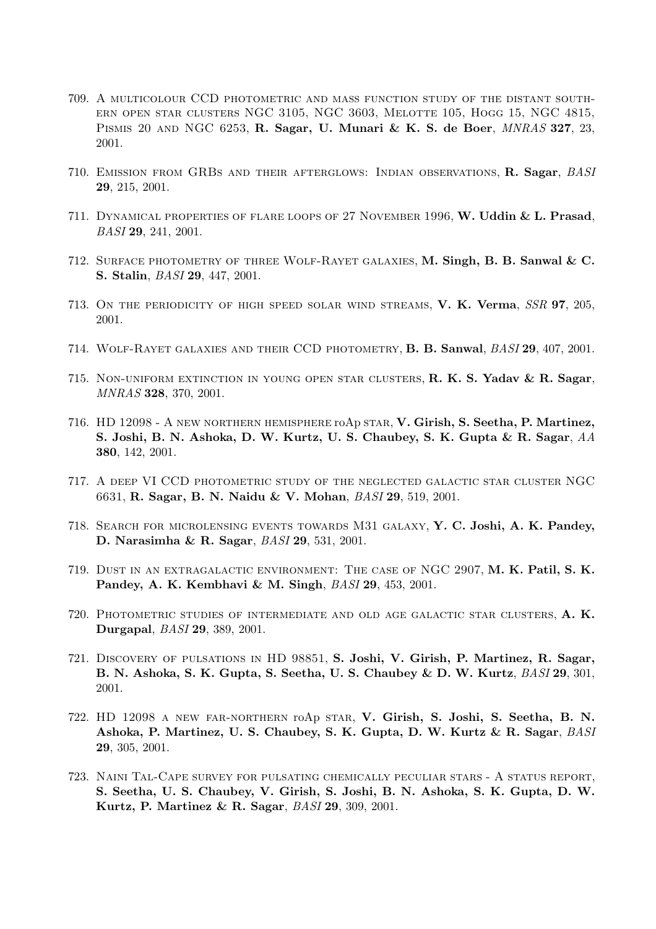- 709. A multicolour CCD photometric and mass function study of the distant southern open star clusters NGC 3105, NGC 3603, Melotte 105, Hogg 15, NGC 4815, Pismis 20 and NGC 6253, R. Sagar, U. Munari & K. S. de Boer, MNRAS 327, 23, 2001.
- 710. EMISSION FROM GRBS AND THEIR AFTERGLOWS: INDIAN OBSERVATIONS, R. Sagar, BASI 29, 215, 2001.
- 711. Dynamical properties of flare loops of 27 November 1996, W. Uddin & L. Prasad, BASI 29, 241, 2001.
- 712. Surface photometry of three Wolf-Rayet galaxies, M. Singh, B. B. Sanwal & C. S. Stalin, BASI 29, 447, 2001.
- 713. ON THE PERIODICITY OF HIGH SPEED SOLAR WIND STREAMS, V. K. Verma, SSR 97, 205, 2001.
- 714. Wolf-Rayet galaxies and their CCD photometry, B. B. Sanwal, BASI 29, 407, 2001.
- 715. Non-uniform extinction in young open star clusters, R. K. S. Yadav & R. Sagar, MNRAS 328, 370, 2001.
- 716. HD 12098 A new northern hemisphere roAp star, V. Girish, S. Seetha, P. Martinez, S. Joshi, B. N. Ashoka, D. W. Kurtz, U. S. Chaubey, S. K. Gupta & R. Sagar, AA 380, 142, 2001.
- 717. A deep VI CCD photometric study of the neglected galactic star cluster NGC 6631, R. Sagar, B. N. Naidu & V. Mohan, BASI 29, 519, 2001.
- 718. Search for microlensing events towards M31 galaxy, Y. C. Joshi, A. K. Pandey, D. Narasimha & R. Sagar, BASI 29, 531, 2001.
- 719. Dust in an extragalactic environment: The case of NGC 2907, M. K. Patil, S. K. Pandey, A. K. Kembhavi & M. Singh, BASI 29, 453, 2001.
- 720. Photometric studies of intermediate and old age galactic star clusters, A. K. Durgapal, BASI 29, 389, 2001.
- 721. Discovery of pulsations in HD 98851, S. Joshi, V. Girish, P. Martinez, R. Sagar, B. N. Ashoka, S. K. Gupta, S. Seetha, U. S. Chaubey & D. W. Kurtz, BASI 29, 301, 2001.
- 722. HD 12098 a new far-northern roAp star, V. Girish, S. Joshi, S. Seetha, B. N. Ashoka, P. Martinez, U. S. Chaubey, S. K. Gupta, D. W. Kurtz & R. Sagar, BASI 29, 305, 2001.
- 723. Naini Tal-Cape survey for pulsating chemically peculiar stars A status report, S. Seetha, U. S. Chaubey, V. Girish, S. Joshi, B. N. Ashoka, S. K. Gupta, D. W. Kurtz, P. Martinez & R. Sagar, BASI 29, 309, 2001.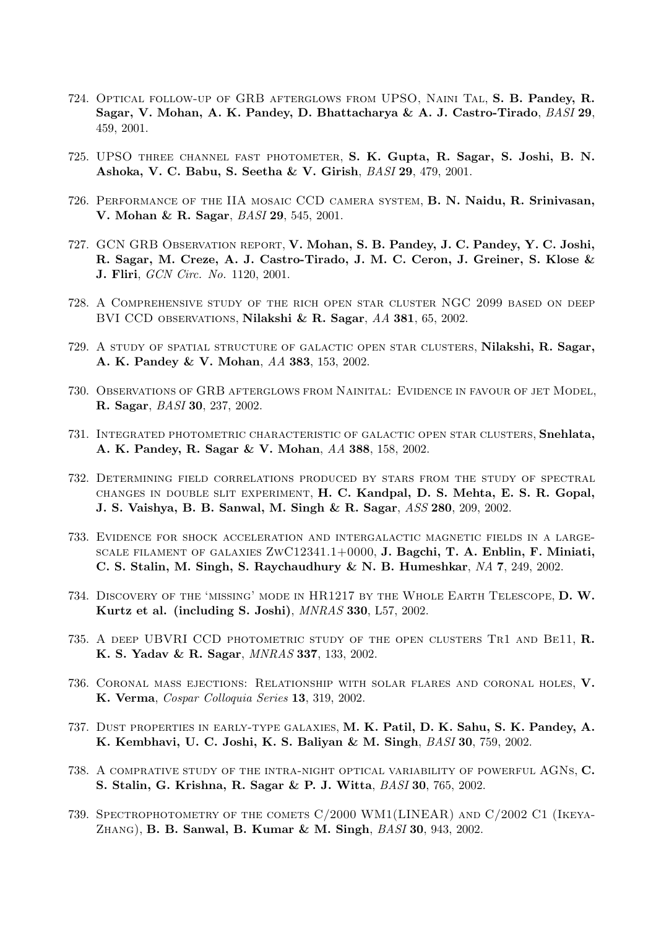- 724. Optical follow-up of GRB afterglows from UPSO, Naini Tal, S. B. Pandey, R. Sagar, V. Mohan, A. K. Pandey, D. Bhattacharya & A. J. Castro-Tirado, BASI 29, 459, 2001.
- 725. UPSO three channel fast photometer, S. K. Gupta, R. Sagar, S. Joshi, B. N. Ashoka, V. C. Babu, S. Seetha & V. Girish, BASI 29, 479, 2001.
- 726. Performance of the IIA mosaic CCD camera system, B. N. Naidu, R. Srinivasan, V. Mohan & R. Sagar, BASI 29, 545, 2001.
- 727. GCN GRB Observation report, V. Mohan, S. B. Pandey, J. C. Pandey, Y. C. Joshi, R. Sagar, M. Creze, A. J. Castro-Tirado, J. M. C. Ceron, J. Greiner, S. Klose & J. Fliri, GCN Circ. No. 1120, 2001.
- 728. A Comprehensive study of the rich open star cluster NGC 2099 based on deep BVI CCD OBSERVATIONS, Nilakshi & R. Sagar, AA 381, 65, 2002.
- 729. A study of spatial structure of galactic open star clusters, Nilakshi, R. Sagar, A. K. Pandey & V. Mohan, AA 383, 153, 2002.
- 730. Observations of GRB afterglows from Nainital: Evidence in favour of jet Model, R. Sagar, BASI 30, 237, 2002.
- 731. Integrated photometric characteristic of galactic open star clusters, Snehlata, A. K. Pandey, R. Sagar & V. Mohan, AA 388, 158, 2002.
- 732. Determining field correlations produced by stars from the study of spectral changes in double slit experiment, H. C. Kandpal, D. S. Mehta, E. S. R. Gopal, J. S. Vaishya, B. B. Sanwal, M. Singh & R. Sagar, ASS 280, 209, 2002.
- 733. Evidence for shock acceleration and intergalactic magnetic fields in a largescale filament of galaxies ZwC12341.1+0000, J. Bagchi, T. A. Enblin, F. Miniati, C. S. Stalin, M. Singh, S. Raychaudhury & N. B. Humeshkar, NA 7, 249, 2002.
- 734. Discovery of the 'missing' mode in HR1217 by the Whole Earth Telescope, D. W. Kurtz et al. (including S. Joshi), MNRAS 330, L57, 2002.
- 735. A DEEP UBVRI CCD PHOTOMETRIC STUDY OF THE OPEN CLUSTERS TR1 AND BE11, R. K. S. Yadav & R. Sagar, MNRAS 337, 133, 2002.
- 736. Coronal mass ejections: Relationship with solar flares and coronal holes, V. K. Verma, Cospar Colloquia Series 13, 319, 2002.
- 737. Dust properties in early-type galaxies, M. K. Patil, D. K. Sahu, S. K. Pandey, A. K. Kembhavi, U. C. Joshi, K. S. Baliyan & M. Singh, BASI 30, 759, 2002.
- 738. A comprative study of the intra-night optical variability of powerful AGNs, C. S. Stalin, G. Krishna, R. Sagar & P. J. Witta, BASI 30, 765, 2002.
- 739. Spectrophotometry of the comets C/2000 WM1(LINEAR) and C/2002 C1 (Ikeya-Zhang), B. B. Sanwal, B. Kumar & M. Singh, BASI 30, 943, 2002.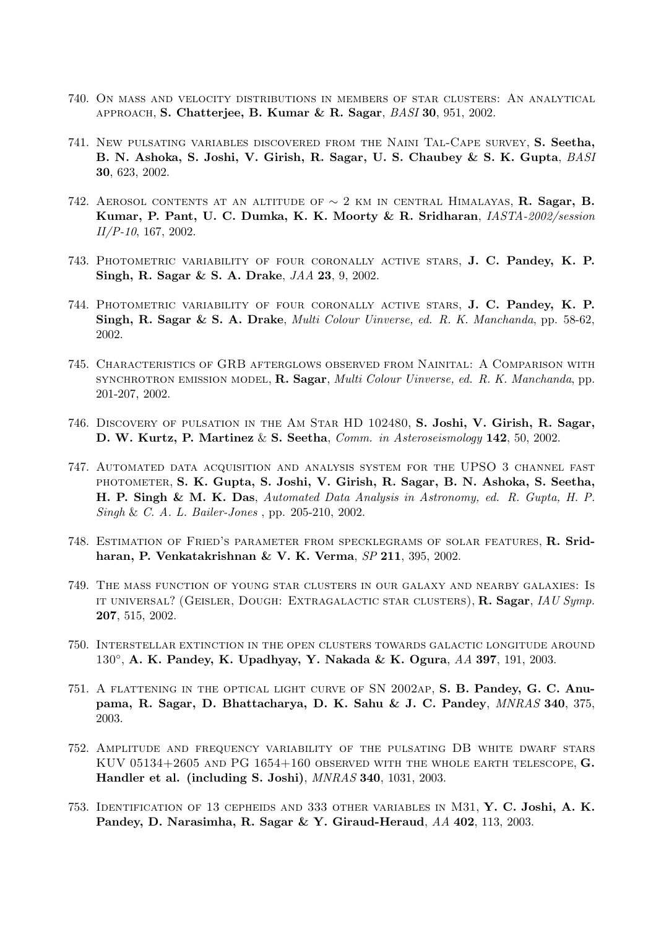- 740. On mass and velocity distributions in members of star clusters: An analytical approach, S. Chatterjee, B. Kumar & R. Sagar, BASI 30, 951, 2002.
- 741. New pulsating variables discovered from the Naini Tal-Cape survey, S. Seetha, B. N. Ashoka, S. Joshi, V. Girish, R. Sagar, U. S. Chaubey & S. K. Gupta, BASI 30, 623, 2002.
- 742. AEROSOL CONTENTS AT AN ALTITUDE OF  $\sim 2$  km in CENTRAL HIMALAYAS, R. Sagar, B. Kumar, P. Pant, U. C. Dumka, K. K. Moorty & R. Sridharan, IASTA-2002/session II/P-10, 167, 2002.
- 743. Photometric variability of four coronally active stars, J. C. Pandey, K. P. Singh, R. Sagar & S. A. Drake, JAA 23, 9, 2002.
- 744. Photometric variability of four coronally active stars, J. C. Pandey, K. P. Singh, R. Sagar & S. A. Drake, Multi Colour Uinverse, ed. R. K. Manchanda, pp. 58-62, 2002.
- 745. Characteristics of GRB afterglows observed from Nainital: A Comparison with SYNCHROTRON EMISSION MODEL, R. Sagar, *Multi Colour Uinverse, ed. R. K. Manchanda*, pp. 201-207, 2002.
- 746. Discovery of pulsation in the Am Star HD 102480, S. Joshi, V. Girish, R. Sagar, D. W. Kurtz, P. Martinez & S. Seetha, Comm. in Asteroseismology 142, 50, 2002.
- 747. Automated data acquisition and analysis system for the UPSO 3 channel fast photometer, S. K. Gupta, S. Joshi, V. Girish, R. Sagar, B. N. Ashoka, S. Seetha, H. P. Singh & M. K. Das, Automated Data Analysis in Astronomy, ed. R. Gupta, H. P. Singh & C. A. L. Bailer-Jones , pp. 205-210, 2002.
- 748. Estimation of Fried's parameter from specklegrams of solar features, R. Sridharan, P. Venkatakrishnan & V. K. Verma, SP 211, 395, 2002.
- 749. The mass function of young star clusters in our galaxy and nearby galaxies: Is it universal? (Geisler, Dough: Extragalactic star clusters), R. Sagar, IAU Symp. 207, 515, 2002.
- 750. Interstellar extinction in the open clusters towards galactic longitude around 130°, A. K. Pandey, K. Upadhyay, Y. Nakada & K. Ogura, AA 397, 191, 2003.
- 751. A flattening in the optical light curve of SN 2002ap, S. B. Pandey, G. C. Anupama, R. Sagar, D. Bhattacharya, D. K. Sahu & J. C. Pandey, MNRAS 340, 375, 2003.
- 752. Amplitude and frequency variability of the pulsating DB white dwarf stars KUV 05134+2605 AND PG 1654+160 OBSERVED WITH THE WHOLE EARTH TELESCOPE,  $G$ . Handler et al. (including S. Joshi), MNRAS 340, 1031, 2003.
- 753. Identification of 13 cepheids and 333 other variables in M31, Y. C. Joshi, A. K. Pandey, D. Narasimha, R. Sagar & Y. Giraud-Heraud, AA 402, 113, 2003.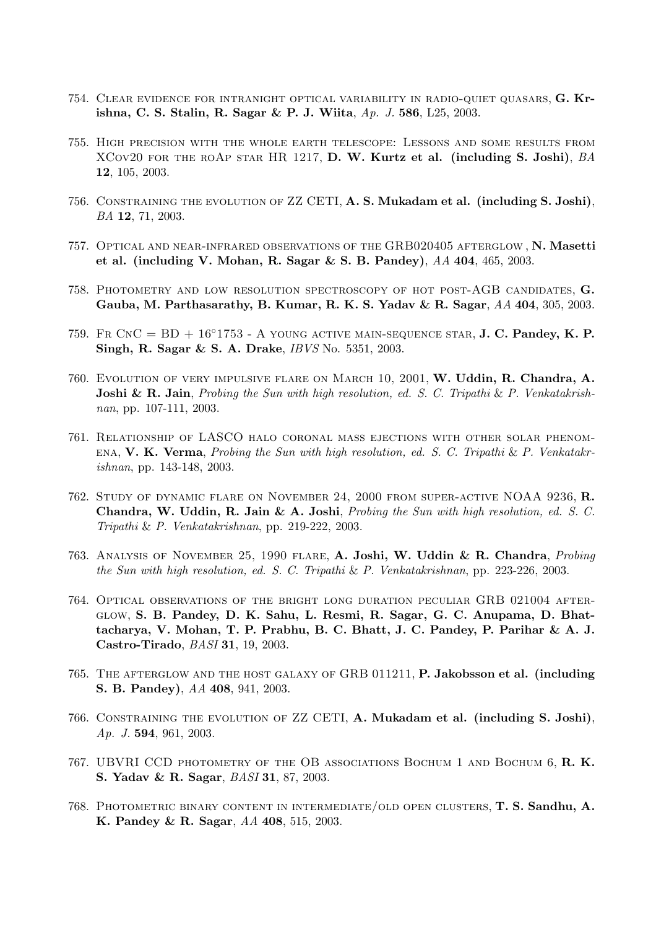- 754. Clear evidence for intranight optical variability in radio-quiet quasars, G. Krishna, C. S. Stalin, R. Sagar & P. J. Wiita, Ap. J. 586, L25, 2003.
- 755. High precision with the whole earth telescope: Lessons and some results from XCOV20 FOR THE ROAP STAR HR 1217, D. W. Kurtz et al. (including S. Joshi),  $BA$ 12, 105, 2003.
- 756. Constraining the evolution of ZZ CETI, A. S. Mukadam et al. (including S. Joshi), BA 12, 71, 2003.
- 757. Optical and near-infrared observations of the GRB020405 afterglow , N. Masetti et al. (including V. Mohan, R. Sagar & S. B. Pandey), AA 404, 465, 2003.
- 758. Photometry and low resolution spectroscopy of hot post-AGB candidates, G. Gauba, M. Parthasarathy, B. Kumar, R. K. S. Yadav & R. Sagar,  $AA$  404, 305, 2003.
- 759. Fr CnC =  $BD + 16°1753 A$  young active main-sequence star, J. C. Pandey, K. P. Singh, R. Sagar & S. A. Drake, IBVS No. 5351, 2003.
- 760. Evolution of very impulsive flare on March 10, 2001, W. Uddin, R. Chandra, A. **Joshi & R. Jain**, Probing the Sun with high resolution, ed. S. C. Tripathi & P. Venkatakrishnan, pp. 107-111, 2003.
- 761. Relationship of LASCO halo coronal mass ejections with other solar phenom-ENA, V. K. Verma, Probing the Sun with high resolution, ed. S. C. Tripathi & P. Venkatakrishnan, pp. 143-148, 2003.
- 762. Study of dynamic flare on November 24, 2000 from super-active NOAA 9236, R. Chandra, W. Uddin, R. Jain & A. Joshi, Probing the Sun with high resolution, ed. S. C. Tripathi & P. Venkatakrishnan, pp. 219-222, 2003.
- 763. Analysis of November 25, 1990 flare, A. Joshi, W. Uddin & R. Chandra, Probing the Sun with high resolution, ed. S. C. Tripathi & P. Venkatakrishnan, pp. 223-226, 2003.
- 764. Optical observations of the bright long duration peculiar GRB 021004 afterglow, S. B. Pandey, D. K. Sahu, L. Resmi, R. Sagar, G. C. Anupama, D. Bhattacharya, V. Mohan, T. P. Prabhu, B. C. Bhatt, J. C. Pandey, P. Parihar & A. J. Castro-Tirado, BASI 31, 19, 2003.
- 765. THE AFTERGLOW AND THE HOST GALAXY OF GRB 011211, P. Jakobsson et al. (including S. B. Pandey), AA 408, 941, 2003.
- 766. Constraining the evolution of ZZ CETI, A. Mukadam et al. (including S. Joshi), Ap. J. 594, 961, 2003.
- 767. UBVRI CCD photometry of the OB associations Bochum 1 and Bochum 6, R. K. S. Yadav & R. Sagar, BASI 31, 87, 2003.
- 768. Photometric binary content in intermediate/old open clusters, T. S. Sandhu, A. K. Pandey & R. Sagar, AA 408, 515, 2003.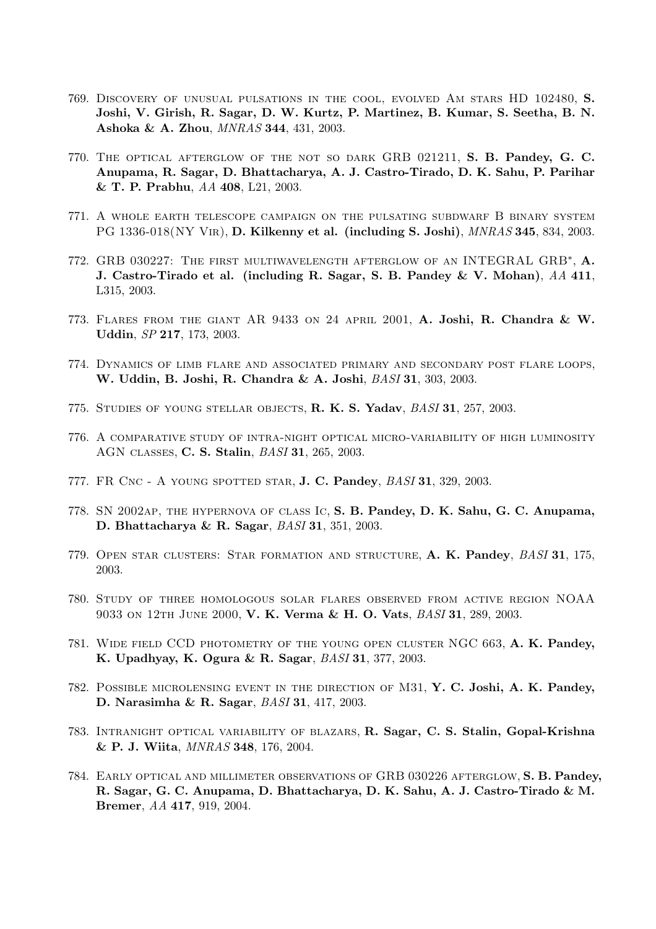- 769. Discovery of unusual pulsations in the cool, evolved Am stars HD 102480, S. Joshi, V. Girish, R. Sagar, D. W. Kurtz, P. Martinez, B. Kumar, S. Seetha, B. N. Ashoka & A. Zhou, MNRAS 344, 431, 2003.
- 770. The optical afterglow of the not so dark GRB 021211, S. B. Pandey, G. C. Anupama, R. Sagar, D. Bhattacharya, A. J. Castro-Tirado, D. K. Sahu, P. Parihar & T. P. Prabhu, AA 408, L21, 2003.
- 771. A whole earth telescope campaign on the pulsating subdwarf B binary system PG 1336-018(NY Vir), D. Kilkenny et al. (including S. Joshi), MNRAS 345, 834, 2003.
- 772. GRB 030227: THE FIRST MULTIWAVELENGTH AFTERGLOW OF AN INTEGRAL GRB<sup>\*</sup>, A. J. Castro-Tirado et al. (including R. Sagar, S. B. Pandey & V. Mohan),  $AA$  411, L315, 2003.
- 773. Flares from the giant AR 9433 on 24 april 2001, A. Joshi, R. Chandra & W. Uddin, SP 217, 173, 2003.
- 774. Dynamics of limb flare and associated primary and secondary post flare loops, W. Uddin, B. Joshi, R. Chandra & A. Joshi, BASI 31, 303, 2003.
- 775. STUDIES OF YOUNG STELLAR OBJECTS, R. K. S. Yadav, BASI 31, 257, 2003.
- 776. A comparative study of intra-night optical micro-variability of high luminosity AGN classes, C. S. Stalin, BASI 31, 265, 2003.
- 777. FR Cnc A young spotted star, J. C. Pandey, BASI 31, 329, 2003.
- 778. SN 2002ap, the hypernova of class Ic, S. B. Pandey, D. K. Sahu, G. C. Anupama, D. Bhattacharya & R. Sagar, BASI 31, 351, 2003.
- 779. OPEN STAR CLUSTERS: STAR FORMATION AND STRUCTURE, A. K. Pandey, BASI 31, 175, 2003.
- 780. Study of three homologous solar flares observed from active region NOAA 9033 on 12th June 2000, V. K. Verma & H. O. Vats, BASI 31, 289, 2003.
- 781. Wide field CCD photometry of the young open cluster NGC 663, A. K. Pandey, K. Upadhyay, K. Ogura & R. Sagar, BASI 31, 377, 2003.
- 782. Possible microlensing event in the direction of M31, Y. C. Joshi, A. K. Pandey, D. Narasimha & R. Sagar, BASI 31, 417, 2003.
- 783. Intranight optical variability of blazars, R. Sagar, C. S. Stalin, Gopal-Krishna & P. J. Wiita, MNRAS 348, 176, 2004.
- 784. Early optical and millimeter observations of GRB 030226 afterglow, S. B. Pandey, R. Sagar, G. C. Anupama, D. Bhattacharya, D. K. Sahu, A. J. Castro-Tirado & M. Bremer, AA 417, 919, 2004.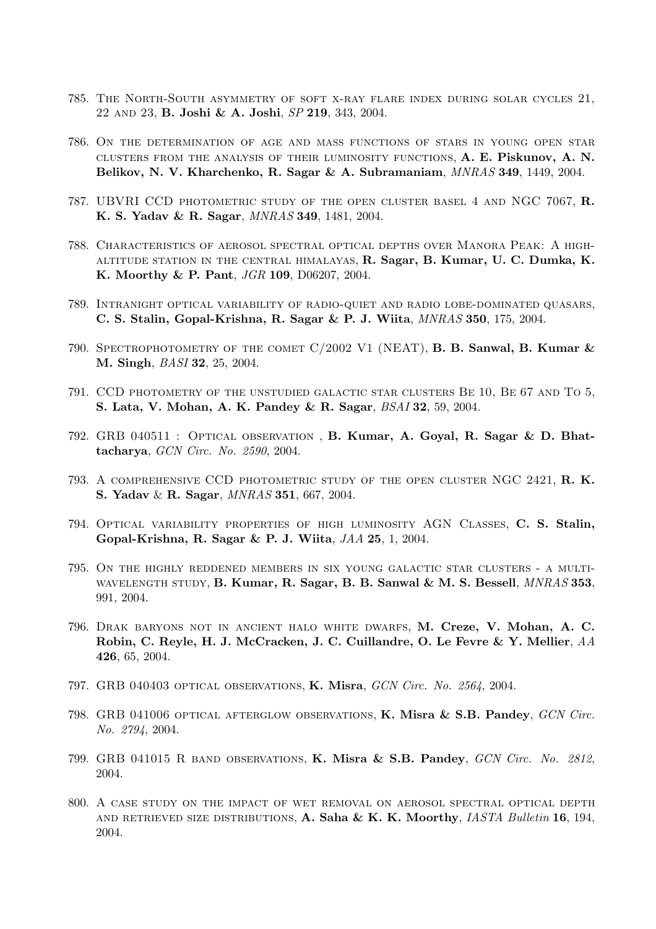- 785. The North-South asymmetry of soft x-ray flare index during solar cycles 21, 22 and 23, B. Joshi & A. Joshi, SP 219, 343, 2004.
- 786. On the determination of age and mass functions of stars in young open star clusters from the analysis of their luminosity functions, A. E. Piskunov, A. N. Belikov, N. V. Kharchenko, R. Sagar & A. Subramaniam, MNRAS 349, 1449, 2004.
- 787. UBVRI CCD photometric study of the open cluster basel 4 and NGC 7067, R. K. S. Yadav & R. Sagar, MNRAS 349, 1481, 2004.
- 788. Characteristics of aerosol spectral optical depths over Manora Peak: A highaltitude station in the central himalayas, R. Sagar, B. Kumar, U. C. Dumka, K. K. Moorthy & P. Pant, JGR 109, D06207, 2004.
- 789. Intranight optical variability of radio-quiet and radio lobe-dominated quasars, C. S. Stalin, Gopal-Krishna, R. Sagar & P. J. Wiita, MNRAS 350, 175, 2004.
- 790. SPECTROPHOTOMETRY OF THE COMET  $C/2002$  V1 (NEAT), **B. B. Sanwal, B. Kumar &** M. Singh, BASI 32, 25, 2004.
- 791. CCD photometry of the unstudied galactic star clusters Be 10, Be 67 and To 5, S. Lata, V. Mohan, A. K. Pandey & R. Sagar, BSAI 32, 59, 2004.
- 792. GRB 040511 : Optical observation , B. Kumar, A. Goyal, R. Sagar & D. Bhattacharya, GCN Circ. No. 2590, 2004.
- 793. A comprehensive CCD photometric study of the open cluster NGC 2421, R. K. S. Yadav & R. Sagar, MNRAS 351, 667, 2004.
- 794. Optical variability properties of high luminosity AGN Classes, C. S. Stalin, Gopal-Krishna, R. Sagar & P. J. Wiita, JAA 25, 1, 2004.
- 795. On the highly reddened members in six young galactic star clusters a multi-WAVELENGTH STUDY, B. Kumar, R. Sagar, B. B. Sanwal & M. S. Bessell,  $MNRAS$  353, 991, 2004.
- 796. Drak baryons not in ancient halo white dwarfs, M. Creze, V. Mohan, A. C. Robin, C. Reyle, H. J. McCracken, J. C. Cuillandre, O. Le Fevre & Y. Mellier, AA 426, 65, 2004.
- 797. GRB 040403 optical observations, K. Misra, GCN Circ. No. 2564, 2004.
- 798. GRB 041006 OPTICAL AFTERGLOW OBSERVATIONS, K. Misra & S.B. Pandey, GCN Circ. No. 2794, 2004.
- 799. GRB 041015 R BAND OBSERVATIONS, K. Misra & S.B. Pandey, GCN Circ. No. 2812, 2004.
- 800. A case study on the impact of wet removal on aerosol spectral optical depth AND RETRIEVED SIZE DISTRIBUTIONS, A. Saha & K. K. Moorthy, *IASTA Bulletin* 16, 194, 2004.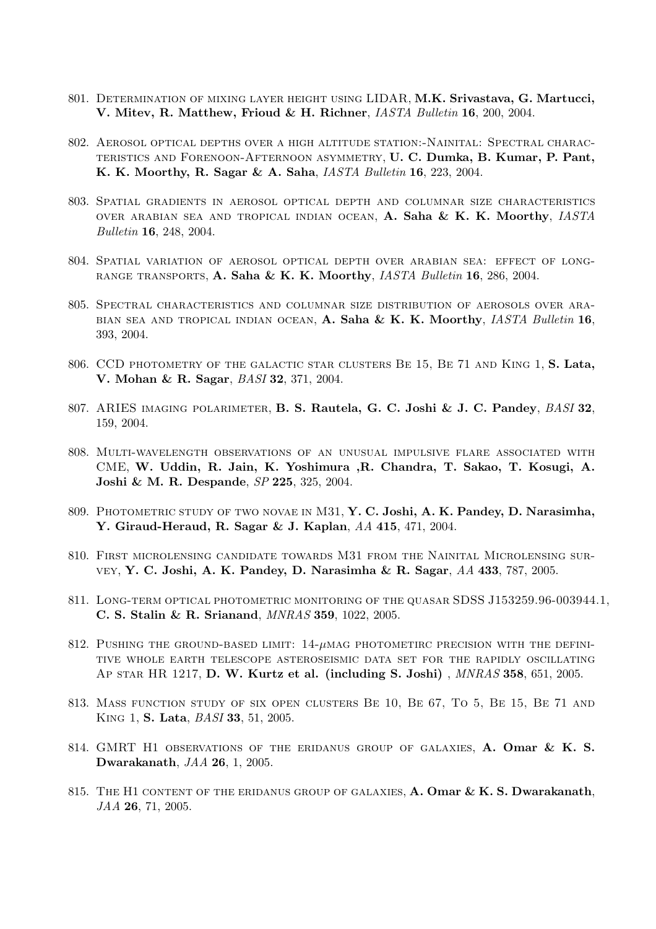- 801. DETERMINATION OF MIXING LAYER HEIGHT USING LIDAR, M.K. Srivastava, G. Martucci, V. Mitev, R. Matthew, Frioud & H. Richner, IASTA Bulletin 16, 200, 2004.
- 802. Aerosol optical depths over a high altitude station:-Nainital: Spectral characteristics and Forenoon-Afternoon asymmetry, U. C. Dumka, B. Kumar, P. Pant, K. K. Moorthy, R. Sagar & A. Saha, IASTA Bulletin 16, 223, 2004.
- 803. Spatial gradients in aerosol optical depth and columnar size characteristics over arabian sea and tropical indian ocean, A. Saha & K. K. Moorthy, IASTA Bulletin 16, 248, 2004.
- 804. Spatial variation of aerosol optical depth over arabian sea: effect of longrange transports, A. Saha & K. K. Moorthy, IASTA Bulletin 16, 286, 2004.
- 805. Spectral characteristics and columnar size distribution of aerosols over ara-BIAN SEA AND TROPICAL INDIAN OCEAN, A. Saha & K. K. Moorthy, *IASTA Bulletin* 16, 393, 2004.
- 806. CCD photometry of the galactic star clusters Be 15, Be 71 and King 1, S. Lata, V. Mohan & R. Sagar, BASI 32, 371, 2004.
- 807. ARIES IMAGING POLARIMETER, B. S. Rautela, G. C. Joshi & J. C. Pandey, BASI 32, 159, 2004.
- 808. Multi-wavelength observations of an unusual impulsive flare associated with CME, W. Uddin, R. Jain, K. Yoshimura ,R. Chandra, T. Sakao, T. Kosugi, A. Joshi & M. R. Despande, SP 225, 325, 2004.
- 809. PHOTOMETRIC STUDY OF TWO NOVAE IN M31, Y. C. Joshi, A. K. Pandey, D. Narasimha, Y. Giraud-Heraud, R. Sagar & J. Kaplan, AA 415, 471, 2004.
- 810. First microlensing candidate towards M31 from the Nainital Microlensing survey, Y. C. Joshi, A. K. Pandey, D. Narasimha & R. Sagar, AA 433, 787, 2005.
- 811. Long-term optical photometric monitoring of the quasar SDSS J153259.96-003944.1, C. S. Stalin & R. Srianand, MNRAS 359, 1022, 2005.
- 812. PUSHING THE GROUND-BASED LIMIT:  $14-\mu$ MAG PHOTOMETIRC PRECISION WITH THE DEFINItive whole earth telescope asteroseismic data set for the rapidly oscillating Ap star HR 1217, D. W. Kurtz et al. (including S. Joshi),  $MNRAS$  358, 651, 2005.
- 813. Mass function study of six open clusters Be 10, Be 67, To 5, Be 15, Be 71 and King 1, S. Lata, BASI 33, 51, 2005.
- 814. GMRT H1 OBSERVATIONS OF THE ERIDANUS GROUP OF GALAXIES, A. Omar & K. S. Dwarakanath, JAA 26, 1, 2005.
- 815. THE H1 CONTENT OF THE ERIDANUS GROUP OF GALAXIES, A. Omar  $\&$  K. S. Dwarakanath, JAA 26, 71, 2005.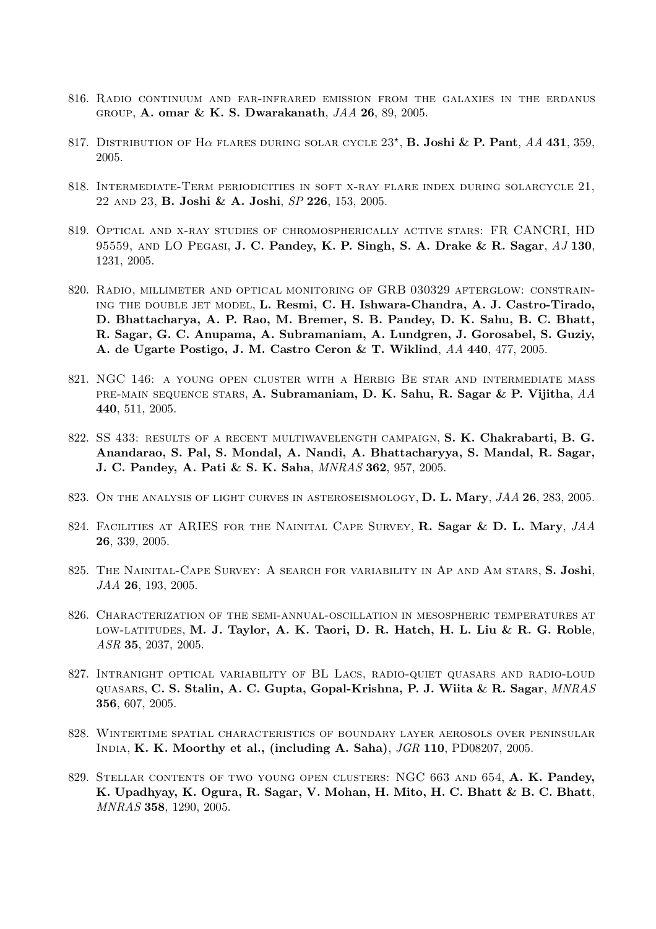- 816. Radio continuum and far-infrared emission from the galaxies in the erdanus group, A. omar & K. S. Dwarakanath, JAA 26, 89, 2005.
- 817. DISTRIBUTION OF H $\alpha$  flares during solar cycle  $23^{\star}$ , **B. Joshi & P. Pant**, AA 431, 359, 2005.
- 818. Intermediate-Term periodicities in soft x-ray flare index during solarcycle 21, 22 and 23, B. Joshi & A. Joshi, SP 226, 153, 2005.
- 819. Optical and x-ray studies of chromospherically active stars: FR CANCRI, HD 95559, AND LO PEGASI, J. C. Pandey, K. P. Singh, S. A. Drake & R. Sagar,  $AJ$  130, 1231, 2005.
- 820. Radio, millimeter and optical monitoring of GRB 030329 afterglow: constraining the double jet model, L. Resmi, C. H. Ishwara-Chandra, A. J. Castro-Tirado, D. Bhattacharya, A. P. Rao, M. Bremer, S. B. Pandey, D. K. Sahu, B. C. Bhatt, R. Sagar, G. C. Anupama, A. Subramaniam, A. Lundgren, J. Gorosabel, S. Guziy, A. de Ugarte Postigo, J. M. Castro Ceron & T. Wiklind, AA 440, 477, 2005.
- 821. NGC 146: a young open cluster with a Herbig Be star and intermediate mass pre-main sequence stars, A. Subramaniam, D. K. Sahu, R. Sagar & P. Vijitha, AA 440, 511, 2005.
- 822. SS 433: results of a recent multiwavelength campaign, S. K. Chakrabarti, B. G. Anandarao, S. Pal, S. Mondal, A. Nandi, A. Bhattacharyya, S. Mandal, R. Sagar, J. C. Pandey, A. Pati & S. K. Saha, MNRAS 362, 957, 2005.
- 823. ON THE ANALYSIS OF LIGHT CURVES IN ASTEROSEISMOLOGY, D. L. Mary,  $JAA$  26, 283, 2005.
- 824. FACILITIES AT ARIES FOR THE NAINITAL CAPE SURVEY, R. Sagar & D. L. Mary, JAA 26, 339, 2005.
- 825. THE NAINITAL-CAPE SURVEY: A SEARCH FOR VARIABILITY IN AP AND AM STARS, S. Joshi, JAA 26, 193, 2005.
- 826. Characterization of the semi-annual-oscillation in mesospheric temperatures at low-latitudes, M. J. Taylor, A. K. Taori, D. R. Hatch, H. L. Liu & R. G. Roble, ASR 35, 2037, 2005.
- 827. Intranight optical variability of BL Lacs, radio-quiet quasars and radio-loud quasars, C. S. Stalin, A. C. Gupta, Gopal-Krishna, P. J. Wiita & R. Sagar, MNRAS 356, 607, 2005.
- 828. Wintertime spatial characteristics of boundary layer aerosols over peninsular India, K. K. Moorthy et al., (including A. Saha), JGR 110, PD08207, 2005.
- 829. STELLAR CONTENTS OF TWO YOUNG OPEN CLUSTERS: NGC 663 AND 654, A. K. Pandey, K. Upadhyay, K. Ogura, R. Sagar, V. Mohan, H. Mito, H. C. Bhatt & B. C. Bhatt, MNRAS 358, 1290, 2005.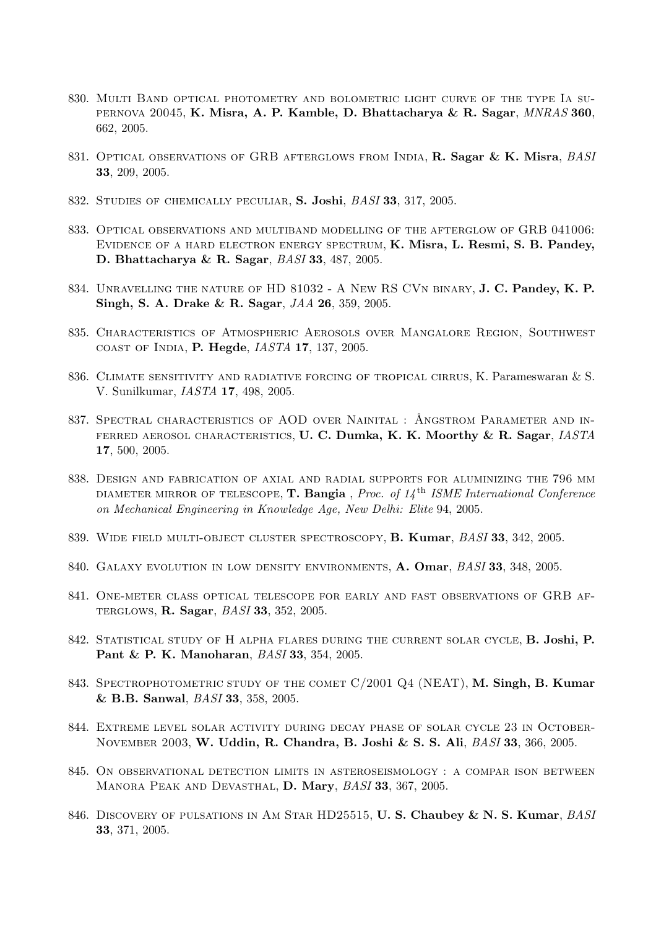- 830. Multi Band optical photometry and bolometric light curve of the type Ia supernova 20045, K. Misra, A. P. Kamble, D. Bhattacharya & R. Sagar, MNRAS 360, 662, 2005.
- 831. OPTICAL OBSERVATIONS OF GRB AFTERGLOWS FROM INDIA, R. Sagar & K. Misra, BASI 33, 209, 2005.
- 832. Studies of chemically peculiar, S. Joshi, BASI 33, 317, 2005.
- 833. Optical observations and multiband modelling of the afterglow of GRB 041006: Evidence of a hard electron energy spectrum, K. Misra, L. Resmi, S. B. Pandey, D. Bhattacharya & R. Sagar, BASI 33, 487, 2005.
- 834. UNRAVELLING THE NATURE OF HD 81032 A NEW RS CVN BINARY, J. C. Pandey, K. P. Singh, S. A. Drake & R. Sagar, JAA 26, 359, 2005.
- 835. Characteristics of Atmospheric Aerosols over Mangalore Region, Southwest coast of India, P. Hegde, IASTA 17, 137, 2005.
- 836. Climate sensitivity and radiative forcing of tropical cirrus, K. Parameswaran & S. V. Sunilkumar, IASTA 17, 498, 2005.
- 837. SPECTRAL CHARACTERISTICS OF AOD OVER NAINITAL : ÅNGSTROM PARAMETER AND IN-FERRED AEROSOL CHARACTERISTICS, U. C. Dumka, K. K. Moorthy & R. Sagar, IASTA 17, 500, 2005.
- 838. Design and fabrication of axial and radial supports for aluminizing the 796 mm DIAMETER MIRROR OF TELESCOPE, T. Bangia, Proc. of  $14<sup>th</sup>$  ISME International Conference on Mechanical Engineering in Knowledge Age, New Delhi: Elite 94, 2005.
- 839. WIDE FIELD MULTI-OBJECT CLUSTER SPECTROSCOPY, B. Kumar, BASI 33, 342, 2005.
- 840. GALAXY EVOLUTION IN LOW DENSITY ENVIRONMENTS, A. Omar, BASI 33, 348, 2005.
- 841. One-meter class optical telescope for early and fast observations of GRB afterglows, R. Sagar, BASI 33, 352, 2005.
- 842. STATISTICAL STUDY OF H ALPHA FLARES DURING THE CURRENT SOLAR CYCLE, B. Joshi, P. Pant & P. K. Manoharan, BASI 33, 354, 2005.
- 843. SPECTROPHOTOMETRIC STUDY OF THE COMET C/2001 Q4 (NEAT), M. Singh, B. Kumar & B.B. Sanwal, BASI 33, 358, 2005.
- 844. Extreme level solar activity during decay phase of solar cycle 23 in October-November 2003, W. Uddin, R. Chandra, B. Joshi & S. S. Ali, BASI 33, 366, 2005.
- 845. On observational detection limits in asteroseismology : a compar ison between MANORA PEAK AND DEVASTHAL, D. Mary, BASI 33, 367, 2005.
- 846. DISCOVERY OF PULSATIONS IN AM STAR HD25515, U.S. Chaubey & N.S. Kumar, BASI 33, 371, 2005.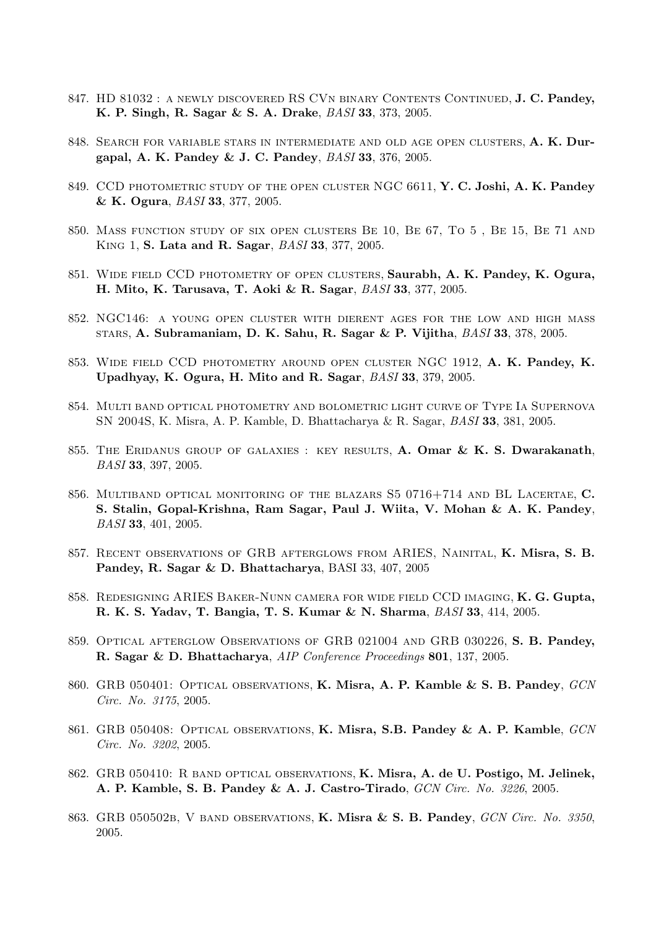- 847. HD 81032 : A NEWLY DISCOVERED RS CVN BINARY CONTENTS CONTINUED, J. C. Pandey, K. P. Singh, R. Sagar & S. A. Drake, BASI 33, 373, 2005.
- 848. SEARCH FOR VARIABLE STARS IN INTERMEDIATE AND OLD AGE OPEN CLUSTERS, A. K. Durgapal, A. K. Pandey & J. C. Pandey, BASI 33, 376, 2005.
- 849. CCD PHOTOMETRIC STUDY OF THE OPEN CLUSTER NGC 6611, Y. C. Joshi, A. K. Pandey & K. Ogura, BASI 33, 377, 2005.
- 850. Mass function study of six open clusters Be 10, Be 67, To 5 , Be 15, Be 71 and King 1, S. Lata and R. Sagar, BASI 33, 377, 2005.
- 851. Wide field CCD photometry of open clusters, Saurabh, A. K. Pandey, K. Ogura, H. Mito, K. Tarusava, T. Aoki & R. Sagar, BASI 33, 377, 2005.
- 852. NGC146: a young open cluster with dierent ages for the low and high mass stars, A. Subramaniam, D. K. Sahu, R. Sagar & P. Vijitha, BASI 33, 378, 2005.
- 853. Wide field CCD photometry around open cluster NGC 1912, A. K. Pandey, K. Upadhyay, K. Ogura, H. Mito and R. Sagar, BASI 33, 379, 2005.
- 854. Multi band optical photometry and bolometric light curve of Type Ia Supernova SN 2004S, K. Misra, A. P. Kamble, D. Bhattacharya & R. Sagar, BASI 33, 381, 2005.
- 855. THE ERIDANUS GROUP OF GALAXIES : KEY RESULTS, A. Omar  $\&$  K. S. Dwarakanath, BASI 33, 397, 2005.
- 856. MULTIBAND OPTICAL MONITORING OF THE BLAZARS S5 0716+714 AND BL LACERTAE, C. S. Stalin, Gopal-Krishna, Ram Sagar, Paul J. Wiita, V. Mohan & A. K. Pandey, BASI 33, 401, 2005.
- 857. Recent observations of GRB afterglows from ARIES, Nainital, K. Misra, S. B. Pandey, R. Sagar & D. Bhattacharya, BASI 33, 407, 2005
- 858. Redesigning ARIES Baker-Nunn camera for wide field CCD imaging, K. G. Gupta, R. K. S. Yadav, T. Bangia, T. S. Kumar & N. Sharma, BASI 33, 414, 2005.
- 859. Optical afterglow Observations of GRB 021004 and GRB 030226, S. B. Pandey, R. Sagar & D. Bhattacharya, AIP Conference Proceedings 801, 137, 2005.
- 860. GRB 050401: OPTICAL OBSERVATIONS, K. Misra, A. P. Kamble & S. B. Pandey, GCN Circ. No. 3175, 2005.
- 861. GRB 050408: OPTICAL OBSERVATIONS, K. Misra, S.B. Pandey & A. P. Kamble, GCN Circ. No. 3202, 2005.
- 862. GRB 050410: R band optical observations, K. Misra, A. de U. Postigo, M. Jelinek, A. P. Kamble, S. B. Pandey & A. J. Castro-Tirado, GCN Circ. No. 3226, 2005.
- 863. GRB 050502B, V BAND OBSERVATIONS, K. Misra & S. B. Pandey, GCN Circ. No. 3350, 2005.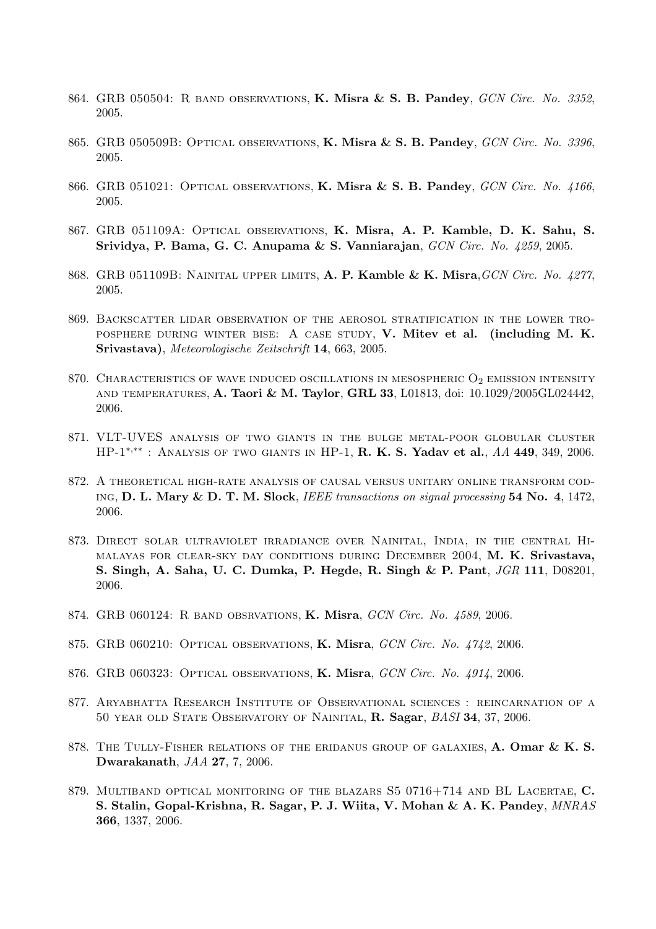- 864. GRB 050504: R BAND OBSERVATIONS, **K. Misra & S. B. Pandey**, *GCN Circ. No. 3352*, 2005.
- 865. GRB 050509B: OPTICAL OBSERVATIONS, K. Misra & S. B. Pandey, GCN Circ. No. 3396. 2005.
- 866. GRB 051021: OPTICAL OBSERVATIONS, K. Misra & S. B. Pandey, GCN Circ. No. 4166, 2005.
- 867. GRB 051109A: Optical observations, K. Misra, A. P. Kamble, D. K. Sahu, S. Srividya, P. Bama, G. C. Anupama & S. Vanniarajan, GCN Circ. No. 4259, 2005.
- 868. GRB 051109B: NAINITAL UPPER LIMITS, A. P. Kamble & K. Misra, GCN Circ. No. 4277. 2005.
- 869. Backscatter lidar observation of the aerosol stratification in the lower troposphere during winter bise: A case study, V. Mitev et al. (including M. K. Srivastava), Meteorologische Zeitschrift 14, 663, 2005.
- 870. CHARACTERISTICS OF WAVE INDUCED OSCILLATIONS IN MESOSPHERIC  $O_2$  EMISSION INTENSITY and temperatures, A. Taori & M. Taylor, GRL 33, L01813, doi: 10.1029/2005GL024442, 2006.
- 871. VLT-UVES analysis of two giants in the bulge metal-poor globular cluster HP-1<sup>∗,∗</sup>\* : ANALYSIS OF TWO GIANTS IN HP-1, **R. K. S. Yadav et al.**, AA 449, 349, 2006.
- 872. A theoretical high-rate analysis of causal versus unitary online transform cod-ING, D. L. Mary & D. T. M. Slock, IEEE transactions on signal processing  $54$  No.  $4$ ,  $1472$ , 2006.
- 873. Direct solar ultraviolet irradiance over Nainital, India, in the central Himalayas for clear-sky day conditions during December 2004, M. K. Srivastava, S. Singh, A. Saha, U. C. Dumka, P. Hegde, R. Singh & P. Pant, JGR 111, D08201, 2006.
- 874. GRB 060124: R BAND OBSRVATIONS, K. Misra, GCN Circ. No. 4589, 2006.
- 875. GRB 060210: OPTICAL OBSERVATIONS, K. Misra, GCN Circ. No. 4742, 2006.
- 876. GRB 060323: OPTICAL OBSERVATIONS, K. Misra, GCN Circ. No. 4914, 2006.
- 877. Aryabhatta Research Institute of Observational sciences : reincarnation of a 50 year old State Observatory of Nainital, R. Sagar, BASI 34, 37, 2006.
- 878. THE TULLY-FISHER RELATIONS OF THE ERIDANUS GROUP OF GALAXIES, A. Omar & K. S. Dwarakanath, JAA 27, 7, 2006.
- 879. MULTIBAND OPTICAL MONITORING OF THE BLAZARS S5 0716+714 AND BL LACERTAE, C. S. Stalin, Gopal-Krishna, R. Sagar, P. J. Wiita, V. Mohan & A. K. Pandey, MNRAS 366, 1337, 2006.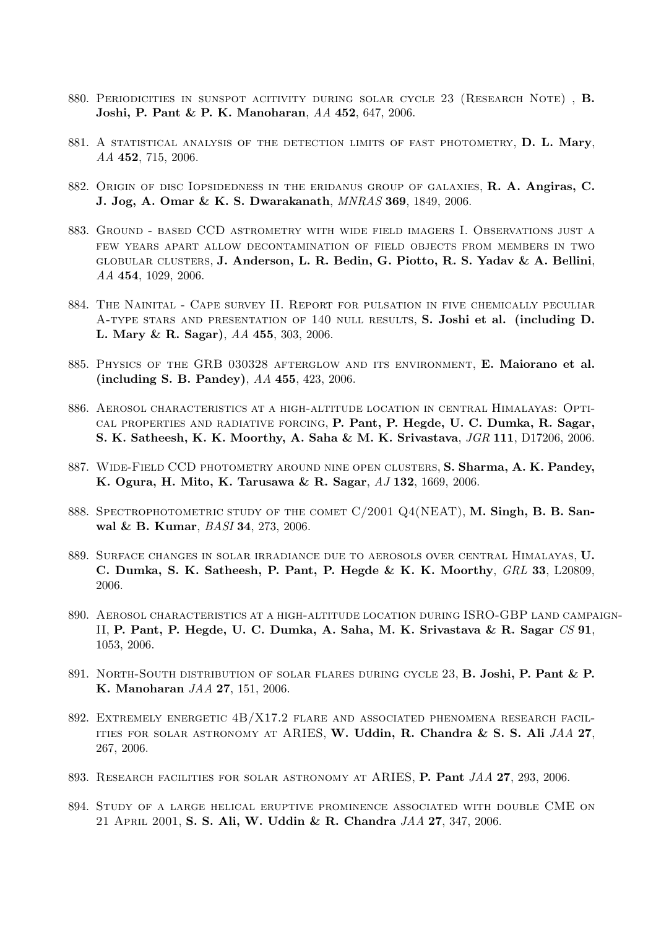- 880. Periodicities in sunspot acitivity during solar cycle 23 (Research Note) , B. Joshi, P. Pant & P. K. Manoharan, AA 452, 647, 2006.
- 881. A STATISTICAL ANALYSIS OF THE DETECTION LIMITS OF FAST PHOTOMETRY, D. L. Mary, AA 452, 715, 2006.
- 882. Origin of disc Iopsidedness in the eridanus group of galaxies, R. A. Angiras, C. J. Jog, A. Omar & K. S. Dwarakanath, MNRAS 369, 1849, 2006.
- 883. Ground based CCD astrometry with wide field imagers I. Observations just a few years apart allow decontamination of field objects from members in two globular clusters, J. Anderson, L. R. Bedin, G. Piotto, R. S. Yadav & A. Bellini, AA 454, 1029, 2006.
- 884. The Nainital Cape survey II. Report for pulsation in five chemically peculiar A-type stars and presentation of 140 null results, S. Joshi et al. (including D. L. Mary & R. Sagar), AA 455, 303, 2006.
- 885. PHYSICS OF THE GRB 030328 AFTERGLOW AND ITS ENVIRONMENT, E. Maiorano et al. (including S. B. Pandey), AA 455, 423, 2006.
- 886. Aerosol characteristics at a high-altitude location in central Himalayas: Optical properties and radiative forcing, P. Pant, P. Hegde, U. C. Dumka, R. Sagar, S. K. Satheesh, K. K. Moorthy, A. Saha & M. K. Srivastava, JGR 111, D17206, 2006.
- 887. Wide-Field CCD photometry around nine open clusters, S. Sharma, A. K. Pandey, K. Ogura, H. Mito, K. Tarusawa & R. Sagar, AJ 132, 1669, 2006.
- 888. SPECTROPHOTOMETRIC STUDY OF THE COMET  $C/2001$  Q4(NEAT), M. Singh, B. B. Sanwal & B. Kumar, BASI 34, 273, 2006.
- 889. Surface changes in solar irradiance due to aerosols over central Himalayas, U. C. Dumka, S. K. Satheesh, P. Pant, P. Hegde & K. K. Moorthy, GRL 33, L20809, 2006.
- 890. Aerosol characteristics at a high-altitude location during ISRO-GBP land campaign-II, P. Pant, P. Hegde, U. C. Dumka, A. Saha, M. K. Srivastava & R. Sagar CS 91, 1053, 2006.
- 891. North-South distribution of solar flares during cycle 23, B. Joshi, P. Pant & P. K. Manoharan JAA 27, 151, 2006.
- 892. Extremely energetic 4B/X17.2 flare and associated phenomena research facilities for solar astronomy at ARIES, W. Uddin, R. Chandra & S. S. Ali JAA 27, 267, 2006.
- 893. RESEARCH FACILITIES FOR SOLAR ASTRONOMY AT ARIES, P. Pant JAA 27, 293, 2006.
- 894. Study of a large helical eruptive prominence associated with double CME on 21 April 2001, S. S. Ali, W. Uddin & R. Chandra JAA 27, 347, 2006.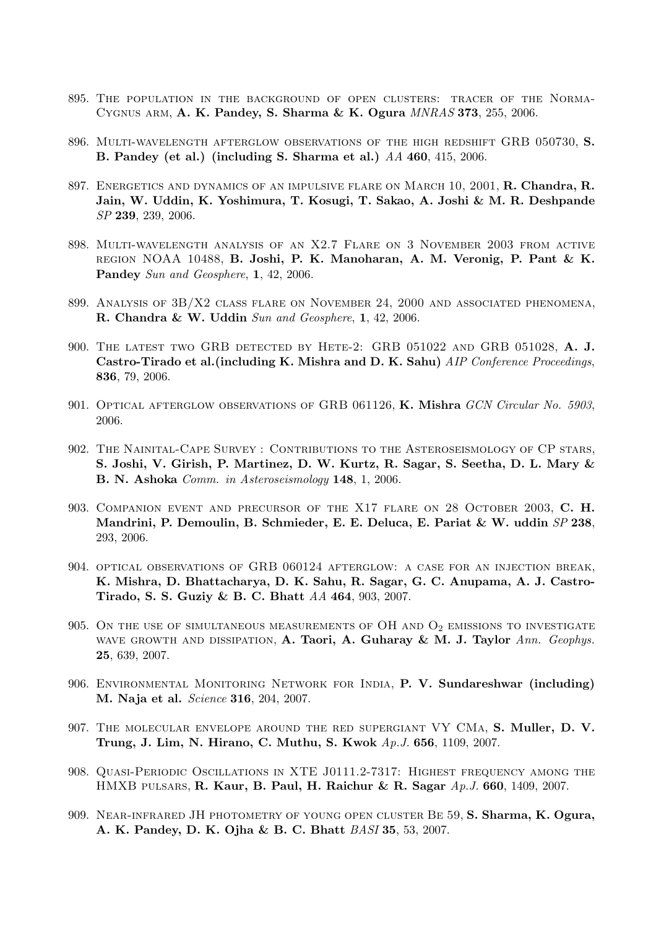- 895. The population in the background of open clusters: tracer of the Norma-Cygnus arm, A. K. Pandey, S. Sharma & K. Ogura MNRAS 373, 255, 2006.
- 896. Multi-wavelength afterglow observations of the high redshift GRB 050730, S. B. Pandey (et al.) (including S. Sharma et al.) AA 460, 415, 2006.
- 897. ENERGETICS AND DYNAMICS OF AN IMPULSIVE FLARE ON MARCH 10, 2001, R. Chandra, R. Jain, W. Uddin, K. Yoshimura, T. Kosugi, T. Sakao, A. Joshi & M. R. Deshpande SP 239, 239, 2006.
- 898. Multi-wavelength analysis of an X2.7 Flare on 3 November 2003 from active region NOAA 10488, B. Joshi, P. K. Manoharan, A. M. Veronig, P. Pant & K. Pandey Sun and Geosphere, 1, 42, 2006.
- 899. Analysis of 3B/X2 class flare on November 24, 2000 and associated phenomena, R. Chandra & W. Uddin Sun and Geosphere, 1, 42, 2006.
- 900. The latest two GRB detected by Hete-2: GRB 051022 and GRB 051028, A. J. Castro-Tirado et al. (including K. Mishra and D. K. Sahu) *AIP Conference Proceedings*, 836, 79, 2006.
- 901. OPTICAL AFTERGLOW OBSERVATIONS OF GRB 061126, K. Mishra GCN Circular No. 5903, 2006.
- 902. The Nainital-Cape Survey : Contributions to the Asteroseismology of CP stars, S. Joshi, V. Girish, P. Martinez, D. W. Kurtz, R. Sagar, S. Seetha, D. L. Mary & B. N. Ashoka Comm. in Asteroseismology 148, 1, 2006.
- 903. COMPANION EVENT AND PRECURSOR OF THE X17 FLARE ON 28 OCTOBER 2003, C. H. Mandrini, P. Demoulin, B. Schmieder, E. E. Deluca, E. Pariat & W. uddin SP 238, 293, 2006.
- 904. optical observations of GRB 060124 afterglow: a case for an injection break, K. Mishra, D. Bhattacharya, D. K. Sahu, R. Sagar, G. C. Anupama, A. J. Castro-Tirado, S. S. Guziy & B. C. Bhatt AA 464, 903, 2007.
- 905. ON THE USE OF SIMULTANEOUS MEASUREMENTS OF OH AND  $O_2$  EMISSIONS TO INVESTIGATE WAVE GROWTH AND DISSIPATION, A. Taori, A. Guharay & M. J. Taylor Ann. Geophys. 25, 639, 2007.
- 906. ENVIRONMENTAL MONITORING NETWORK FOR INDIA, P. V. Sundareshwar (including) M. Naja et al. Science 316, 204, 2007.
- 907. The molecular envelope around the red supergiant VY CMa, S. Muller, D. V. Trung, J. Lim, N. Hirano, C. Muthu, S. Kwok Ap.J. 656, 1109, 2007.
- 908. Quasi-Periodic Oscillations in XTE J0111.2-7317: Highest frequency among the HMXB pulsars, R. Kaur, B. Paul, H. Raichur & R. Sagar  $Ap.J. 660, 1409, 2007$ .
- 909. Near-infrared JH photometry of young open cluster Be 59, S. Sharma, K. Ogura, A. K. Pandey, D. K. Ojha & B. C. Bhatt BASI 35, 53, 2007.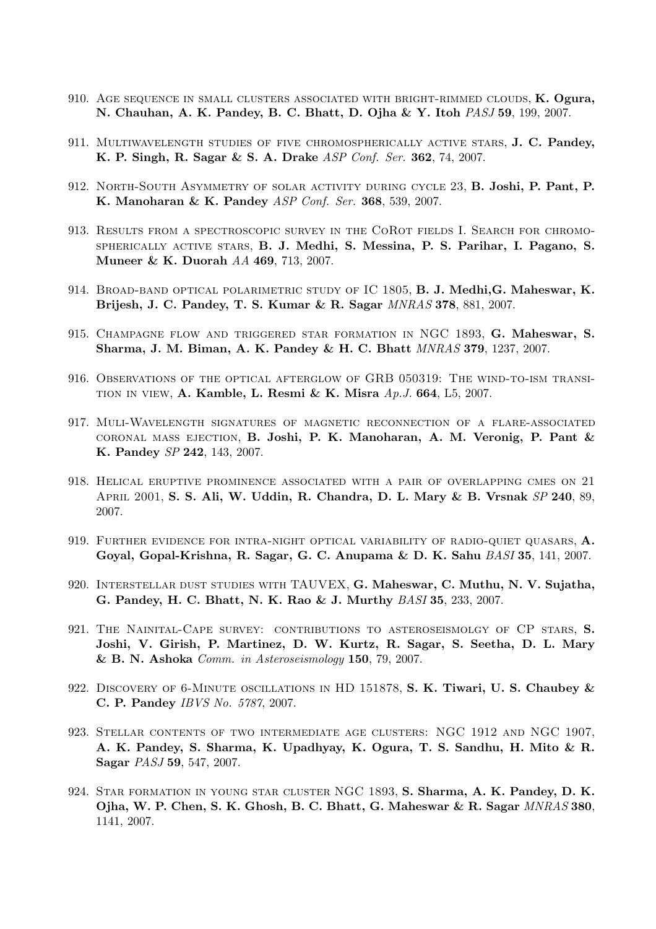- 910. Age sequence in small clusters associated with bright-rimmed clouds, K. Ogura, N. Chauhan, A. K. Pandey, B. C. Bhatt, D. Ojha & Y. Itoh PASJ 59, 199, 2007.
- 911. MULTIWAVELENGTH STUDIES OF FIVE CHROMOSPHERICALLY ACTIVE STARS, J. C. Pandey, K. P. Singh, R. Sagar & S. A. Drake ASP Conf. Ser. 362, 74, 2007.
- 912. North-South Asymmetry of solar activity during cycle 23, B. Joshi, P. Pant, P. K. Manoharan & K. Pandey ASP Conf. Ser. 368, 539, 2007.
- 913. Results from a spectroscopic survey in the CoRot fields I. Search for chromospherically active stars, B. J. Medhi, S. Messina, P. S. Parihar, I. Pagano, S. Muneer & K. Duorah AA 469, 713, 2007.
- 914. BROAD-BAND OPTICAL POLARIMETRIC STUDY OF IC 1805, B. J. Medhi, G. Maheswar, K. Brijesh, J. C. Pandey, T. S. Kumar & R. Sagar MNRAS 378, 881, 2007.
- 915. Champagne flow and triggered star formation in NGC 1893, G. Maheswar, S. Sharma, J. M. Biman, A. K. Pandey & H. C. Bhatt MNRAS 379, 1237, 2007.
- 916. Observations of the optical afterglow of GRB 050319: The wind-to-ism transi-TION IN VIEW, A. Kamble, L. Resmi & K. Misra  $Ap.J. 664$ , L5, 2007.
- 917. Muli-Wavelength signatures of magnetic reconnection of a flare-associated coronal mass ejection, B. Joshi, P. K. Manoharan, A. M. Veronig, P. Pant & K. Pandey SP 242, 143, 2007.
- 918. Helical eruptive prominence associated with a pair of overlapping cmes on 21 April 2001, S. S. Ali, W. Uddin, R. Chandra, D. L. Mary & B. Vrsnak SP 240, 89, 2007.
- 919. FURTHER EVIDENCE FOR INTRA-NIGHT OPTICAL VARIABILITY OF RADIO-QUIET QUASARS,  $\mathbf{A}$ . Goyal, Gopal-Krishna, R. Sagar, G. C. Anupama & D. K. Sahu BASI 35, 141, 2007.
- 920. Interstellar dust studies with TAUVEX, G. Maheswar, C. Muthu, N. V. Sujatha, G. Pandey, H. C. Bhatt, N. K. Rao & J. Murthy BASI 35, 233, 2007.
- 921. The Nainital-Cape survey: contributions to asteroseismolgy of CP stars, S. Joshi, V. Girish, P. Martinez, D. W. Kurtz, R. Sagar, S. Seetha, D. L. Mary & B. N. Ashoka Comm. in Asteroseismology 150, 79, 2007.
- 922. DISCOVERY OF 6-MINUTE OSCILLATIONS IN HD 151878, S. K. Tiwari, U. S. Chaubey & C. P. Pandey IBVS No. 5787, 2007.
- 923. Stellar contents of two intermediate age clusters: NGC 1912 and NGC 1907, A. K. Pandey, S. Sharma, K. Upadhyay, K. Ogura, T. S. Sandhu, H. Mito & R. Sagar PASJ 59, 547, 2007.
- 924. Star formation in young star cluster NGC 1893, S. Sharma, A. K. Pandey, D. K. Ojha, W. P. Chen, S. K. Ghosh, B. C. Bhatt, G. Maheswar & R. Sagar MNRAS 380, 1141, 2007.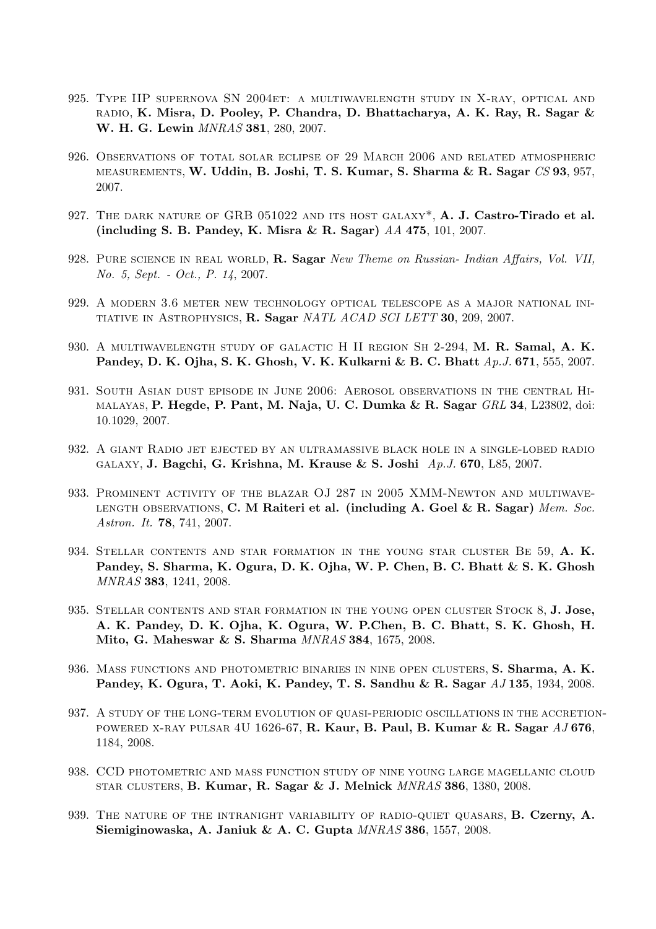- 925. Type IIP supernova SN 2004et: a multiwavelength study in X-ray, optical and radio, K. Misra, D. Pooley, P. Chandra, D. Bhattacharya, A. K. Ray, R. Sagar & W. H. G. Lewin MNRAS 381, 280, 2007.
- 926. Observations of total solar eclipse of 29 March 2006 and related atmospheric measurements, W. Uddin, B. Joshi, T. S. Kumar, S. Sharma & R. Sagar CS 93, 957, 2007.
- 927. THE DARK NATURE OF GRB 051022 AND ITS HOST GALAXY\*, A. J. Castro-Tirado et al. (including S. B. Pandey, K. Misra & R. Sagar) AA 475, 101, 2007.
- 928. PURE SCIENCE IN REAL WORLD, R. Sagar New Theme on Russian- Indian Affairs, Vol. VII, No. 5, Sept. - Oct., P. 14, 2007.
- 929. A modern 3.6 meter new technology optical telescope as a major national initiative in Astrophysics, R. Sagar NATL ACAD SCI LETT 30, 209, 2007.
- 930. A MULTIWAVELENGTH STUDY OF GALACTIC H II REGION SH 2-294, M. R. Samal, A. K. Pandey, D. K. Ojha, S. K. Ghosh, V. K. Kulkarni & B. C. Bhatt Ap. J. 671, 555, 2007.
- 931. South Asian dust episode in June 2006: Aerosol observations in the central Hi-MALAYAS, P. Hegde, P. Pant, M. Naja, U. C. Dumka  $\&$  R. Sagar  $GRL$  34, L23802, doi: 10.1029, 2007.
- 932. A giant Radio jet ejected by an ultramassive black hole in a single-lobed radio galaxy, J. Bagchi, G. Krishna, M. Krause & S. Joshi Ap.J. 670, L85, 2007.
- 933. Prominent activity of the blazar OJ 287 in 2005 XMM-Newton and multiwave-LENGTH OBSERVATIONS, C. M Raiteri et al. (including A. Goel & R. Sagar) Mem. Soc. Astron. It. **78**, 741, 2007.
- 934. STELLAR CONTENTS AND STAR FORMATION IN THE YOUNG STAR CLUSTER BE 59, A. K. Pandey, S. Sharma, K. Ogura, D. K. Ojha, W. P. Chen, B. C. Bhatt & S. K. Ghosh MNRAS 383, 1241, 2008.
- 935. STELLAR CONTENTS AND STAR FORMATION IN THE YOUNG OPEN CLUSTER STOCK 8, J. Jose, A. K. Pandey, D. K. Ojha, K. Ogura, W. P.Chen, B. C. Bhatt, S. K. Ghosh, H. Mito, G. Maheswar & S. Sharma MNRAS 384, 1675, 2008.
- 936. MASS FUNCTIONS AND PHOTOMETRIC BINARIES IN NINE OPEN CLUSTERS, S. Sharma, A. K. Pandey, K. Ogura, T. Aoki, K. Pandey, T. S. Sandhu & R. Sagar  $AJ135$ , 1934, 2008.
- 937. A study of the long-term evolution of quasi-periodic oscillations in the accretion-POWERED X-RAY PULSAR 4U 1626-67, R. Kaur, B. Paul, B. Kumar & R. Sagar  $AJ$  676, 1184, 2008.
- 938. CCD photometric and mass function study of nine young large magellanic cloud STAR CLUSTERS, B. Kumar, R. Sagar & J. Melnick  $MNRAS$  386, 1380, 2008.
- 939. THE NATURE OF THE INTRANIGHT VARIABILITY OF RADIO-QUIET QUASARS, **B. Czerny, A.** Siemiginowaska, A. Janiuk & A. C. Gupta MNRAS 386, 1557, 2008.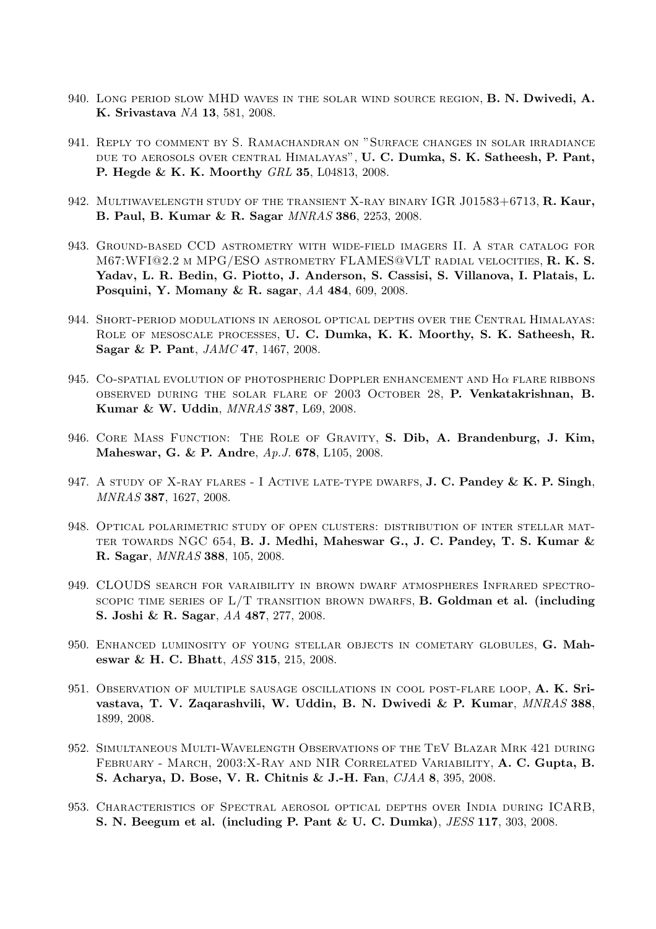- 940. LONG PERIOD SLOW MHD WAVES IN THE SOLAR WIND SOURCE REGION, **B. N. Dwivedi, A.** K. Srivastava NA 13, 581, 2008.
- 941. Reply to comment by S. Ramachandran on "Surface changes in solar irradiance due to aerosols over central Himalayas", U. C. Dumka, S. K. Satheesh, P. Pant, P. Hegde & K. K. Moorthy GRL 35, L04813, 2008.
- 942. MULTIWAVELENGTH STUDY OF THE TRANSIENT X-RAY BINARY IGR J01583+6713, R. Kaur, B. Paul, B. Kumar & R. Sagar MNRAS 386, 2253, 2008.
- 943. Ground-based CCD astrometry with wide-field imagers II. A star catalog for M67:WFI@2.2 m MPG/ESO astrometry FLAMES@VLT radial velocities, R. K. S. Yadav, L. R. Bedin, G. Piotto, J. Anderson, S. Cassisi, S. Villanova, I. Platais, L. Posquini, Y. Momany & R. sagar, AA 484, 609, 2008.
- 944. Short-period modulations in aerosol optical depths over the Central Himalayas: Role of mesoscale processes, U. C. Dumka, K. K. Moorthy, S. K. Satheesh, R. Sagar & P. Pant, JAMC 47, 1467, 2008.
- 945. CO-SPATIAL EVOLUTION OF PHOTOSPHERIC DOPPLER ENHANCEMENT AND  $H\alpha$  flare ribbons observed during the solar flare of 2003 October 28, P. Venkatakrishnan, B. Kumar & W. Uddin, MNRAS 387, L69, 2008.
- 946. Core Mass Function: The Role of Gravity, S. Dib, A. Brandenburg, J. Kim, Maheswar, G. & P. Andre, Ap.J. 678, L105, 2008.
- 947. A STUDY OF X-RAY FLARES I ACTIVE LATE-TYPE DWARFS, **J. C. Pandey & K. P. Singh**, MNRAS 387, 1627, 2008.
- 948. Optical polarimetric study of open clusters: distribution of inter stellar mat-TER TOWARDS NGC 654, B. J. Medhi, Maheswar G., J. C. Pandey, T. S. Kumar  $\&$ R. Sagar, MNRAS 388, 105, 2008.
- 949. CLOUDS search for varaibility in brown dwarf atmospheres Infrared spectro-SCOPIC TIME SERIES OF  $L/T$  transition brown dwarfs, **B. Goldman et al. (including** S. Joshi & R. Sagar, AA 487, 277, 2008.
- 950. ENHANCED LUMINOSITY OF YOUNG STELLAR OBJECTS IN COMETARY GLOBULES, G. Maheswar & H. C. Bhatt, ASS 315, 215, 2008.
- 951. Observation of multiple sausage oscillations in cool post-flare loop, A. K. Srivastava, T. V. Zaqarashvili, W. Uddin, B. N. Dwivedi & P. Kumar, MNRAS 388, 1899, 2008.
- 952. Simultaneous Multi-Wavelength Observations of the TeV Blazar Mrk 421 during February - March, 2003:X-Ray and NIR Correlated Variability, A. C. Gupta, B. S. Acharya, D. Bose, V. R. Chitnis & J.-H. Fan, CJAA 8, 395, 2008.
- 953. Characteristics of Spectral aerosol optical depths over India during ICARB, S. N. Beegum et al. (including P. Pant & U. C. Dumka), JESS 117, 303, 2008.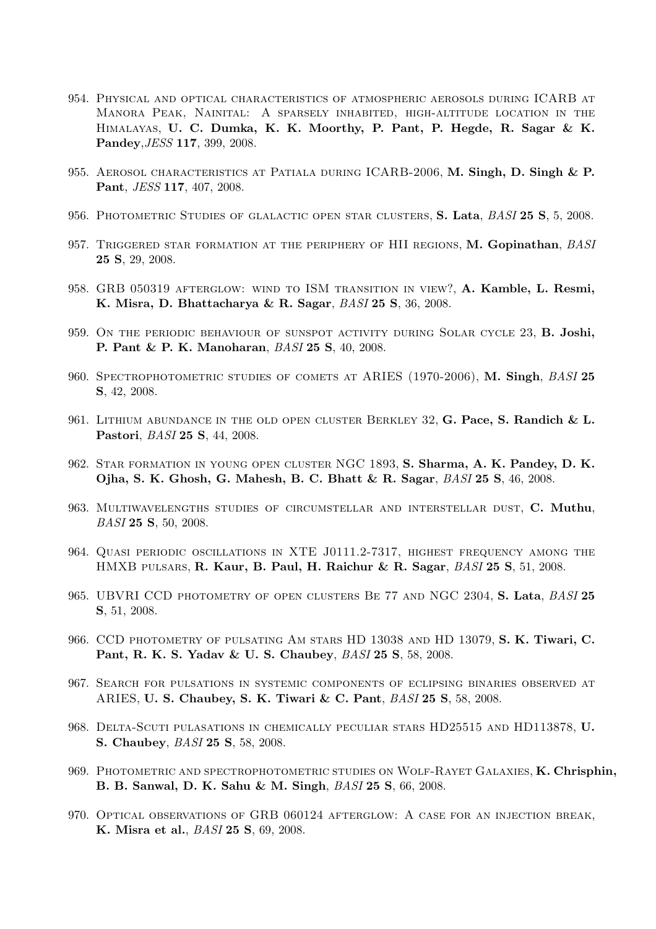- 954. Physical and optical characteristics of atmospheric aerosols during ICARB at Manora Peak, Nainital: A sparsely inhabited, high-altitude location in the Himalayas, U. C. Dumka, K. K. Moorthy, P. Pant, P. Hegde, R. Sagar & K. Pandey,JESS 117, 399, 2008.
- 955. AEROSOL CHARACTERISTICS AT PATIALA DURING ICARB-2006, M. Singh, D. Singh & P. Pant, JESS 117, 407, 2008.
- 956. PHOTOMETRIC STUDIES OF GLALACTIC OPEN STAR CLUSTERS, S. Lata, BASI 25 S, 5, 2008.
- 957. TRIGGERED STAR FORMATION AT THE PERIPHERY OF HII REGIONS, M. Gopinathan, BASI 25 S, 29, 2008.
- 958. GRB 050319 AFTERGLOW: WIND TO ISM TRANSITION IN VIEW?, A. Kamble, L. Resmi, K. Misra, D. Bhattacharya & R. Sagar, BASI 25 S, 36, 2008.
- 959. On the periodic behaviour of sunspot activity during Solar cycle 23, B. Joshi, P. Pant & P. K. Manoharan, BASI 25 S, 40, 2008.
- 960. SPECTROPHOTOMETRIC STUDIES OF COMETS AT ARIES (1970-2006), M. Singh, BASI 25 S, 42, 2008.
- 961. LITHIUM ABUNDANCE IN THE OLD OPEN CLUSTER BERKLEY 32, G. Pace, S. Randich & L. Pastori, BASI 25 S, 44, 2008.
- 962. Star formation in young open cluster NGC 1893, S. Sharma, A. K. Pandey, D. K. Ojha, S. K. Ghosh, G. Mahesh, B. C. Bhatt & R. Sagar, BASI 25 S, 46, 2008.
- 963. MULTIWAVELENGTHS STUDIES OF CIRCUMSTELLAR AND INTERSTELLAR DUST, C. Muthu, BASI 25 S, 50, 2008.
- 964. Quasi periodic oscillations in XTE J0111.2-7317, highest frequency among the HMXB PULSARS, R. Kaur, B. Paul, H. Raichur & R. Sagar, BASI 25 S, 51, 2008.
- 965. UBVRI CCD PHOTOMETRY OF OPEN CLUSTERS BE 77 AND NGC 2304, S. Lata, BASI 25 S, 51, 2008.
- 966. CCD PHOTOMETRY OF PULSATING AM STARS HD 13038 AND HD 13079, S. K. Tiwari, C. Pant, R. K. S. Yadav & U. S. Chaubey, BASI 25 S, 58, 2008.
- 967. Search for pulsations in systemic components of eclipsing binaries observed at ARIES, U. S. Chaubey, S. K. Tiwari & C. Pant, BASI 25 S, 58, 2008.
- 968. Delta-Scuti pulasations in chemically peculiar stars HD25515 and HD113878, U. S. Chaubey, BASI 25 S, 58, 2008.
- 969. Photometric and spectrophotometric studies on Wolf-Rayet Galaxies, K. Chrisphin, B. B. Sanwal, D. K. Sahu & M. Singh, BASI 25 S, 66, 2008.
- 970. Optical observations of GRB 060124 afterglow: A case for an injection break, K. Misra et al., BASI 25 S, 69, 2008.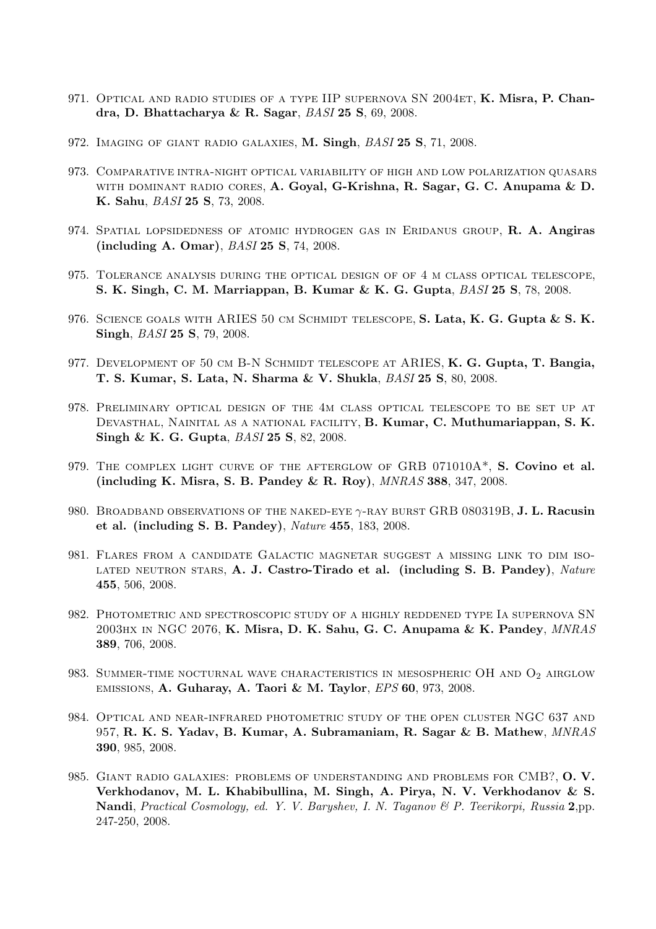- 971. OPTICAL AND RADIO STUDIES OF A TYPE IIP SUPERNOVA SN 2004ET, **K. Misra, P. Chan**dra, D. Bhattacharya & R. Sagar, BASI 25 S, 69, 2008.
- 972. IMAGING OF GIANT RADIO GALAXIES, M. Singh, BASI 25 S, 71, 2008.
- 973. Comparative intra-night optical variability of high and low polarization quasars WITH DOMINANT RADIO CORES, A. Goyal, G-Krishna, R. Sagar, G. C. Anupama & D. K. Sahu, BASI 25 S, 73, 2008.
- 974. SPATIAL LOPSIDEDNESS OF ATOMIC HYDROGEN GAS IN ERIDANUS GROUP, R. A. Angiras (including A. Omar), BASI 25 S, 74, 2008.
- 975. Tolerance analysis during the optical design of of 4 m class optical telescope, S. K. Singh, C. M. Marriappan, B. Kumar & K. G. Gupta, BASI 25 S, 78, 2008.
- 976. SCIENCE GOALS WITH ARIES 50 CM SCHMIDT TELESCOPE, S. Lata, K. G. Gupta & S. K. Singh, *BASI* 25 S, 79, 2008.
- 977. DEVELOPMENT OF 50 CM B-N SCHMIDT TELESCOPE AT ARIES, K. G. Gupta, T. Bangia, T. S. Kumar, S. Lata, N. Sharma & V. Shukla, BASI 25 S, 80, 2008.
- 978. Preliminary optical design of the 4m class optical telescope to be set up at Devasthal, Nainital as a national facility, B. Kumar, C. Muthumariappan, S. K. Singh & K. G. Gupta, *BASI* 25 S, 82, 2008.
- 979. THE COMPLEX LIGHT CURVE OF THE AFTERGLOW OF GRB 071010A<sup>\*</sup>, S. Covino et al. (including K. Misra, S. B. Pandey & R. Roy), MNRAS 388, 347, 2008.
- 980. BROADBAND OBSERVATIONS OF THE NAKED-EYE  $\gamma$ -RAY BURST GRB 080319B, J. L. Racusin et al. (including S. B. Pandey), Nature 455, 183, 2008.
- 981. Flares from a candidate Galactic magnetar suggest a missing link to dim iso-LATED NEUTRON STARS, A. J. Castro-Tirado et al. (including S. B. Pandey), Nature 455, 506, 2008.
- 982. Photometric and spectroscopic study of a highly reddened type Ia supernova SN 2003hx in NGC 2076, K. Misra, D. K. Sahu, G. C. Anupama & K. Pandey, MNRAS 389, 706, 2008.
- 983. SUMMER-TIME NOCTURNAL WAVE CHARACTERISTICS IN MESOSPHERIC OH AND  $O_2$  AIRGLOW emissions, A. Guharay, A. Taori & M. Taylor, EPS 60, 973, 2008.
- 984. Optical and near-infrared photometric study of the open cluster NGC 637 and 957, R. K. S. Yadav, B. Kumar, A. Subramaniam, R. Sagar & B. Mathew, MNRAS 390, 985, 2008.
- 985. GIANT RADIO GALAXIES: PROBLEMS OF UNDERSTANDING AND PROBLEMS FOR CMB?, O.V. Verkhodanov, M. L. Khabibullina, M. Singh, A. Pirya, N. V. Verkhodanov & S. Nandi, Practical Cosmology, ed. Y. V. Baryshev, I. N. Taganov & P. Teerikorpi, Russia 2,pp. 247-250, 2008.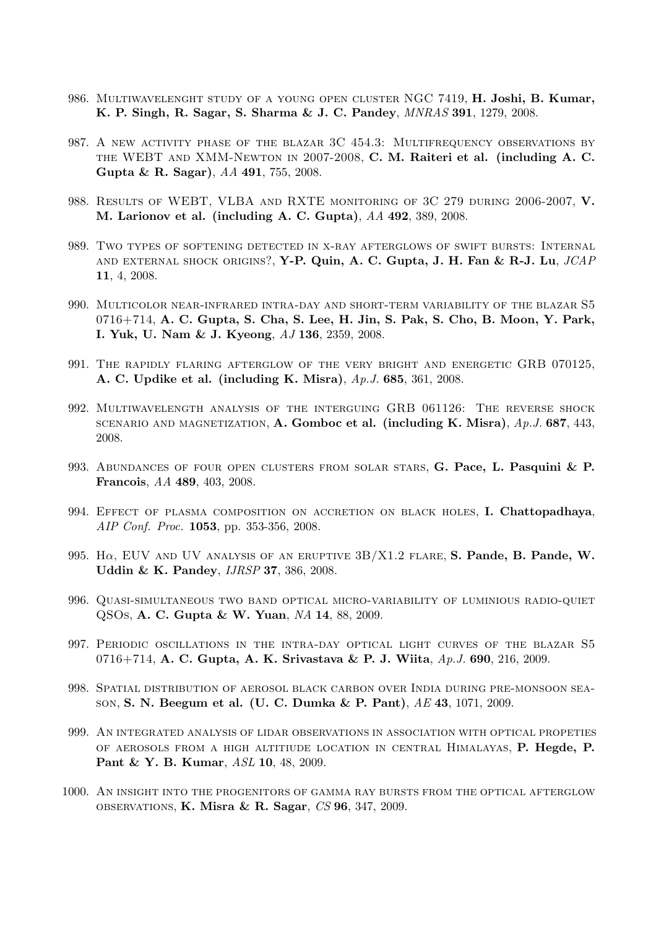- 986. MULTIWAVELENGHT STUDY OF A YOUNG OPEN CLUSTER NGC 7419, H. Joshi, B. Kumar, K. P. Singh, R. Sagar, S. Sharma & J. C. Pandey, MNRAS 391, 1279, 2008.
- 987. A new activity phase of the blazar 3C 454.3: Multifrequency observations by the WEBT and XMM-Newton in 2007-2008, C. M. Raiteri et al. (including A. C. Gupta & R. Sagar), AA 491, 755, 2008.
- 988. RESULTS OF WEBT, VLBA AND RXTE MONITORING OF 3C 279 DURING 2006-2007, V. M. Larionov et al. (including A. C. Gupta), AA 492, 389, 2008.
- 989. Two types of softening detected in x-ray afterglows of swift bursts: Internal and external shock origins?, Y-P. Quin, A. C. Gupta, J. H. Fan & R-J. Lu, JCAP 11, 4, 2008.
- 990. Multicolor near-infrared intra-day and short-term variability of the blazar S5 0716+714, A. C. Gupta, S. Cha, S. Lee, H. Jin, S. Pak, S. Cho, B. Moon, Y. Park, I. Yuk, U. Nam & J. Kyeong, AJ 136, 2359, 2008.
- 991. The rapidly flaring afterglow of the very bright and energetic GRB 070125, A. C. Updike et al. (including K. Misra), Ap.J. 685, 361, 2008.
- 992. Multiwavelength analysis of the interguing GRB 061126: The reverse shock SCENARIO AND MAGNETIZATION, A. Gomboc et al. (including K. Misra),  $Ap.J. 687, 443$ , 2008.
- 993. ABUNDANCES OF FOUR OPEN CLUSTERS FROM SOLAR STARS, G. Pace, L. Pasquini & P. Francois, AA 489, 403, 2008.
- 994. EFFECT OF PLASMA COMPOSITION ON ACCRETION ON BLACK HOLES, I. Chattopadhaya, AIP Conf. Proc. 1053, pp. 353-356, 2008.
- 995. H $\alpha$ , EUV AND UV ANALYSIS OF AN ERUPTIVE  $3B/X1.2$  FLARE, S. Pande, B. Pande, W. Uddin & K. Pandey, IJRSP 37, 386, 2008.
- 996. Quasi-simultaneous two band optical micro-variability of luminious radio-quiet QSOs, A. C. Gupta & W. Yuan, NA 14, 88, 2009.
- 997. Periodic oscillations in the intra-day optical light curves of the blazar S5 0716+714, A. C. Gupta, A. K. Srivastava & P. J. Wiita, Ap.J. 690, 216, 2009.
- 998. Spatial distribution of aerosol black carbon over India during pre-monsoon season, S. N. Beegum et al. (U. C. Dumka & P. Pant), AE 43, 1071, 2009.
- 999. An integrated analysis of lidar observations in association with optical propeties of aerosols from a high altitiude location in central Himalayas, P. Hegde, P. Pant & Y. B. Kumar, ASL 10, 48, 2009.
- 1000. An insight into the progenitors of gamma ray bursts from the optical afterglow observations, K. Misra & R. Sagar, CS 96, 347, 2009.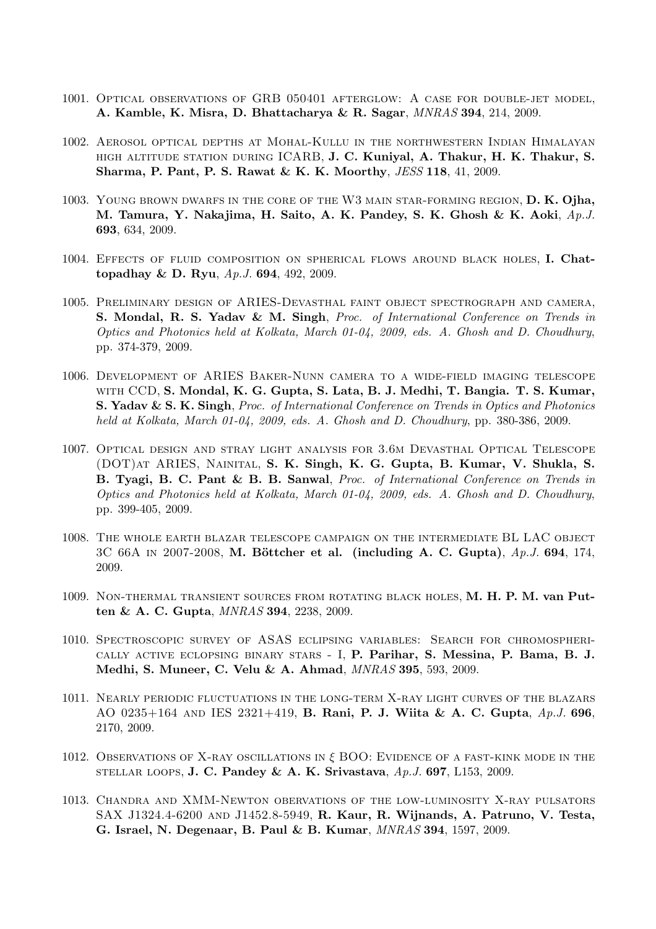- 1001. Optical observations of GRB 050401 afterglow: A case for double-jet model, A. Kamble, K. Misra, D. Bhattacharya & R. Sagar, MNRAS 394, 214, 2009.
- 1002. Aerosol optical depths at Mohal-Kullu in the northwestern Indian Himalayan high altitude station during ICARB, J. C. Kuniyal, A. Thakur, H. K. Thakur, S. Sharma, P. Pant, P. S. Rawat & K. K. Moorthy, JESS 118, 41, 2009.
- 1003. YOUNG BROWN DWARFS IN THE CORE OF THE W3 MAIN STAR-FORMING REGION, D. K. Ojha, M. Tamura, Y. Nakajima, H. Saito, A. K. Pandey, S. K. Ghosh & K. Aoki, Ap.J. 693, 634, 2009.
- 1004. Effects of fluid composition on spherical flows around black holes, I. Chattopadhay & D. Ryu, Ap.J. 694, 492, 2009.
- 1005. Preliminary design of ARIES-Devasthal faint object spectrograph and camera, S. Mondal, R. S. Yadav & M. Singh, Proc. of International Conference on Trends in Optics and Photonics held at Kolkata, March 01-04, 2009, eds. A. Ghosh and D. Choudhury, pp. 374-379, 2009.
- 1006. Development of ARIES Baker-Nunn camera to a wide-field imaging telescope with CCD, S. Mondal, K. G. Gupta, S. Lata, B. J. Medhi, T. Bangia. T. S. Kumar, S. Yadav & S. K. Singh, Proc. of International Conference on Trends in Optics and Photonics held at Kolkata, March 01-04, 2009, eds. A. Ghosh and D. Choudhury, pp. 380-386, 2009.
- 1007. Optical design and stray light analysis for 3.6m Devasthal Optical Telescope (DOT)at ARIES, Nainital, S. K. Singh, K. G. Gupta, B. Kumar, V. Shukla, S. B. Tyagi, B. C. Pant & B. B. Sanwal, Proc. of International Conference on Trends in Optics and Photonics held at Kolkata, March 01-04, 2009, eds. A. Ghosh and D. Choudhury, pp. 399-405, 2009.
- 1008. The whole earth blazar telescope campaign on the intermediate BL LAC object 3C 66A IN 2007-2008, M. Böttcher et al. (including A. C. Gupta),  $Ap.J.$  694, 174, 2009.
- 1009. Non-thermal transient sources from rotating black holes, M. H. P. M. van Putten & A. C. Gupta, MNRAS 394, 2238, 2009.
- 1010. Spectroscopic survey of ASAS eclipsing variables: Search for chromospherically active eclopsing binary stars - I, P. Parihar, S. Messina, P. Bama, B. J. Medhi, S. Muneer, C. Velu & A. Ahmad, MNRAS 395, 593, 2009.
- 1011. Nearly periodic fluctuations in the long-term X-ray light curves of the blazars AO 0235+164 AND IES 2321+419, **B. Rani, P. J. Wiita & A. C. Gupta**,  $Ap.J.$  696, 2170, 2009.
- 1012. Observations of X-ray oscillations in  $\xi$  BOO: Evidence of a fast-kink mode in the STELLAR LOOPS, J. C. Pandey & A. K. Srivastava,  $Ap.J.$  697, L153, 2009.
- 1013. Chandra and XMM-Newton obervations of the low-luminosity X-ray pulsators SAX J1324.4-6200 and J1452.8-5949, R. Kaur, R. Wijnands, A. Patruno, V. Testa, G. Israel, N. Degenaar, B. Paul & B. Kumar, MNRAS 394, 1597, 2009.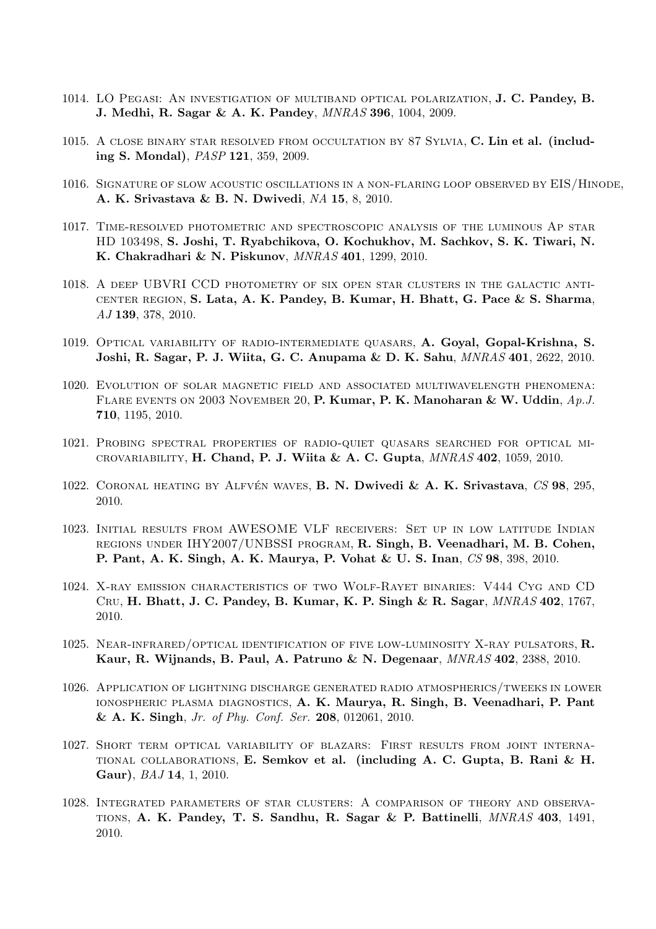- 1014. LO Pegasi: An investigation of multiband optical polarization, J. C. Pandey, B. J. Medhi, R. Sagar & A. K. Pandey, MNRAS 396, 1004, 2009.
- 1015. A close binary star resolved from occultation by 87 Sylvia, C. Lin et al. (including S. Mondal), PASP 121, 359, 2009.
- 1016. Signature of slow acoustic oscillations in a non-flaring loop observed by EIS/Hinode, A. K. Srivastava & B. N. Dwivedi, NA 15, 8, 2010.
- 1017. Time-resolved photometric and spectroscopic analysis of the luminous Ap star HD 103498, S. Joshi, T. Ryabchikova, O. Kochukhov, M. Sachkov, S. K. Tiwari, N. K. Chakradhari & N. Piskunov, MNRAS 401, 1299, 2010.
- 1018. A deep UBVRI CCD photometry of six open star clusters in the galactic anticenter region, S. Lata, A. K. Pandey, B. Kumar, H. Bhatt, G. Pace & S. Sharma, AJ 139, 378, 2010.
- 1019. Optical variability of radio-intermediate quasars, A. Goyal, Gopal-Krishna, S. Joshi, R. Sagar, P. J. Wiita, G. C. Anupama & D. K. Sahu, MNRAS 401, 2622, 2010.
- 1020. Evolution of solar magnetic field and associated multiwavelength phenomena: FLARE EVENTS ON 2003 NOVEMBER 20, P. Kumar, P. K. Manoharan & W. Uddin,  $Ap.J.$ 710, 1195, 2010.
- 1021. Probing spectral properties of radio-quiet quasars searched for optical mi-CROVARIABILITY, H. Chand, P. J. Wiita & A. C. Gupta,  $MNRAS$  402, 1059, 2010.
- 1022. CORONAL HEATING BY ALFVÉN WAVES, **B. N. Dwivedi & A. K. Srivastava**,  $CS$  98, 295, 2010.
- 1023. Initial results from AWESOME VLF receivers: Set up in low latitude Indian regions under IHY2007/UNBSSI program, R. Singh, B. Veenadhari, M. B. Cohen, P. Pant, A. K. Singh, A. K. Maurya, P. Vohat & U. S. Inan, CS 98, 398, 2010.
- 1024. X-ray emission characteristics of two Wolf-Rayet binaries: V444 Cyg and CD Cru, H. Bhatt, J. C. Pandey, B. Kumar, K. P. Singh & R. Sagar, MNRAS 402, 1767, 2010.
- 1025. NEAR-INFRARED/OPTICAL IDENTIFICATION OF FIVE LOW-LUMINOSITY X-RAY PULSATORS,  $\mathbf{R}$ . Kaur, R. Wijnands, B. Paul, A. Patruno & N. Degenaar, MNRAS 402, 2388, 2010.
- 1026. Application of lightning discharge generated radio atmospherics/tweeks in lower ionospheric plasma diagnostics, A. K. Maurya, R. Singh, B. Veenadhari, P. Pant & A. K. Singh, Jr. of Phy. Conf. Ser. 208, 012061, 2010.
- 1027. Short term optical variability of blazars: First results from joint international collaborations, E. Semkov et al. (including A. C. Gupta, B. Rani & H. Gaur), BAJ 14, 1, 2010.
- 1028. Integrated parameters of star clusters: A comparison of theory and observations, A. K. Pandey, T. S. Sandhu, R. Sagar & P. Battinelli, MNRAS 403, 1491, 2010.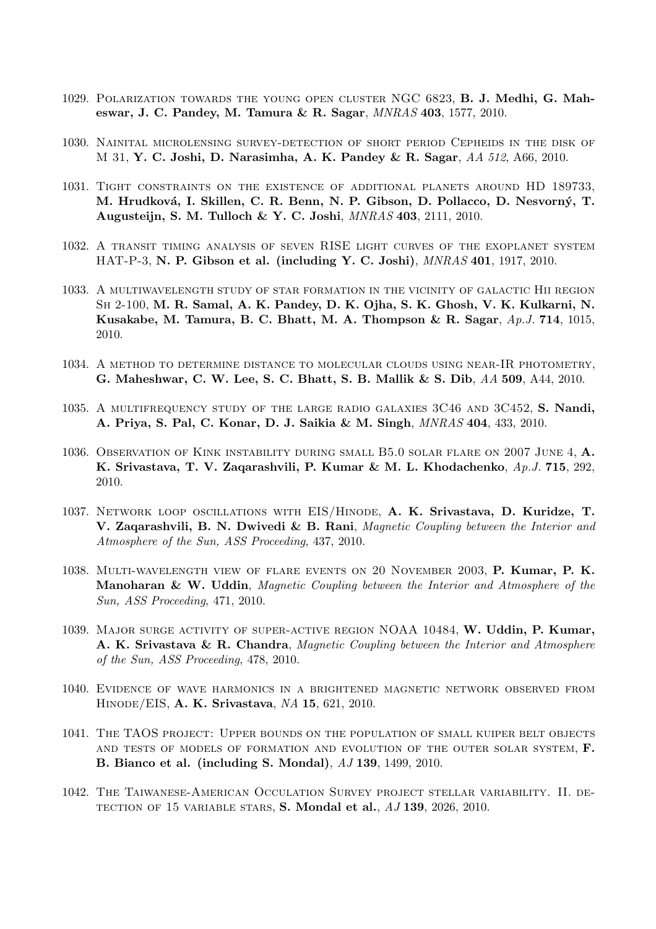- 1029. Polarization towards the young open cluster NGC 6823, B. J. Medhi, G. Maheswar, J. C. Pandey, M. Tamura & R. Sagar, MNRAS 403, 1577, 2010.
- 1030. Nainital microlensing survey-detection of short period Cepheids in the disk of M 31, Y. C. Joshi, D. Narasimha, A. K. Pandey & R. Sagar, AA 512, A66, 2010.
- 1031. Tight constraints on the existence of additional planets around HD 189733, M. Hrudková, I. Skillen, C. R. Benn, N. P. Gibson, D. Pollacco, D. Nesvorný, T. Augusteijn, S. M. Tulloch & Y. C. Joshi, MNRAS 403, 2111, 2010.
- 1032. A transit timing analysis of seven RISE light curves of the exoplanet system HAT-P-3, N. P. Gibson et al. (including Y. C. Joshi), MNRAS 401, 1917, 2010.
- 1033. A multiwavelength study of star formation in the vicinity of galactic Hii region Sh 2-100, M. R. Samal, A. K. Pandey, D. K. Ojha, S. K. Ghosh, V. K. Kulkarni, N. Kusakabe, M. Tamura, B. C. Bhatt, M. A. Thompson & R. Sagar, Ap.J. 714, 1015, 2010.
- 1034. A method to determine distance to molecular clouds using near-IR photometry, G. Maheshwar, C. W. Lee, S. C. Bhatt, S. B. Mallik & S. Dib, AA 509, A44, 2010.
- 1035. A MULTIFREQUENCY STUDY OF THE LARGE RADIO GALAXIES 3C46 AND 3C452, S. Nandi, A. Priya, S. Pal, C. Konar, D. J. Saikia & M. Singh, MNRAS 404, 433, 2010.
- 1036. Observation of Kink instability during small B5.0 solar flare on 2007 June 4, A. K. Srivastava, T. V. Zaqarashvili, P. Kumar & M. L. Khodachenko, Ap.J. 715, 292, 2010.
- 1037. Network loop oscillations with EIS/Hinode, A. K. Srivastava, D. Kuridze, T. V. Zaqarashvili, B. N. Dwivedi & B. Rani, Magnetic Coupling between the Interior and Atmosphere of the Sun, ASS Proceeding, 437, 2010.
- 1038. Multi-wavelength view of flare events on 20 November 2003, P. Kumar, P. K. Manoharan & W. Uddin, Magnetic Coupling between the Interior and Atmosphere of the Sun, ASS Proceeding, 471, 2010.
- 1039. Major surge activity of super-active region NOAA 10484, W. Uddin, P. Kumar, A. K. Srivastava & R. Chandra, Magnetic Coupling between the Interior and Atmosphere of the Sun, ASS Proceeding, 478, 2010.
- 1040. Evidence of wave harmonics in a brightened magnetic network observed from Hinode/EIS, A. K. Srivastava, NA 15, 621, 2010.
- 1041. The TAOS project: Upper bounds on the population of small kuiper belt objects and tests of models of formation and evolution of the outer solar system, F. B. Bianco et al. (including S. Mondal), AJ 139, 1499, 2010.
- 1042. The Taiwanese-American Occulation Survey project stellar variability. II. de-TECTION OF 15 VARIABLE STARS, S. Mondal et al.,  $AJ$  139, 2026, 2010.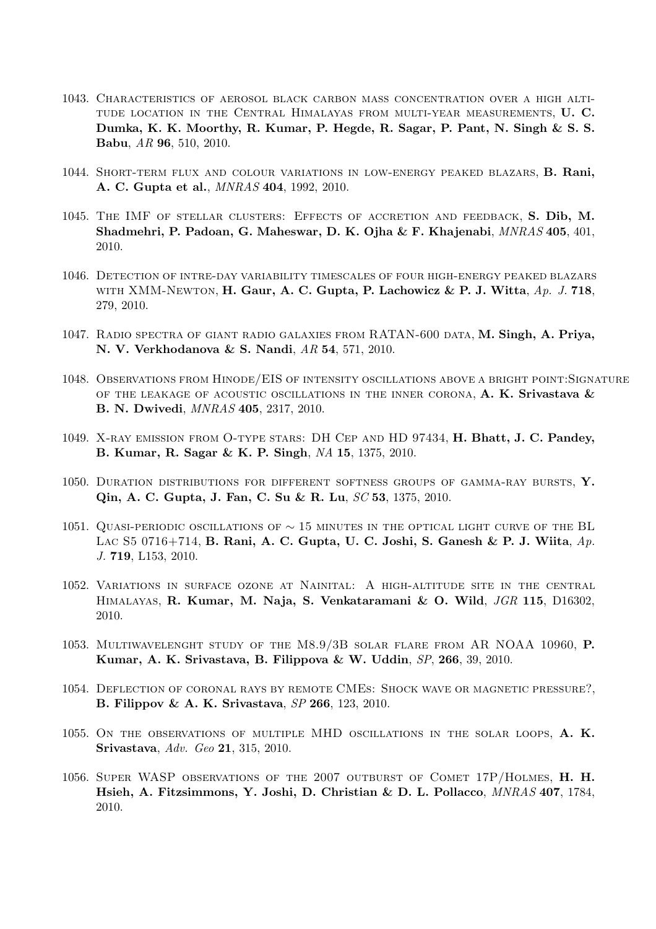- 1043. Characteristics of aerosol black carbon mass concentration over a high altitude location in the Central Himalayas from multi-year measurements, U. C. Dumka, K. K. Moorthy, R. Kumar, P. Hegde, R. Sagar, P. Pant, N. Singh & S. S. Babu, AR 96, 510, 2010.
- 1044. Short-term flux and colour variations in low-energy peaked blazars, B. Rani, A. C. Gupta et al., MNRAS 404, 1992, 2010.
- 1045. The IMF of stellar clusters: Effects of accretion and feedback, S. Dib, M. Shadmehri, P. Padoan, G. Maheswar, D. K. Ojha & F. Khajenabi, MNRAS 405, 401, 2010.
- 1046. Detection of intre-day variability timescales of four high-energy peaked blazars WITH XMM-NEWTON, H. Gaur, A. C. Gupta, P. Lachowicz & P. J. Witta,  $Ap. J. 718$ , 279, 2010.
- 1047. Radio spectra of giant radio galaxies from RATAN-600 data, M. Singh, A. Priya, N. V. Verkhodanova & S. Nandi, AR 54, 571, 2010.
- 1048. Observations from Hinode/EIS of intensity oscillations above a bright point:Signature OF THE LEAKAGE OF ACOUSTIC OSCILLATIONS IN THE INNER CORONA,  $A. K. Srivastava \&$ B. N. Dwivedi, MNRAS 405, 2317, 2010.
- 1049. X-ray emission from O-type stars: DH Cep and HD 97434, H. Bhatt, J. C. Pandey, B. Kumar, R. Sagar & K. P. Singh, NA 15, 1375, 2010.
- 1050. DURATION DISTRIBUTIONS FOR DIFFERENT SOFTNESS GROUPS OF GAMMA-RAY BURSTS, Y. Qin, A. C. Gupta, J. Fan, C. Su & R. Lu, SC 53, 1375, 2010.
- 1051. QUASI-PERIODIC OSCILLATIONS OF  $\sim$  15 MINUTES IN THE OPTICAL LIGHT CURVE OF THE BL LAC S5 0716+714, B. Rani, A. C. Gupta, U. C. Joshi, S. Ganesh & P. J. Wiita,  $Ap$ . J. 719, L153, 2010.
- 1052. Variations in surface ozone at Nainital: A high-altitude site in the central Himalayas, R. Kumar, M. Naja, S. Venkataramani & O. Wild, JGR 115, D16302, 2010.
- 1053. Multiwavelenght study of the M8.9/3B solar flare from AR NOAA 10960, P. Kumar, A. K. Srivastava, B. Filippova & W. Uddin, SP, 266, 39, 2010.
- 1054. Deflection of coronal rays by remote CMEs: Shock wave or magnetic pressure?, B. Filippov & A. K. Srivastava, SP 266, 123, 2010.
- 1055. On the observations of multiple MHD oscillations in the solar loops, A. K. Srivastava, Adv. Geo 21, 315, 2010.
- 1056. Super WASP observations of the 2007 outburst of Comet 17P/Holmes, H. H. Hsieh, A. Fitzsimmons, Y. Joshi, D. Christian & D. L. Pollacco, MNRAS 407, 1784, 2010.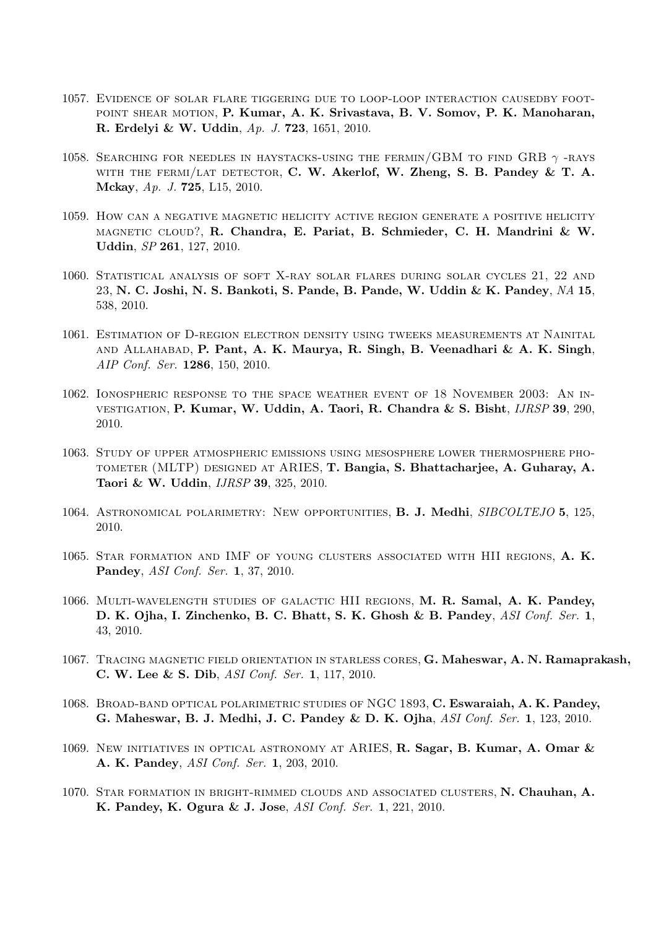- 1057. Evidence of solar flare tiggering due to loop-loop interaction causedby foot-POINT SHEAR MOTION, P. Kumar, A. K. Srivastava, B. V. Somov, P. K. Manoharan, R. Erdelyi & W. Uddin, Ap. J. 723, 1651, 2010.
- 1058. SEARCHING FOR NEEDLES IN HAYSTACKS-USING THE FERMIN/GBM TO FIND GRB  $\gamma$ -RAYS WITH THE FERMI/LAT DETECTOR, C. W. Akerlof, W. Zheng, S. B. Pandey & T. A. Mckay, Ap. J. 725, L15, 2010.
- 1059. How can a negative magnetic helicity active region generate a positive helicity magnetic cloud?, R. Chandra, E. Pariat, B. Schmieder, C. H. Mandrini & W. Uddin, SP 261, 127, 2010.
- 1060. Statistical analysis of soft X-ray solar flares during solar cycles 21, 22 and 23, N. C. Joshi, N. S. Bankoti, S. Pande, B. Pande, W. Uddin & K. Pandey, NA 15, 538, 2010.
- 1061. Estimation of D-region electron density using tweeks measurements at Nainital and Allahabad, P. Pant, A. K. Maurya, R. Singh, B. Veenadhari & A. K. Singh, AIP Conf. Ser. 1286, 150, 2010.
- 1062. Ionospheric response to the space weather event of 18 November 2003: An investigation, P. Kumar, W. Uddin, A. Taori, R. Chandra & S. Bisht, IJRSP 39, 290, 2010.
- 1063. Study of upper atmospheric emissions using mesosphere lower thermosphere photometer (MLTP) designed at ARIES, T. Bangia, S. Bhattacharjee, A. Guharay, A. Taori & W. Uddin, IJRSP 39, 325, 2010.
- 1064. ASTRONOMICAL POLARIMETRY: NEW OPPORTUNITIES, B. J. Medhi, SIBCOLTEJO 5, 125, 2010.
- 1065. Star formation and IMF of young clusters associated with HII regions, A. K. Pandey, ASI Conf. Ser. 1, 37, 2010.
- 1066. Multi-wavelength studies of galactic HII regions, M. R. Samal, A. K. Pandey, D. K. Ojha, I. Zinchenko, B. C. Bhatt, S. K. Ghosh & B. Pandey, ASI Conf. Ser. 1, 43, 2010.
- 1067. TRACING MAGNETIC FIELD ORIENTATION IN STARLESS CORES, G. Maheswar, A. N. Ramaprakash, C. W. Lee & S. Dib, ASI Conf. Ser. 1, 117, 2010.
- 1068. Broad-band optical polarimetric studies of NGC 1893, C. Eswaraiah, A. K. Pandey, G. Maheswar, B. J. Medhi, J. C. Pandey & D. K. Ojha, ASI Conf. Ser. 1, 123, 2010.
- 1069. New initiatives in optical astronomy at ARIES, R. Sagar, B. Kumar, A. Omar & A. K. Pandey, ASI Conf. Ser. 1, 203, 2010.
- 1070. Star formation in bright-rimmed clouds and associated clusters, N. Chauhan, A. K. Pandey, K. Ogura & J. Jose, ASI Conf. Ser. 1, 221, 2010.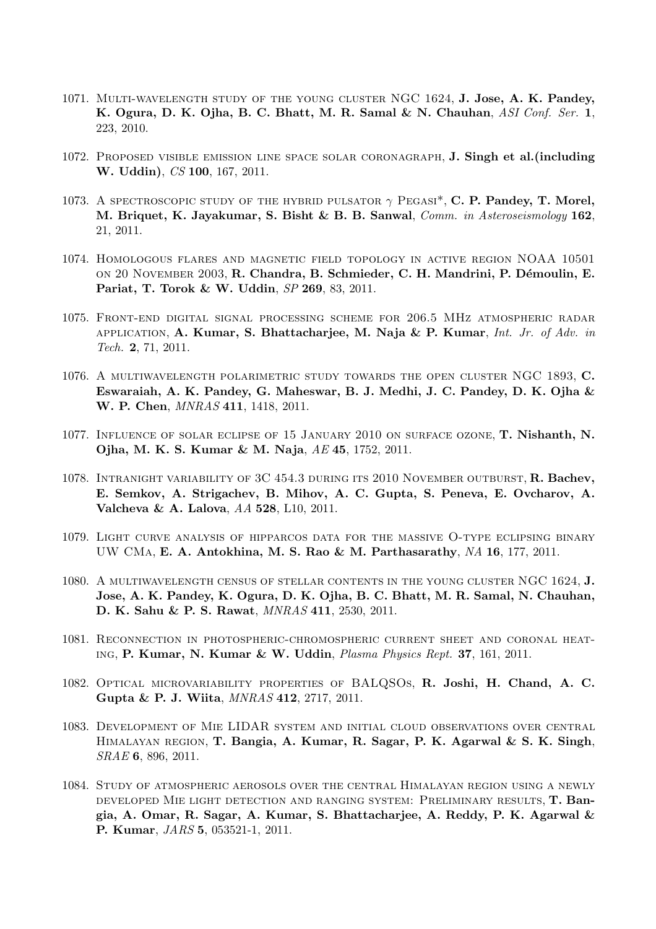- 1071. Multi-wavelength study of the young cluster NGC 1624, J. Jose, A. K. Pandey, K. Ogura, D. K. Ojha, B. C. Bhatt, M. R. Samal & N. Chauhan, ASI Conf. Ser. 1, 223, 2010.
- 1072. Proposed visible emission line space solar coronagraph, J. Singh et al.(including W. Uddin), CS 100, 167, 2011.
- 1073. A SPECTROSCOPIC STUDY OF THE HYBRID PULSATOR  $\gamma$  PEGASI<sup>\*</sup>, C. P. Pandey, T. Morel, M. Briquet, K. Jayakumar, S. Bisht & B. B. Sanwal, Comm. in Asteroseismology 162, 21, 2011.
- 1074. Homologous flares and magnetic field topology in active region NOAA 10501 ON 20 NOVEMBER 2003, R. Chandra, B. Schmieder, C. H. Mandrini, P. Démoulin, E. Pariat, T. Torok & W. Uddin, SP 269, 83, 2011.
- 1075. Front-end digital signal processing scheme for 206.5 MHz atmospheric radar APPLICATION, A. Kumar, S. Bhattacharjee, M. Naja & P. Kumar, Int. Jr. of Adv. in Tech. 2, 71, 2011.
- 1076. A multiwavelength polarimetric study towards the open cluster NGC 1893, C. Eswaraiah, A. K. Pandey, G. Maheswar, B. J. Medhi, J. C. Pandey, D. K. Ojha & W. P. Chen, MNRAS 411, 1418, 2011.
- 1077. Influence of solar eclipse of 15 January 2010 on surface ozone, T. Nishanth, N. Ojha, M. K. S. Kumar & M. Naja, AE 45, 1752, 2011.
- 1078. Intranight variability of 3C 454.3 during its 2010 November outburst, R. Bachev, E. Semkov, A. Strigachev, B. Mihov, A. C. Gupta, S. Peneva, E. Ovcharov, A. Valcheva & A. Lalova, AA 528, L10, 2011.
- 1079. Light curve analysis of hipparcos data for the massive O-type eclipsing binary UW CMa, E. A. Antokhina, M. S. Rao & M. Parthasarathy, NA 16, 177, 2011.
- 1080. A multiwavelength census of stellar contents in the young cluster NGC 1624, J. Jose, A. K. Pandey, K. Ogura, D. K. Ojha, B. C. Bhatt, M. R. Samal, N. Chauhan, D. K. Sahu & P. S. Rawat, MNRAS 411, 2530, 2011.
- 1081. Reconnection in photospheric-chromospheric current sheet and coronal heating, P. Kumar, N. Kumar & W. Uddin, Plasma Physics Rept. 37, 161, 2011.
- 1082. Optical microvariability properties of BALQSOs, R. Joshi, H. Chand, A. C. Gupta & P. J. Wiita, MNRAS 412, 2717, 2011.
- 1083. Development of Mie LIDAR system and initial cloud observations over central HIMALAYAN REGION, T. Bangia, A. Kumar, R. Sagar, P. K. Agarwal & S. K. Singh, SRAE 6, 896, 2011.
- 1084. Study of atmospheric aerosols over the central Himalayan region using a newly developed Mie light detection and ranging system: Preliminary results, T. Bangia, A. Omar, R. Sagar, A. Kumar, S. Bhattacharjee, A. Reddy, P. K. Agarwal & P. Kumar, JARS 5, 053521-1, 2011.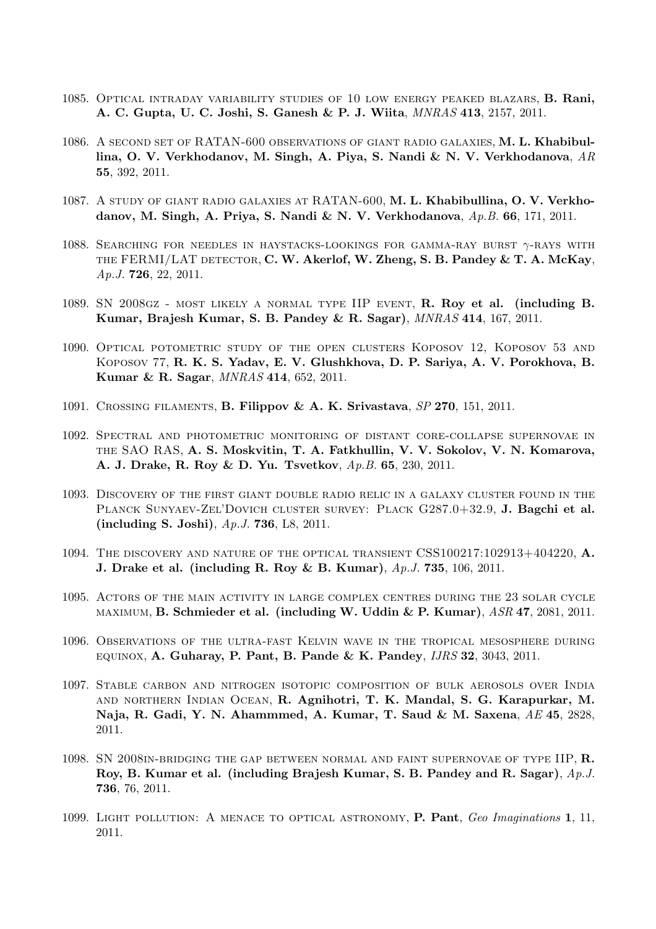- 1085. Optical intraday variability studies of 10 low energy peaked blazars, B. Rani, A. C. Gupta, U. C. Joshi, S. Ganesh & P. J. Wiita, MNRAS 413, 2157, 2011.
- 1086. A second set of RATAN-600 observations of giant radio galaxies, M. L. Khabibullina, O. V. Verkhodanov, M. Singh, A. Piya, S. Nandi & N. V. Verkhodanova, AR 55, 392, 2011.
- 1087. A study of giant radio galaxies at RATAN-600, M. L. Khabibullina, O. V. Verkhodanov, M. Singh, A. Priya, S. Nandi & N. V. Verkhodanova,  $Ap.B. 66$ , 171, 2011.
- 1088. SEARCHING FOR NEEDLES IN HAYSTACKS-LOOKINGS FOR GAMMA-RAY BURST  $\gamma$ -RAYS WITH THE FERMI/LAT DETECTOR, C. W. Akerlof, W. Zheng, S. B. Pandey  $\&$  T. A. McKay, Ap.J. 726, 22, 2011.
- 1089. SN 2008gz most likely a normal type IIP event, R. Roy et al. (including B. Kumar, Brajesh Kumar, S. B. Pandey & R. Sagar), MNRAS 414, 167, 2011.
- 1090. Optical potometric study of the open clusters Koposov 12, Koposov 53 and Koposov 77, R. K. S. Yadav, E. V. Glushkhova, D. P. Sariya, A. V. Porokhova, B. Kumar & R. Sagar, MNRAS 414, 652, 2011.
- 1091. Crossing filaments, B. Filippov & A. K. Srivastava, SP 270, 151, 2011.
- 1092. Spectral and photometric monitoring of distant core-collapse supernovae in the SAO RAS, A. S. Moskvitin, T. A. Fatkhullin, V. V. Sokolov, V. N. Komarova, A. J. Drake, R. Roy & D. Yu. Tsvetkov, Ap.B. 65, 230, 2011.
- 1093. Discovery of the first giant double radio relic in a galaxy cluster found in the PLANCK SUNYAEV-ZEL'DOVICH CLUSTER SURVEY: PLACK G287.0+32.9, J. Bagchi et al. (including S. Joshi), Ap.J. 736, L8, 2011.
- 1094. The discovery and nature of the optical transient CSS100217:102913+404220, A. **J.** Drake et al. (including R. Roy & B. Kumar),  $Ap.J. 735$ , 106, 2011.
- 1095. Actors of the main activity in large complex centres during the 23 solar cycle  $MAXIMUM, B. Schmieder et al. (including W. Uddin & P. Kumar),  $ASR$  47, 2081, 2011.$
- 1096. Observations of the ultra-fast Kelvin wave in the tropical mesosphere during EQUINOX, A. Guharay, P. Pant, B. Pande & K. Pandey,  $IJRS$  32, 3043, 2011.
- 1097. Stable carbon and nitrogen isotopic composition of bulk aerosols over India and northern Indian Ocean, R. Agnihotri, T. K. Mandal, S. G. Karapurkar, M. Naja, R. Gadi, Y. N. Ahammmed, A. Kumar, T. Saud & M. Saxena, AE 45, 2828, 2011.
- 1098. SN 2008in-bridging the gap between normal and faint supernovae of type IIP, R. Roy, B. Kumar et al. (including Brajesh Kumar, S. B. Pandey and R. Sagar), Ap.J. 736, 76, 2011.
- 1099. LIGHT POLLUTION: A MENACE TO OPTICAL ASTRONOMY, P. Pant, Geo Imaginations 1, 11, 2011.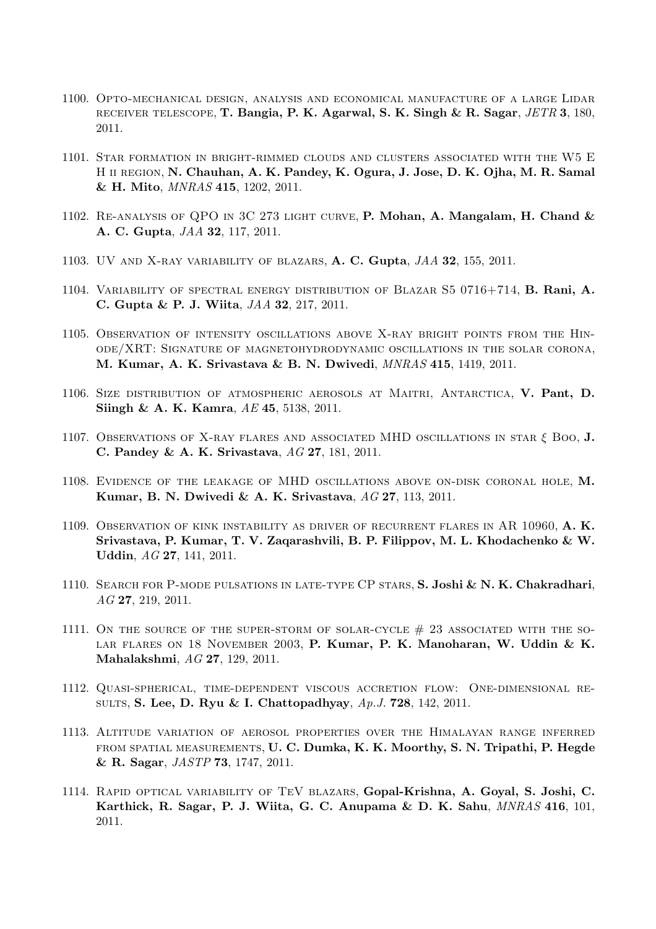- 1100. Opto-mechanical design, analysis and economical manufacture of a large Lidar receiver telescope, T. Bangia, P. K. Agarwal, S. K. Singh & R. Sagar, JETR 3, 180, 2011.
- 1101. Star formation in bright-rimmed clouds and clusters associated with the W5 E H ii region, N. Chauhan, A. K. Pandey, K. Ogura, J. Jose, D. K. Ojha, M. R. Samal & H. Mito, MNRAS 415, 1202, 2011.
- 1102. RE-ANALYSIS OF QPO IN 3C 273 LIGHT CURVE, P. Mohan, A. Mangalam, H. Chand  $\&$ A. C. Gupta, JAA 32, 117, 2011.
- 1103. UV and X-ray variability of blazars, A. C. Gupta, JAA 32, 155, 2011.
- 1104. Variability of spectral energy distribution of Blazar S5 0716+714, B. Rani, A. C. Gupta & P. J. Wiita, JAA 32, 217, 2011.
- 1105. Observation of intensity oscillations above X-ray bright points from the Hinode/XRT: Signature of magnetohydrodynamic oscillations in the solar corona, M. Kumar, A. K. Srivastava & B. N. Dwivedi, MNRAS 415, 1419, 2011.
- 1106. Size distribution of atmospheric aerosols at Maitri, Antarctica, V. Pant, D. Siingh & A. K. Kamra, AE 45, 5138, 2011.
- 1107. Observations of X-ray flares and associated MHD oscillations in star  $\xi$  Boo, J. C. Pandey & A. K. Srivastava, AG 27, 181, 2011.
- 1108. Evidence of the leakage of MHD oscillations above on-disk coronal hole, M. Kumar, B. N. Dwivedi & A. K. Srivastava, AG 27, 113, 2011.
- 1109. Observation of kink instability as driver of recurrent flares in AR 10960, A. K. Srivastava, P. Kumar, T. V. Zaqarashvili, B. P. Filippov, M. L. Khodachenko & W. Uddin, AG 27, 141, 2011.
- 1110. SEARCH FOR P-MODE PULSATIONS IN LATE-TYPE CP STARS, S. Joshi & N. K. Chakradhari, AG 27, 219, 2011.
- 1111. ON THE SOURCE OF THE SUPER-STORM OF SOLAR-CYCLE  $#$  23 ASSOCIATED WITH THE SO-LAR FLARES ON 18 NOVEMBER 2003, P. Kumar, P. K. Manoharan, W. Uddin & K. Mahalakshmi, AG 27, 129, 2011.
- 1112. Quasi-spherical, time-dependent viscous accretion flow: One-dimensional results, S. Lee, D. Ryu & I. Chattopadhyay, Ap.J. 728, 142, 2011.
- 1113. Altitude variation of aerosol properties over the Himalayan range inferred from spatial measurements, U. C. Dumka, K. K. Moorthy, S. N. Tripathi, P. Hegde & R. Sagar, JASTP 73, 1747, 2011.
- 1114. Rapid optical variability of TeV blazars, Gopal-Krishna, A. Goyal, S. Joshi, C. Karthick, R. Sagar, P. J. Wiita, G. C. Anupama & D. K. Sahu, MNRAS 416, 101, 2011.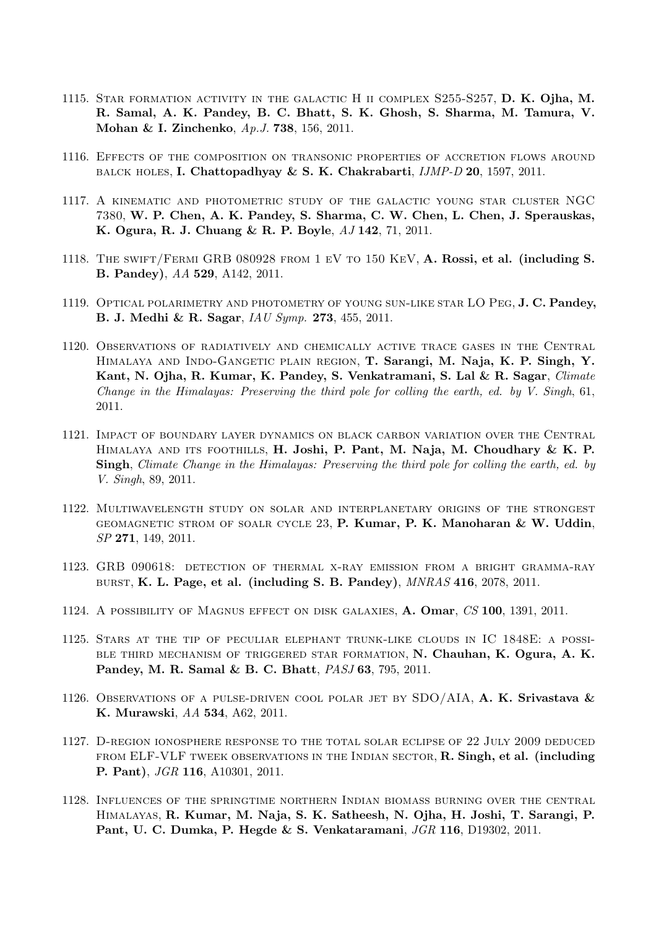- 1115. Star formation activity in the galactic H ii complex S255-S257, D. K. Ojha, M. R. Samal, A. K. Pandey, B. C. Bhatt, S. K. Ghosh, S. Sharma, M. Tamura, V. Mohan & I. Zinchenko, Ap.J. 738, 156, 2011.
- 1116. Effects of the composition on transonic properties of accretion flows around BALCK HOLES, I. Chattopadhyay & S. K. Chakrabarti,  $JMP-D$  20, 1597, 2011.
- 1117. A kinematic and photometric study of the galactic young star cluster NGC 7380, W. P. Chen, A. K. Pandey, S. Sharma, C. W. Chen, L. Chen, J. Sperauskas, K. Ogura, R. J. Chuang & R. P. Boyle, AJ 142, 71, 2011.
- 1118. The swift/Fermi GRB 080928 from 1 eV to 150 KeV, A. Rossi, et al. (including S. B. Pandey), AA 529, A142, 2011.
- 1119. OPTICAL POLARIMETRY AND PHOTOMETRY OF YOUNG SUN-LIKE STAR LO PEG, J. C. Pandey, B. J. Medhi & R. Sagar, IAU Symp. 273, 455, 2011.
- 1120. Observations of radiatively and chemically active trace gases in the Central Himalaya and Indo-Gangetic plain region, T. Sarangi, M. Naja, K. P. Singh, Y. Kant, N. Ojha, R. Kumar, K. Pandey, S. Venkatramani, S. Lal & R. Sagar, Climate Change in the Himalayas: Preserving the third pole for colling the earth, ed. by V. Singh, 61, 2011.
- 1121. Impact of boundary layer dynamics on black carbon variation over the Central HIMALAYA AND ITS FOOTHILLS, H. Joshi, P. Pant, M. Naja, M. Choudhary & K. P. Singh, Climate Change in the Himalayas: Preserving the third pole for colling the earth, ed. by V. Singh, 89, 2011.
- 1122. Multiwavelength study on solar and interplanetary origins of the strongest GEOMAGNETIC STROM OF SOALR CYCLE  $23$ , P. Kumar, P. K. Manoharan & W. Uddin, SP 271, 149, 2011.
- 1123. GRB 090618: detection of thermal x-ray emission from a bright gramma-ray burst, K. L. Page, et al. (including S. B. Pandey),  $MNRAS$  416, 2078, 2011.
- 1124. A possibility of Magnus effect on disk galaxies, A. Omar, CS 100, 1391, 2011.
- 1125. Stars at the tip of peculiar elephant trunk-like clouds in IC 1848E: a possible third mechanism of triggered star formation, N. Chauhan, K. Ogura, A. K. Pandey, M. R. Samal & B. C. Bhatt, PASJ 63, 795, 2011.
- 1126. Observations of a pulse-driven cool polar jet by SDO/AIA, A. K. Srivastava  $\&$ K. Murawski, AA 534, A62, 2011.
- 1127. D-region ionosphere response to the total solar eclipse of 22 July 2009 deduced FROM ELF-VLF TWEEK OBSERVATIONS IN THE INDIAN SECTOR, R. Singh, et al. (including P. Pant), JGR 116, A10301, 2011.
- 1128. Influences of the springtime northern Indian biomass burning over the central Himalayas, R. Kumar, M. Naja, S. K. Satheesh, N. Ojha, H. Joshi, T. Sarangi, P. Pant, U. C. Dumka, P. Hegde & S. Venkataramani, JGR 116, D19302, 2011.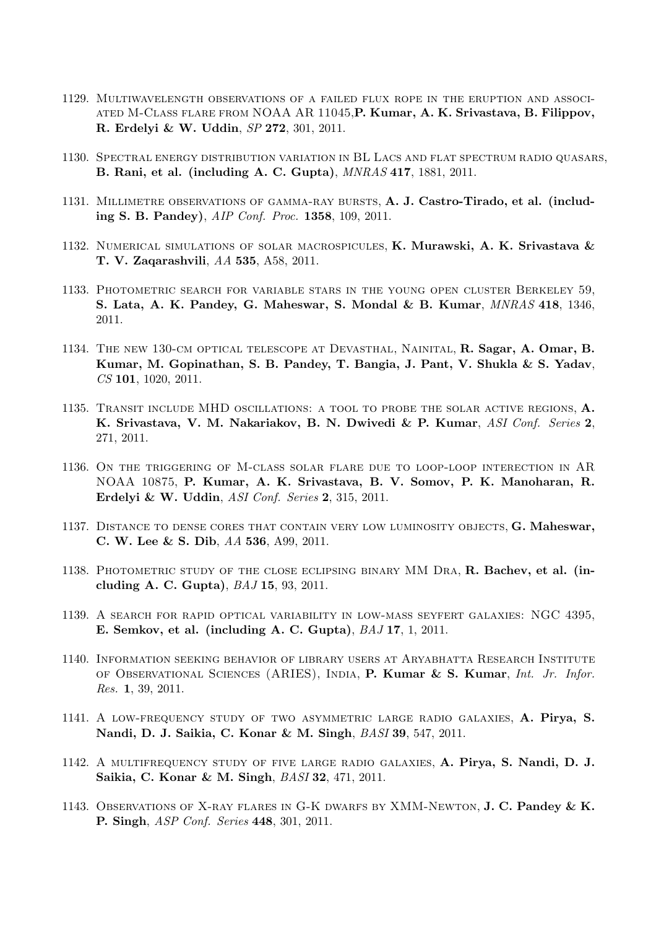- 1129. Multiwavelength observations of a failed flux rope in the eruption and associated M-Class flare from NOAA AR 11045,P. Kumar, A. K. Srivastava, B. Filippov, R. Erdelyi & W. Uddin, SP 272, 301, 2011.
- 1130. Spectral energy distribution variation in BL Lacs and flat spectrum radio quasars, B. Rani, et al. (including A. C. Gupta), MNRAS 417, 1881, 2011.
- 1131. Millimetre observations of gamma-ray bursts, A. J. Castro-Tirado, et al. (including S. B. Pandey), AIP Conf. Proc. 1358, 109, 2011.
- 1132. Numerical simulations of solar macrospicules, K. Murawski, A. K. Srivastava & T. V. Zaqarashvili, AA 535, A58, 2011.
- 1133. Photometric search for variable stars in the young open cluster Berkeley 59, S. Lata, A. K. Pandey, G. Maheswar, S. Mondal & B. Kumar, MNRAS 418, 1346, 2011.
- 1134. The new 130-cm optical telescope at Devasthal, Nainital, R. Sagar, A. Omar, B. Kumar, M. Gopinathan, S. B. Pandey, T. Bangia, J. Pant, V. Shukla & S. Yadav, CS 101, 1020, 2011.
- 1135. Transit include MHD oscillations: a tool to probe the solar active regions, A. K. Srivastava, V. M. Nakariakov, B. N. Dwivedi & P. Kumar, ASI Conf. Series 2, 271, 2011.
- 1136. On the triggering of M-class solar flare due to loop-loop interection in AR NOAA 10875, P. Kumar, A. K. Srivastava, B. V. Somov, P. K. Manoharan, R. Erdelyi & W. Uddin, ASI Conf. Series 2, 315, 2011.
- 1137. Distance to dense cores that contain very low luminosity objects, G. Maheswar, C. W. Lee & S. Dib, AA 536, A99, 2011.
- 1138. PHOTOMETRIC STUDY OF THE CLOSE ECLIPSING BINARY MM DRA, R. Bachev, et al. (including A. C. Gupta), BAJ 15, 93, 2011.
- 1139. A search for rapid optical variability in low-mass seyfert galaxies: NGC 4395, E. Semkov, et al. (including A. C. Gupta), BAJ 17, 1, 2011.
- 1140. Information seeking behavior of library users at Aryabhatta Research Institute of Observational Sciences (ARIES), India, P. Kumar & S. Kumar, Int. Jr. Infor. Res. 1, 39, 2011.
- 1141. A low-frequency study of two asymmetric large radio galaxies, A. Pirya, S. Nandi, D. J. Saikia, C. Konar & M. Singh, BASI 39, 547, 2011.
- 1142. A multifrequency study of five large radio galaxies, A. Pirya, S. Nandi, D. J. Saikia, C. Konar & M. Singh, BASI 32, 471, 2011.
- 1143. Observations of X-ray flares in G-K dwarfs by XMM-Newton, J. C. Pandey & K. P. Singh, ASP Conf. Series 448, 301, 2011.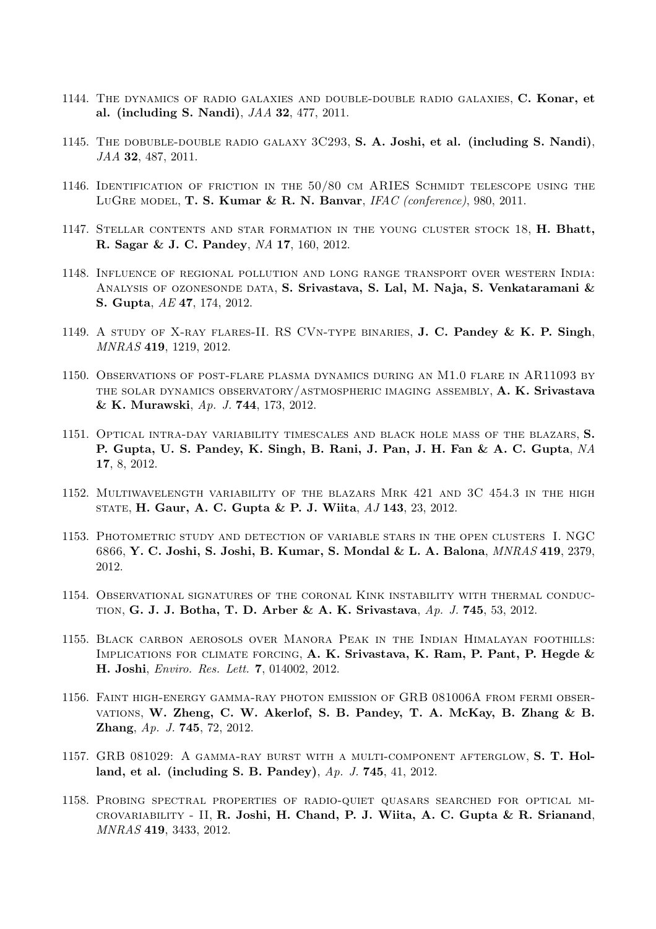- 1144. The dynamics of radio galaxies and double-double radio galaxies, C. Konar, et al. (including S. Nandi), JAA 32, 477, 2011.
- 1145. THE DOBUBLE-DOUBLE RADIO GALAXY 3C293, S. A. Joshi, et al. (including S. Nandi), JAA 32, 487, 2011.
- 1146. Identification of friction in the 50/80 cm ARIES Schmidt telescope using the LUGRE MODEL, T. S. Kumar & R. N. Banvar,  $IFAC$  (conference), 980, 2011.
- 1147. Stellar contents and star formation in the young cluster stock 18, H. Bhatt, R. Sagar & J. C. Pandey, NA 17, 160, 2012.
- 1148. Influence of regional pollution and long range transport over western India: ANALYSIS OF OZONESONDE DATA, S. Srivastava, S. Lal, M. Naja, S. Venkataramani  $\&$ S. Gupta, AE 47, 174, 2012.
- 1149. A study of X-ray flares-II. RS CVn-type binaries, J. C. Pandey & K. P. Singh, MNRAS 419, 1219, 2012.
- 1150. Observations of post-flare plasma dynamics during an M1.0 flare in AR11093 by THE SOLAR DYNAMICS OBSERVATORY/ASTMOSPHERIC IMAGING ASSEMBLY, A. K. Srivastava & K. Murawski, Ap. J. 744, 173, 2012.
- 1151. Optical intra-day variability timescales and black hole mass of the blazars, S. P. Gupta, U. S. Pandey, K. Singh, B. Rani, J. Pan, J. H. Fan & A. C. Gupta, NA 17, 8, 2012.
- 1152. Multiwavelength variability of the blazars Mrk 421 and 3C 454.3 in the high state, H. Gaur, A. C. Gupta & P. J. Wiita, AJ 143, 23, 2012.
- 1153. Photometric study and detection of variable stars in the open clusters I. NGC 6866, Y. C. Joshi, S. Joshi, B. Kumar, S. Mondal & L. A. Balona, MNRAS 419, 2379, 2012.
- 1154. Observational signatures of the coronal Kink instability with thermal conduction, G. J. J. Botha, T. D. Arber & A. K. Srivastava, Ap. J. 745, 53, 2012.
- 1155. Black carbon aerosols over Manora Peak in the Indian Himalayan foothills: Implications for climate forcing, A. K. Srivastava, K. Ram, P. Pant, P. Hegde & H. Joshi, Enviro. Res. Lett. 7, 014002, 2012.
- 1156. Faint high-energy gamma-ray photon emission of GRB 081006A from fermi observations, W. Zheng, C. W. Akerlof, S. B. Pandey, T. A. McKay, B. Zhang & B. Zhang, Ap. J. 745, 72, 2012.
- 1157. GRB 081029: A gamma-ray burst with a multi-component afterglow, S. T. Holland, et al. (including S. B. Pandey), Ap. J. 745, 41, 2012.
- 1158. Probing spectral properties of radio-quiet quasars searched for optical microvariability - II, R. Joshi, H. Chand, P. J. Wiita, A. C. Gupta & R. Srianand, MNRAS 419, 3433, 2012.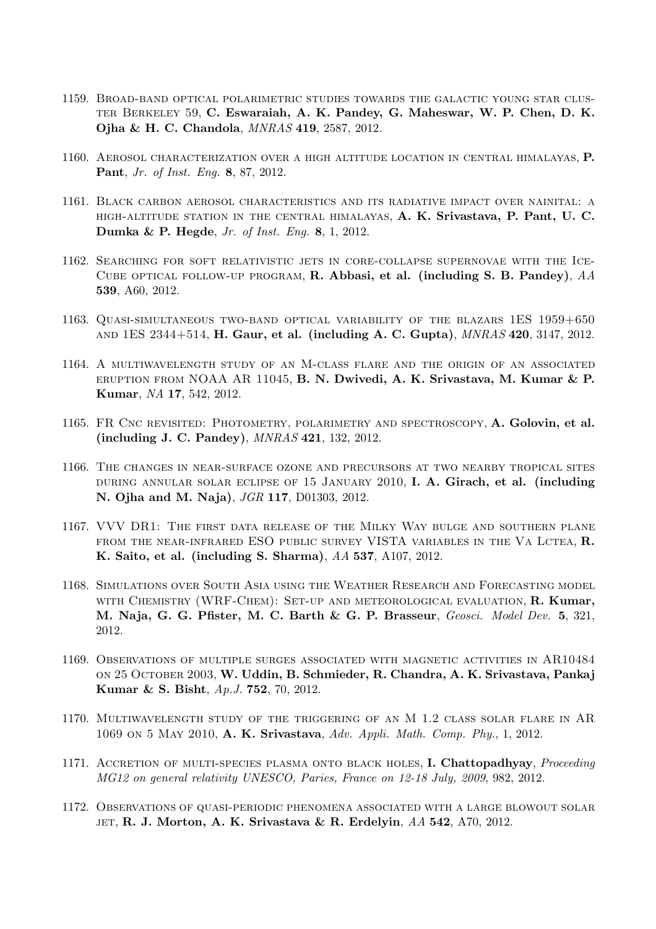- 1159. Broad-band optical polarimetric studies towards the galactic young star cluster Berkeley 59, C. Eswaraiah, A. K. Pandey, G. Maheswar, W. P. Chen, D. K. Ojha & H. C. Chandola, MNRAS 419, 2587, 2012.
- 1160. Aerosol characterization over a high altitude location in central himalayas, P. Pant, Jr. of Inst. Eng. 8, 87, 2012.
- 1161. Black carbon aerosol characteristics and its radiative impact over nainital: a high-altitude station in the central himalayas, A. K. Srivastava, P. Pant, U. C. Dumka & P. Hegde, Jr. of Inst. Eng. 8, 1, 2012.
- 1162. Searching for soft relativistic jets in core-collapse supernovae with the Ice-CUBE OPTICAL FOLLOW-UP PROGRAM, R. Abbasi, et al. (including S. B. Pandey),  $AA$ 539, A60, 2012.
- 1163. Quasi-simultaneous two-band optical variability of the blazars 1ES 1959+650 and 1ES 2344+514, H. Gaur, et al. (including A. C. Gupta), MNRAS 420, 3147, 2012.
- 1164. A multiwavelength study of an M-class flare and the origin of an associated eruption from NOAA AR 11045, B. N. Dwivedi, A. K. Srivastava, M. Kumar & P. Kumar, NA 17, 542, 2012.
- 1165. FR Cnc revisited: Photometry, polarimetry and spectroscopy, A. Golovin, et al. (including J. C. Pandey), MNRAS 421, 132, 2012.
- 1166. The changes in near-surface ozone and precursors at two nearby tropical sites during annular solar eclipse of 15 January 2010, I. A. Girach, et al. (including N. Ojha and M. Naja), JGR 117, D01303, 2012.
- 1167. VVV DR1: The first data release of the Milky Way bulge and southern plane from the near-infrared ESO public survey VISTA variables in the Va Lctea, R. K. Saito, et al. (including S. Sharma), AA 537, A107, 2012.
- 1168. Simulations over South Asia using the Weather Research and Forecasting model WITH CHEMISTRY (WRF-CHEM): SET-UP AND METEOROLOGICAL EVALUATION, R. Kumar, M. Naja, G. G. Pfister, M. C. Barth & G. P. Brasseur, Geosci. Model Dev. 5, 321, 2012.
- 1169. Observations of multiple surges associated with magnetic activities in AR10484 on 25 October 2003, W. Uddin, B. Schmieder, R. Chandra, A. K. Srivastava, Pankaj Kumar & S. Bisht, Ap.J. 752, 70, 2012.
- 1170. Multiwavelength study of the triggering of an M 1.2 class solar flare in AR 1069 on 5 May 2010, A. K. Srivastava, Adv. Appli. Math. Comp. Phy., 1, 2012.
- 1171. ACCRETION OF MULTI-SPECIES PLASMA ONTO BLACK HOLES, I. Chattopadhyay, Proceeding MG12 on general relativity UNESCO, Paries, France on 12-18 July, 2009, 982, 2012.
- 1172. Observations of quasi-periodic phenomena associated with a large blowout solar JET, R. J. Morton, A. K. Srivastava & R. Erdelyin,  $AA$  542, A70, 2012.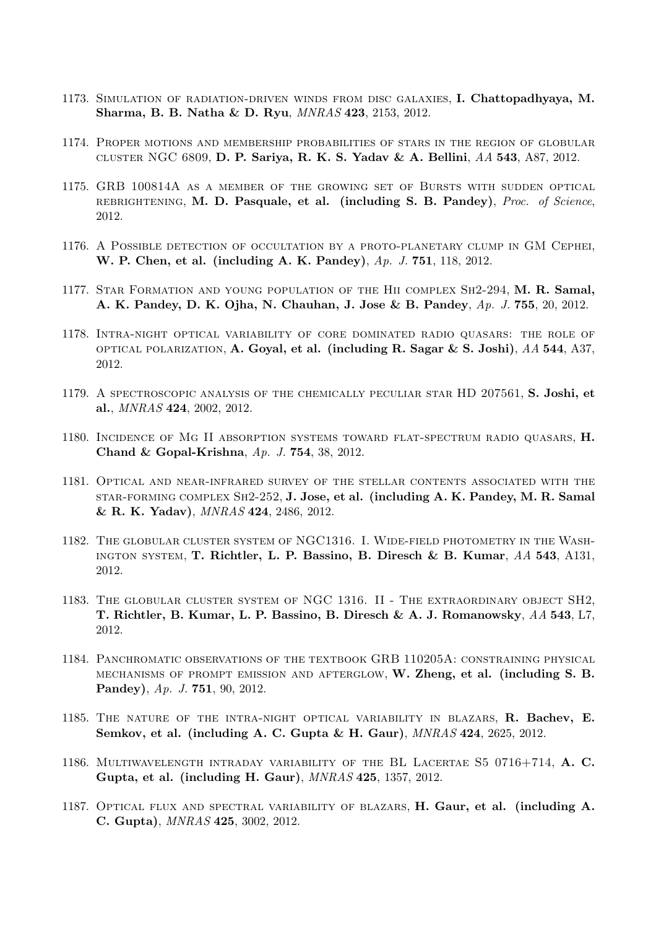- 1173. Simulation of radiation-driven winds from disc galaxies, I. Chattopadhyaya, M. Sharma, B. B. Natha & D. Ryu, MNRAS 423, 2153, 2012.
- 1174. Proper motions and membership probabilities of stars in the region of globular cluster NGC 6809, D. P. Sariya, R. K. S. Yadav & A. Bellini, AA 543, A87, 2012.
- 1175. GRB 100814A as a member of the growing set of Bursts with sudden optical rebrightening, M. D. Pasquale, et al. (including S. B. Pandey), Proc. of Science, 2012.
- 1176. A Possible detection of occultation by a proto-planetary clump in GM Cephei, W. P. Chen, et al. (including A. K. Pandey), Ap. J. 751, 118, 2012.
- 1177. Star Formation and young population of the Hii complex Sh2-294, M. R. Samal, A. K. Pandey, D. K. Ojha, N. Chauhan, J. Jose & B. Pandey, Ap. J. 755, 20, 2012.
- 1178. Intra-night optical variability of core dominated radio quasars: the role of optical polarization, A. Goyal, et al. (including R. Sagar & S. Joshi),  $AA$  544, A37, 2012.
- 1179. A spectroscopic analysis of the chemically peculiar star HD 207561, S. Joshi, et al., MNRAS 424, 2002, 2012.
- 1180. Incidence of Mg II absorption systems toward flat-spectrum radio quasars, H. Chand & Gopal-Krishna, Ap. J. 754, 38, 2012.
- 1181. Optical and near-infrared survey of the stellar contents associated with the star-forming complex Sh2-252, J. Jose, et al. (including A. K. Pandey, M. R. Samal & R. K. Yadav), MNRAS 424, 2486, 2012.
- 1182. The globular cluster system of NGC1316. I. Wide-field photometry in the Washington system, T. Richtler, L. P. Bassino, B. Diresch & B. Kumar, AA 543, A131, 2012.
- 1183. The globular cluster system of NGC 1316. II The extraordinary object SH2, T. Richtler, B. Kumar, L. P. Bassino, B. Diresch & A. J. Romanowsky, AA 543, L7, 2012.
- 1184. Panchromatic observations of the textbook GRB 110205A: constraining physical mechanisms of prompt emission and afterglow, W. Zheng, et al. (including S. B. Pandey), Ap. J. 751, 90, 2012.
- 1185. THE NATURE OF THE INTRA-NIGHT OPTICAL VARIABILITY IN BLAZARS, R. Bachev, E. Semkov, et al. (including A. C. Gupta & H. Gaur), MNRAS 424, 2625, 2012.
- 1186. Multiwavelength intraday variability of the BL Lacertae S5 0716+714, A. C. Gupta, et al. (including H. Gaur), MNRAS 425, 1357, 2012.
- 1187. OPTICAL FLUX AND SPECTRAL VARIABILITY OF BLAZARS, H. Gaur, et al. (including A. C. Gupta), MNRAS 425, 3002, 2012.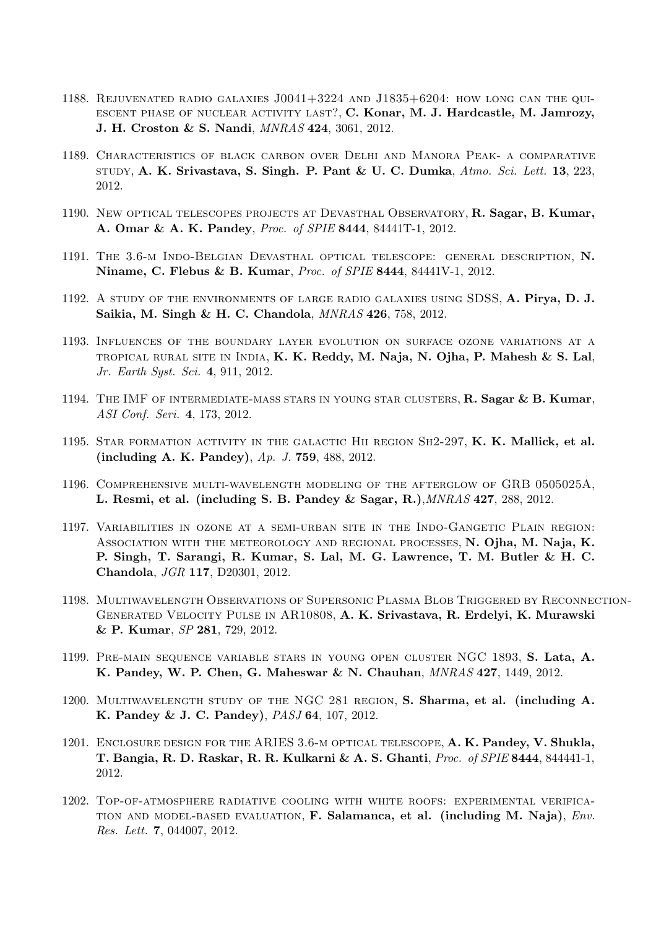- 1188. Rejuvenated radio galaxies J0041+3224 and J1835+6204: how long can the quiescent phase of nuclear activity last?, C. Konar, M. J. Hardcastle, M. Jamrozy, J. H. Croston & S. Nandi, MNRAS 424, 3061, 2012.
- 1189. Characteristics of black carbon over Delhi and Manora Peak- a comparative STUDY, A. K. Srivastava, S. Singh. P. Pant & U. C. Dumka,  $Atmo. Sci. Lett. 13, 223$ , 2012.
- 1190. New Optical telescopes projects at Devasthal Observatory, R. Sagar, B. Kumar, A. Omar & A. K. Pandey, Proc. of SPIE 8444, 84441T-1, 2012.
- 1191. The 3.6-m Indo-Belgian Devasthal optical telescope: general description, N. Niname, C. Flebus & B. Kumar, Proc. of SPIE 8444, 84441V-1, 2012.
- 1192. A study of the environments of large radio galaxies using SDSS, A. Pirya, D. J. Saikia, M. Singh & H. C. Chandola, MNRAS 426, 758, 2012.
- 1193. Influences of the boundary layer evolution on surface ozone variations at a TROPICAL RURAL SITE IN INDIA, K. K. Reddy, M. Naja, N. Ojha, P. Mahesh & S. Lal, Jr. Earth Syst. Sci. 4, 911, 2012.
- 1194. THE IMF OF INTERMEDIATE-MASS STARS IN YOUNG STAR CLUSTERS, R. Sagar & B. Kumar, ASI Conf. Seri. 4, 173, 2012.
- 1195. STAR FORMATION ACTIVITY IN THE GALACTIC HII REGION SH2-297, K. K. Mallick, et al. (including A. K. Pandey), Ap. J. 759, 488, 2012.
- 1196. Comprehensive multi-wavelength modeling of the afterglow of GRB 0505025A, L. Resmi, et al. (including S. B. Pandey & Sagar, R.),MNRAS 427, 288, 2012.
- 1197. Variabilities in ozone at a semi-urban site in the Indo-Gangetic Plain region: Association with the meteorology and regional processes, N. Ojha, M. Naja, K. P. Singh, T. Sarangi, R. Kumar, S. Lal, M. G. Lawrence, T. M. Butler & H. C. Chandola, JGR 117, D20301, 2012.
- 1198. Multiwavelength Observations of Supersonic Plasma Blob Triggered by Reconnection-Generated Velocity Pulse in AR10808, A. K. Srivastava, R. Erdelyi, K. Murawski & P. Kumar, SP 281, 729, 2012.
- 1199. Pre-main sequence variable stars in young open cluster NGC 1893, S. Lata, A. K. Pandey, W. P. Chen, G. Maheswar & N. Chauhan, MNRAS 427, 1449, 2012.
- 1200. Multiwavelength study of the NGC 281 region, S. Sharma, et al. (including A. K. Pandey & J. C. Pandey), PASJ 64, 107, 2012.
- 1201. Enclosure design for the ARIES 3.6-m optical telescope, A. K. Pandey, V. Shukla, T. Bangia, R. D. Raskar, R. R. Kulkarni & A. S. Ghanti, Proc. of SPIE 8444, 844441-1, 2012.
- 1202. Top-of-atmosphere radiative cooling with white roofs: experimental verifica-TION AND MODEL-BASED EVALUATION, F. Salamanca, et al. (including M. Naja),  $Env$ . Res. Lett. 7, 044007, 2012.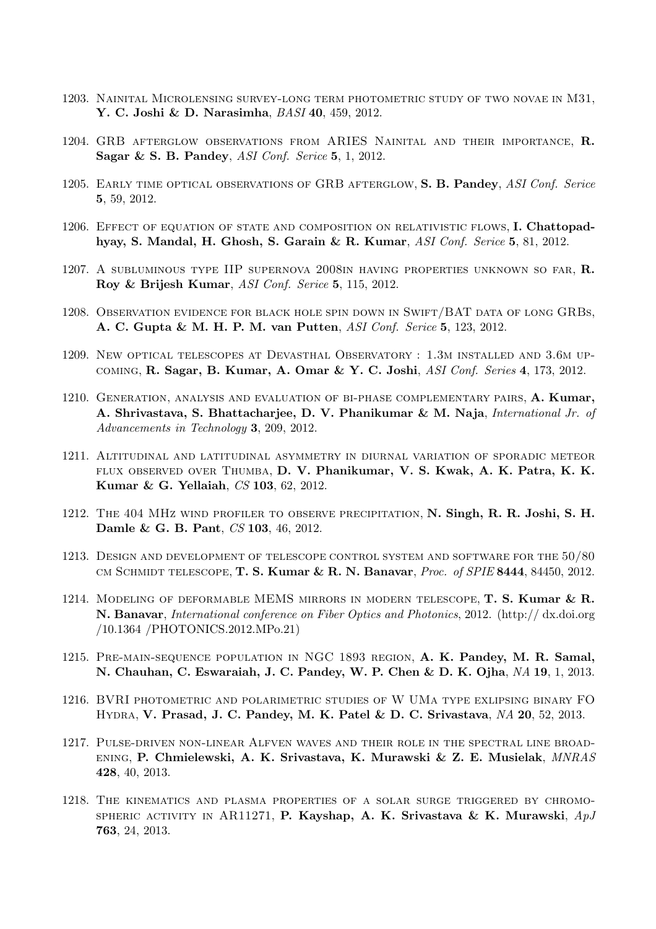- 1203. Nainital Microlensing survey-long term photometric study of two novae in M31, Y. C. Joshi & D. Narasimha, BASI 40, 459, 2012.
- 1204. GRB afterglow observations from ARIES Nainital and their importance, R. Sagar & S. B. Pandey, ASI Conf. Serice 5, 1, 2012.
- 1205. EARLY TIME OPTICAL OBSERVATIONS OF GRB AFTERGLOW, S. B. Pandey, ASI Conf. Serice 5, 59, 2012.
- 1206. EFFECT OF EQUATION OF STATE AND COMPOSITION ON RELATIVISTIC FLOWS, I. Chattopadhyay, S. Mandal, H. Ghosh, S. Garain & R. Kumar, ASI Conf. Serice 5, 81, 2012.
- 1207. A subluminous type IIP supernova 2008in having properties unknown so far, R. Roy & Brijesh Kumar, ASI Conf. Serice 5, 115, 2012.
- 1208. Observation evidence for black hole spin down in Swift/BAT data of long GRBs, A. C. Gupta & M. H. P. M. van Putten, ASI Conf. Serice 5, 123, 2012.
- 1209. New optical telescopes at Devasthal Observatory : 1.3m installed and 3.6m upcoming, R. Sagar, B. Kumar, A. Omar & Y. C. Joshi, ASI Conf. Series 4, 173, 2012.
- 1210. Generation, analysis and evaluation of bi-phase complementary pairs, A. Kumar, A. Shrivastava, S. Bhattacharjee, D. V. Phanikumar & M. Naja, International Jr. of Advancements in Technology 3, 209, 2012.
- 1211. Altitudinal and latitudinal asymmetry in diurnal variation of sporadic meteor FLUX OBSERVED OVER THUMBA, D. V. Phanikumar, V. S. Kwak, A. K. Patra, K. K. Kumar & G. Yellaiah, CS 103, 62, 2012.
- 1212. The 404 MHz wind profiler to observe precipitation, N. Singh, R. R. Joshi, S. H. Damle & G. B. Pant, CS 103, 46, 2012.
- 1213. Design and development of telescope control system and software for the 50/80 CM SCHMIDT TELESCOPE, T. S. Kumar & R. N. Banavar, *Proc. of SPIE* 8444, 84450, 2012.
- 1214. MODELING OF DEFORMABLE MEMS MIRRORS IN MODERN TELESCOPE, T. S. Kumar & R. N. Banavar, International conference on Fiber Optics and Photonics, 2012. (http:// dx.doi.org /10.1364 /PHOTONICS.2012.MPo.21)
- 1215. Pre-main-sequence population in NGC 1893 region, A. K. Pandey, M. R. Samal, N. Chauhan, C. Eswaraiah, J. C. Pandey, W. P. Chen & D. K. Ojha, NA 19, 1, 2013.
- 1216. BVRI photometric and polarimetric studies of W UMa type exlipsing binary FO Hydra, V. Prasad, J. C. Pandey, M. K. Patel & D. C. Srivastava, NA 20, 52, 2013.
- 1217. Pulse-driven non-linear Alfven waves and their role in the spectral line broadening, P. Chmielewski, A. K. Srivastava, K. Murawski & Z. E. Musielak, MNRAS 428, 40, 2013.
- 1218. The kinematics and plasma properties of a solar surge triggered by chromo-SPHERIC ACTIVITY IN AR11271, P. Kayshap, A. K. Srivastava & K. Murawski,  $ApJ$ 763, 24, 2013.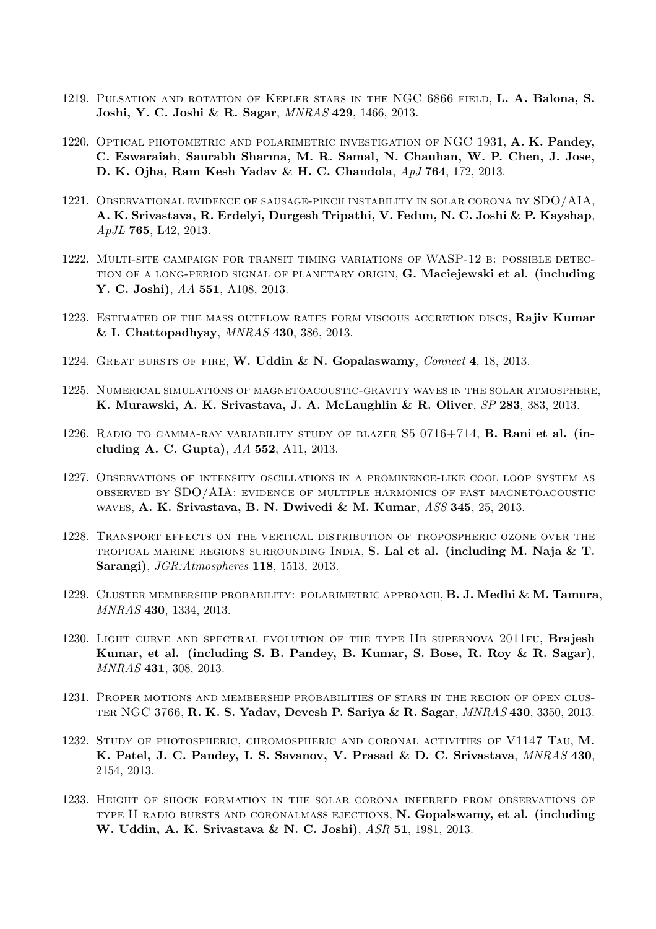- 1219. Pulsation and rotation of Kepler stars in the NGC 6866 field, L. A. Balona, S. Joshi, Y. C. Joshi & R. Sagar, MNRAS 429, 1466, 2013.
- 1220. Optical photometric and polarimetric investigation of NGC 1931, A. K. Pandey, C. Eswaraiah, Saurabh Sharma, M. R. Samal, N. Chauhan, W. P. Chen, J. Jose, D. K. Ojha, Ram Kesh Yadav & H. C. Chandola, ApJ 764, 172, 2013.
- 1221. Observational evidence of sausage-pinch instability in solar corona by SDO/AIA, A. K. Srivastava, R. Erdelyi, Durgesh Tripathi, V. Fedun, N. C. Joshi & P. Kayshap, ApJL 765, L42, 2013.
- 1222. Multi-site campaign for transit timing variations of WASP-12 b: possible detection of a long-period signal of planetary origin, G. Maciejewski et al. (including Y. C. Joshi), AA 551, A108, 2013.
- 1223. ESTIMATED OF THE MASS OUTFLOW RATES FORM VISCOUS ACCRETION DISCS, Rajiv Kumar & I. Chattopadhyay, MNRAS 430, 386, 2013.
- 1224. GREAT BURSTS OF FIRE, W. Uddin & N. Gopalaswamy, Connect 4, 18, 2013.
- 1225. Numerical simulations of magnetoacoustic-gravity waves in the solar atmosphere, K. Murawski, A. K. Srivastava, J. A. McLaughlin & R. Oliver, SP 283, 383, 2013.
- 1226. RADIO TO GAMMA-RAY VARIABILITY STUDY OF BLAZER  $S5$  0716+714, **B. Rani et al. (in**cluding A. C. Gupta), AA 552, A11, 2013.
- 1227. Observations of intensity oscillations in a prominence-like cool loop system as observed by SDO/AIA: evidence of multiple harmonics of fast magnetoacoustic waves, A. K. Srivastava, B. N. Dwivedi & M. Kumar, ASS 345, 25, 2013.
- 1228. Transport effects on the vertical distribution of tropospheric ozone over the TROPICAL MARINE REGIONS SURROUNDING INDIA, S. Lal et al. (including M. Naja  $\&$  T. Sarangi), JGR:Atmospheres 118, 1513, 2013.
- 1229. CLUSTER MEMBERSHIP PROBABILITY: POLARIMETRIC APPROACH, B. J. Medhi & M. Tamura, MNRAS 430, 1334, 2013.
- 1230. LIGHT CURVE AND SPECTRAL EVOLUTION OF THE TYPE IIB SUPERNOVA 2011FU, Brajesh Kumar, et al. (including S. B. Pandey, B. Kumar, S. Bose, R. Roy & R. Sagar), MNRAS 431, 308, 2013.
- 1231. Proper motions and membership probabilities of stars in the region of open cluster NGC 3766, R. K. S. Yadav, Devesh P. Sariya & R. Sagar, MNRAS 430, 3350, 2013.
- 1232. Study of photospheric, chromospheric and coronal activities of V1147 Tau, M. K. Patel, J. C. Pandey, I. S. Savanov, V. Prasad & D. C. Srivastava, MNRAS 430, 2154, 2013.
- 1233. Height of shock formation in the solar corona inferred from observations of type II radio bursts and coronalmass ejections, N. Gopalswamy, et al. (including W. Uddin, A. K. Srivastava & N. C. Joshi), ASR 51, 1981, 2013.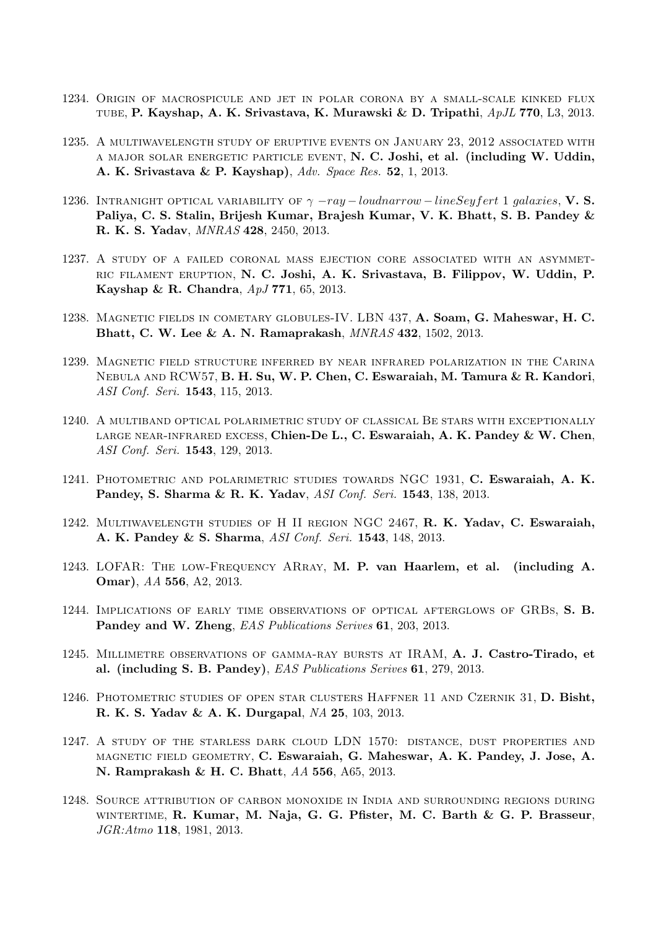- 1234. Origin of macrospicule and jet in polar corona by a small-scale kinked flux tube, P. Kayshap, A. K. Srivastava, K. Murawski & D. Tripathi, ApJL 770, L3, 2013.
- 1235. A multiwavelength study of eruptive events on January 23, 2012 associated with a major solar energetic particle event, N. C. Joshi, et al. (including W. Uddin, A. K. Srivastava & P. Kayshap), Adv. Space Res. 52, 1, 2013.
- 1236. INTRANIGHT OPTICAL VARIABILITY OF  $\gamma$  -ray loudnarrow lineSeyfert 1 galaxies, V. S. Paliya, C. S. Stalin, Brijesh Kumar, Brajesh Kumar, V. K. Bhatt, S. B. Pandey & R. K. S. Yadav, MNRAS 428, 2450, 2013.
- 1237. A study of a failed coronal mass ejection core associated with an asymmetric filament eruption, N. C. Joshi, A. K. Srivastava, B. Filippov, W. Uddin, P. Kayshap & R. Chandra, ApJ 771, 65, 2013.
- 1238. Magnetic fields in cometary globules-IV. LBN 437, A. Soam, G. Maheswar, H. C. Bhatt, C. W. Lee & A. N. Ramaprakash, MNRAS 432, 1502, 2013.
- 1239. Magnetic field structure inferred by near infrared polarization in the Carina Nebula and RCW57, B. H. Su, W. P. Chen, C. Eswaraiah, M. Tamura & R. Kandori, ASI Conf. Seri. 1543, 115, 2013.
- 1240. A multiband optical polarimetric study of classical Be stars with exceptionally LARGE NEAR-INFRARED EXCESS, Chien-De L., C. Eswaraiah, A. K. Pandey & W. Chen, ASI Conf. Seri. 1543, 129, 2013.
- 1241. Photometric and polarimetric studies towards NGC 1931, C. Eswaraiah, A. K. Pandey, S. Sharma & R. K. Yadav, ASI Conf. Seri. 1543, 138, 2013.
- 1242. Multiwavelength studies of H II region NGC 2467, R. K. Yadav, C. Eswaraiah, A. K. Pandey & S. Sharma, ASI Conf. Seri. 1543, 148, 2013.
- 1243. LOFAR: The low-Frequency ARray, M. P. van Haarlem, et al. (including A. Omar), AA 556, A2, 2013.
- 1244. Implications of early time observations of optical afterglows of GRBs, S. B. Pandey and W. Zheng, EAS Publications Serives 61, 203, 2013.
- 1245. Millimetre observations of gamma-ray bursts at IRAM, A. J. Castro-Tirado, et al. (including S. B. Pandey), EAS Publications Serives 61, 279, 2013.
- 1246. Photometric studies of open star clusters Haffner 11 and Czernik 31, D. Bisht, R. K. S. Yadav & A. K. Durgapal, NA 25, 103, 2013.
- 1247. A study of the starless dark cloud LDN 1570: distance, dust properties and magnetic field geometry, C. Eswaraiah, G. Maheswar, A. K. Pandey, J. Jose, A. N. Ramprakash & H. C. Bhatt, AA 556, A65, 2013.
- 1248. Source attribution of carbon monoxide in India and surrounding regions during wintertime, R. Kumar, M. Naja, G. G. Pfister, M. C. Barth & G. P. Brasseur, JGR:Atmo 118, 1981, 2013.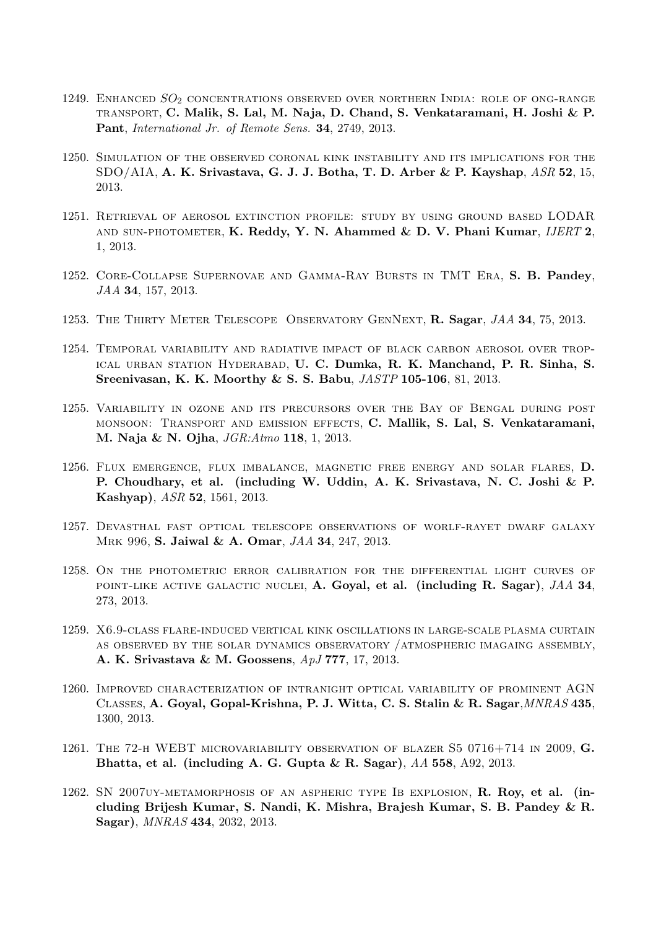- 1249. ENHANCED  $SO_2$  concentrations observed over northern India: role of ong-range transport, C. Malik, S. Lal, M. Naja, D. Chand, S. Venkataramani, H. Joshi & P. Pant, International Jr. of Remote Sens. 34, 2749, 2013.
- 1250. Simulation of the observed coronal kink instability and its implications for the SDO/AIA, A. K. Srivastava, G. J. J. Botha, T. D. Arber & P. Kayshap, ASR 52, 15, 2013.
- 1251. Retrieval of aerosol extinction profile: study by using ground based LODAR AND SUN-PHOTOMETER, K. Reddy, Y. N. Ahammed & D. V. Phani Kumar,  $IJERT$  2, 1, 2013.
- 1252. Core-Collapse Supernovae and Gamma-Ray Bursts in TMT Era, S. B. Pandey, JAA 34, 157, 2013.
- 1253. THE THIRTY METER TELESCOPE OBSERVATORY GENNEXT, R. Sagar, JAA 34, 75, 2013.
- 1254. Temporal variability and radiative impact of black carbon aerosol over tropical urban station Hyderabad, U. C. Dumka, R. K. Manchand, P. R. Sinha, S. Sreenivasan, K. K. Moorthy & S. S. Babu, JASTP 105-106, 81, 2013.
- 1255. Variability in ozone and its precursors over the Bay of Bengal during post monsoon: Transport and emission effects, C. Mallik, S. Lal, S. Venkataramani, M. Naja & N. Ojha, JGR:Atmo 118, 1, 2013.
- 1256. Flux emergence, flux imbalance, magnetic free energy and solar flares, D. P. Choudhary, et al. (including W. Uddin, A. K. Srivastava, N. C. Joshi & P. Kashyap), ASR 52, 1561, 2013.
- 1257. Devasthal fast optical telescope observations of worlf-rayet dwarf galaxy Mrk 996, S. Jaiwal & A. Omar, JAA 34, 247, 2013.
- 1258. On the photometric error calibration for the differential light curves of POINT-LIKE ACTIVE GALACTIC NUCLEI, A. Goyal, et al. (including R. Sagar),  $JAA$  34, 273, 2013.
- 1259. X6.9-class flare-induced vertical kink oscillations in large-scale plasma curtain as observed by the solar dynamics observatory /atmospheric imagaing assembly, A. K. Srivastava & M. Goossens, ApJ 777, 17, 2013.
- 1260. Improved characterization of intranight optical variability of prominent AGN Classes, A. Goyal, Gopal-Krishna, P. J. Witta, C. S. Stalin & R. Sagar,MNRAS 435, 1300, 2013.
- 1261. The 72-h WEBT microvariability observation of blazer S5 0716+714 in 2009, G. Bhatta, et al. (including A. G. Gupta & R. Sagar),  $AA$  558, A92, 2013.
- 1262. SN 2007uy-metamorphosis of an aspheric type Ib explosion, R. Roy, et al. (including Brijesh Kumar, S. Nandi, K. Mishra, Brajesh Kumar, S. B. Pandey & R. Sagar), MNRAS 434, 2032, 2013.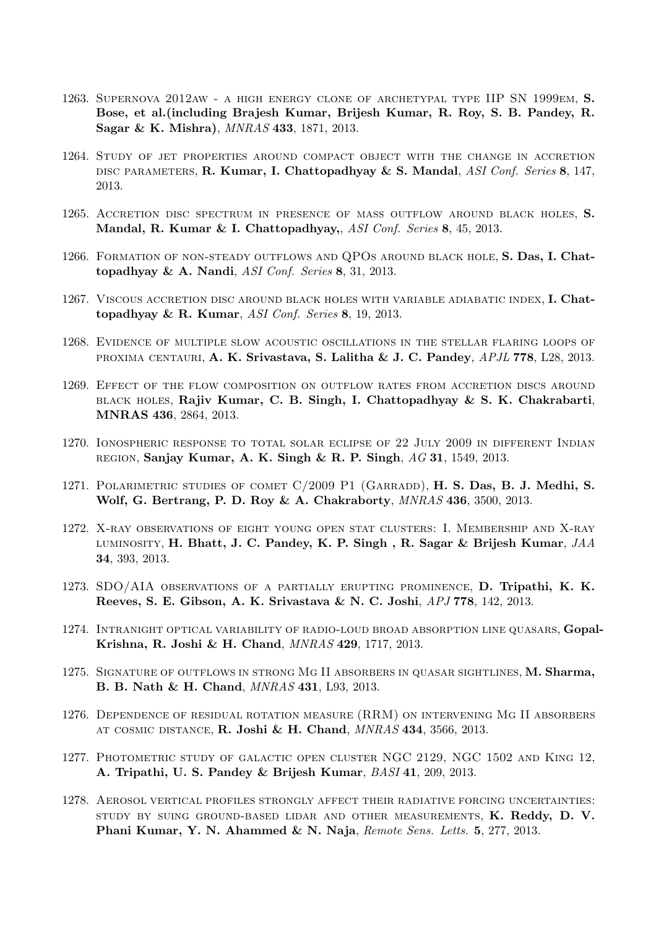- 1263. Supernova 2012aw a high energy clone of archetypal type IIP SN 1999em, S. Bose, et al.(including Brajesh Kumar, Brijesh Kumar, R. Roy, S. B. Pandey, R. Sagar & K. Mishra), MNRAS 433, 1871, 2013.
- 1264. Study of jet properties around compact object with the change in accretion DISC PARAMETERS, R. Kumar, I. Chattopadhyay & S. Mandal, ASI Conf. Series 8, 147, 2013.
- 1265. Accretion disc spectrum in presence of mass outflow around black holes, S. Mandal, R. Kumar & I. Chattopadhyay,, ASI Conf. Series 8, 45, 2013.
- 1266. FORMATION OF NON-STEADY OUTFLOWS AND QPOS AROUND BLACK HOLE, S. Das, I. Chattopadhyay & A. Nandi, ASI Conf. Series 8, 31, 2013.
- 1267. Viscous accretion disc around black holes with variable adiabatic index, I. Chattopadhyay & R. Kumar,  $ASI$  Conf. Series 8, 19, 2013.
- 1268. Evidence of multiple slow acoustic oscillations in the stellar flaring loops of PROXIMA CENTAURI, A. K. Srivastava, S. Lalitha & J. C. Pandey, APJL 778, L28, 2013.
- 1269. Effect of the flow composition on outflow rates from accretion discs around black holes, Rajiv Kumar, C. B. Singh, I. Chattopadhyay & S. K. Chakrabarti, MNRAS 436, 2864, 2013.
- 1270. Ionospheric response to total solar eclipse of 22 July 2009 in different Indian REGION, Sanjay Kumar, A. K. Singh & R. P. Singh,  $AG$  31, 1549, 2013.
- 1271. Polarimetric studies of comet C/2009 P1 (Garradd), H. S. Das, B. J. Medhi, S. Wolf, G. Bertrang, P. D. Roy & A. Chakraborty, MNRAS 436, 3500, 2013.
- 1272. X-ray observations of eight young open stat clusters: I. Membership and X-ray LUMINOSITY, H. Bhatt, J. C. Pandey, K. P. Singh, R. Sagar & Brijesh Kumar, JAA 34, 393, 2013.
- 1273. SDO/AIA observations of a partially erupting prominence, D. Tripathi, K. K. Reeves, S. E. Gibson, A. K. Srivastava & N. C. Joshi, APJ 778, 142, 2013.
- 1274. Intranight optical variability of radio-loud broad absorption line quasars, Gopal-Krishna, R. Joshi & H. Chand, MNRAS 429, 1717, 2013.
- 1275. Signature of outflows in strong Mg II absorbers in quasar sightlines, M. Sharma, B. B. Nath & H. Chand, MNRAS 431, L93, 2013.
- 1276. Dependence of residual rotation measure (RRM) on intervening Mg II absorbers at cosmic distance, R. Joshi & H. Chand, MNRAS 434, 3566, 2013.
- 1277. Photometric study of galactic open cluster NGC 2129, NGC 1502 and King 12, A. Tripathi, U. S. Pandey & Brijesh Kumar, BASI 41, 209, 2013.
- 1278. Aerosol vertical profiles strongly affect their radiative forcing uncertainties: study by suing ground-based lidar and other measurements, K. Reddy, D. V. Phani Kumar, Y. N. Ahammed & N. Naja, Remote Sens. Letts. 5, 277, 2013.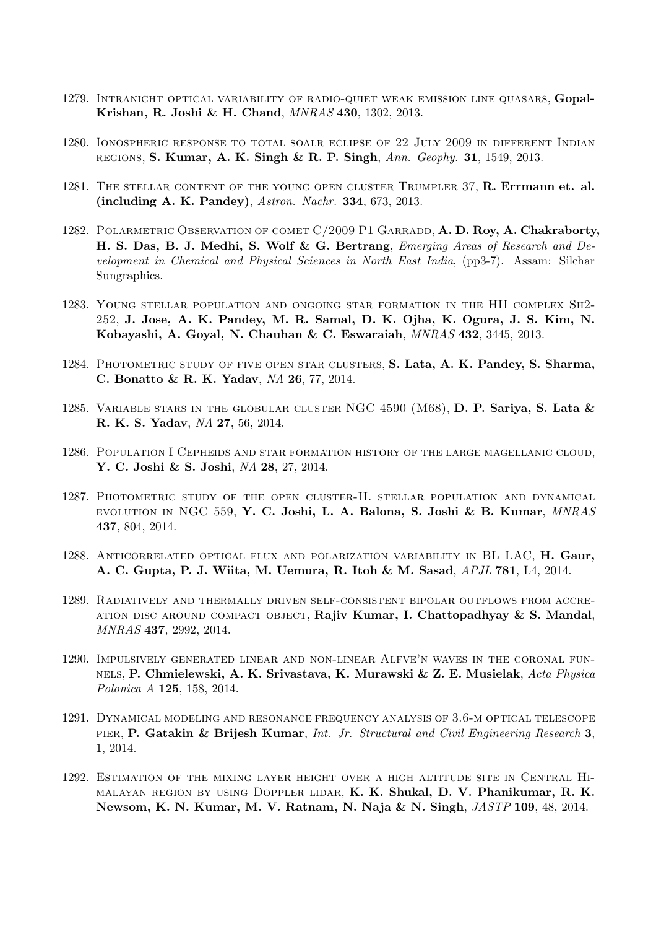- 1279. Intranight optical variability of radio-quiet weak emission line quasars, Gopal-Krishan, R. Joshi & H. Chand, MNRAS 430, 1302, 2013.
- 1280. Ionospheric response to total soalr eclipse of 22 July 2009 in different Indian regions, S. Kumar, A. K. Singh & R. P. Singh, Ann. Geophy. 31, 1549, 2013.
- 1281. THE STELLAR CONTENT OF THE YOUNG OPEN CLUSTER TRUMPLER 37, R. Errmann et. al. (including A. K. Pandey), Astron. Nachr. 334, 673, 2013.
- 1282. POLARMETRIC OBSERVATION OF COMET C/2009 P1 GARRADD, A. D. Roy, A. Chakraborty, H. S. Das, B. J. Medhi, S. Wolf & G. Bertrang, Emerging Areas of Research and Development in Chemical and Physical Sciences in North East India, (pp3-7). Assam: Silchar Sungraphics.
- 1283. Young stellar population and ongoing star formation in the HII complex Sh2- 252, J. Jose, A. K. Pandey, M. R. Samal, D. K. Ojha, K. Ogura, J. S. Kim, N. Kobayashi, A. Goyal, N. Chauhan & C. Eswaraiah, MNRAS 432, 3445, 2013.
- 1284. Photometric study of five open star clusters, S. Lata, A. K. Pandey, S. Sharma, C. Bonatto & R. K. Yadav, NA 26, 77, 2014.
- 1285. VARIABLE STARS IN THE GLOBULAR CLUSTER NGC 4590  $(M68)$ , D. P. Sariya, S. Lata  $\&$ R. K. S. Yadav, NA 27, 56, 2014.
- 1286. Population I Cepheids and star formation history of the large magellanic cloud, Y. C. Joshi & S. Joshi, NA 28, 27, 2014.
- 1287. Photometric study of the open cluster-II. stellar population and dynamical evolution in NGC 559, Y. C. Joshi, L. A. Balona, S. Joshi & B. Kumar, MNRAS 437, 804, 2014.
- 1288. Anticorrelated optical flux and polarization variability in BL LAC, H. Gaur, A. C. Gupta, P. J. Wiita, M. Uemura, R. Itoh & M. Sasad, APJL 781, L4, 2014.
- 1289. Radiatively and thermally driven self-consistent bipolar outflows from accre-ATION DISC AROUND COMPACT OBJECT, Rajiv Kumar, I. Chattopadhyay  $&$  S. Mandal, MNRAS 437, 2992, 2014.
- 1290. Impulsively generated linear and non-linear Alfve'n waves in the coronal funnels, P. Chmielewski, A. K. Srivastava, K. Murawski & Z. E. Musielak, Acta Physica Polonica A 125, 158, 2014.
- 1291. Dynamical modeling and resonance frequency analysis of 3.6-m optical telescope pier, P. Gatakin & Brijesh Kumar, Int. Jr. Structural and Civil Engineering Research 3, 1, 2014.
- 1292. Estimation of the mixing layer height over a high altitude site in Central Himalayan region by using Doppler lidar, K. K. Shukal, D. V. Phanikumar, R. K. Newsom, K. N. Kumar, M. V. Ratnam, N. Naja & N. Singh, JASTP 109, 48, 2014.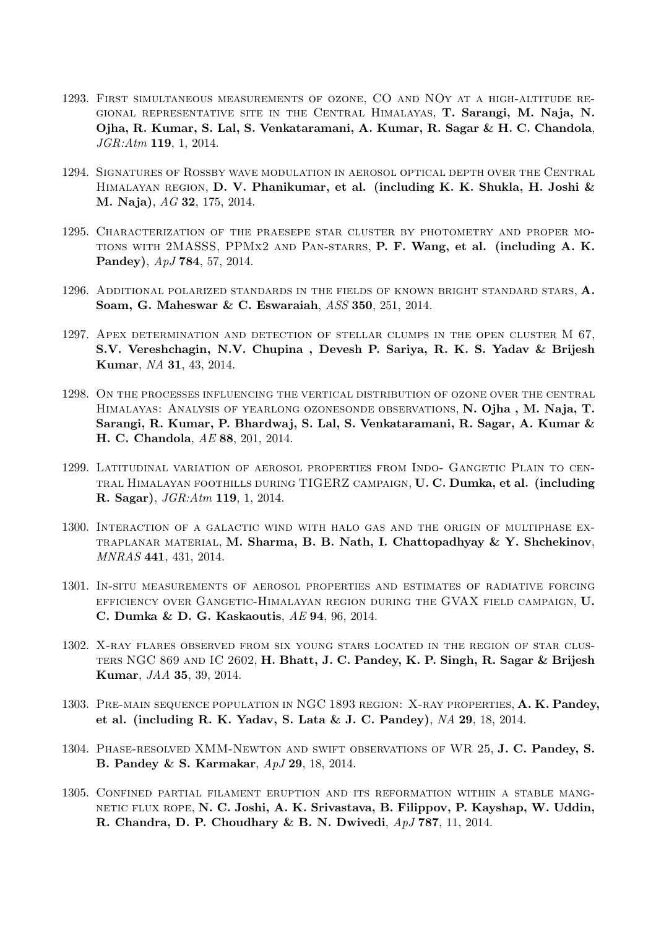- 1293. First simultaneous measurements of ozone, CO and NOy at a high-altitude regional representative site in the Central Himalayas, T. Sarangi, M. Naja, N. Ojha, R. Kumar, S. Lal, S. Venkataramani, A. Kumar, R. Sagar & H. C. Chandola, JGR:Atm 119, 1, 2014.
- 1294. Signatures of Rossby wave modulation in aerosol optical depth over the Central Himalayan region, D. V. Phanikumar, et al. (including K. K. Shukla, H. Joshi & M. Naja), AG 32, 175, 2014.
- 1295. Characterization of the praesepe star cluster by photometry and proper motions with 2MASSS, PPMx2 and Pan-starrs, P. F. Wang, et al. (including A. K. Pandey), ApJ 784, 57, 2014.
- 1296. ADDITIONAL POLARIZED STANDARDS IN THE FIELDS OF KNOWN BRIGHT STANDARD STARS, A. Soam, G. Maheswar & C. Eswaraiah, ASS 350, 251, 2014.
- 1297. Apex determination and detection of stellar clumps in the open cluster M 67, S.V. Vereshchagin, N.V. Chupina , Devesh P. Sariya, R. K. S. Yadav & Brijesh Kumar, NA 31, 43, 2014.
- 1298. On the processes influencing the vertical distribution of ozone over the central Himalayas: Analysis of yearlong ozonesonde observations, N. Ojha , M. Naja, T. Sarangi, R. Kumar, P. Bhardwaj, S. Lal, S. Venkataramani, R. Sagar, A. Kumar & H. C. Chandola, AE 88, 201, 2014.
- 1299. Latitudinal variation of aerosol properties from Indo- Gangetic Plain to central Himalayan foothills during TIGERZ campaign, U. C. Dumka, et al. (including R. Sagar), JGR:Atm 119, 1, 2014.
- 1300. Interaction of a galactic wind with halo gas and the origin of multiphase ex-TRAPLANAR MATERIAL, M. Sharma, B. B. Nath, I. Chattopadhyay  $\&$  Y. Shchekinov, MNRAS 441, 431, 2014.
- 1301. In-situ measurements of aerosol properties and estimates of radiative forcing efficiency over Gangetic-Himalayan region during the GVAX field campaign, U. C. Dumka & D. G. Kaskaoutis, AE 94, 96, 2014.
- 1302. X-ray flares observed from six young stars located in the region of star clusters NGC 869 and IC 2602, H. Bhatt, J. C. Pandey, K. P. Singh, R. Sagar & Brijesh Kumar, JAA 35, 39, 2014.
- 1303. PRE-MAIN SEQUENCE POPULATION IN NGC 1893 REGION: X-RAY PROPERTIES, A. K. Pandey, et al. (including R. K. Yadav, S. Lata & J. C. Pandey), NA 29, 18, 2014.
- 1304. Phase-resolved XMM-Newton and swift observations of WR 25, J. C. Pandey, S. B. Pandey & S. Karmakar, ApJ 29, 18, 2014.
- 1305. Confined partial filament eruption and its reformation within a stable mangnetic flux rope, N. C. Joshi, A. K. Srivastava, B. Filippov, P. Kayshap, W. Uddin, R. Chandra, D. P. Choudhary & B. N. Dwivedi,  $ApJ 787$ , 11, 2014.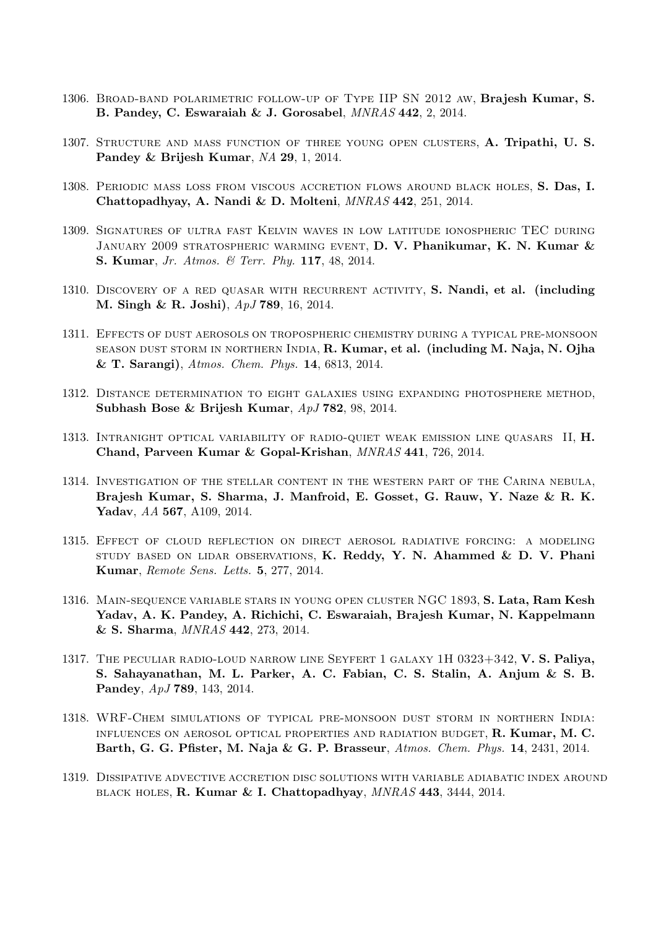- 1306. Broad-band polarimetric follow-up of Type IIP SN 2012 aw, Brajesh Kumar, S. B. Pandey, C. Eswaraiah & J. Gorosabel, MNRAS 442, 2, 2014.
- 1307. Structure and mass function of three young open clusters, A. Tripathi, U. S. Pandey & Brijesh Kumar, NA 29, 1, 2014.
- 1308. Periodic mass loss from viscous accretion flows around black holes, S. Das, I. Chattopadhyay, A. Nandi & D. Molteni, MNRAS 442, 251, 2014.
- 1309. Signatures of ultra fast Kelvin waves in low latitude ionospheric TEC during JANUARY 2009 STRATOSPHERIC WARMING EVENT, D. V. Phanikumar, K. N. Kumar & S. Kumar, Jr. Atmos. & Terr. Phy. 117, 48, 2014.
- 1310. DISCOVERY OF A RED QUASAR WITH RECURRENT ACTIVITY, S. Nandi, et al. (including M. Singh & R. Joshi), ApJ 789, 16, 2014.
- 1311. Effects of dust aerosols on tropospheric chemistry during a typical pre-monsoon season dust storm in northern India, R. Kumar, et al. (including M. Naja, N. Ojha & T. Sarangi), Atmos. Chem. Phys. 14, 6813, 2014.
- 1312. Distance determination to eight galaxies using expanding photosphere method, Subhash Bose & Brijesh Kumar, ApJ 782, 98, 2014.
- 1313. Intranight optical variability of radio-quiet weak emission line quasars II, H. Chand, Parveen Kumar & Gopal-Krishan, MNRAS 441, 726, 2014.
- 1314. Investigation of the stellar content in the western part of the Carina nebula, Brajesh Kumar, S. Sharma, J. Manfroid, E. Gosset, G. Rauw, Y. Naze & R. K. Yadav, AA 567, A109, 2014.
- 1315. Effect of cloud reflection on direct aerosol radiative forcing: a modeling STUDY BASED ON LIDAR OBSERVATIONS, K. Reddy, Y. N. Ahammed  $\&$  D. V. Phani Kumar, Remote Sens. Letts. 5, 277, 2014.
- 1316. Main-sequence variable stars in young open cluster NGC 1893, S. Lata, Ram Kesh Yadav, A. K. Pandey, A. Richichi, C. Eswaraiah, Brajesh Kumar, N. Kappelmann & S. Sharma, MNRAS 442, 273, 2014.
- 1317. The peculiar radio-loud narrow line Seyfert 1 galaxy 1H 0323+342, V. S. Paliya, S. Sahayanathan, M. L. Parker, A. C. Fabian, C. S. Stalin, A. Anjum & S. B. Pandey, ApJ 789, 143, 2014.
- 1318. WRF-Chem simulations of typical pre-monsoon dust storm in northern India: influences on aerosol optical properties and radiation budget, R. Kumar, M. C. Barth, G. G. Pfister, M. Naja & G. P. Brasseur, Atmos. Chem. Phys. 14, 2431, 2014.
- 1319. Dissipative advective accretion disc solutions with variable adiabatic index around black holes, R. Kumar & I. Chattopadhyay, MNRAS 443, 3444, 2014.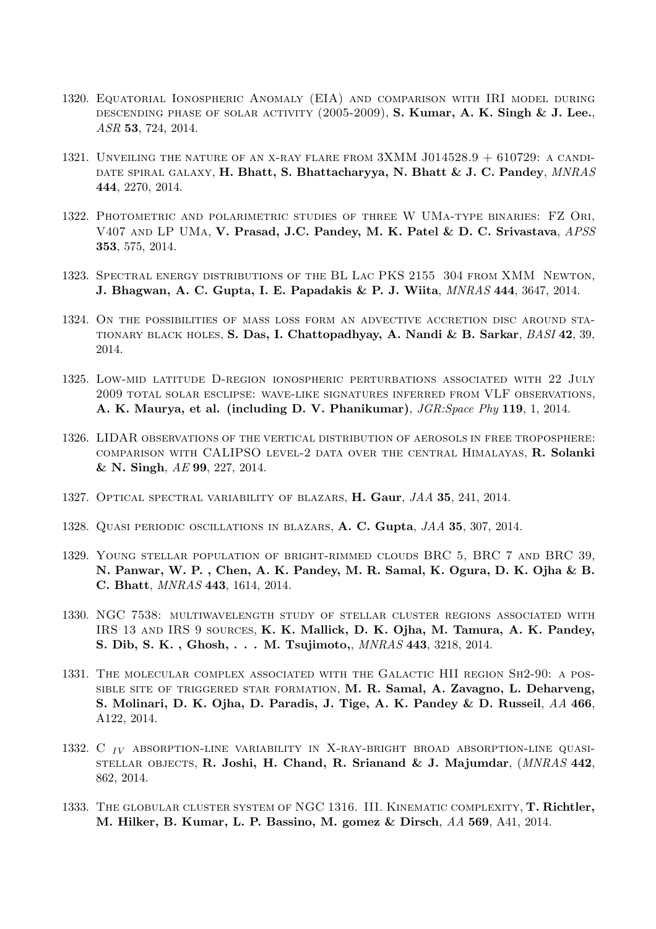- 1320. Equatorial Ionospheric Anomaly (EIA) and comparison with IRI model during descending phase of solar activity (2005-2009), S. Kumar, A. K. Singh & J. Lee., ASR 53, 724, 2014.
- 1321. UNVEILING THE NATURE OF AN X-RAY FLARE FROM  $3XMM$  J014528.9 + 610729: A CANDI-DATE SPIRAL GALAXY, H. Bhatt, S. Bhattacharyya, N. Bhatt & J. C. Pandey, MNRAS 444, 2270, 2014.
- 1322. Photometric and polarimetric studies of three W UMa-type binaries: FZ Ori, V407 and LP UMa, V. Prasad, J.C. Pandey, M. K. Patel & D. C. Srivastava, APSS 353, 575, 2014.
- 1323. Spectral energy distributions of the BL Lac PKS 2155 304 from XMM Newton, J. Bhagwan, A. C. Gupta, I. E. Papadakis & P. J. Wiita, MNRAS 444, 3647, 2014.
- 1324. On the possibilities of mass loss form an advective accretion disc around stationary black holes, S. Das, I. Chattopadhyay, A. Nandi & B. Sarkar, BASI 42, 39, 2014.
- 1325. Low-mid latitude D-region ionospheric perturbations associated with 22 July 2009 total solar esclipse: wave-like signatures inferred from VLF observations, A. K. Maurya, et al. (including D. V. Phanikumar), JGR:Space Phy 119, 1, 2014.
- 1326. LIDAR observations of the vertical distribution of aerosols in free troposphere: comparison with CALIPSO level-2 data over the central Himalayas, R. Solanki & N. Singh, AE 99, 227, 2014.
- 1327. OPTICAL SPECTRAL VARIABILITY OF BLAZARS, H. Gaur, JAA 35, 241, 2014.
- 1328. Quasi periodic oscillations in blazars, A. C. Gupta, JAA 35, 307, 2014.
- 1329. Young stellar population of bright-rimmed clouds BRC 5, BRC 7 and BRC 39, N. Panwar, W. P. , Chen, A. K. Pandey, M. R. Samal, K. Ogura, D. K. Ojha & B. C. Bhatt, MNRAS 443, 1614, 2014.
- 1330. NGC 7538: multiwavelength study of stellar cluster regions associated with IRS 13 and IRS 9 sources, K. K. Mallick, D. K. Ojha, M. Tamura, A. K. Pandey, S. Dib, S. K. , Ghosh, . . . M. Tsujimoto,, MNRAS 443, 3218, 2014.
- 1331. The molecular complex associated with the Galactic HII region Sh2-90: a possible site of triggered star formation, M. R. Samal, A. Zavagno, L. Deharveng, S. Molinari, D. K. Ojha, D. Paradis, J. Tige, A. K. Pandey & D. Russeil, AA 466, A122, 2014.
- 1332. C  $_{IV}$  absorption-line variability in X-ray-bright broad absorption-line quasi-STELLAR OBJECTS, R. Joshi, H. Chand, R. Srianand & J. Majumdar,  $(MNRAS 442,$ 862, 2014.
- 1333. THE GLOBULAR CLUSTER SYSTEM OF NGC 1316. III. KINEMATIC COMPLEXITY, T. Richtler, M. Hilker, B. Kumar, L. P. Bassino, M. gomez & Dirsch, AA 569, A41, 2014.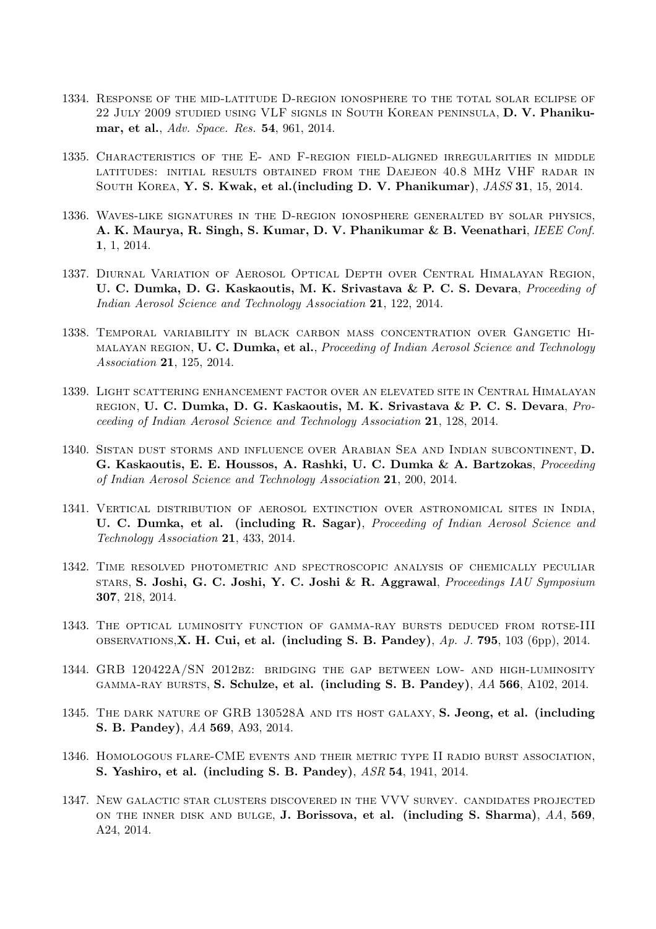- 1334. Response of the mid-latitude D-region ionosphere to the total solar eclipse of 22 July 2009 studied using VLF signls in South Korean peninsula, D. V. Phanikumar, et al., Adv. Space. Res. 54, 961, 2014.
- 1335. Characteristics of the E- and F-region field-aligned irregularities in middle latitudes: initial results obtained from the Daejeon 40.8 MHz VHF radar in SOUTH KOREA, Y. S. Kwak, et al.(including D. V. Phanikumar), JASS 31, 15, 2014.
- 1336. Waves-like signatures in the D-region ionosphere generalted by solar physics, A. K. Maurya, R. Singh, S. Kumar, D. V. Phanikumar & B. Veenathari, IEEE Conf. 1, 1, 2014.
- 1337. Diurnal Variation of Aerosol Optical Depth over Central Himalayan Region, U. C. Dumka, D. G. Kaskaoutis, M. K. Srivastava & P. C. S. Devara, Proceeding of Indian Aerosol Science and Technology Association 21, 122, 2014.
- 1338. Temporal variability in black carbon mass concentration over Gangetic Himalayan region, U. C. Dumka, et al., *Proceeding of Indian Aerosol Science and Technology* Association 21, 125, 2014.
- 1339. Light scattering enhancement factor over an elevated site in Central Himalayan region, U. C. Dumka, D. G. Kaskaoutis, M. K. Srivastava & P. C. S. Devara, Proceeding of Indian Aerosol Science and Technology Association 21, 128, 2014.
- 1340. Sistan dust storms and influence over Arabian Sea and Indian subcontinent, D. G. Kaskaoutis, E. E. Houssos, A. Rashki, U. C. Dumka & A. Bartzokas, Proceeding of Indian Aerosol Science and Technology Association 21, 200, 2014.
- 1341. Vertical distribution of aerosol extinction over astronomical sites in India, U. C. Dumka, et al. (including R. Sagar), *Proceeding of Indian Aerosol Science and* Technology Association 21, 433, 2014.
- 1342. Time resolved photometric and spectroscopic analysis of chemically peculiar stars, S. Joshi, G. C. Joshi, Y. C. Joshi & R. Aggrawal, Proceedings IAU Symposium 307, 218, 2014.
- 1343. The optical luminosity function of gamma-ray bursts deduced from rotse-III OBSERVATIONS, **X. H. Cui, et al. (including S. B. Pandey)**,  $Ap. J. 795, 103 (6pp)$ , 2014.
- 1344. GRB 120422A/SN 2012bz: bridging the gap between low- and high-luminosity gamma-ray bursts, S. Schulze, et al. (including S. B. Pandey), AA 566, A102, 2014.
- 1345. THE DARK NATURE OF GRB 130528A AND ITS HOST GALAXY, S. Jeong, et al. (including S. B. Pandey), AA 569, A93, 2014.
- 1346. Homologous flare-CME events and their metric type II radio burst association, S. Yashiro, et al. (including S. B. Pandey), ASR 54, 1941, 2014.
- 1347. New galactic star clusters discovered in the VVV survey. candidates projected ON THE INNER DISK AND BULGE, J. Borissova, et al. (including S. Sharma),  $AA$ , 569, A24, 2014.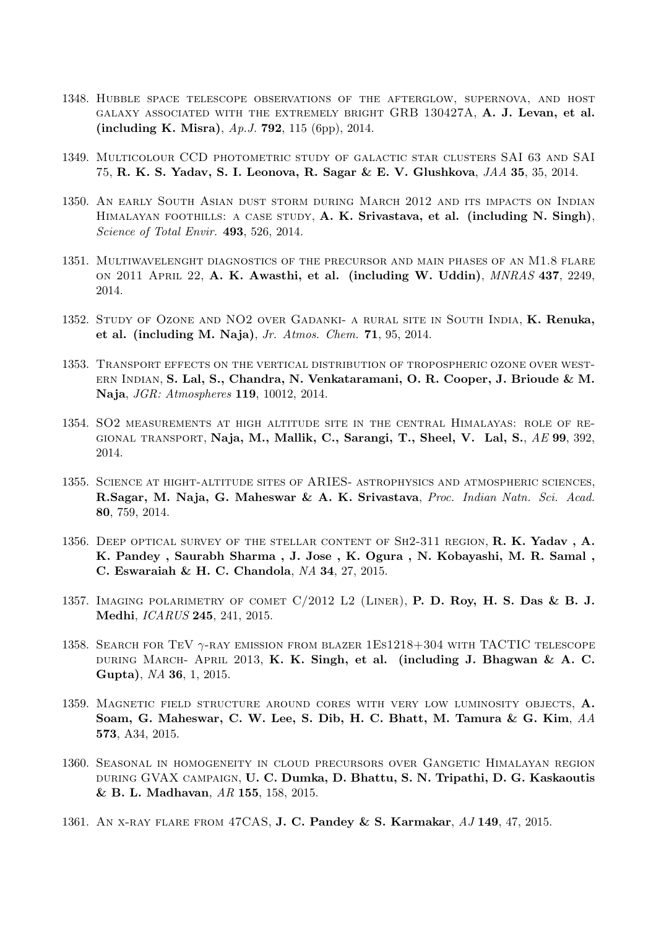- 1348. Hubble space telescope observations of the afterglow, supernova, and host galaxy associated with the extremely bright GRB 130427A, A. J. Levan, et al. (including K. Misra), Ap.J. 792, 115 (6pp), 2014.
- 1349. Multicolour CCD photometric study of galactic star clusters SAI 63 and SAI 75, R. K. S. Yadav, S. I. Leonova, R. Sagar & E. V. Glushkova, JAA 35, 35, 2014.
- 1350. An early South Asian dust storm during March 2012 and its impacts on Indian HIMALAYAN FOOTHILLS: A CASE STUDY, A. K. Srivastava, et al. (including N. Singh), Science of Total Envir. 493, 526, 2014.
- 1351. Multiwavelenght diagnostics of the precursor and main phases of an M1.8 flare on 2011 April 22, A. K. Awasthi, et al. (including W. Uddin), MNRAS 437, 2249, 2014.
- 1352. Study of Ozone and NO2 over Gadanki- a rural site in South India, K. Renuka, et al. (including M. Naja), Jr. Atmos. Chem.  $71, 95, 2014$ .
- 1353. Transport effects on the vertical distribution of tropospheric ozone over western Indian, S. Lal, S., Chandra, N. Venkataramani, O. R. Cooper, J. Brioude & M. Naja, JGR: Atmospheres 119, 10012, 2014.
- 1354. SO2 measurements at high altitude site in the central Himalayas: role of re-GIONAL TRANSPORT, Naja, M., Mallik, C., Sarangi, T., Sheel, V. Lal, S.,  $AE$  99, 392, 2014.
- 1355. Science at hight-altitude sites of ARIES- astrophysics and atmospheric sciences, R.Sagar, M. Naja, G. Maheswar & A. K. Srivastava, Proc. Indian Natn. Sci. Acad. 80, 759, 2014.
- 1356. DEEP OPTICAL SURVEY OF THE STELLAR CONTENT OF SH2-311 REGION, R. K. Yadav, A. K. Pandey , Saurabh Sharma , J. Jose , K. Ogura , N. Kobayashi, M. R. Samal , C. Eswaraiah & H. C. Chandola, NA 34, 27, 2015.
- 1357. IMAGING POLARIMETRY OF COMET  $C/2012$  L2 (LINER), P. D. Roy, H. S. Das & B. J. Medhi, ICARUS 245, 241, 2015.
- 1358. SEARCH FOR TEV  $\gamma$ -RAY EMISSION FROM BLAZER 1ES1218+304 WITH TACTIC TELESCOPE DURING MARCH- APRIL 2013, K. K. Singh, et al. (including J. Bhagwan & A. C. Gupta), NA 36, 1, 2015.
- 1359. MAGNETIC FIELD STRUCTURE AROUND CORES WITH VERY LOW LUMINOSITY OBJECTS, A. Soam, G. Maheswar, C. W. Lee, S. Dib, H. C. Bhatt, M. Tamura & G. Kim, AA 573, A34, 2015.
- 1360. Seasonal in homogeneity in cloud precursors over Gangetic Himalayan region during GVAX campaign, U. C. Dumka, D. Bhattu, S. N. Tripathi, D. G. Kaskaoutis & B. L. Madhavan, AR 155, 158, 2015.
- 1361. AN X-RAY FLARE FROM 47CAS, **J. C. Pandey & S. Karmakar**, AJ 149, 47, 2015.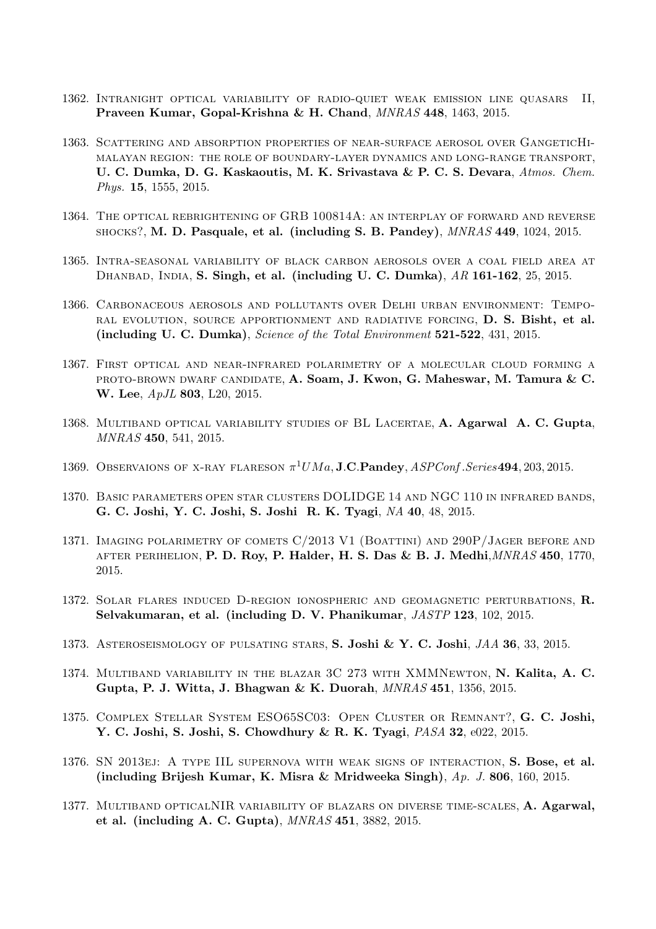- 1362. Intranight optical variability of radio-quiet weak emission line quasars II, Praveen Kumar, Gopal-Krishna & H. Chand, MNRAS 448, 1463, 2015.
- 1363. Scattering and absorption properties of near-surface aerosol over GangeticHimalayan region: the role of boundary-layer dynamics and long-range transport, U. C. Dumka, D. G. Kaskaoutis, M. K. Srivastava & P. C. S. Devara, Atmos. Chem. Phys. 15, 1555, 2015.
- 1364. The optical rebrightening of GRB 100814A: an interplay of forward and reverse shocks?, M. D. Pasquale, et al. (including S. B. Pandey), MNRAS 449, 1024, 2015.
- 1365. Intra-seasonal variability of black carbon aerosols over a coal field area at DHANBAD, INDIA, S. Singh, et al. (including U. C. Dumka), AR 161-162, 25, 2015.
- 1366. Carbonaceous aerosols and pollutants over Delhi urban environment: Temporal evolution, source apportionment and radiative forcing, D. S. Bisht, et al. (including U. C. Dumka), Science of the Total Environment 521-522, 431, 2015.
- 1367. First optical and near-infrared polarimetry of a molecular cloud forming a PROTO-BROWN DWARF CANDIDATE, A. Soam, J. Kwon, G. Maheswar, M. Tamura & C. W. Lee,  $ApJL$  803, L20, 2015.
- 1368. Multiband optical variability studies of BL Lacertae, A. Agarwal A. C. Gupta, MNRAS 450, 541, 2015.
- 1369. OBSERVAIONS OF X-RAY FLARESON  $\pi^1 U M a$ , **J.C.Pandey**,  $ASPConf. Series$ **494**, 203, 2015.
- 1370. Basic parameters open star clusters DOLIDGE 14 and NGC 110 in infrared bands, G. C. Joshi, Y. C. Joshi, S. Joshi R. K. Tyagi, NA 40, 48, 2015.
- 1371. Imaging polarimetry of comets C/2013 V1 (Boattini) and 290P/Jager before and AFTER PERIHELION, P. D. Roy, P. Halder, H. S. Das & B. J. Medhi, *MNRAS* 450, 1770, 2015.
- 1372. SOLAR FLARES INDUCED D-REGION IONOSPHERIC AND GEOMAGNETIC PERTURBATIONS, R. Selvakumaran, et al. (including D. V. Phanikumar, JASTP 123, 102, 2015.
- 1373. ASTEROSEISMOLOGY OF PULSATING STARS, S. Joshi & Y. C. Joshi, JAA 36, 33, 2015.
- 1374. Multiband variability in the blazar 3C 273 with XMMNewton, N. Kalita, A. C. Gupta, P. J. Witta, J. Bhagwan & K. Duorah, MNRAS 451, 1356, 2015.
- 1375. Complex Stellar System ESO65SC03: Open Cluster or Remnant?, G. C. Joshi, Y. C. Joshi, S. Joshi, S. Chowdhury & R. K. Tyagi, PASA 32, e022, 2015.
- 1376. SN 2013ej: A type IIL supernova with weak signs of interaction, S. Bose, et al. (including Brijesh Kumar, K. Misra & Mridweeka Singh), Ap. J. 806, 160, 2015.
- 1377. MULTIBAND OPTICALNIR VARIABILITY OF BLAZARS ON DIVERSE TIME-SCALES, A. Agarwal, et al. (including A. C. Gupta), MNRAS 451, 3882, 2015.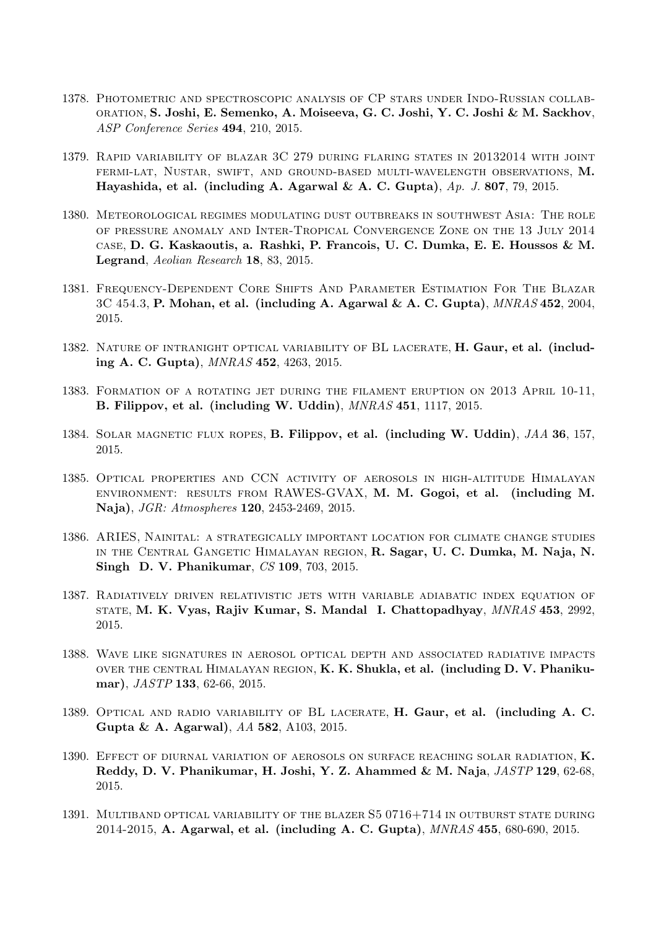- 1378. Photometric and spectroscopic analysis of CP stars under Indo-Russian collaboration, S. Joshi, E. Semenko, A. Moiseeva, G. C. Joshi, Y. C. Joshi & M. Sackhov, ASP Conference Series 494, 210, 2015.
- 1379. Rapid variability of blazar 3C 279 during flaring states in 20132014 with joint fermi-lat, Nustar, swift, and ground-based multi-wavelength observations, M. Hayashida, et al. (including A. Agarwal & A. C. Gupta),  $Ap. J. 807, 79, 2015$ .
- 1380. Meteorological regimes modulating dust outbreaks in southwest Asia: The role of pressure anomaly and Inter-Tropical Convergence Zone on the 13 July 2014 case, D. G. Kaskaoutis, a. Rashki, P. Francois, U. C. Dumka, E. E. Houssos & M. Legrand, Aeolian Research 18, 83, 2015.
- 1381. Frequency-Dependent Core Shifts And Parameter Estimation For The Blazar  $3C$  454.3, P. Mohan, et al. (including A. Agarwal & A. C. Gupta),  $MNRAS$  452, 2004, 2015.
- 1382. NATURE OF INTRANIGHT OPTICAL VARIABILITY OF BL LACERATE, H. Gaur, et al. (including A. C. Gupta), MNRAS 452, 4263, 2015.
- 1383. Formation of a rotating jet during the filament eruption on 2013 April 10-11, B. Filippov, et al. (including W. Uddin), MNRAS 451, 1117, 2015.
- 1384. SOLAR MAGNETIC FLUX ROPES, B. Filippov, et al. (including W. Uddin), JAA 36, 157, 2015.
- 1385. Optical properties and CCN activity of aerosols in high-altitude Himalayan environment: results from RAWES-GVAX, M. M. Gogoi, et al. (including M. Naja), JGR: Atmospheres 120, 2453-2469, 2015.
- 1386. ARIES, Nainital: a strategically important location for climate change studies in the Central Gangetic Himalayan region, R. Sagar, U. C. Dumka, M. Naja, N. Singh D. V. Phanikumar, CS 109, 703, 2015.
- 1387. Radiatively driven relativistic jets with variable adiabatic index equation of state, M. K. Vyas, Rajiv Kumar, S. Mandal I. Chattopadhyay, MNRAS 453, 2992, 2015.
- 1388. Wave like signatures in aerosol optical depth and associated radiative impacts over the central Himalayan region, K. K. Shukla, et al. (including D. V. Phanikumar), *JASTP* 133, 62-66, 2015.
- 1389. OPTICAL AND RADIO VARIABILITY OF BL LACERATE, H. Gaur, et al. (including A. C. Gupta & A. Agarwal), AA 582, A103, 2015.
- 1390. EFFECT OF DIURNAL VARIATION OF AEROSOLS ON SURFACE REACHING SOLAR RADIATION, K. Reddy, D. V. Phanikumar, H. Joshi, Y. Z. Ahammed & M. Naja, JASTP 129, 62-68, 2015.
- 1391. MULTIBAND OPTICAL VARIABILITY OF THE BLAZER  $S5 0716+714$  IN OUTBURST STATE DURING 2014-2015, A. Agarwal, et al. (including A. C. Gupta), MNRAS 455, 680-690, 2015.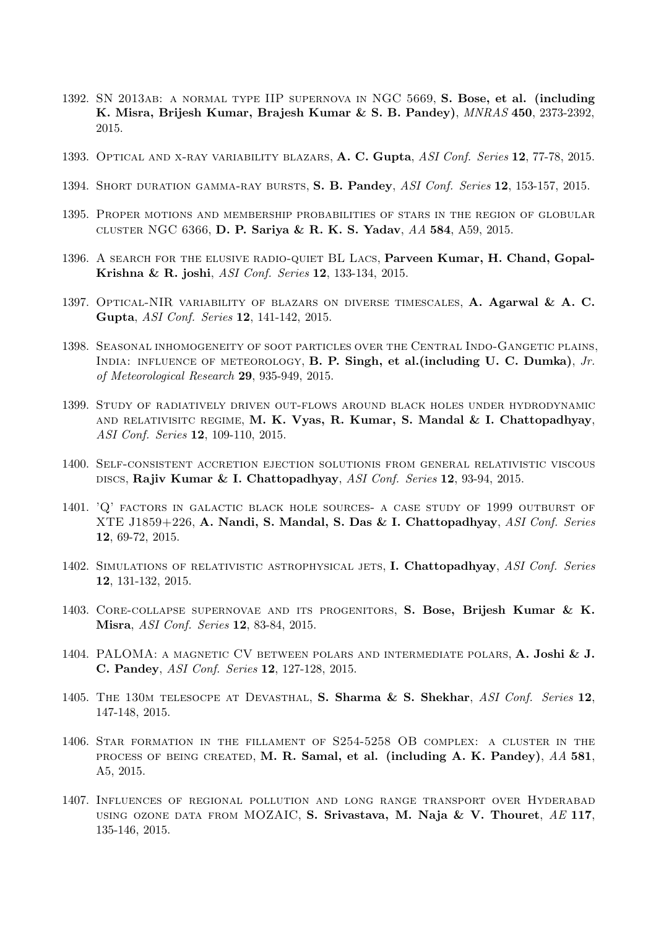- 1392. SN 2013ab: a normal type IIP supernova in NGC 5669, S. Bose, et al. (including K. Misra, Brijesh Kumar, Brajesh Kumar & S. B. Pandey), MNRAS 450, 2373-2392, 2015.
- 1393. OPTICAL AND X-RAY VARIABILITY BLAZARS, A. C. Gupta, ASI Conf. Series 12, 77-78, 2015.
- 1394. SHORT DURATION GAMMA-RAY BURSTS, S. B. Pandey, ASI Conf. Series 12, 153-157, 2015.
- 1395. Proper motions and membership probabilities of stars in the region of globular cluster NGC 6366, D. P. Sariya & R. K. S. Yadav, AA 584, A59, 2015.
- 1396. A search for the elusive radio-quiet BL Lacs, Parveen Kumar, H. Chand, Gopal-Krishna & R. joshi, ASI Conf. Series 12, 133-134, 2015.
- 1397. OPTICAL-NIR VARIABILITY OF BLAZARS ON DIVERSE TIMESCALES, A. Agarwal & A. C. Gupta, ASI Conf. Series 12, 141-142, 2015.
- 1398. Seasonal inhomogeneity of soot particles over the Central Indo-Gangetic plains, INDIA: INFLUENCE OF METEOROLOGY, B. P. Singh, et al. (including U. C. Dumka),  $Jr$ . of Meteorological Research 29, 935-949, 2015.
- 1399. Study of radiatively driven out-flows around black holes under hydrodynamic AND RELATIVISITC REGIME, M. K. Vyas, R. Kumar, S. Mandal & I. Chattopadhyay, ASI Conf. Series 12, 109-110, 2015.
- 1400. Self-consistent accretion ejection solutionis from general relativistic viscous discs, Rajiv Kumar & I. Chattopadhyay, ASI Conf. Series 12, 93-94, 2015.
- 1401. 'Q' factors in galactic black hole sources- a case study of 1999 outburst of XTE J1859+226, A. Nandi, S. Mandal, S. Das & I. Chattopadhyay, ASI Conf. Series 12, 69-72, 2015.
- 1402. SIMULATIONS OF RELATIVISTIC ASTROPHYSICAL JETS, I. Chattopadhyay, ASI Conf. Series 12, 131-132, 2015.
- 1403. Core-collapse supernovae and its progenitors, S. Bose, Brijesh Kumar & K. Misra, ASI Conf. Series 12, 83-84, 2015.
- 1404. PALOMA: a magnetic CV between polars and intermediate polars, A. Joshi & J. C. Pandey, ASI Conf. Series 12, 127-128, 2015.
- 1405. THE 130M TELESOCPE AT DEVASTHAL, S. Sharma & S. Shekhar, ASI Conf. Series 12, 147-148, 2015.
- 1406. Star formation in the fillament of S254-5258 OB complex: a cluster in the process of being created, M. R. Samal, et al. (including A. K. Pandey), AA 581, A5, 2015.
- 1407. Influences of regional pollution and long range transport over Hyderabad USING OZONE DATA FROM MOZAIC, S. Srivastava, M. Naja & V. Thouret,  $AE$  117, 135-146, 2015.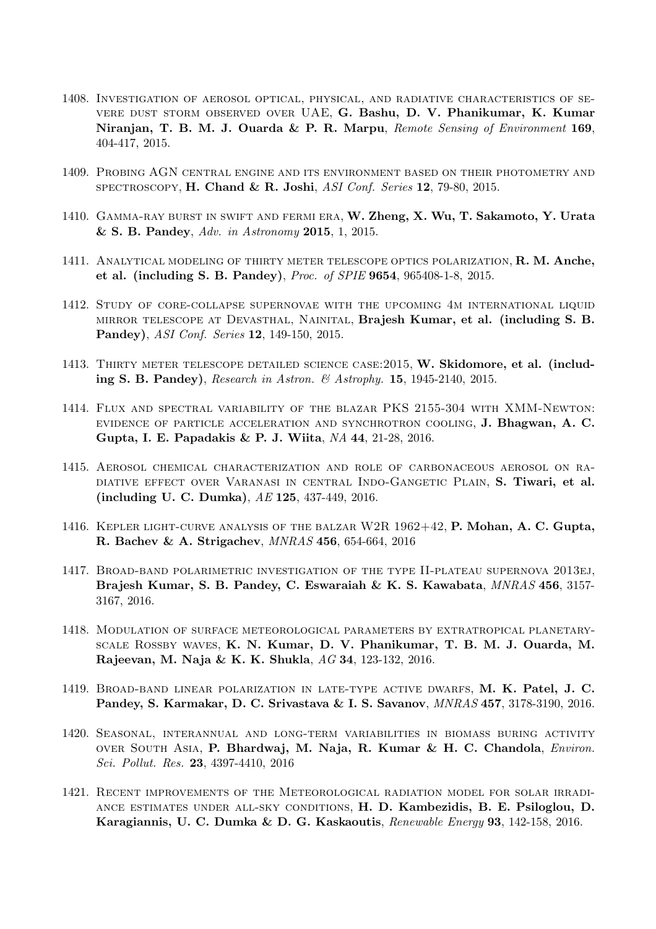- 1408. Investigation of aerosol optical, physical, and radiative characteristics of severe dust storm observed over UAE, G. Bashu, D. V. Phanikumar, K. Kumar Niranjan, T. B. M. J. Ouarda & P. R. Marpu, Remote Sensing of Environment 169, 404-417, 2015.
- 1409. Probing AGN central engine and its environment based on their photometry and SPECTROSCOPY, H. Chand & R. Joshi, ASI Conf. Series 12, 79-80, 2015.
- 1410. GAMMA-RAY BURST IN SWIFT AND FERMI ERA, W. Zheng, X. Wu, T. Sakamoto, Y. Urata & S. B. Pandey, Adv. in Astronomy 2015, 1, 2015.
- 1411. ANALYTICAL MODELING OF THIRTY METER TELESCOPE OPTICS POLARIZATION, R. M. Anche, et al. (including S. B. Pandey), Proc. of SPIE 9654, 965408-1-8, 2015.
- 1412. Study of core-collapse supernovae with the upcoming 4m international liquid mirror telescope at Devasthal, Nainital, Brajesh Kumar, et al. (including S. B. Pandey), ASI Conf. Series 12, 149-150, 2015.
- 1413. THIRTY METER TELESCOPE DETAILED SCIENCE CASE: 2015, W. Skidomore, et al. (including S. B. Pandey), Research in Astron. & Astrophy. 15, 1945-2140, 2015.
- 1414. Flux and spectral variability of the blazar PKS 2155-304 with XMM-Newton: evidence of particle acceleration and synchrotron cooling, J. Bhagwan, A. C. Gupta, I. E. Papadakis & P. J. Wiita, NA 44, 21-28, 2016.
- 1415. Aerosol chemical characterization and role of carbonaceous aerosol on radiative effect over Varanasi in central Indo-Gangetic Plain, S. Tiwari, et al. (including U. C. Dumka), AE 125, 437-449, 2016.
- 1416. KEPLER LIGHT-CURVE ANALYSIS OF THE BALZAR W2R 1962+42, P. Mohan, A. C. Gupta, R. Bachev & A. Strigachev, MNRAS 456, 654-664, 2016
- 1417. Broad-band polarimetric investigation of the type II-plateau supernova 2013ej, Brajesh Kumar, S. B. Pandey, C. Eswaraiah & K. S. Kawabata, MNRAS 456, 3157- 3167, 2016.
- 1418. Modulation of surface meteorological parameters by extratropical planetaryscale Rossby waves, K. N. Kumar, D. V. Phanikumar, T. B. M. J. Ouarda, M. Rajeevan, M. Naja & K. K. Shukla, AG 34, 123-132, 2016.
- 1419. Broad-band linear polarization in late-type active dwarfs, M. K. Patel, J. C. Pandey, S. Karmakar, D. C. Srivastava & I. S. Savanov, MNRAS 457, 3178-3190, 2016.
- 1420. Seasonal, interannual and long-term variabilities in biomass buring activity over South Asia, P. Bhardwaj, M. Naja, R. Kumar & H. C. Chandola, Environ. Sci. Pollut. Res. 23, 4397-4410, 2016
- 1421. Recent improvements of the Meteorological radiation model for solar irradiance estimates under all-sky conditions, H. D. Kambezidis, B. E. Psiloglou, D. Karagiannis, U. C. Dumka & D. G. Kaskaoutis, Renewable Energy 93, 142-158, 2016.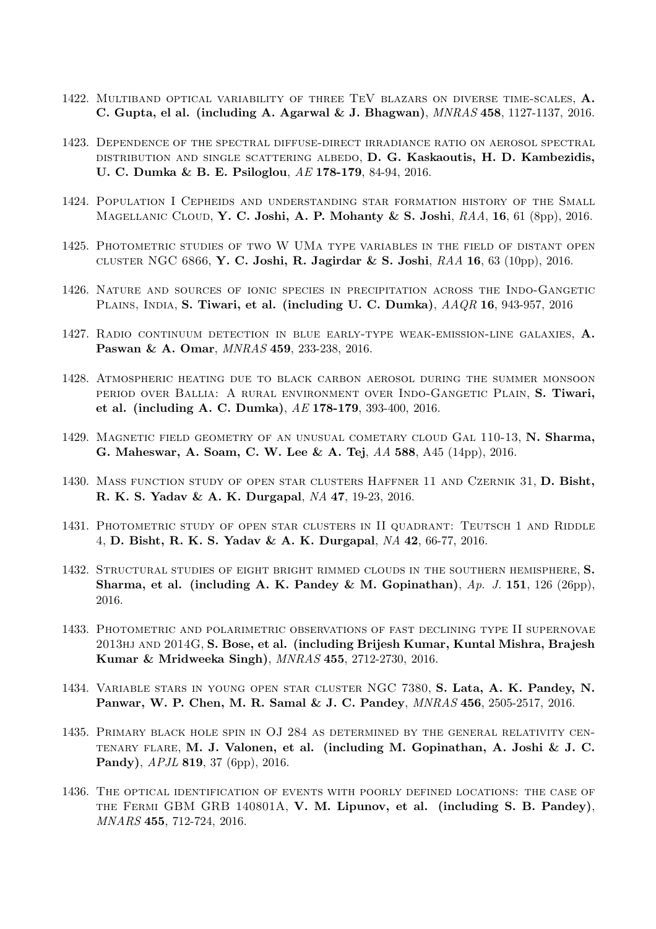- 1422. Multiband optical variability of three TeV blazars on diverse time-scales, A. C. Gupta, el al. (including A. Agarwal & J. Bhagwan), MNRAS 458, 1127-1137, 2016.
- 1423. Dependence of the spectral diffuse-direct irradiance ratio on aerosol spectral distribution and single scattering albedo, D. G. Kaskaoutis, H. D. Kambezidis, U. C. Dumka & B. E. Psiloglou, AE 178-179, 84-94, 2016.
- 1424. Population I Cepheids and understanding star formation history of the Small MAGELLANIC CLOUD, Y. C. Joshi, A. P. Mohanty & S. Joshi,  $RAA$ , 16, 61 (8pp), 2016.
- 1425. Photometric studies of two W UMa type variables in the field of distant open CLUSTER NGC 6866, Y. C. Joshi, R. Jagirdar & S. Joshi,  $RAA$  16, 63 (10pp), 2016.
- 1426. Nature and sources of ionic species in precipitation across the Indo-Gangetic Plains, India, S. Tiwari, et al. (including U. C. Dumka), AAQR 16, 943-957, 2016
- 1427. Radio continuum detection in blue early-type weak-emission-line galaxies, A. Paswan & A. Omar, MNRAS 459, 233-238, 2016.
- 1428. Atmospheric heating due to black carbon aerosol during the summer monsoon period over Ballia: A rural environment over Indo-Gangetic Plain, S. Tiwari, et al. (including A. C. Dumka), AE 178-179, 393-400, 2016.
- 1429. MAGNETIC FIELD GEOMETRY OF AN UNUSUAL COMETARY CLOUD GAL 110-13, N. Sharma, G. Maheswar, A. Soam, C. W. Lee & A. Tej, AA 588, A45 (14pp), 2016.
- 1430. Mass function study of open star clusters Haffner 11 and Czernik 31, D. Bisht, R. K. S. Yadav & A. K. Durgapal, NA 47, 19-23, 2016.
- 1431. Photometric study of open star clusters in II quadrant: Teutsch 1 and Riddle 4, D. Bisht, R. K. S. Yadav & A. K. Durgapal, NA 42, 66-77, 2016.
- 1432. Structural studies of eight bright rimmed clouds in the southern hemisphere, S. Sharma, et al. (including A. K. Pandey & M. Gopinathan),  $Ap. J. 151, 126 (26pp)$ , 2016.
- 1433. Photometric and polarimetric observations of fast declining type II supernovae 2013hj and 2014G, S. Bose, et al. (including Brijesh Kumar, Kuntal Mishra, Brajesh Kumar & Mridweeka Singh), MNRAS 455, 2712-2730, 2016.
- 1434. Variable stars in young open star cluster NGC 7380, S. Lata, A. K. Pandey, N. Panwar, W. P. Chen, M. R. Samal & J. C. Pandey, MNRAS 456, 2505-2517, 2016.
- 1435. Primary black hole spin in OJ 284 as determined by the general relativity centenary flare, M. J. Valonen, et al. (including M. Gopinathan, A. Joshi & J. C. Pandy), APJL 819, 37 (6pp), 2016.
- 1436. The optical identification of events with poorly defined locations: the case of the Fermi GBM GRB 140801A, V. M. Lipunov, et al. (including S. B. Pandey), MNARS 455, 712-724, 2016.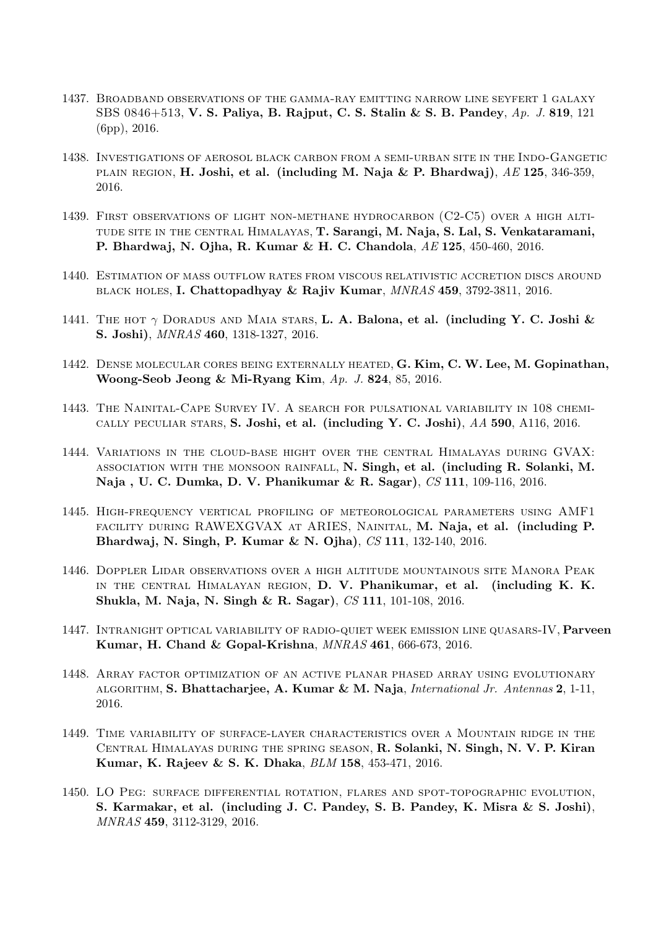- 1437. Broadband observations of the gamma-ray emitting narrow line seyfert 1 galaxy SBS 0846+513, V. S. Paliya, B. Rajput, C. S. Stalin & S. B. Pandey, Ap. J. 819, 121 (6pp), 2016.
- 1438. Investigations of aerosol black carbon from a semi-urban site in the Indo-Gangetic plain region, H. Joshi, et al. (including M. Naja & P. Bhardwaj),  $AE$  125, 346-359, 2016.
- 1439. First observations of light non-methane hydrocarbon (C2-C5) over a high altitude site in the central Himalayas, T. Sarangi, M. Naja, S. Lal, S. Venkataramani, P. Bhardwaj, N. Ojha, R. Kumar & H. C. Chandola, AE 125, 450-460, 2016.
- 1440. Estimation of mass outflow rates from viscous relativistic accretion discs around black holes, I. Chattopadhyay & Rajiv Kumar, MNRAS 459, 3792-3811, 2016.
- 1441. THE HOT  $\gamma$  DORADUS AND MAIA STARS, **L. A. Balona, et al. (including Y. C. Joshi &** S. Joshi), MNRAS 460, 1318-1327, 2016.
- 1442. Dense molecular cores being externally heated, G. Kim, C. W. Lee, M. Gopinathan, Woong-Seob Jeong & Mi-Ryang Kim, Ap. J. 824, 85, 2016.
- 1443. The Nainital-Cape Survey IV. A search for pulsational variability in 108 chemically peculiar stars, S. Joshi, et al. (including Y. C. Joshi), AA 590, A116, 2016.
- 1444. Variations in the cloud-base hight over the central Himalayas during GVAX: association with the monsoon rainfall, N. Singh, et al. (including R. Solanki, M. Naja , U. C. Dumka, D. V. Phanikumar & R. Sagar), CS 111, 109-116, 2016.
- 1445. High-frequency vertical profiling of meteorological parameters using AMF1 FACILITY DURING RAWEXGVAX AT ARIES, NAINITAL, M. Naja, et al. (including P. Bhardwaj, N. Singh, P. Kumar & N. Ojha), CS 111, 132-140, 2016.
- 1446. Doppler Lidar observations over a high altitude mountainous site Manora Peak in the central Himalayan region, D. V. Phanikumar, et al. (including K. K. Shukla, M. Naja, N. Singh & R. Sagar), CS 111, 101-108, 2016.
- 1447. INTRANIGHT OPTICAL VARIABILITY OF RADIO-QUIET WEEK EMISSION LINE QUASARS-IV, Parveen Kumar, H. Chand & Gopal-Krishna, MNRAS 461, 666-673, 2016.
- 1448. Array factor optimization of an active planar phased array using evolutionary algorithm, S. Bhattacharjee, A. Kumar & M. Naja, International Jr. Antennas 2, 1-11, 2016.
- 1449. Time variability of surface-layer characteristics over a Mountain ridge in the Central Himalayas during the spring season, R. Solanki, N. Singh, N. V. P. Kiran Kumar, K. Rajeev & S. K. Dhaka, BLM 158, 453-471, 2016.
- 1450. LO Peg: surface differential rotation, flares and spot-topographic evolution, S. Karmakar, et al. (including J. C. Pandey, S. B. Pandey, K. Misra & S. Joshi), MNRAS 459, 3112-3129, 2016.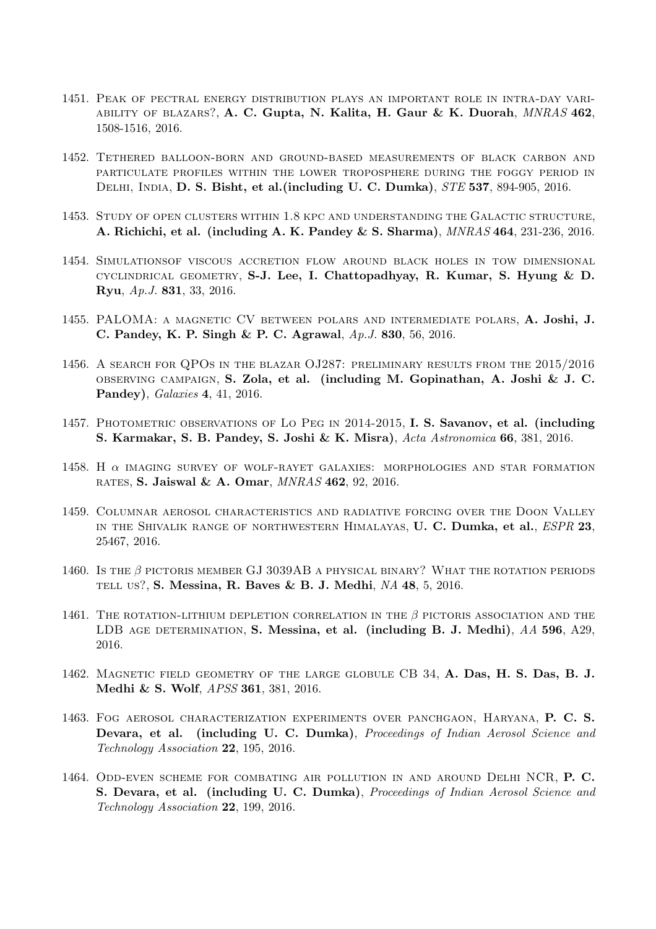- 1451. Peak of pectral energy distribution plays an important role in intra-day variability of blazars?, A. C. Gupta, N. Kalita, H. Gaur & K. Duorah, MNRAS 462, 1508-1516, 2016.
- 1452. Tethered balloon-born and ground-based measurements of black carbon and particulate profiles within the lower troposphere during the foggy period in Delhi, India, D. S. Bisht, et al.(including U. C. Dumka), STE 537, 894-905, 2016.
- 1453. Study of open clusters within 1.8 kpc and understanding the Galactic structure, A. Richichi, et al. (including A. K. Pandey & S. Sharma), MNRAS 464, 231-236, 2016.
- 1454. Simulationsof viscous accretion flow around black holes in tow dimensional CYCLINDRICAL GEOMETRY, S-J. Lee, I. Chattopadhyay, R. Kumar, S. Hyung  $\&$  D. Ryu, Ap.J. 831, 33, 2016.
- 1455. PALOMA: a magnetic CV between polars and intermediate polars, A. Joshi, J. C. Pandey, K. P. Singh & P. C. Agrawal, Ap.J. 830, 56, 2016.
- 1456. A search for QPOs in the blazar OJ287: preliminary results from the 2015/2016 observing campaign, S. Zola, et al. (including M. Gopinathan, A. Joshi & J. C. Pandey), Galaxies 4, 41, 2016.
- 1457. PHOTOMETRIC OBSERVATIONS OF LO PEG IN 2014-2015, I. S. Savanov, et al. (including S. Karmakar, S. B. Pandey, S. Joshi & K. Misra), Acta Astronomica 66, 381, 2016.
- 1458. H α imaging survey of wolf-rayet galaxies: morphologies and star formation rates, S. Jaiswal & A. Omar, MNRAS 462, 92, 2016.
- 1459. Columnar aerosol characteristics and radiative forcing over the Doon Valley IN THE SHIVALIK RANGE OF NORTHWESTERN HIMALAYAS, U. C. Dumka, et al., ESPR 23, 25467, 2016.
- 1460. Is the  $\beta$  pictoris member GJ 3039AB a physical binary? What the rotation periods TELL US?, S. Messina, R. Baves & B. J. Medhi,  $NA$  48, 5, 2016.
- 1461. The rotation-lithium depletion correlation in the  $\beta$  pictoris association and the LDB AGE DETERMINATION, S. Messina, et al. (including B. J. Medhi), AA 596, A29, 2016.
- 1462. Magnetic field geometry of the large globule CB 34, A. Das, H. S. Das, B. J. Medhi & S. Wolf, APSS 361, 381, 2016.
- 1463. Fog aerosol characterization experiments over panchgaon, Haryana, P. C. S. Devara, et al. (including U. C. Dumka), Proceedings of Indian Aerosol Science and Technology Association 22, 195, 2016.
- 1464. Odd-even scheme for combating air pollution in and around Delhi NCR, P. C. S. Devara, et al. (including U. C. Dumka), Proceedings of Indian Aerosol Science and Technology Association 22, 199, 2016.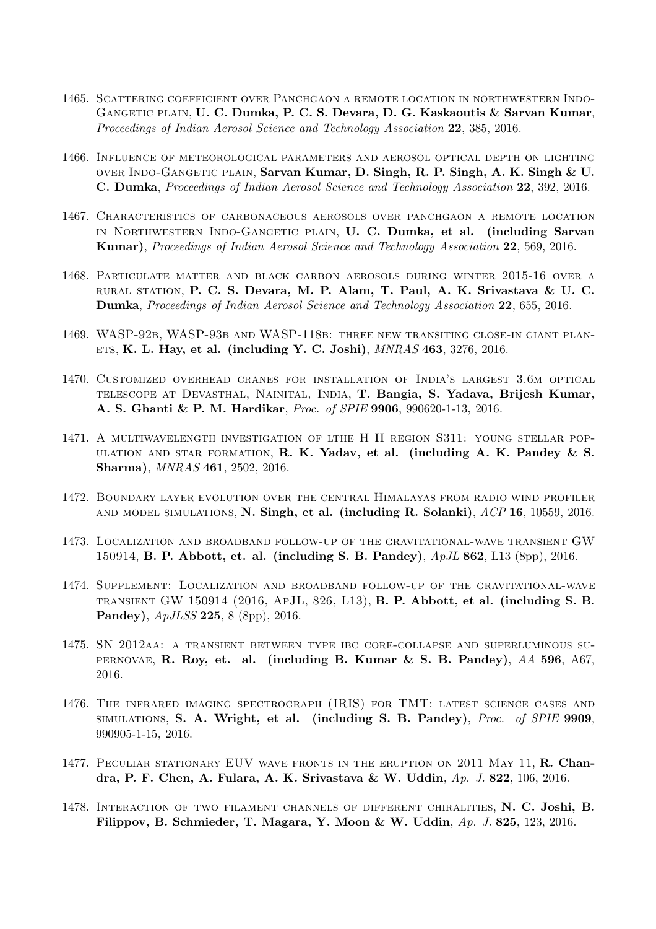- 1465. Scattering coefficient over Panchgaon a remote location in northwestern Indo-GANGETIC PLAIN, U. C. Dumka, P. C. S. Devara, D. G. Kaskaoutis & Sarvan Kumar, Proceedings of Indian Aerosol Science and Technology Association 22, 385, 2016.
- 1466. Influence of meteorological parameters and aerosol optical depth on lighting over Indo-Gangetic plain, Sarvan Kumar, D. Singh, R. P. Singh, A. K. Singh & U. C. Dumka, Proceedings of Indian Aerosol Science and Technology Association 22, 392, 2016.
- 1467. Characteristics of carbonaceous aerosols over panchgaon a remote location in Northwestern Indo-Gangetic plain, U. C. Dumka, et al. (including Sarvan Kumar), Proceedings of Indian Aerosol Science and Technology Association 22, 569, 2016.
- 1468. Particulate matter and black carbon aerosols during winter 2015-16 over a rural station, P. C. S. Devara, M. P. Alam, T. Paul, A. K. Srivastava & U. C. Dumka, Proceedings of Indian Aerosol Science and Technology Association 22, 655, 2016.
- 1469. WASP-92b, WASP-93b and WASP-118b: three new transiting close-in giant plan-ETS, K. L. Hay, et al. (including Y. C. Joshi),  $MNRAS$  463, 3276, 2016.
- 1470. Customized overhead cranes for installation of India's largest 3.6m optical telescope at Devasthal, Nainital, India, T. Bangia, S. Yadava, Brijesh Kumar, A. S. Ghanti & P. M. Hardikar, Proc. of SPIE 9906, 990620-1-13, 2016.
- 1471. A multiwavelength investigation of lthe H II region S311: young stellar pop-ULATION AND STAR FORMATION, R. K. Yadav, et al. (including A. K. Pandey  $& S.$ Sharma), MNRAS 461, 2502, 2016.
- 1472. Boundary layer evolution over the central Himalayas from radio wind profiler and model simulations, N. Singh, et al. (including R. Solanki), ACP 16, 10559, 2016.
- 1473. Localization and broadband follow-up of the gravitational-wave transient GW 150914, B. P. Abbott, et. al. (including S. B. Pandey), ApJL 862, L13 (8pp), 2016.
- 1474. Supplement: Localization and broadband follow-up of the gravitational-wave transient GW 150914 (2016, ApJL, 826, L13), B. P. Abbott, et al. (including S. B. Pandey), ApJLSS 225, 8 (8pp), 2016.
- 1475. SN 2012aa: a transient between type ibc core-collapse and superluminous su-PERNOVAE, R. Roy, et. al. (including B. Kumar & S. B. Pandey),  $AA$  596,  $A67$ , 2016.
- 1476. The infrared imaging spectrograph (IRIS) for TMT: latest science cases and simulations, S. A. Wright, et al. (including S. B. Pandey), Proc. of SPIE 9909, 990905-1-15, 2016.
- 1477. PECULIAR STATIONARY EUV WAVE FRONTS IN THE ERUPTION ON 2011 MAY 11, R. Chandra, P. F. Chen, A. Fulara, A. K. Srivastava & W. Uddin, Ap. J. 822, 106, 2016.
- 1478. Interaction of two filament channels of different chiralities, N. C. Joshi, B. Filippov, B. Schmieder, T. Magara, Y. Moon & W. Uddin,  $Ap. J. 825, 123, 2016.$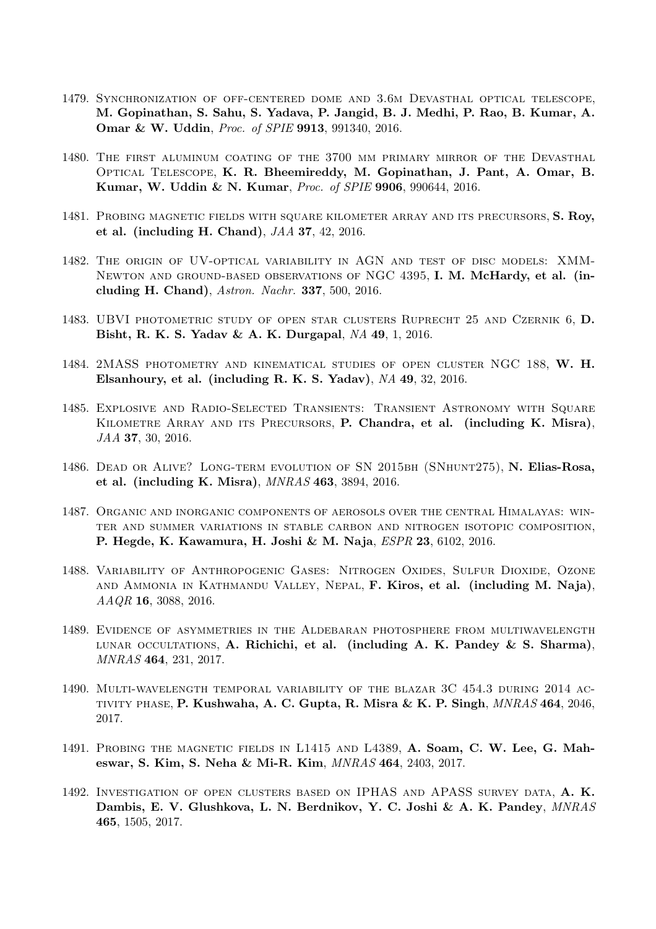- 1479. Synchronization of off-centered dome and 3.6m Devasthal optical telescope, M. Gopinathan, S. Sahu, S. Yadava, P. Jangid, B. J. Medhi, P. Rao, B. Kumar, A. Omar & W. Uddin, Proc. of SPIE 9913, 991340, 2016.
- 1480. The first aluminum coating of the 3700 mm primary mirror of the Devasthal Optical Telescope, K. R. Bheemireddy, M. Gopinathan, J. Pant, A. Omar, B. Kumar, W. Uddin & N. Kumar, Proc. of SPIE 9906, 990644, 2016.
- 1481. PROBING MAGNETIC FIELDS WITH SQUARE KILOMETER ARRAY AND ITS PRECURSORS, S. Roy, et al. (including H. Chand), JAA 37, 42, 2016.
- 1482. The origin of UV-optical variability in AGN and test of disc models: XMM-NEWTON AND GROUND-BASED OBSERVATIONS OF NGC 4395, I. M. McHardy, et al. (including H. Chand), Astron. Nachr. 337, 500, 2016.
- 1483. UBVI photometric study of open star clusters Ruprecht 25 and Czernik 6, D. Bisht, R. K. S. Yadav & A. K. Durgapal, NA 49, 1, 2016.
- 1484. 2MASS photometry and kinematical studies of open cluster NGC 188, W. H. Elsanhoury, et al. (including R. K. S. Yadav), NA 49, 32, 2016.
- 1485. Explosive and Radio-Selected Transients: Transient Astronomy with Square KILOMETRE ARRAY AND ITS PRECURSORS, P. Chandra, et al. (including K. Misra), JAA 37, 30, 2016.
- 1486. DEAD OR ALIVE? LONG-TERM EVOLUTION OF SN 2015BH (SNHUNT275), N. Elias-Rosa, et al. (including K. Misra), MNRAS 463, 3894, 2016.
- 1487. Organic and inorganic components of aerosols over the central Himalayas: winter and summer variations in stable carbon and nitrogen isotopic composition, P. Hegde, K. Kawamura, H. Joshi & M. Naja, ESPR 23, 6102, 2016.
- 1488. Variability of Anthropogenic Gases: Nitrogen Oxides, Sulfur Dioxide, Ozone and Ammonia in Kathmandu Valley, Nepal, F. Kiros, et al. (including M. Naja), AAQR 16, 3088, 2016.
- 1489. Evidence of asymmetries in the Aldebaran photosphere from multiwavelength LUNAR OCCULTATIONS, A. Richichi, et al. (including A. K. Pandey & S. Sharma), MNRAS 464, 231, 2017.
- 1490. Multi-wavelength temporal variability of the blazar 3C 454.3 during 2014 ac-TIVITY PHASE, P. Kushwaha, A. C. Gupta, R. Misra & K. P. Singh,  $MNRAS$  464, 2046, 2017.
- 1491. Probing the magnetic fields in L1415 and L4389, A. Soam, C. W. Lee, G. Maheswar, S. Kim, S. Neha & Mi-R. Kim, MNRAS 464, 2403, 2017.
- 1492. Investigation of open clusters based on IPHAS and APASS survey data, A. K. Dambis, E. V. Glushkova, L. N. Berdnikov, Y. C. Joshi & A. K. Pandey, MNRAS 465, 1505, 2017.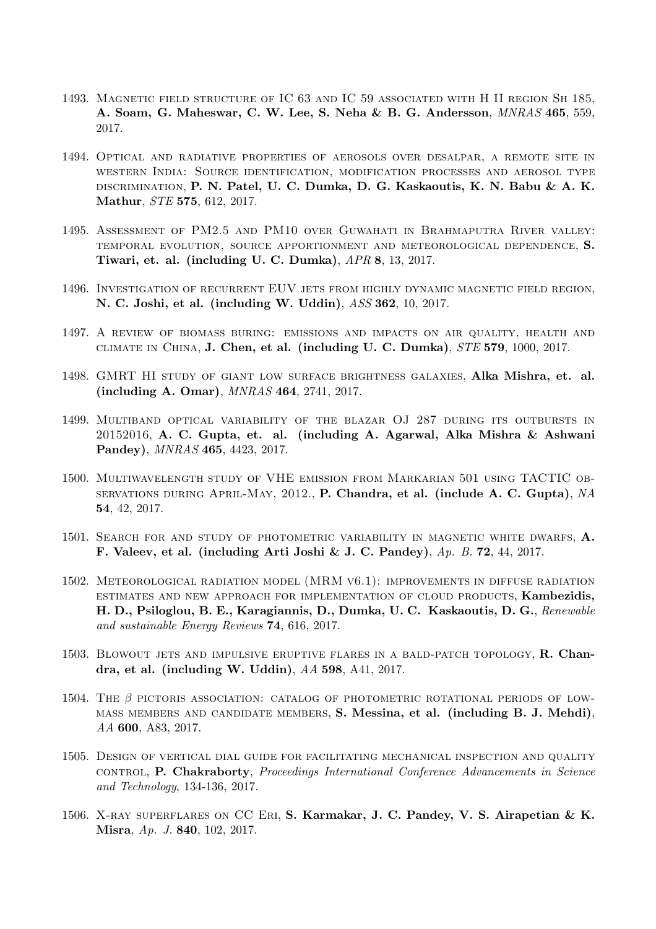- 1493. Magnetic field structure of IC 63 and IC 59 associated with H II region Sh 185, A. Soam, G. Maheswar, C. W. Lee, S. Neha & B. G. Andersson, MNRAS 465, 559, 2017.
- 1494. Optical and radiative properties of aerosols over desalpar, a remote site in western India: Source identification, modification processes and aerosol type discrimination, P. N. Patel, U. C. Dumka, D. G. Kaskaoutis, K. N. Babu & A. K. Mathur, STE 575, 612, 2017.
- 1495. Assessment of PM2.5 and PM10 over Guwahati in Brahmaputra River valley: temporal evolution, source apportionment and meteorological dependence, S. Tiwari, et. al. (including U. C. Dumka), APR 8, 13, 2017.
- 1496. Investigation of recurrent EUV jets from highly dynamic magnetic field region, N. C. Joshi, et al. (including W. Uddin), ASS 362, 10, 2017.
- 1497. A review of biomass buring: emissions and impacts on air quality, health and climate in China, J. Chen, et al. (including U. C. Dumka), STE 579, 1000, 2017.
- 1498. GMRT HI study of giant low surface brightness galaxies, Alka Mishra, et. al. (including A. Omar), MNRAS 464, 2741, 2017.
- 1499. Multiband optical variability of the blazar OJ 287 during its outbursts in 20152016, A. C. Gupta, et. al. (including A. Agarwal, Alka Mishra & Ashwani Pandey), MNRAS 465, 4423, 2017.
- 1500. Multiwavelength study of VHE emission from Markarian 501 using TACTIC observations during April-May, 2012., P. Chandra, et al. (include A. C. Gupta), NA 54, 42, 2017.
- 1501. SEARCH FOR AND STUDY OF PHOTOMETRIC VARIABILITY IN MAGNETIC WHITE DWARFS, A. F. Valeev, et al. (including Arti Joshi & J. C. Pandey), Ap. B. 72, 44, 2017.
- 1502. Meteorological radiation model (MRM v6.1): improvements in diffuse radiation estimates and new approach for implementation of cloud products, Kambezidis, H. D., Psiloglou, B. E., Karagiannis, D., Dumka, U. C. Kaskaoutis, D. G., Renewable and sustainable Energy Reviews 74, 616, 2017.
- 1503. BLOWOUT JETS AND IMPULSIVE ERUPTIVE FLARES IN A BALD-PATCH TOPOLOGY,  $\bf R$ . Chandra, et al. (including W. Uddin), AA 598, A41, 2017.
- 1504. THE  $\beta$  pictoris association: catalog of photometric rotational periods of lowmass members and candidate members, S. Messina, et al. (including B. J. Mehdi), AA 600, A83, 2017.
- 1505. Design of vertical dial guide for facilitating mechanical inspection and quality control, P. Chakraborty, Proceedings International Conference Advancements in Science and Technology, 134-136, 2017.
- 1506. X-ray superflares on CC Eri, S. Karmakar, J. C. Pandey, V. S. Airapetian & K. Misra, Ap. J. 840, 102, 2017.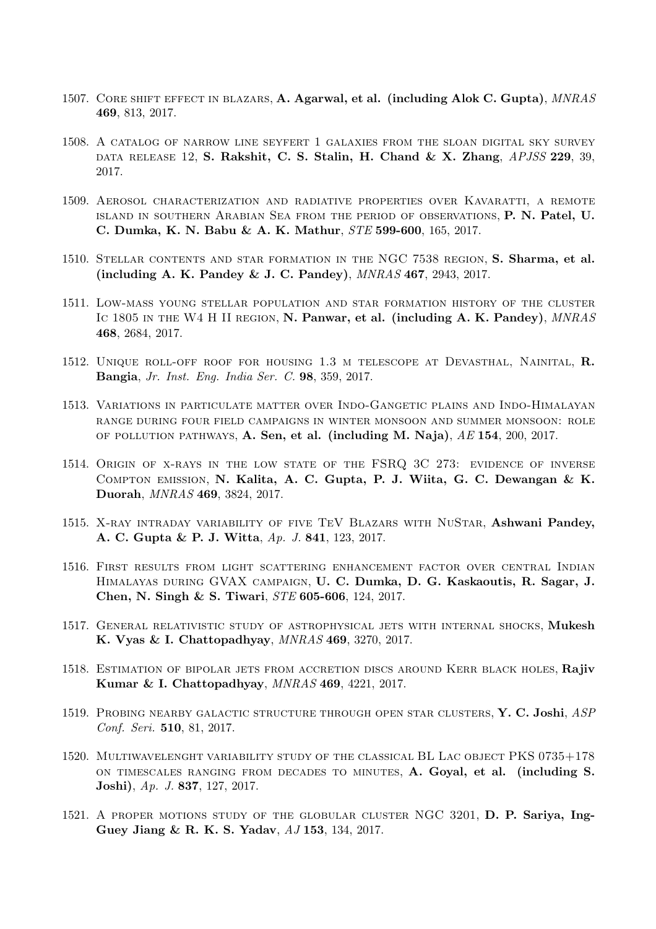- 1507. CORE SHIFT EFFECT IN BLAZARS, A. Agarwal, et al. (including Alok C. Gupta),  $MNRAS$ 469, 813, 2017.
- 1508. A catalog of narrow line seyfert 1 galaxies from the sloan digital sky survey DATA RELEASE 12, S. Rakshit, C. S. Stalin, H. Chand & X. Zhang, APJSS 229, 39, 2017.
- 1509. Aerosol characterization and radiative properties over Kavaratti, a remote island in southern Arabian Sea from the period of observations, P. N. Patel, U. C. Dumka, K. N. Babu & A. K. Mathur, STE 599-600, 165, 2017.
- 1510. Stellar contents and star formation in the NGC 7538 region, S. Sharma, et al. (including A. K. Pandey & J. C. Pandey), MNRAS 467, 2943, 2017.
- 1511. Low-mass young stellar population and star formation history of the cluster IC 1805 IN THE W4 H II REGION, N. Panwar, et al. (including A. K. Pandey), MNRAS 468, 2684, 2017.
- 1512. Unique roll-off roof for housing 1.3 m telescope at Devasthal, Nainital, R. Bangia, Jr. Inst. Eng. India Ser. C. 98, 359, 2017.
- 1513. Variations in particulate matter over Indo-Gangetic plains and Indo-Himalayan range during four field campaigns in winter monsoon and summer monsoon: role OF POLLUTION PATHWAYS,  $\bf{A}$ . Sen, et al. (including M. Naja),  $AE$  154, 200, 2017.
- 1514. ORIGIN OF X-RAYS IN THE LOW STATE OF THE FSRQ 3C 273: EVIDENCE OF INVERSE Compton emission, N. Kalita, A. C. Gupta, P. J. Wiita, G. C. Dewangan & K. Duorah, MNRAS 469, 3824, 2017.
- 1515. X-RAY INTRADAY VARIABILITY OF FIVE TEV BLAZARS WITH NUSTAR, Ashwani Pandey, A. C. Gupta & P. J. Witta, Ap. J. 841, 123, 2017.
- 1516. First results from light scattering enhancement factor over central Indian Himalayas during GVAX campaign, U. C. Dumka, D. G. Kaskaoutis, R. Sagar, J. Chen, N. Singh & S. Tiwari, STE 605-606, 124, 2017.
- 1517. General relativistic study of astrophysical jets with internal shocks, Mukesh K. Vyas & I. Chattopadhyay, MNRAS 469, 3270, 2017.
- 1518. ESTIMATION OF BIPOLAR JETS FROM ACCRETION DISCS AROUND KERR BLACK HOLES, Rajiv Kumar & I. Chattopadhyay, MNRAS 469, 4221, 2017.
- 1519. PROBING NEARBY GALACTIC STRUCTURE THROUGH OPEN STAR CLUSTERS, Y. C. Joshi, ASP Conf. Seri. 510, 81, 2017.
- 1520. Multiwavelenght variability study of the classical BL Lac object PKS 0735+178 on timescales ranging from decades to minutes, A. Goyal, et al. (including S. Joshi), Ap. J. 837, 127, 2017.
- 1521. A proper motions study of the globular cluster NGC 3201, D. P. Sariya, Ing-Guey Jiang & R. K. S. Yadav, AJ 153, 134, 2017.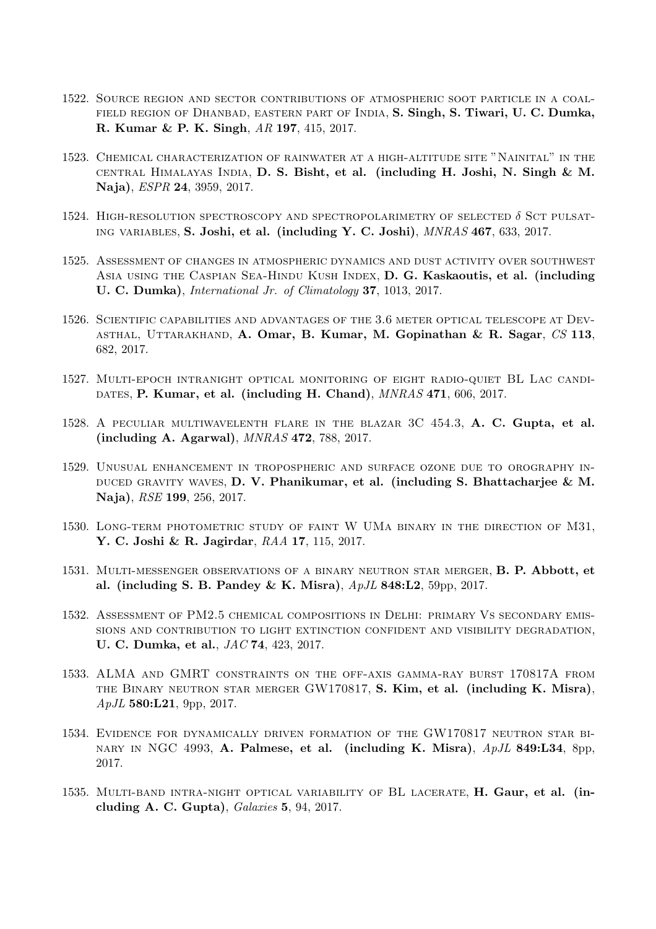- 1522. Source region and sector contributions of atmospheric soot particle in a coal-FIELD REGION OF DHANBAD, EASTERN PART OF INDIA, S. Singh, S. Tiwari, U. C. Dumka, R. Kumar & P. K. Singh, AR 197, 415, 2017.
- 1523. Chemical characterization of rainwater at a high-altitude site "Nainital" in the central Himalayas India, D. S. Bisht, et al. (including H. Joshi, N. Singh & M. Naja), ESPR 24, 3959, 2017.
- 1524. HIGH-RESOLUTION SPECTROSCOPY AND SPECTROPOLARIMETRY OF SELECTED  $\delta$  SCT pulsating variables, S. Joshi, et al. (including Y. C. Joshi), MNRAS 467, 633, 2017.
- 1525. Assessment of changes in atmospheric dynamics and dust activity over southwest Asia using the Caspian Sea-Hindu Kush Index, D. G. Kaskaoutis, et al. (including U. C. Dumka), International Jr. of Climatology 37, 1013, 2017.
- 1526. Scientific capabilities and advantages of the 3.6 meter optical telescope at Dev-ASTHAL, UTTARAKHAND, A. Omar, B. Kumar, M. Gopinathan  $\&$  R. Sagar, CS 113, 682, 2017.
- 1527. Multi-epoch intranight optical monitoring of eight radio-quiet BL Lac candi-DATES, P. Kumar, et al. (including H. Chand),  $MNRAS$  471, 606, 2017.
- 1528. A peculiar multiwavelenth flare in the blazar 3C 454.3, A. C. Gupta, et al. (including A. Agarwal), MNRAS 472, 788, 2017.
- 1529. Unusual enhancement in tropospheric and surface ozone due to orography in-DUCED GRAVITY WAVES, D. V. Phanikumar, et al. (including S. Bhattacharjee  $\&\mathbf{M}$ . Naja), RSE 199, 256, 2017.
- 1530. Long-term photometric study of faint W UMa binary in the direction of M31, Y. C. Joshi & R. Jagirdar, RAA 17, 115, 2017.
- 1531. Multi-messenger observations of a binary neutron star merger, B. P. Abbott, et al. (including S. B. Pandey & K. Misra), ApJL 848:L2, 59pp, 2017.
- 1532. Assessment of PM2.5 chemical compositions in Delhi: primary Vs secondary emissions and contribution to light extinction confident and visibility degradation, U. C. Dumka, et al., JAC 74, 423, 2017.
- 1533. ALMA and GMRT constraints on the off-axis gamma-ray burst 170817A from the Binary neutron star merger GW170817, S. Kim, et al. (including K. Misra),  $ApJL$  580:L21, 9pp, 2017.
- 1534. Evidence for dynamically driven formation of the GW170817 neutron star bi-NARY IN NGC 4993, A. Palmese, et al. (including K. Misra),  $ApJL$  849:L34, 8pp, 2017.
- 1535. Multi-band intra-night optical variability of BL lacerate, H. Gaur, et al. (including A. C. Gupta), Galaxies 5, 94, 2017.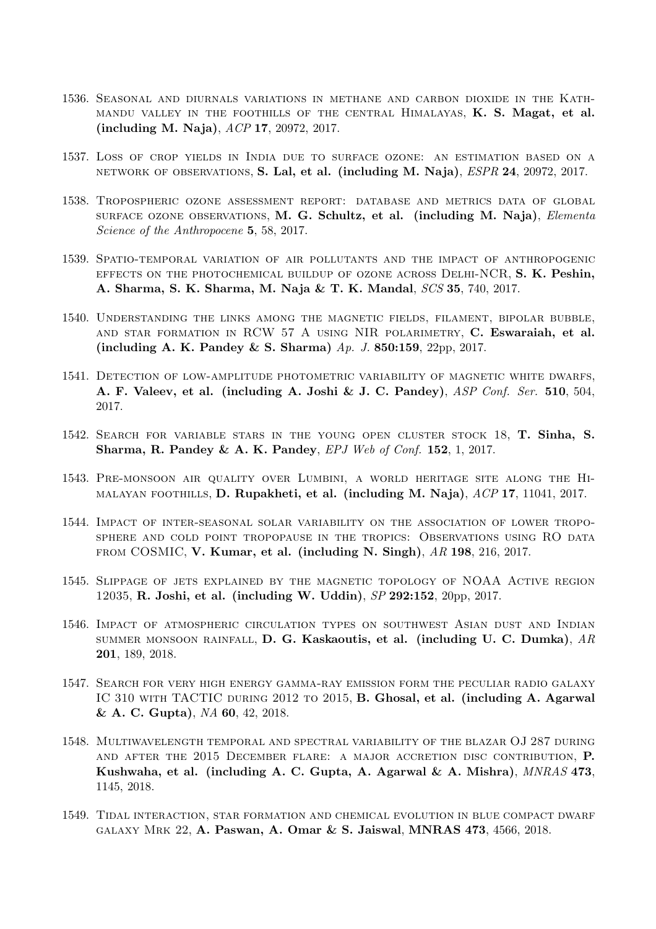- 1536. Seasonal and diurnals variations in methane and carbon dioxide in the Kathmandu valley in the foothills of the central Himalayas, K. S. Magat, et al. (including M. Naja), ACP 17, 20972, 2017.
- 1537. Loss of crop yields in India due to surface ozone: an estimation based on a network of observations, S. Lal, et al. (including M. Naja), ESPR 24, 20972, 2017.
- 1538. Tropospheric ozone assessment report: database and metrics data of global surface ozone observations, M. G. Schultz, et al. (including M. Naja), Elementa Science of the Anthropocene 5, 58, 2017.
- 1539. Spatio-temporal variation of air pollutants and the impact of anthropogenic effects on the photochemical buildup of ozone across Delhi-NCR, S. K. Peshin, A. Sharma, S. K. Sharma, M. Naja & T. K. Mandal, SCS 35, 740, 2017.
- 1540. Understanding the links among the magnetic fields, filament, bipolar bubble, and star formation in RCW 57 A using NIR polarimetry, C. Eswaraiah, et al. (including A. K. Pandey & S. Sharma) Ap. J. 850:159, 22pp, 2017.
- 1541. Detection of low-amplitude photometric variability of magnetic white dwarfs, A. F. Valeev, et al. (including A. Joshi & J. C. Pandey), ASP Conf. Ser. 510, 504, 2017.
- 1542. Search for variable stars in the young open cluster stock 18, T. Sinha, S. Sharma, R. Pandey & A. K. Pandey, EPJ Web of Conf. 152, 1, 2017.
- 1543. Pre-monsoon air quality over Lumbini, a world heritage site along the Himalayan foothills, D. Rupakheti, et al. (including M. Naja), ACP 17, 11041, 2017.
- 1544. Impact of inter-seasonal solar variability on the association of lower troposphere and cold point tropopause in the tropics: Observations using RO data from COSMIC, V. Kumar, et al. (including N. Singh), AR 198, 216, 2017.
- 1545. Slippage of jets explained by the magnetic topology of NOAA Active region 12035, R. Joshi, et al. (including W. Uddin), SP 292:152, 20pp, 2017.
- 1546. Impact of atmospheric circulation types on southwest Asian dust and Indian summer monsoon rainfall, D. G. Kaskaoutis, et al. (including U. C. Dumka), AR 201, 189, 2018.
- 1547. Search for very high energy gamma-ray emission form the peculiar radio galaxy IC 310 WITH TACTIC DURING 2012 TO 2015, B. Ghosal, et al. (including A. Agarwal & A. C. Gupta), NA 60, 42, 2018.
- 1548. Multiwavelength temporal and spectral variability of the blazar OJ 287 during and after the 2015 December flare: a major accretion disc contribution, P. Kushwaha, et al. (including A. C. Gupta, A. Agarwal & A. Mishra), MNRAS 473, 1145, 2018.
- 1549. Tidal interaction, star formation and chemical evolution in blue compact dwarf galaxy Mrk 22, A. Paswan, A. Omar & S. Jaiswal, MNRAS 473, 4566, 2018.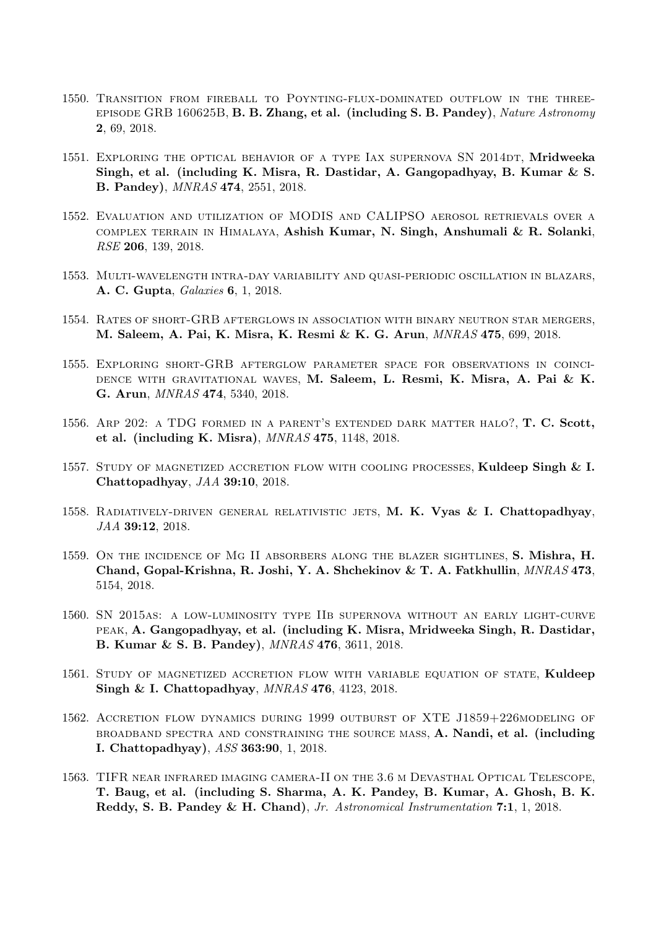- 1550. Transition from fireball to Poynting-flux-dominated outflow in the threeepisode GRB 160625B, B. B. Zhang, et al. (including S. B. Pandey), Nature Astronomy 2, 69, 2018.
- 1551. EXPLORING THE OPTICAL BEHAVIOR OF A TYPE IAX SUPERNOVA SN 2014DT, Mridweeka Singh, et al. (including K. Misra, R. Dastidar, A. Gangopadhyay, B. Kumar & S. B. Pandey), MNRAS 474, 2551, 2018.
- 1552. Evaluation and utilization of MODIS and CALIPSO aerosol retrievals over a complex terrain in Himalaya, Ashish Kumar, N. Singh, Anshumali & R. Solanki, RSE 206, 139, 2018.
- 1553. Multi-wavelength intra-day variability and quasi-periodic oscillation in blazars, A. C. Gupta, Galaxies 6, 1, 2018.
- 1554. Rates of short-GRB afterglows in association with binary neutron star mergers, M. Saleem, A. Pai, K. Misra, K. Resmi & K. G. Arun, MNRAS 475, 699, 2018.
- 1555. Exploring short-GRB afterglow parameter space for observations in coinci-DENCE WITH GRAVITATIONAL WAVES, M. Saleem, L. Resmi, K. Misra, A. Pai & K. G. Arun, MNRAS 474, 5340, 2018.
- 1556. Arp 202: a TDG formed in a parent's extended dark matter halo?, T. C. Scott, et al. (including K. Misra), MNRAS 475, 1148, 2018.
- 1557. STUDY OF MAGNETIZED ACCRETION FLOW WITH COOLING PROCESSES, Kuldeep Singh & I. Chattopadhyay, JAA 39:10, 2018.
- 1558. RADIATIVELY-DRIVEN GENERAL RELATIVISTIC JETS, M. K. Vyas  $\&$  I. Chattopadhyay, JAA 39:12, 2018.
- 1559. On the incidence of Mg II absorbers along the blazer sightlines, S. Mishra, H. Chand, Gopal-Krishna, R. Joshi, Y. A. Shchekinov & T. A. Fatkhullin, MNRAS 473, 5154, 2018.
- 1560. SN 2015as: a low-luminosity type IIb supernova without an early light-curve peak, A. Gangopadhyay, et al. (including K. Misra, Mridweeka Singh, R. Dastidar, B. Kumar & S. B. Pandey), MNRAS 476, 3611, 2018.
- 1561. STUDY OF MAGNETIZED ACCRETION FLOW WITH VARIABLE EQUATION OF STATE, Kuldeep Singh & I. Chattopadhyay, MNRAS 476, 4123, 2018.
- 1562. Accretion flow dynamics during 1999 outburst of XTE J1859+226modeling of broadband spectra and constraining the source mass, A. Nandi, et al. (including I. Chattopadhyay), ASS 363:90, 1, 2018.
- 1563. TIFR near infrared imaging camera-II on the 3.6 m Devasthal Optical Telescope, T. Baug, et al. (including S. Sharma, A. K. Pandey, B. Kumar, A. Ghosh, B. K. Reddy, S. B. Pandey & H. Chand), Jr. Astronomical Instrumentation 7:1, 1, 2018.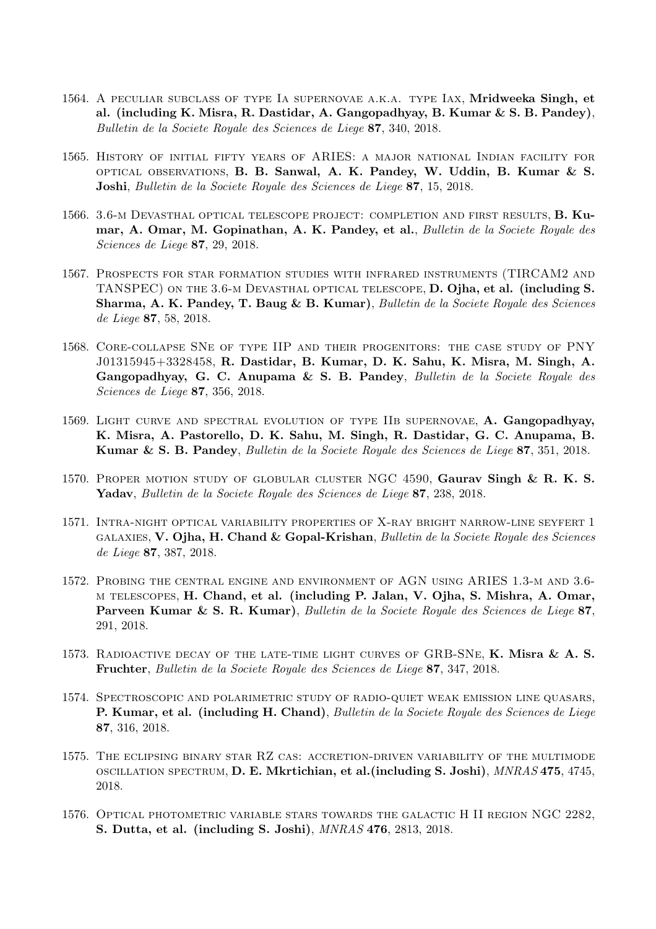- 1564. A peculiar subclass of type Ia supernovae a.k.a. type Iax, Mridweeka Singh, et al. (including K. Misra, R. Dastidar, A. Gangopadhyay, B. Kumar & S. B. Pandey), Bulletin de la Societe Royale des Sciences de Liege 87, 340, 2018.
- 1565. History of initial fifty years of ARIES: a major national Indian facility for optical observations, B. B. Sanwal, A. K. Pandey, W. Uddin, B. Kumar & S. Joshi, Bulletin de la Societe Royale des Sciences de Liege 87, 15, 2018.
- 1566. 3.6-m Devasthal optical telescope project: completion and first results, B. Kumar, A. Omar, M. Gopinathan, A. K. Pandey, et al., Bulletin de la Societe Royale des Sciences de Liege 87, 29, 2018.
- 1567. Prospects for star formation studies with infrared instruments (TIRCAM2 and TANSPEC) on the 3.6-m Devasthal optical telescope, D. Ojha, et al. (including S. Sharma, A. K. Pandey, T. Baug & B. Kumar), Bulletin de la Societe Royale des Sciences de Liege 87, 58, 2018.
- 1568. Core-collapse SNe of type IIP and their progenitors: the case study of PNY J01315945+3328458, R. Dastidar, B. Kumar, D. K. Sahu, K. Misra, M. Singh, A. Gangopadhyay, G. C. Anupama & S. B. Pandey, Bulletin de la Societe Royale des Sciences de Liege 87, 356, 2018.
- 1569. LIGHT CURVE AND SPECTRAL EVOLUTION OF TYPE IIB SUPERNOVAE, A. Gangopadhyay, K. Misra, A. Pastorello, D. K. Sahu, M. Singh, R. Dastidar, G. C. Anupama, B. Kumar & S. B. Pandey, Bulletin de la Societe Royale des Sciences de Liege 87, 351, 2018.
- 1570. Proper motion study of globular cluster NGC 4590, Gaurav Singh & R. K. S. Yadav, Bulletin de la Societe Royale des Sciences de Liege 87, 238, 2018.
- 1571. Intra-night optical variability properties of X-ray bright narrow-line seyfert 1 galaxies, V. Ojha, H. Chand & Gopal-Krishan, Bulletin de la Societe Royale des Sciences de Liege 87, 387, 2018.
- 1572. Probing the central engine and environment of AGN using ARIES 1.3-m and 3.6 m telescopes, H. Chand, et al. (including P. Jalan, V. Ojha, S. Mishra, A. Omar, Parveen Kumar & S. R. Kumar), Bulletin de la Societe Royale des Sciences de Liege 87, 291, 2018.
- 1573. RADIOACTIVE DECAY OF THE LATE-TIME LIGHT CURVES OF GRB-SNE, K. Misra  $\&$  A. S. Fruchter, Bulletin de la Societe Royale des Sciences de Liege 87, 347, 2018.
- 1574. Spectroscopic and polarimetric study of radio-quiet weak emission line quasars, P. Kumar, et al. (including H. Chand), Bulletin de la Societe Royale des Sciences de Liege 87, 316, 2018.
- 1575. The eclipsing binary star RZ cas: accretion-driven variability of the multimode oscillation spectrum, D. E. Mkrtichian, et al.(including S. Joshi), MNRAS 475, 4745, 2018.
- 1576. Optical photometric variable stars towards the galactic H II region NGC 2282, S. Dutta, et al. (including S. Joshi), MNRAS 476, 2813, 2018.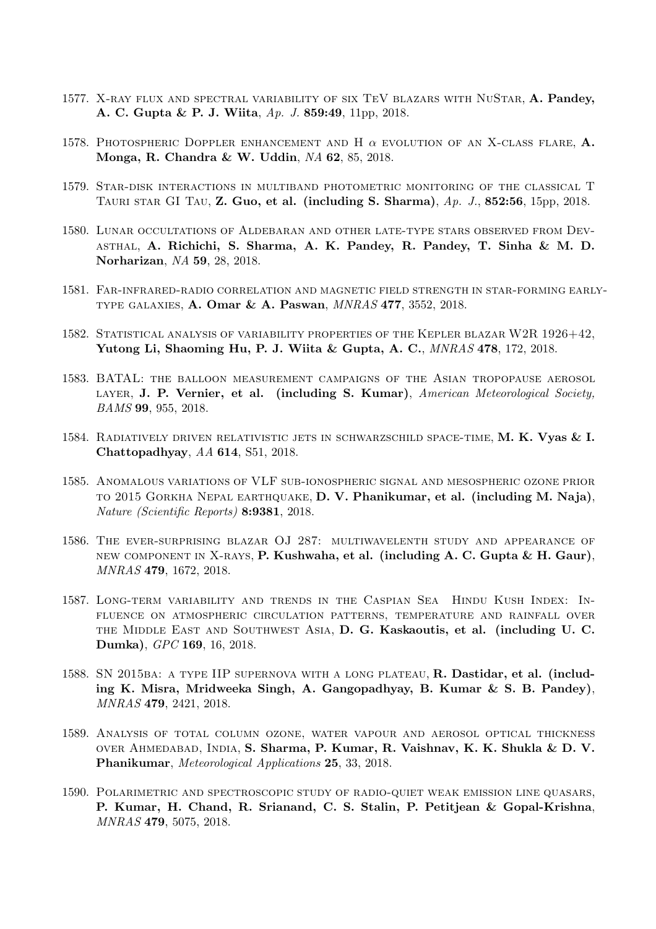- 1577. X-RAY FLUX AND SPECTRAL VARIABILITY OF SIX TEV BLAZARS WITH NUSTAR, A. Pandey, A. C. Gupta & P. J. Wiita, Ap. J. 859:49, 11pp, 2018.
- 1578. Photospheric Doppler enhancement and H  $\alpha$  evolution of an X-class flare, A. Monga, R. Chandra & W. Uddin, NA 62, 85, 2018.
- 1579. Star-disk interactions in multiband photometric monitoring of the classical T TAURI STAR GI TAU,  $\mathbb{Z}$ . Guo, et al. (including S. Sharma),  $\overline{Ap}$ ,  $\overline{J}$ , 852:56, 15pp, 2018.
- 1580. Lunar occultations of Aldebaran and other late-type stars observed from Devasthal, A. Richichi, S. Sharma, A. K. Pandey, R. Pandey, T. Sinha & M. D. Norharizan, NA 59, 28, 2018.
- 1581. Far-infrared-radio correlation and magnetic field strength in star-forming earlytype galaxies, A. Omar & A. Paswan, MNRAS 477, 3552, 2018.
- 1582. Statistical analysis of variability properties of the Kepler blazar W2R 1926+42, Yutong Li, Shaoming Hu, P. J. Wiita & Gupta, A. C., MNRAS 478, 172, 2018.
- 1583. BATAL: the balloon measurement campaigns of the Asian tropopause aerosol LAYER, J. P. Vernier, et al. (including S. Kumar), American Meteorological Society, BAMS 99, 955, 2018.
- 1584. RADIATIVELY DRIVEN RELATIVISTIC JETS IN SCHWARZSCHILD SPACE-TIME, M. K. Vyas & I. Chattopadhyay, AA 614, S51, 2018.
- 1585. Anomalous variations of VLF sub-ionospheric signal and mesospheric ozone prior to 2015 Gorkha Nepal earthquake, D. V. Phanikumar, et al. (including M. Naja), Nature (Scientific Reports) 8:9381, 2018.
- 1586. The ever-surprising blazar OJ 287: multiwavelenth study and appearance of new component in X-rays, P. Kushwaha, et al. (including A. C. Gupta & H. Gaur), MNRAS 479, 1672, 2018.
- 1587. Long-term variability and trends in the Caspian Sea Hindu Kush Index: Influence on atmospheric circulation patterns, temperature and rainfall over the Middle East and Southwest Asia, D. G. Kaskaoutis, et al. (including U. C. Dumka), GPC 169, 16, 2018.
- 1588. SN 2015ba: a type IIP supernova with a long plateau, R. Dastidar, et al. (including K. Misra, Mridweeka Singh, A. Gangopadhyay, B. Kumar & S. B. Pandey), MNRAS 479, 2421, 2018.
- 1589. Analysis of total column ozone, water vapour and aerosol optical thickness over Ahmedabad, India, S. Sharma, P. Kumar, R. Vaishnav, K. K. Shukla & D. V. Phanikumar, Meteorological Applications 25, 33, 2018.
- 1590. Polarimetric and spectroscopic study of radio-quiet weak emission line quasars, P. Kumar, H. Chand, R. Srianand, C. S. Stalin, P. Petitjean & Gopal-Krishna, MNRAS 479, 5075, 2018.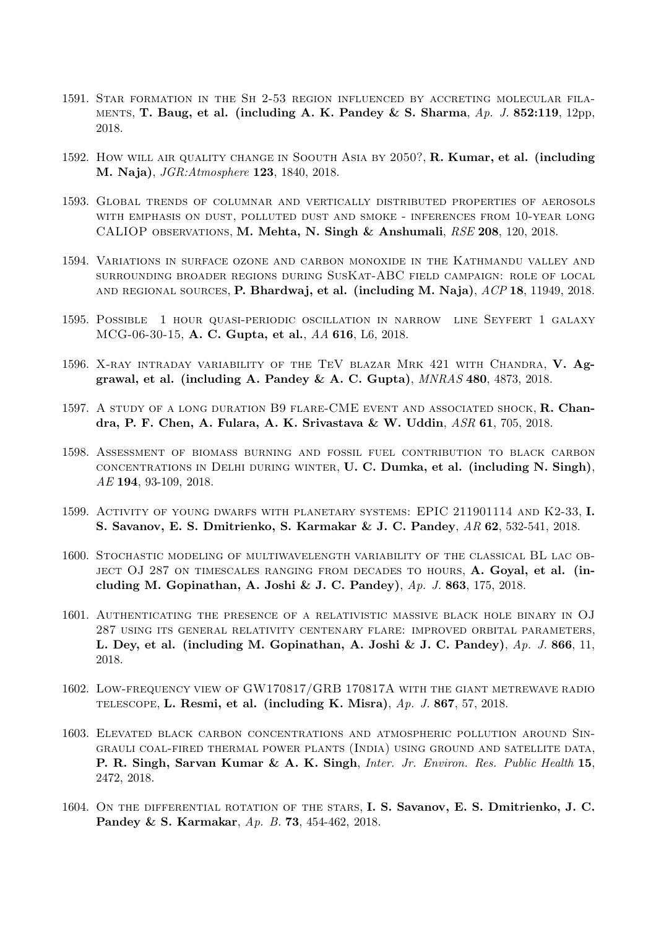- 1591. Star formation in the Sh 2-53 region influenced by accreting molecular fila-MENTS, T. Baug, et al. (including A. K. Pandey & S. Sharma,  $Ap. J. 852:119, 12pp$ , 2018.
- 1592. How will air quality change in Soouth Asia by 2050?, R. Kumar, et al. (including M. Naja), JGR:Atmosphere 123, 1840, 2018.
- 1593. Global trends of columnar and vertically distributed properties of aerosols with emphasis on dust, polluted dust and smoke - inferences from 10-year long CALIOP observations, M. Mehta, N. Singh & Anshumali, RSE 208, 120, 2018.
- 1594. Variations in surface ozone and carbon monoxide in the Kathmandu valley and surrounding broader regions during SusKat-ABC field campaign: role of local and regional sources, P. Bhardwaj, et al. (including M. Naja), ACP 18, 11949, 2018.
- 1595. Possible 1 hour quasi-periodic oscillation in narrow line Seyfert 1 galaxy MCG-06-30-15, A. C. Gupta, et al., AA 616, L6, 2018.
- 1596. X-RAY INTRADAY VARIABILITY OF THE TEV BLAZAR MRK 421 WITH CHANDRA, V. Aggrawal, et al. (including A. Pandey & A. C. Gupta), MNRAS 480, 4873, 2018.
- 1597. A STUDY OF A LONG DURATION B9 FLARE-CME EVENT AND ASSOCIATED SHOCK, R. Chandra, P. F. Chen, A. Fulara, A. K. Srivastava & W. Uddin, ASR 61, 705, 2018.
- 1598. Assessment of biomass burning and fossil fuel contribution to black carbon concentrations in Delhi during winter, U. C. Dumka, et al. (including N. Singh), AE 194, 93-109, 2018.
- 1599. Activity of young dwarfs with planetary systems: EPIC 211901114 and K2-33, I. S. Savanov, E. S. Dmitrienko, S. Karmakar & J. C. Pandey, AR 62, 532-541, 2018.
- 1600. Stochastic modeling of multiwavelength variability of the classical BL lac ob-JECT OJ 287 ON TIMESCALES RANGING FROM DECADES TO HOURS, A. Goyal, et al. (including M. Gopinathan, A. Joshi & J. C. Pandey),  $Ap. J. 863, 175, 2018$ .
- 1601. Authenticating the presence of a relativistic massive black hole binary in OJ 287 using its general relativity centenary flare: improved orbital parameters, L. Dey, et al. (including M. Gopinathan, A. Joshi & J. C. Pandey), Ap. J. 866, 11, 2018.
- 1602. Low-frequency view of GW170817/GRB 170817A with the giant metrewave radio TELESCOPE, L. Resmi, et al. (including K. Misra),  $Ap. J. 867, 57, 2018$ .
- 1603. Elevated black carbon concentrations and atmospheric pollution around Singrauli coal-fired thermal power plants (India) using ground and satellite data, P. R. Singh, Sarvan Kumar & A. K. Singh, Inter. Jr. Environ. Res. Public Health 15, 2472, 2018.
- 1604. ON THE DIFFERENTIAL ROTATION OF THE STARS, I. S. Savanov, E. S. Dmitrienko, J. C. Pandey & S. Karmakar, Ap. B. 73, 454-462, 2018.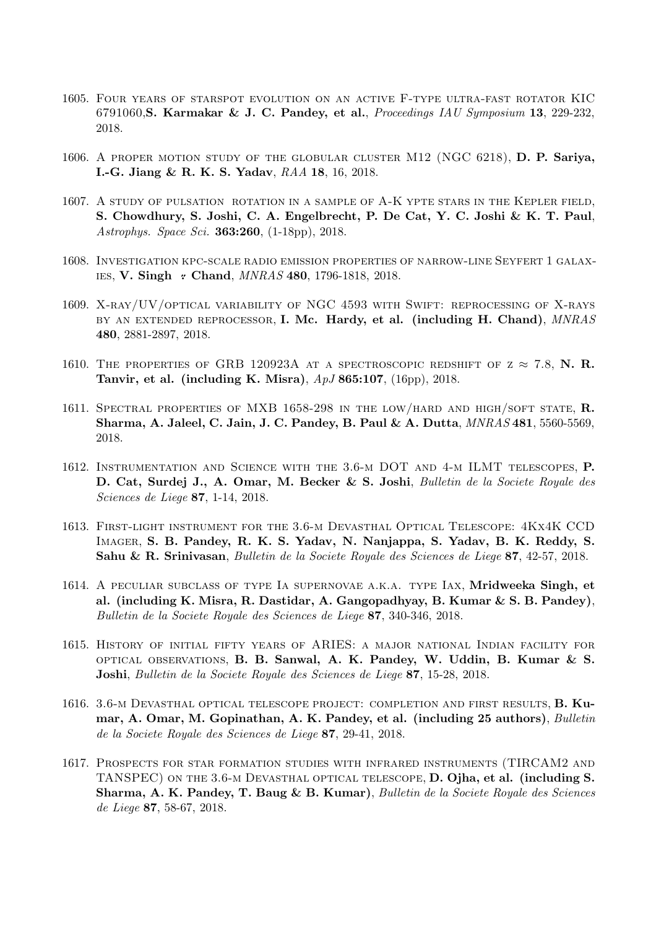- 1605. Four years of starspot evolution on an active F-type ultra-fast rotator KIC 6791060,S. Karmakar & J. C. Pandey, et al., Proceedings IAU Symposium 13, 229-232, 2018.
- 1606. A proper motion study of the globular cluster M12 (NGC 6218), D. P. Sariya, I.-G. Jiang & R. K. S. Yadav, RAA 18, 16, 2018.
- 1607. A study of pulsation rotation in a sample of A-K ypte stars in the Kepler field, S. Chowdhury, S. Joshi, C. A. Engelbrecht, P. De Cat, Y. C. Joshi & K. T. Paul, Astrophys. Space Sci. 363:260, (1-18pp), 2018.
- 1608. Investigation kpc-scale radio emission properties of narrow-line Seyfert 1 galax-IES, V. Singh *:* Chand, *MNRAS* 480, 1796-1818, 2018.
- 1609. X-ray/UV/optical variability of NGC 4593 with Swift: reprocessing of X-rays BY AN EXTENDED REPROCESSOR, I. Mc. Hardy, et al. (including H. Chand), MNRAS 480, 2881-2897, 2018.
- 1610. THE PROPERTIES OF GRB 120923A AT A SPECTROSCOPIC REDSHIFT OF  $z \approx 7.8$ , N. R. Tanvir, et al. (including K. Misra), ApJ 865:107, (16pp), 2018.
- 1611. SPECTRAL PROPERTIES OF MXB 1658-298 IN THE LOW/HARD AND HIGH/SOFT STATE, R. Sharma, A. Jaleel, C. Jain, J. C. Pandey, B. Paul & A. Dutta, MNRAS 481, 5560-5569, 2018.
- 1612. Instrumentation and Science with the 3.6-m DOT and 4-m ILMT telescopes, P. D. Cat, Surdej J., A. Omar, M. Becker & S. Joshi, Bulletin de la Societe Royale des Sciences de Liege 87, 1-14, 2018.
- 1613. First-light instrument for the 3.6-m Devasthal Optical Telescope: 4Kx4K CCD Imager, S. B. Pandey, R. K. S. Yadav, N. Nanjappa, S. Yadav, B. K. Reddy, S. Sahu & R. Srinivasan, Bulletin de la Societe Royale des Sciences de Liege 87, 42-57, 2018.
- 1614. A peculiar subclass of type Ia supernovae a.k.a. type Iax, Mridweeka Singh, et al. (including K. Misra, R. Dastidar, A. Gangopadhyay, B. Kumar & S. B. Pandey), Bulletin de la Societe Royale des Sciences de Liege 87, 340-346, 2018.
- 1615. History of initial fifty years of ARIES: a major national Indian facility for optical observations, B. B. Sanwal, A. K. Pandey, W. Uddin, B. Kumar & S. Joshi, Bulletin de la Societe Royale des Sciences de Liege 87, 15-28, 2018.
- 1616. 3.6-m Devasthal optical telescope project: completion and first results, B. Kumar, A. Omar, M. Gopinathan, A. K. Pandey, et al. (including 25 authors), Bulletin de la Societe Royale des Sciences de Liege 87, 29-41, 2018.
- 1617. Prospects for star formation studies with infrared instruments (TIRCAM2 and TANSPEC) ON THE 3.6-M DEVASTHAL OPTICAL TELESCOPE, D. Ojha, et al. (including S. Sharma, A. K. Pandey, T. Baug & B. Kumar), Bulletin de la Societe Royale des Sciences de Liege 87, 58-67, 2018.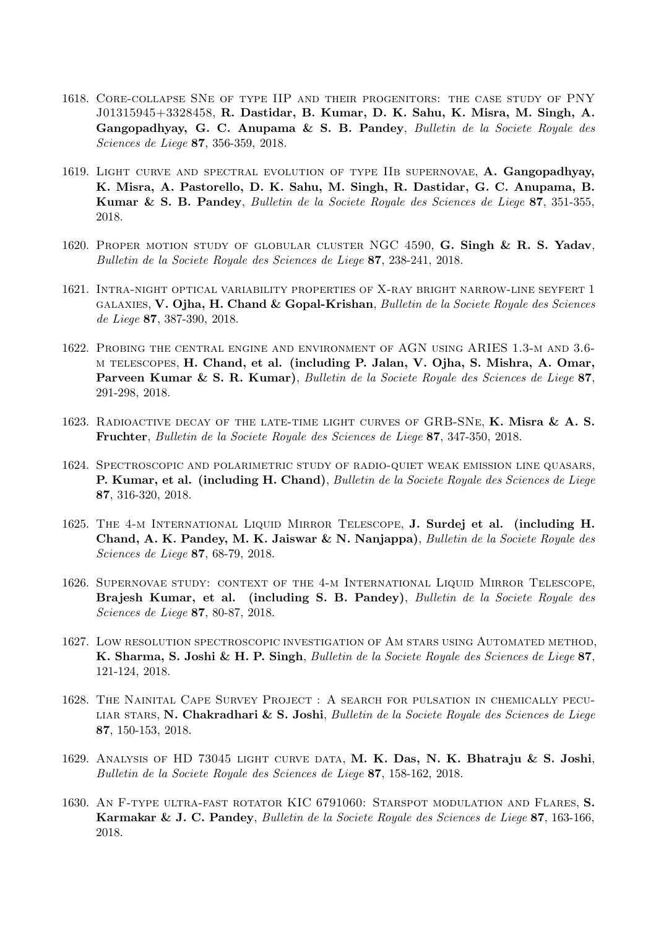- 1618. Core-collapse SNe of type IIP and their progenitors: the case study of PNY J01315945+3328458, R. Dastidar, B. Kumar, D. K. Sahu, K. Misra, M. Singh, A. Gangopadhyay, G. C. Anupama & S. B. Pandey, Bulletin de la Societe Royale des Sciences de Liege 87, 356-359, 2018.
- 1619. Light curve and spectral evolution of type IIb supernovae, A. Gangopadhyay, K. Misra, A. Pastorello, D. K. Sahu, M. Singh, R. Dastidar, G. C. Anupama, B. Kumar & S. B. Pandey, Bulletin de la Societe Royale des Sciences de Liege 87, 351-355, 2018.
- 1620. PROPER MOTION STUDY OF GLOBULAR CLUSTER NGC 4590, G. Singh & R. S. Yadav, Bulletin de la Societe Royale des Sciences de Liege 87, 238-241, 2018.
- 1621. Intra-night optical variability properties of X-ray bright narrow-line seyfert 1 galaxies, V. Ojha, H. Chand & Gopal-Krishan, Bulletin de la Societe Royale des Sciences de Liege 87, 387-390, 2018.
- 1622. Probing the central engine and environment of AGN using ARIES 1.3-m and 3.6 m telescopes, H. Chand, et al. (including P. Jalan, V. Ojha, S. Mishra, A. Omar, Parveen Kumar & S. R. Kumar), Bulletin de la Societe Royale des Sciences de Liege 87, 291-298, 2018.
- 1623. Radioactive decay of the late-time light curves of GRB-SNe, K. Misra & A. S. Fruchter, Bulletin de la Societe Royale des Sciences de Liege 87, 347-350, 2018.
- 1624. Spectroscopic and polarimetric study of radio-quiet weak emission line quasars, P. Kumar, et al. (including H. Chand), Bulletin de la Societe Royale des Sciences de Liege 87, 316-320, 2018.
- 1625. The 4-m International Liquid Mirror Telescope, J. Surdej et al. (including H. Chand, A. K. Pandey, M. K. Jaiswar & N. Nanjappa), Bulletin de la Societe Royale des Sciences de Liege 87, 68-79, 2018.
- 1626. Supernovae study: context of the 4-m International Liquid Mirror Telescope, Brajesh Kumar, et al. (including S. B. Pandey), Bulletin de la Societe Royale des Sciences de Liege 87, 80-87, 2018.
- 1627. Low resolution spectroscopic investigation of Am stars using Automated method, K. Sharma, S. Joshi & H. P. Singh, Bulletin de la Societe Royale des Sciences de Liege 87, 121-124, 2018.
- 1628. The Nainital Cape Survey Project : A search for pulsation in chemically pecu-LIAR STARS, N. Chakradhari & S. Joshi, Bulletin de la Societe Royale des Sciences de Liege 87, 150-153, 2018.
- 1629. Analysis of HD 73045 light curve data, M. K. Das, N. K. Bhatraju & S. Joshi, Bulletin de la Societe Royale des Sciences de Liege 87, 158-162, 2018.
- 1630. AN F-TYPE ULTRA-FAST ROTATOR KIC 6791060: STARSPOT MODULATION AND FLARES, S. Karmakar & J. C. Pandey, Bulletin de la Societe Royale des Sciences de Liege 87, 163-166, 2018.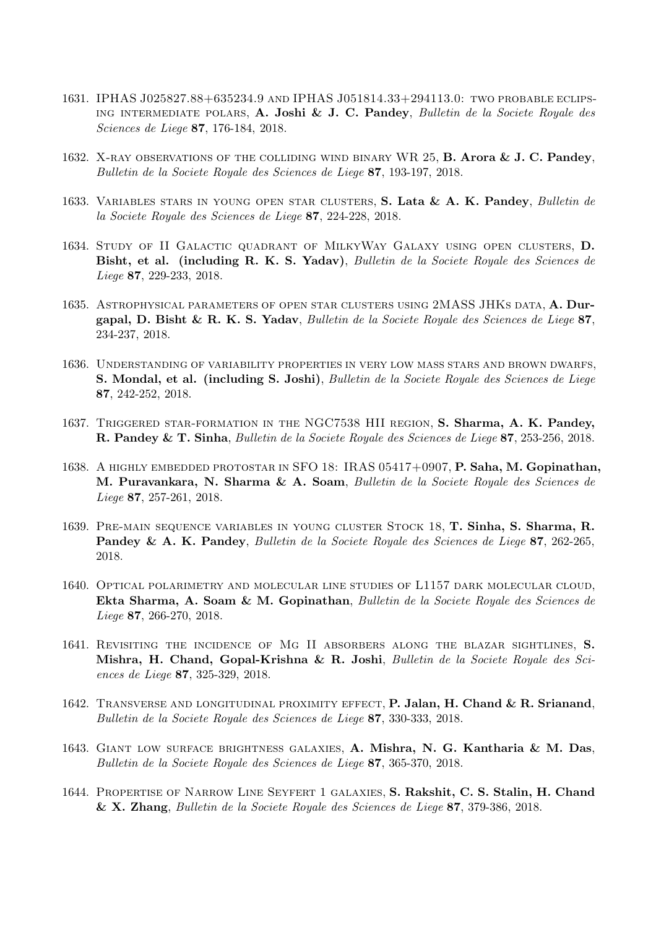- 1631. IPHAS J025827.88+635234.9 and IPHAS J051814.33+294113.0: two probable eclipsing intermediate polars, A. Joshi & J. C. Pandey, Bulletin de la Societe Royale des Sciences de Liege 87, 176-184, 2018.
- 1632. X-RAY OBSERVATIONS OF THE COLLIDING WIND BINARY WR 25, **B. Arora & J. C. Pandey**, Bulletin de la Societe Royale des Sciences de Liege 87, 193-197, 2018.
- 1633. VARIABLES STARS IN YOUNG OPEN STAR CLUSTERS, S. Lata & A. K. Pandey, Bulletin de la Societe Royale des Sciences de Liege 87, 224-228, 2018.
- 1634. Study of II Galactic quadrant of MilkyWay Galaxy using open clusters, D. Bisht, et al. (including R. K. S. Yadav), Bulletin de la Societe Royale des Sciences de Liege 87, 229-233, 2018.
- 1635. ASTROPHYSICAL PARAMETERS OF OPEN STAR CLUSTERS USING 2MASS JHKS DATA, A. Durgapal, D. Bisht & R. K. S. Yadav, Bulletin de la Societe Royale des Sciences de Liege 87, 234-237, 2018.
- 1636. Understanding of variability properties in very low mass stars and brown dwarfs, S. Mondal, et al. (including S. Joshi), Bulletin de la Societe Royale des Sciences de Liege 87, 242-252, 2018.
- 1637. Triggered star-formation in the NGC7538 HII region, S. Sharma, A. K. Pandey, R. Pandey & T. Sinha, Bulletin de la Societe Royale des Sciences de Liege 87, 253-256, 2018.
- 1638. A highly embedded protostar in SFO 18: IRAS 05417+0907, P. Saha, M. Gopinathan, M. Puravankara, N. Sharma & A. Soam, Bulletin de la Societe Royale des Sciences de Liege 87, 257-261, 2018.
- 1639. Pre-main sequence variables in young cluster Stock 18, T. Sinha, S. Sharma, R. Pandey & A. K. Pandey, Bulletin de la Societe Royale des Sciences de Liege 87, 262-265, 2018.
- 1640. Optical polarimetry and molecular line studies of L1157 dark molecular cloud, Ekta Sharma, A. Soam & M. Gopinathan, Bulletin de la Societe Royale des Sciences de Liege 87, 266-270, 2018.
- 1641. REVISITING THE INCIDENCE OF MG II ABSORBERS ALONG THE BLAZAR SIGHTLINES, S. Mishra, H. Chand, Gopal-Krishna & R. Joshi, Bulletin de la Societe Royale des Sciences de Liege 87, 325-329, 2018.
- 1642. TRANSVERSE AND LONGITUDINAL PROXIMITY EFFECT, P. Jalan, H. Chand & R. Srianand, Bulletin de la Societe Royale des Sciences de Liege 87, 330-333, 2018.
- 1643. Giant low surface brightness galaxies, A. Mishra, N. G. Kantharia & M. Das, Bulletin de la Societe Royale des Sciences de Liege 87, 365-370, 2018.
- 1644. Propertise of Narrow Line Seyfert 1 galaxies, S. Rakshit, C. S. Stalin, H. Chand & X. Zhang, Bulletin de la Societe Royale des Sciences de Liege 87, 379-386, 2018.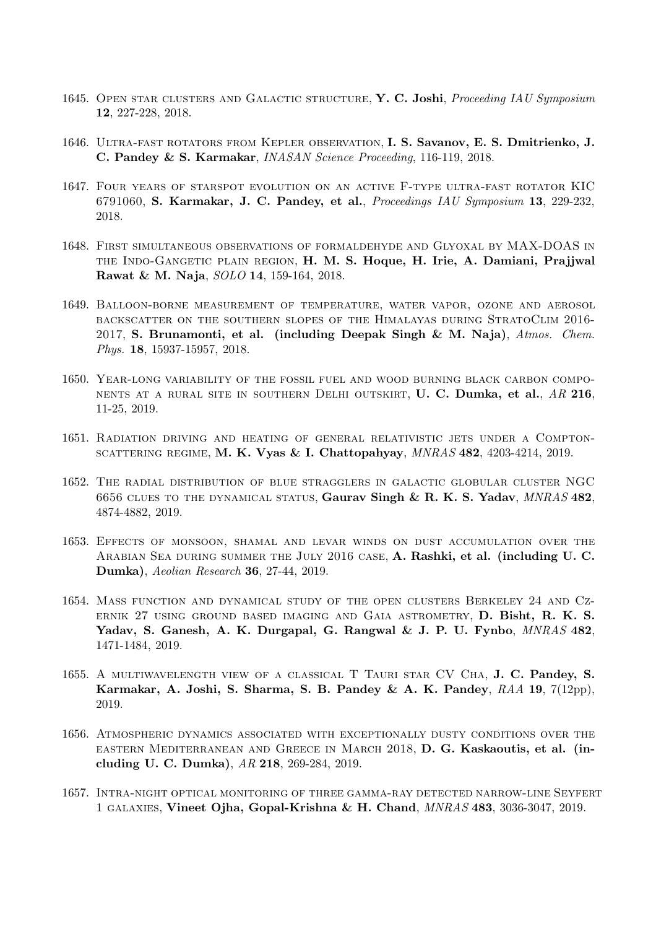- 1645. OPEN STAR CLUSTERS AND GALACTIC STRUCTURE, Y. C. Joshi, Proceeding IAU Symposium 12, 227-228, 2018.
- 1646. Ultra-fast rotators from Kepler observation, I. S. Savanov, E. S. Dmitrienko, J. C. Pandey & S. Karmakar, INASAN Science Proceeding, 116-119, 2018.
- 1647. Four years of starspot evolution on an active F-type ultra-fast rotator KIC 6791060, S. Karmakar, J. C. Pandey, et al., Proceedings IAU Symposium 13, 229-232, 2018.
- 1648. First simultaneous observations of formaldehyde and Glyoxal by MAX-DOAS in the Indo-Gangetic plain region, H. M. S. Hoque, H. Irie, A. Damiani, Prajjwal Rawat & M. Naja, SOLO 14, 159-164, 2018.
- 1649. Balloon-borne measurement of temperature, water vapor, ozone and aerosol backscatter on the southern slopes of the Himalayas during StratoClim 2016- 2017, S. Brunamonti, et al. (including Deepak Singh & M. Naja),  $Atmos.$  Chem. Phys. 18, 15937-15957, 2018.
- 1650. Year-long variability of the fossil fuel and wood burning black carbon components at a rural site in southern Delhi outskirt, U. C. Dumka, et al., AR 216, 11-25, 2019.
- 1651. Radiation driving and heating of general relativistic jets under a Compton-SCATTERING REGIME, M. K. Vyas & I. Chattopahyay,  $MNRAS$  482, 4203-4214, 2019.
- 1652. The radial distribution of blue stragglers in galactic globular cluster NGC 6656 CLUES TO THE DYNAMICAL STATUS, Gaurav Singh & R. K. S. Yadav, MNRAS 482, 4874-4882, 2019.
- 1653. Effects of monsoon, shamal and levar winds on dust accumulation over the Arabian Sea during summer the July 2016 case, A. Rashki, et al. (including U. C. Dumka), Aeolian Research 36, 27-44, 2019.
- 1654. Mass function and dynamical study of the open clusters Berkeley 24 and Czernik 27 using ground based imaging and Gaia astrometry, D. Bisht, R. K. S. Yadav, S. Ganesh, A. K. Durgapal, G. Rangwal & J. P. U. Fynbo,  $MNRAS$  482, 1471-1484, 2019.
- 1655. A multiwavelength view of a classical T Tauri star CV Cha, J. C. Pandey, S. Karmakar, A. Joshi, S. Sharma, S. B. Pandey & A. K. Pandey,  $RAA$  19,  $7(12pp)$ , 2019.
- 1656. Atmospheric dynamics associated with exceptionally dusty conditions over the eastern Mediterranean and Greece in March 2018, D. G. Kaskaoutis, et al. (including U. C. Dumka), AR 218, 269-284, 2019.
- 1657. Intra-night optical monitoring of three gamma-ray detected narrow-line Seyfert 1 galaxies, Vineet Ojha, Gopal-Krishna & H. Chand, MNRAS 483, 3036-3047, 2019.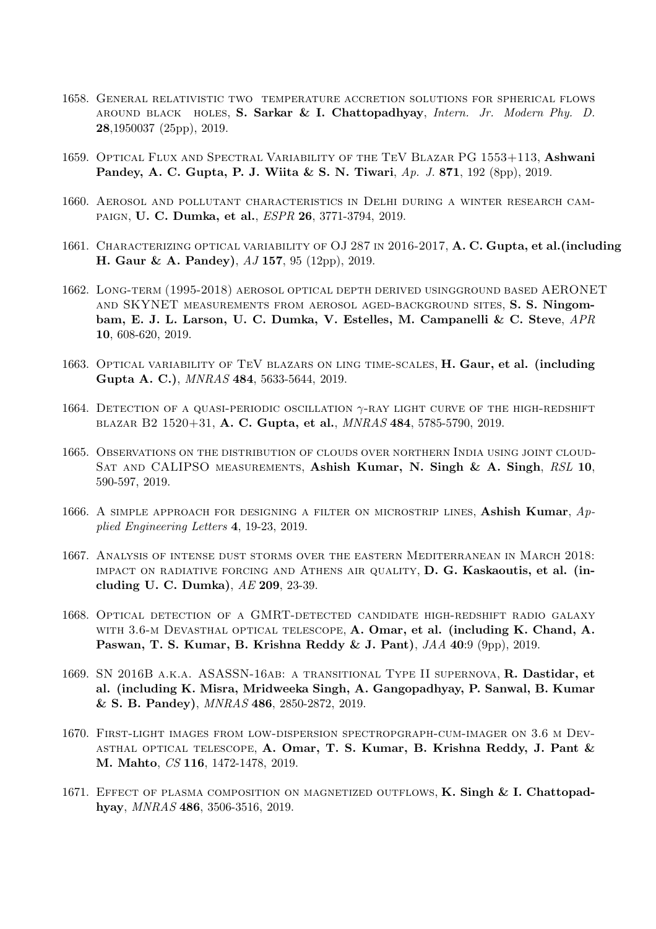- 1658. General relativistic two temperature accretion solutions for spherical flows around black holes, S. Sarkar & I. Chattopadhyay, Intern. Jr. Modern Phy. D. 28,1950037 (25pp), 2019.
- 1659. Optical Flux and Spectral Variability of the TeV Blazar PG 1553+113, Ashwani Pandey, A. C. Gupta, P. J. Wiita & S. N. Tiwari, Ap. J. 871, 192 (8pp), 2019.
- 1660. Aerosol and pollutant characteristics in Delhi during a winter research campaign, U. C. Dumka, et al., ESPR 26, 3771-3794, 2019.
- 1661. CHARACTERIZING OPTICAL VARIABILITY OF OJ 287 IN 2016-2017, A. C. Gupta, et al. (including H. Gaur & A. Pandey), AJ 157, 95 (12pp), 2019.
- 1662. Long-term (1995-2018) aerosol optical depth derived usingground based AERONET and SKYNET measurements from aerosol aged-background sites, S. S. Ningombam, E. J. L. Larson, U. C. Dumka, V. Estelles, M. Campanelli & C. Steve, APR 10, 608-620, 2019.
- 1663. OPTICAL VARIABILITY OF TEV BLAZARS ON LING TIME-SCALES, H. Gaur, et al. (including Gupta A. C.), MNRAS 484, 5633-5644, 2019.
- 1664. DETECTION OF A QUASI-PERIODIC OSCILLATION  $\gamma$ -RAY LIGHT CURVE OF THE HIGH-REDSHIFT blazar B2 1520+31, A. C. Gupta, et al., MNRAS 484, 5785-5790, 2019.
- 1665. Observations on the distribution of clouds over northern India using joint cloud-SAT AND CALIPSO MEASUREMENTS, Ashish Kumar, N. Singh & A. Singh, RSL 10, 590-597, 2019.
- 1666. A SIMPLE APPROACH FOR DESIGNING A FILTER ON MICROSTRIP LINES, Ashish Kumar,  $Ap$ plied Engineering Letters 4, 19-23, 2019.
- 1667. Analysis of intense dust storms over the eastern Mediterranean in March 2018: impact on radiative forcing and Athens air quality, D. G. Kaskaoutis, et al. (including U. C. Dumka), AE 209, 23-39.
- 1668. OPTICAL DETECTION OF A GMRT-DETECTED CANDIDATE HIGH-REDSHIFT RADIO GALAXY WITH 3.6-M DEVASTHAL OPTICAL TELESCOPE, A. Omar, et al. (including K. Chand, A. Paswan, T. S. Kumar, B. Krishna Reddy & J. Pant), JAA 40:9 (9pp), 2019.
- 1669. SN 2016B a.k.a. ASASSN-16ab: a transitional Type II supernova, R. Dastidar, et al. (including K. Misra, Mridweeka Singh, A. Gangopadhyay, P. Sanwal, B. Kumar & S. B. Pandey), MNRAS 486, 2850-2872, 2019.
- 1670. First-light images from low-dispersion spectropgraph-cum-imager on 3.6 m Dev-ASTHAL OPTICAL TELESCOPE, A. Omar, T. S. Kumar, B. Krishna Reddy, J. Pant & M. Mahto, CS 116, 1472-1478, 2019.
- 1671. EFFECT OF PLASMA COMPOSITION ON MAGNETIZED OUTFLOWS, K. Singh & I. Chattopadhyay, MNRAS 486, 3506-3516, 2019.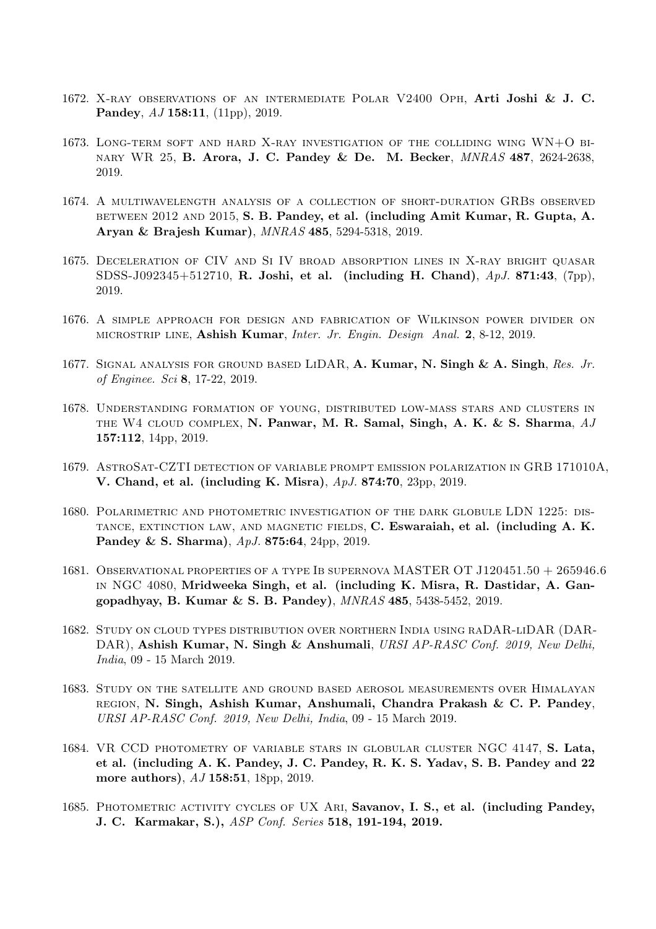- 1672. X-ray observations of an intermediate Polar V2400 Oph, Arti Joshi & J. C. Pandey, AJ 158:11, (11pp), 2019.
- 1673. Long-term soft and hard X-ray investigation of the colliding wing WN+O binary WR 25, B. Arora, J. C. Pandey & De. M. Becker, MNRAS 487, 2624-2638, 2019.
- 1674. A multiwavelength analysis of a collection of short-duration GRBs observed BETWEEN 2012 AND 2015, S. B. Pandey, et al. (including Amit Kumar, R. Gupta, A. Aryan & Brajesh Kumar), MNRAS 485, 5294-5318, 2019.
- 1675. Deceleration of CIV and Si IV broad absorption lines in X-ray bright quasar SDSS-J092345+512710, R. Joshi, et al. (including H. Chand),  $ApJ. 871:43$ , (7pp), 2019.
- 1676. A simple approach for design and fabrication of Wilkinson power divider on microstrip line, Ashish Kumar, Inter. Jr. Engin. Design Anal. 2, 8-12, 2019.
- 1677. SIGNAL ANALYSIS FOR GROUND BASED LIDAR, A. Kumar, N. Singh & A. Singh, Res. Jr. of Enginee. Sci 8, 17-22, 2019.
- 1678. Understanding formation of young, distributed low-mass stars and clusters in THE W4 CLOUD COMPLEX, N. Panwar, M. R. Samal, Singh, A. K. & S. Sharma, AJ 157:112, 14pp, 2019.
- 1679. AstroSat-CZTI detection of variable prompt emission polarization in GRB 171010A, V. Chand, et al. (including K. Misra), ApJ. 874:70, 23pp, 2019.
- 1680. Polarimetric and photometric investigation of the dark globule LDN 1225: distance, extinction law, and magnetic fields, C. Eswaraiah, et al. (including A. K. Pandey & S. Sharma), ApJ. 875:64, 24pp, 2019.
- 1681. Observational properties of a type Ib supernova MASTER OT J120451.50 + 265946.6 in NGC 4080, Mridweeka Singh, et al. (including K. Misra, R. Dastidar, A. Gangopadhyay, B. Kumar & S. B. Pandey), MNRAS 485, 5438-5452, 2019.
- 1682. Study on cloud types distribution over northern India using raDAR-liDAR (DAR-DAR), Ashish Kumar, N. Singh & Anshumali, URSI AP-RASC Conf. 2019, New Delhi, India, 09 - 15 March 2019.
- 1683. Study on the satellite and ground based aerosol measurements over Himalayan region, N. Singh, Ashish Kumar, Anshumali, Chandra Prakash & C. P. Pandey, URSI AP-RASC Conf. 2019, New Delhi, India, 09 - 15 March 2019.
- 1684. VR CCD photometry of variable stars in globular cluster NGC 4147, S. Lata, et al. (including A. K. Pandey, J. C. Pandey, R. K. S. Yadav, S. B. Pandey and 22 more authors),  $AJ$  158:51, 18pp, 2019.
- 1685. PHOTOMETRIC ACTIVITY CYCLES OF UX ARI, Savanov, I. S., et al. (including Pandey, J. C. Karmakar, S.), ASP Conf. Series 518, 191-194, 2019.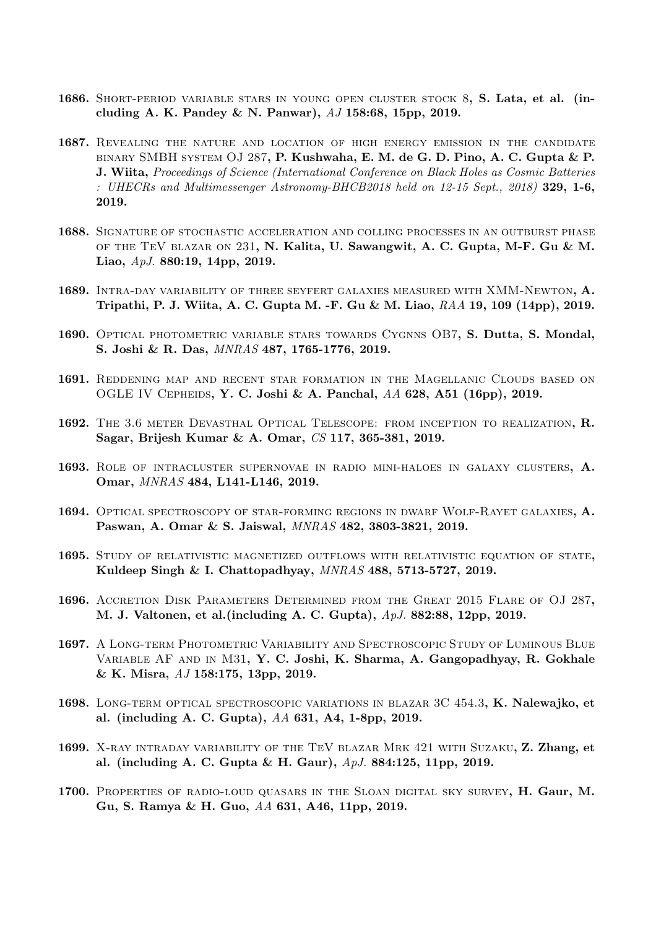- 1686. Short-period variable stars in young open cluster stock 8, S. Lata, et al. (including A. K. Pandey & N. Panwar), AJ 158:68, 15pp, 2019.
- 1687. REVEALING THE NATURE AND LOCATION OF HIGH ENERGY EMISSION IN THE CANDIDATE binary SMBH system OJ 287, P. Kushwaha, E. M. de G. D. Pino, A. C. Gupta & P. J. Wiita, Proceedings of Science (International Conference on Black Holes as Cosmic Batteries : UHECRs and Multimessenger Astronomy-BHCB2018 held on 12-15 Sept., 2018) 329, 1-6, 2019.
- 1688. Signature of stochastic acceleration and colling processes in an outburst phase of the TeV blazar on 231, N. Kalita, U. Sawangwit, A. C. Gupta, M-F. Gu & M. Liao, ApJ. 880:19, 14pp, 2019.
- 1689. INTRA-DAY VARIABILITY OF THREE SEYFERT GALAXIES MEASURED WITH XMM-NEWTON, A. Tripathi, P. J. Wiita, A. C. Gupta M. -F. Gu & M. Liao, RAA 19, 109 (14pp), 2019.
- 1690. Optical photometric variable stars towards Cygnns OB7, S. Dutta, S. Mondal, S. Joshi & R. Das, MNRAS 487, 1765-1776, 2019.
- 1691. Reddening map and recent star formation in the Magellanic Clouds based on OGLE IV CEPHEIDS, Y. C. Joshi & A. Panchal, AA 628, A51 (16pp), 2019.
- 1692. The 3.6 meter Devasthal Optical Telescope: from inception to realization, R. Sagar, Brijesh Kumar & A. Omar, CS 117, 365-381, 2019.
- 1693. ROLE OF INTRACLUSTER SUPERNOVAE IN RADIO MINI-HALOES IN GALAXY CLUSTERS, A. Omar, MNRAS 484, L141-L146, 2019.
- 1694. Optical spectroscopy of star-forming regions in dwarf Wolf-Rayet galaxies, A. Paswan, A. Omar & S. Jaiswal, MNRAS 482, 3803-3821, 2019.
- 1695. Study of relativistic magnetized outflows with relativistic equation of state, Kuldeep Singh & I. Chattopadhyay, MNRAS 488, 5713-5727, 2019.
- 1696. Accretion Disk Parameters Determined from the Great 2015 Flare of OJ 287, M. J. Valtonen, et al.(including A. C. Gupta), ApJ. 882:88, 12pp, 2019.
- 1697. A Long-term Photometric Variability and Spectroscopic Study of Luminous Blue Variable AF and in M31, Y. C. Joshi, K. Sharma, A. Gangopadhyay, R. Gokhale & K. Misra, AJ 158:175, 13pp, 2019.
- 1698. Long-term optical spectroscopic variations in blazar 3C 454.3, K. Nalewajko, et al. (including A. C. Gupta), AA 631, A4, 1-8pp, 2019.
- 1699. X-RAY INTRADAY VARIABILITY OF THE TEV BLAZAR MRK 421 WITH SUZAKU, Z. Zhang, et al. (including A. C. Gupta & H. Gaur), ApJ. 884:125, 11pp, 2019.
- 1700. PROPERTIES OF RADIO-LOUD QUASARS IN THE SLOAN DIGITAL SKY SURVEY, H. Gaur, M. Gu, S. Ramya & H. Guo, AA 631, A46, 11pp, 2019.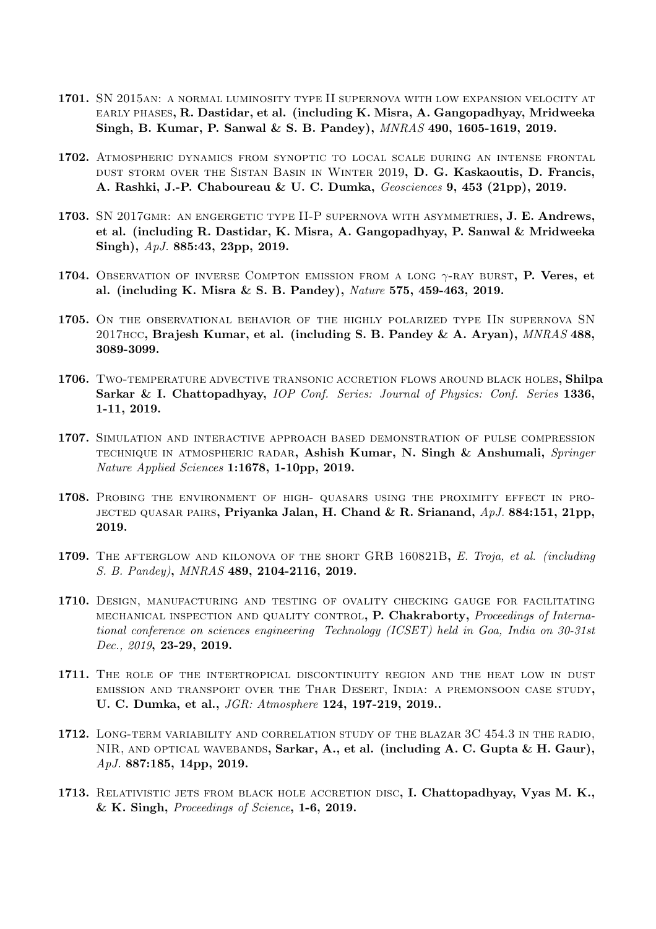- 1701. SN 2015an: a normal luminosity type II supernova with low expansion velocity at early phases, R. Dastidar, et al. (including K. Misra, A. Gangopadhyay, Mridweeka Singh, B. Kumar, P. Sanwal & S. B. Pandey), MNRAS 490, 1605-1619, 2019.
- 1702. Atmospheric dynamics from synoptic to local scale during an intense frontal DUST STORM OVER THE SISTAN BASIN IN WINTER 2019, D. G. Kaskaoutis, D. Francis, A. Rashki, J.-P. Chaboureau & U. C. Dumka, Geosciences 9, 453 (21pp), 2019.
- 1703. SN 2017gmr: an engergetic type II-P supernova with asymmetries, J. E. Andrews, et al. (including R. Dastidar, K. Misra, A. Gangopadhyay, P. Sanwal & Mridweeka Singh), ApJ. 885:43, 23pp, 2019.
- 1704. Observation of inverse Compton emission from a long  $\gamma$ -ray burst, P. Veres, et al. (including K. Misra & S. B. Pandey), Nature 575, 459-463, 2019.
- 1705. ON THE OBSERVATIONAL BEHAVIOR OF THE HIGHLY POLARIZED TYPE IIN SUPERNOVA SN 2017HCC, Brajesh Kumar, et al. (including S. B. Pandey & A. Aryan),  $MNRAS$  488, 3089-3099.
- 1706. Two-temperature advective transonic accretion flows around black holes, Shilpa Sarkar & I. Chattopadhyay, IOP Conf. Series: Journal of Physics: Conf. Series 1336, 1-11, 2019.
- 1707. Simulation and interactive approach based demonstration of pulse compression TECHNIQUE IN ATMOSPHERIC RADAR, Ashish Kumar, N. Singh & Anshumali, Springer Nature Applied Sciences 1:1678, 1-10pp, 2019.
- 1708. PROBING THE ENVIRONMENT OF HIGH- QUASARS USING THE PROXIMITY EFFECT IN PRO-JECTED QUASAR PAIRS, Priyanka Jalan, H. Chand & R. Srianand,  $ApJ. 884:151, 21pp$ , 2019.
- 1709. THE AFTERGLOW AND KILONOVA OF THE SHORT GRB 160821B, E. Troja, et al. (including S. B. Pandey), MNRAS 489, 2104-2116, 2019.
- 1710. Design, manufacturing and testing of ovality checking gauge for facilitating mechanical inspection and quality control, P. Chakraborty, Proceedings of International conference on sciences engineering Technology (ICSET) held in Goa, India on 30-31st Dec., 2019, 23-29, 2019.
- 1711. The role of the intertropical discontinuity region and the heat low in dust emission and transport over the Thar Desert, India: a premonsoon case study, U. C. Dumka, et al., JGR: Atmosphere 124, 197-219, 2019..
- 1712. LONG-TERM VARIABILITY AND CORRELATION STUDY OF THE BLAZAR 3C 454.3 IN THE RADIO, NIR, AND OPTICAL WAVEBANDS, Sarkar, A., et al. (including A. C. Gupta & H. Gaur), ApJ. 887:185, 14pp, 2019.
- 1713. Relativistic jets from black hole accretion disc, I. Chattopadhyay, Vyas M. K., & K. Singh, Proceedings of Science, 1-6, 2019.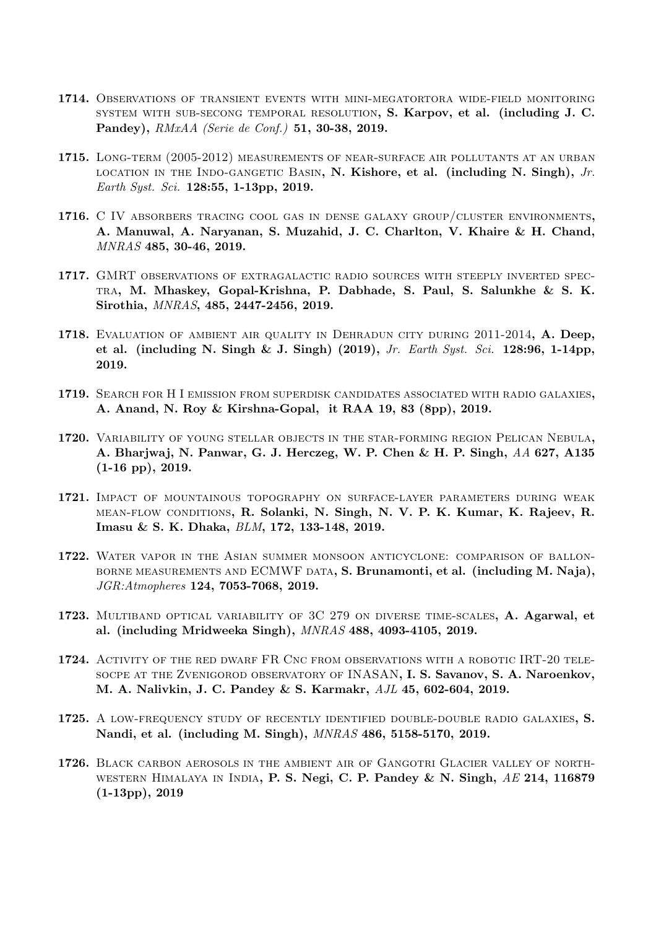- 1714. Observations of transient events with mini-megatortora wide-field monitoring system with sub-secong temporal resolution, S. Karpov, et al. (including J. C. Pandey), RMxAA (Serie de Conf.) 51, 30-38, 2019.
- 1715. Long-term (2005-2012) measurements of near-surface air pollutants at an urban LOCATION IN THE INDO-GANGETIC BASIN, N. Kishore, et al. (including N. Singh),  $Jr$ . Earth Syst. Sci. 128:55, 1-13pp, 2019.
- 1716. C IV absorbers tracing cool gas in dense galaxy group/cluster environments, A. Manuwal, A. Naryanan, S. Muzahid, J. C. Charlton, V. Khaire & H. Chand, MNRAS 485, 30-46, 2019.
- 1717. GMRT observations of extragalactic radio sources with steeply inverted spectra, M. Mhaskey, Gopal-Krishna, P. Dabhade, S. Paul, S. Salunkhe & S. K. Sirothia, MNRAS, 485, 2447-2456, 2019.
- 1718. EVALUATION OF AMBIENT AIR QUALITY IN DEHRADUN CITY DURING 2011-2014, A. Deep, et al. (including N. Singh & J. Singh) (2019), Jr. Earth Syst. Sci. 128:96, 1-14pp, 2019.
- 1719. Search for H I emission from superdisk candidates associated with radio galaxies, A. Anand, N. Roy & Kirshna-Gopal, it RAA 19, 83 (8pp), 2019.
- 1720. Variability of young stellar objects in the star-forming region Pelican Nebula, A. Bharjwaj, N. Panwar, G. J. Herczeg, W. P. Chen & H. P. Singh, AA 627, A135 (1-16 pp), 2019.
- 1721. Impact of mountainous topography on surface-layer parameters during weak mean-flow conditions, R. Solanki, N. Singh, N. V. P. K. Kumar, K. Rajeev, R. Imasu & S. K. Dhaka, BLM, 172, 133-148, 2019.
- 1722. Water vapor in the Asian summer monsoon anticyclone: comparison of ballonborne measurements and ECMWF data, S. Brunamonti, et al. (including M. Naja), JGR:Atmopheres 124, 7053-7068, 2019.
- 1723. Multiband optical variability of 3C 279 on diverse time-scales, A. Agarwal, et al. (including Mridweeka Singh), MNRAS 488, 4093-4105, 2019.
- 1724. Activity of the red dwarf FR Cnc from observations with a robotic IRT-20 telesocpe at the Zvenigorod observatory of INASAN, I. S. Savanov, S. A. Naroenkov, M. A. Nalivkin, J. C. Pandey & S. Karmakr, AJL 45, 602-604, 2019.
- 1725. A low-frequency study of recently identified double-double radio galaxies, S. Nandi, et al. (including M. Singh), MNRAS 486, 5158-5170, 2019.
- 1726. Black carbon aerosols in the ambient air of Gangotri Glacier valley of northwestern Himalaya in India, P. S. Negi, C. P. Pandey & N. Singh, AE 214, 116879 (1-13pp), 2019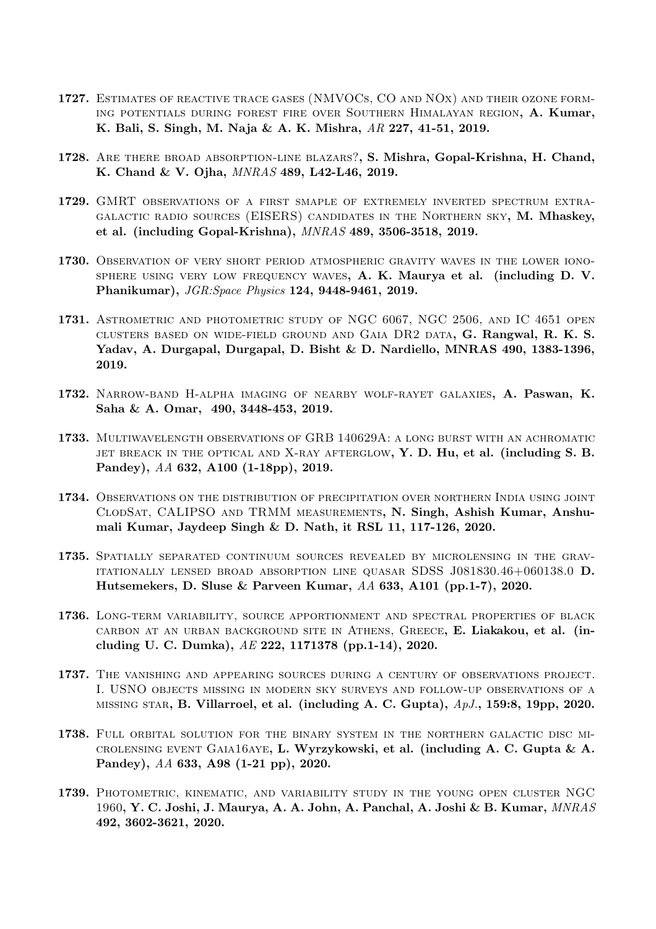- 1727. Estimates of reactive trace gases (NMVOCs, CO and NOx) and their ozone forming potentials during forest fire over Southern Himalayan region, A. Kumar, K. Bali, S. Singh, M. Naja & A. K. Mishra, AR 227, 41-51, 2019.
- 1728. Are there broad absorption-line blazars?, S. Mishra, Gopal-Krishna, H. Chand, K. Chand & V. Ojha, MNRAS 489, L42-L46, 2019.
- 1729. GMRT observations of a first smaple of extremely inverted spectrum extragalactic radio sources (EISERS) candidates in the Northern sky, M. Mhaskey, et al. (including Gopal-Krishna), MNRAS 489, 3506-3518, 2019.
- 1730. Observation of very short period atmospheric gravity waves in the lower iono-SPHERE USING VERY LOW FREQUENCY WAVES,  $A$ . K. Maurya et al. (including  $D$ . V. Phanikumar), JGR:Space Physics 124, 9448-9461, 2019.
- 1731. Astrometric and photometric study of NGC 6067, NGC 2506, and IC 4651 open clusters based on wide-field ground and Gaia DR2 data, G. Rangwal, R. K. S. Yadav, A. Durgapal, Durgapal, D. Bisht & D. Nardiello, MNRAS 490, 1383-1396, 2019.
- 1732. Narrow-band H-alpha imaging of nearby wolf-rayet galaxies, A. Paswan, K. Saha & A. Omar, 490, 3448-453, 2019.
- 1733. Multiwavelength observations of GRB 140629A: a long burst with an achromatic JET BREACK IN THE OPTICAL AND X-RAY AFTERGLOW, Y. D. Hu, et al. (including S. B. Pandey), AA 632, A100 (1-18pp), 2019.
- 1734. Observations on the distribution of precipitation over northern India using joint ClodSat, CALIPSO and TRMM measurements, N. Singh, Ashish Kumar, Anshumali Kumar, Jaydeep Singh & D. Nath, it RSL 11, 117-126, 2020.
- 1735. Spatially separated continuum sources revealed by microlensing in the gravitationally lensed broad absorption line quasar SDSS J081830.46+060138.0 D. Hutsemekers, D. Sluse & Parveen Kumar, AA 633, A101 (pp.1-7), 2020.
- 1736. Long-term variability, source apportionment and spectral properties of black carbon at an urban background site in Athens, Greece, E. Liakakou, et al. (including U. C. Dumka), AE 222, 1171378 (pp.1-14), 2020.
- 1737. The vanishing and appearing sources during a century of observations project. I. USNO objects missing in modern sky surveys and follow-up observations of a MISSING STAR, B. Villarroel, et al. (including A. C. Gupta),  $ApJ.$ , 159:8, 19pp, 2020.
- 1738. Full orbital solution for the binary system in the northern galactic disc microlensing event Gaia16aye, L. Wyrzykowski, et al. (including A. C. Gupta & A. Pandey), AA 633, A98 (1-21 pp), 2020.
- 1739. Photometric, kinematic, and variability study in the young open cluster NGC 1960, Y. C. Joshi, J. Maurya, A. A. John, A. Panchal, A. Joshi & B. Kumar, MNRAS 492, 3602-3621, 2020.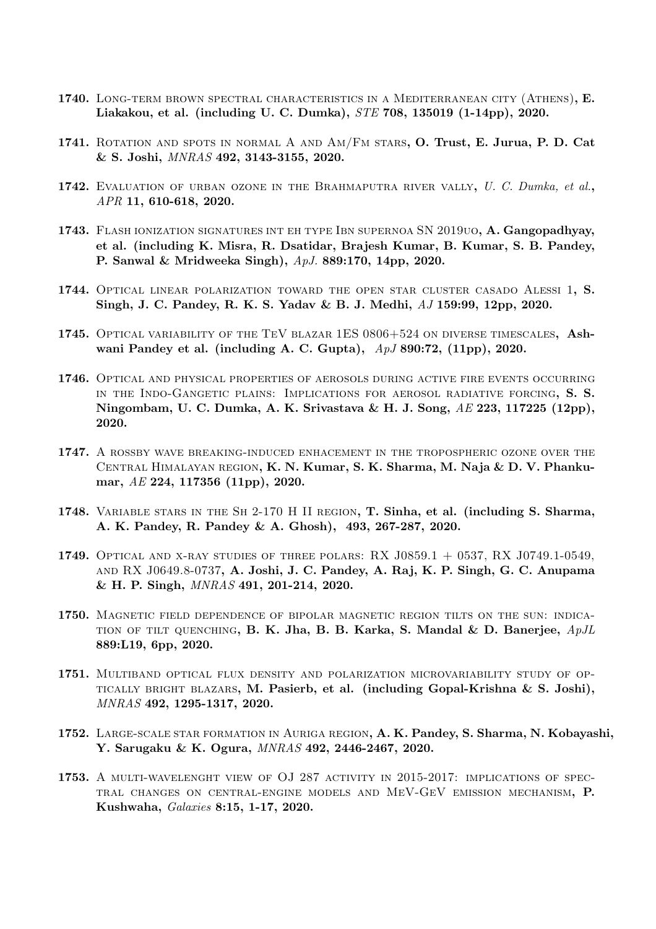- 1740. LONG-TERM BROWN SPECTRAL CHARACTERISTICS IN A MEDITERRANEAN CITY (ATHENS), E. Liakakou, et al. (including U. C. Dumka), STE 708, 135019 (1-14pp), 2020.
- 1741. ROTATION AND SPOTS IN NORMAL A AND AM/FM STARS, O. Trust, E. Jurua, P. D. Cat & S. Joshi, MNRAS 492, 3143-3155, 2020.
- 1742. EVALUATION OF URBAN OZONE IN THE BRAHMAPUTRA RIVER VALLY, U. C. Dumka, et al., APR 11, 610-618, 2020.
- 1743. Flash ionization signatures int eh type Ibn supernoa SN 2019uo, A. Gangopadhyay, et al. (including K. Misra, R. Dsatidar, Brajesh Kumar, B. Kumar, S. B. Pandey, P. Sanwal & Mridweeka Singh), ApJ. 889:170, 14pp, 2020.
- 1744. Optical linear polarization toward the open star cluster casado Alessi 1, S. Singh, J. C. Pandey, R. K. S. Yadav & B. J. Medhi, AJ 159:99, 12pp, 2020.
- 1745. Optical variability of the TeV blazar 1ES 0806+524 on diverse timescales, Ashwani Pandey et al. (including A. C. Gupta),  $ApJ 890:72$ , (11pp), 2020.
- 1746. Optical and physical properties of aerosols during active fire events occurring in the Indo-Gangetic plains: Implications for aerosol radiative forcing, S. S. Ningombam, U. C. Dumka, A. K. Srivastava & H. J. Song,  $AE$  223, 117225 (12pp), 2020.
- 1747. A rossby wave breaking-induced enhacement in the tropospheric ozone over the Central Himalayan region, K. N. Kumar, S. K. Sharma, M. Naja & D. V. Phankumar, AE 224, 117356 (11pp), 2020.
- 1748. Variable stars in the Sh 2-170 H II region, T. Sinha, et al. (including S. Sharma, A. K. Pandey, R. Pandey & A. Ghosh), 493, 267-287, 2020.
- 1749. Optical and x-ray studies of three polars: RX J0859.1 + 0537, RX J0749.1-0549, and RX J0649.8-0737, A. Joshi, J. C. Pandey, A. Raj, K. P. Singh, G. C. Anupama & H. P. Singh, MNRAS 491, 201-214, 2020.
- 1750. Magnetic field dependence of bipolar magnetic region tilts on the sun: indica-TION OF TILT QUENCHING, B. K. Jha, B. B. Karka, S. Mandal & D. Banerjee,  $ApJL$ 889:L19, 6pp, 2020.
- 1751. Multiband optical flux density and polarization microvariability study of optically bright blazars, M. Pasierb, et al. (including Gopal-Krishna & S. Joshi), MNRAS 492, 1295-1317, 2020.
- 1752. Large-scale star formation in Auriga region, A. K. Pandey, S. Sharma, N. Kobayashi, Y. Sarugaku & K. Ogura, MNRAS 492, 2446-2467, 2020.
- 1753. A multi-wavelenght view of OJ 287 activity in 2015-2017: implications of spectral changes on central-engine models and MeV-GeV emission mechanism, P. Kushwaha, Galaxies 8:15, 1-17, 2020.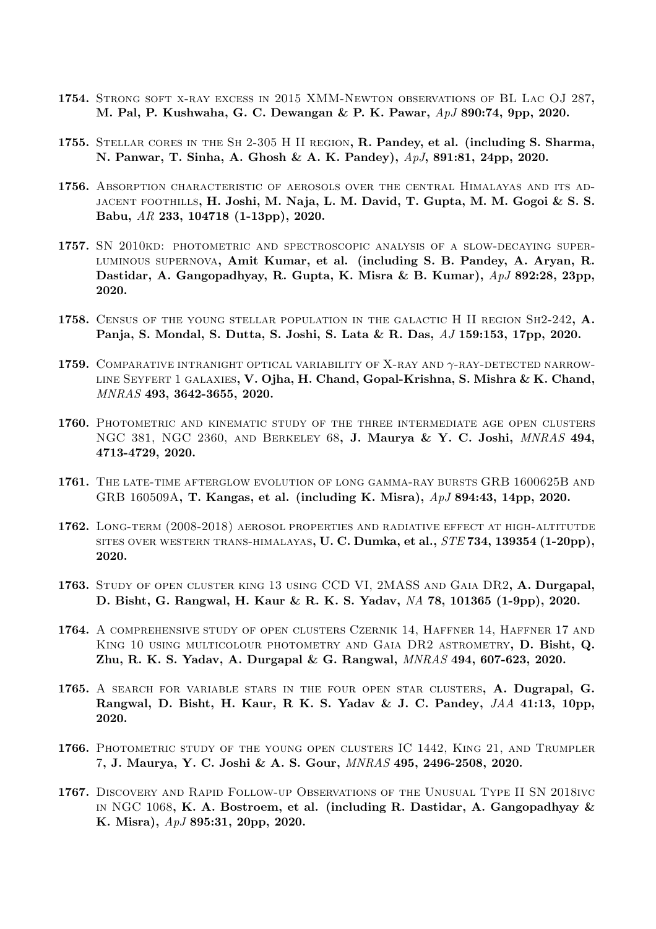- 1754. Strong soft x-ray excess in 2015 XMM-Newton observations of BL Lac OJ 287, M. Pal, P. Kushwaha, G. C. Dewangan & P. K. Pawar, ApJ 890:74, 9pp, 2020.
- 1755. Stellar cores in the Sh 2-305 H II region, R. Pandey, et al. (including S. Sharma, N. Panwar, T. Sinha, A. Ghosh & A. K. Pandey), ApJ, 891:81, 24pp, 2020.
- 1756. Absorption characteristic of aerosols over the central Himalayas and its adjacent foothills, H. Joshi, M. Naja, L. M. David, T. Gupta, M. M. Gogoi & S. S. Babu, AR 233, 104718 (1-13pp), 2020.
- 1757. SN 2010kd: photometric and spectroscopic analysis of a slow-decaying superluminous supernova, Amit Kumar, et al. (including S. B. Pandey, A. Aryan, R. Dastidar, A. Gangopadhyay, R. Gupta, K. Misra & B. Kumar), ApJ 892:28, 23pp, 2020.
- 1758. Census of the young stellar population in the galactic H II region Sh2-242, A. Panja, S. Mondal, S. Dutta, S. Joshi, S. Lata & R. Das, AJ 159:153, 17pp, 2020.
- 1759. COMPARATIVE INTRANIGHT OPTICAL VARIABILITY OF X-RAY AND  $\gamma$ -RAY-DETECTED NARROW-LINE SEYFERT 1 GALAXIES, V. Ojha, H. Chand, Gopal-Krishna, S. Mishra & K. Chand, MNRAS 493, 3642-3655, 2020.
- 1760. Photometric and kinematic study of the three intermediate age open clusters NGC 381, NGC 2360, and Berkeley 68, J. Maurya & Y. C. Joshi, MNRAS 494, 4713-4729, 2020.
- 1761. The late-time afterglow evolution of long gamma-ray bursts GRB 1600625B and GRB 160509A, T. Kangas, et al. (including K. Misra), ApJ 894:43, 14pp, 2020.
- 1762. Long-term (2008-2018) aerosol properties and radiative effect at high-altitutde SITES OVER WESTERN TRANS-HIMALAYAS,  $U$ . C. Dumka, et al.,  $STE$  734, 139354 (1-20pp), 2020.
- 1763. Study of open cluster king 13 using CCD VI, 2MASS and Gaia DR2, A. Durgapal, D. Bisht, G. Rangwal, H. Kaur & R. K. S. Yadav, NA 78, 101365 (1-9pp), 2020.
- 1764. A comprehensive study of open clusters Czernik 14, Haffner 14, Haffner 17 and King 10 using multicolour photometry and Gaia DR2 astrometry, D. Bisht, Q. Zhu, R. K. S. Yadav, A. Durgapal & G. Rangwal, MNRAS 494, 607-623, 2020.
- 1765. A SEARCH FOR VARIABLE STARS IN THE FOUR OPEN STAR CLUSTERS, A. Dugrapal, G. Rangwal, D. Bisht, H. Kaur, R. K. S. Yadav & J. C. Pandey,  $JAA$  41:13, 10pp, 2020.
- 1766. Photometric study of the young open clusters IC 1442, King 21, and Trumpler 7, J. Maurya, Y. C. Joshi & A. S. Gour, MNRAS 495, 2496-2508, 2020.
- 1767. Discovery and Rapid Follow-up Observations of the Unusual Type II SN 2018ivc IN NGC 1068, K. A. Bostroem, et al. (including R. Dastidar, A. Gangopadhyay  $\&$ K. Misra), ApJ 895:31, 20pp, 2020.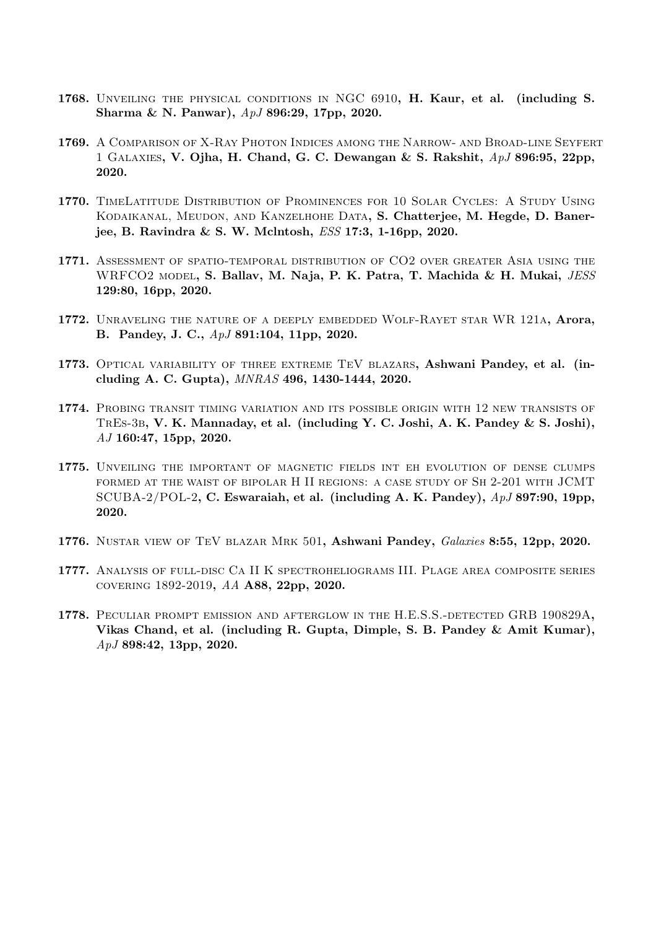- 1768. Unveiling the physical conditions in NGC 6910, H. Kaur, et al. (including S. Sharma & N. Panwar), ApJ 896:29, 17pp, 2020.
- 1769. A Comparison of X-Ray Photon Indices among the Narrow- and Broad-line Seyfert 1 GALAXIES, V. Ojha, H. Chand, G. C. Dewangan & S. Rakshit,  $ApJ 896:95$ ,  $22pp$ , 2020.
- 1770. TimeLatitude Distribution of Prominences for 10 Solar Cycles: A Study Using Kodaikanal, Meudon, and Kanzelhohe Data, S. Chatterjee, M. Hegde, D. Banerjee, B. Ravindra & S. W. Mclntosh, ESS 17:3, 1-16pp, 2020.
- 1771. Assessment of spatio-temporal distribution of CO2 over greater Asia using the WRFCO2 model, S. Ballav, M. Naja, P. K. Patra, T. Machida & H. Mukai, JESS 129:80, 16pp, 2020.
- 1772. UNRAVELING THE NATURE OF A DEEPLY EMBEDDED WOLF-RAYET STAR WR 121A, Arora, B. Pandey, J. C., ApJ 891:104, 11pp, 2020.
- 1773. Optical variability of three extreme TeV blazars, Ashwani Pandey, et al. (including A. C. Gupta), MNRAS 496, 1430-1444, 2020.
- 1774. Probing transit timing variation and its possible origin with 12 new transists of TrEs-3b, V. K. Mannaday, et al. (including Y. C. Joshi, A. K. Pandey & S. Joshi), AJ 160:47, 15pp, 2020.
- 1775. Unveiling the important of magnetic fields int eh evolution of dense clumps formed at the waist of bipolar H II regions: a case study of Sh 2-201 with JCMT SCUBA-2/POL-2, C. Eswaraiah, et al. (including A. K. Pandey),  $ApJ 897:90$ , 19pp, 2020.
- 1776. NUSTAR VIEW OF TEV BLAZAR MRK 501, Ashwani Pandey, Galaxies 8:55, 12pp, 2020.
- 1777. Analysis of full-disc Ca II K spectroheliograms III. Plage area composite series covering 1892-2019, AA A88, 22pp, 2020.
- 1778. Peculiar prompt emission and afterglow in the H.E.S.S.-detected GRB 190829A, Vikas Chand, et al. (including R. Gupta, Dimple, S. B. Pandey & Amit Kumar), ApJ 898:42, 13pp, 2020.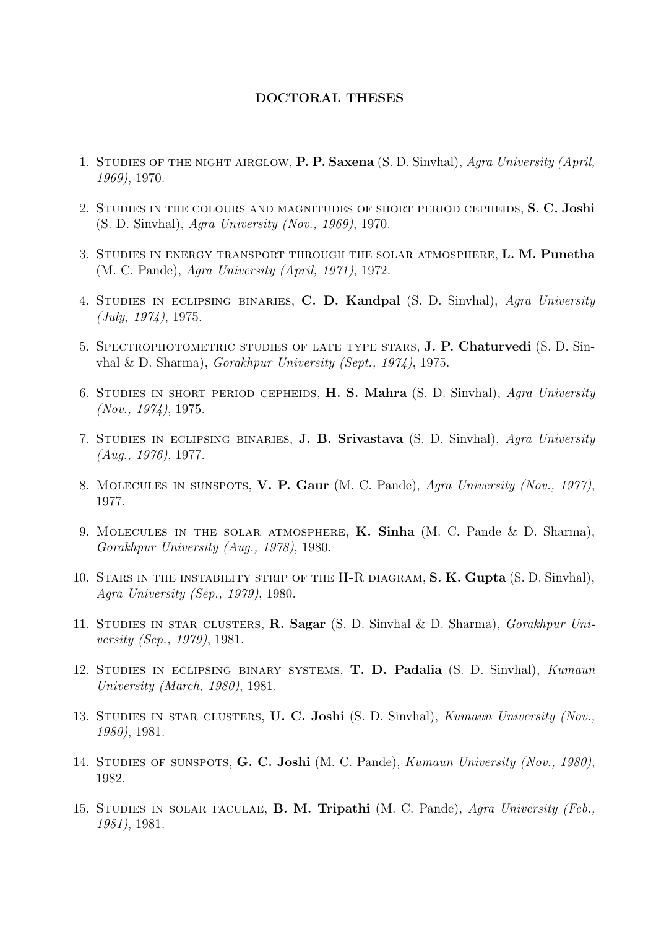## DOCTORAL THESES

- 1. STUDIES OF THE NIGHT AIRGLOW, P. P. Saxena (S. D. Sinvhal), Agra University (April, 1969), 1970.
- 2. Studies in the colours and magnitudes of short period cepheids, S. C. Joshi (S. D. Sinvhal), Agra University (Nov., 1969), 1970.
- 3. Studies in energy transport through the solar atmosphere, L. M. Punetha (M. C. Pande), Agra University (April, 1971), 1972.
- 4. Studies in eclipsing binaries, C. D. Kandpal (S. D. Sinvhal), Agra University (July, 1974), 1975.
- 5. Spectrophotometric studies of late type stars, J. P. Chaturvedi (S. D. Sinvhal & D. Sharma), Gorakhpur University (Sept., 1974), 1975.
- 6. Studies in short period cepheids, H. S. Mahra (S. D. Sinvhal), Agra University (Nov., 1974), 1975.
- 7. STUDIES IN ECLIPSING BINARIES, **J. B. Srivastava** (S. D. Sinvhal), Agra University (Aug., 1976), 1977.
- 8. Molecules in sunspots, V. P. Gaur (M. C. Pande), Agra University (Nov., 1977), 1977.
- 9. Molecules in the solar atmosphere, K. Sinha (M. C. Pande & D. Sharma), Gorakhpur University (Aug., 1978), 1980.
- 10. STARS IN THE INSTABILITY STRIP OF THE H-R DIAGRAM, S. K. Gupta (S. D. Sinvhal), Agra University (Sep., 1979), 1980.
- 11. Studies in star clusters, R. Sagar (S. D. Sinvhal & D. Sharma), Gorakhpur University (Sep., 1979), 1981.
- 12. Studies in eclipsing binary systems, T. D. Padalia (S. D. Sinvhal), Kumaun University (March, 1980), 1981.
- 13. STUDIES IN STAR CLUSTERS, U. C. Joshi (S. D. Sinvhal), Kumaun University (Nov., 1980), 1981.
- 14. STUDIES OF SUNSPOTS, G. C. Joshi (M. C. Pande), Kumaun University (Nov., 1980), 1982.
- 15. Studies in solar faculae, B. M. Tripathi (M. C. Pande), Agra University (Feb., 1981), 1981.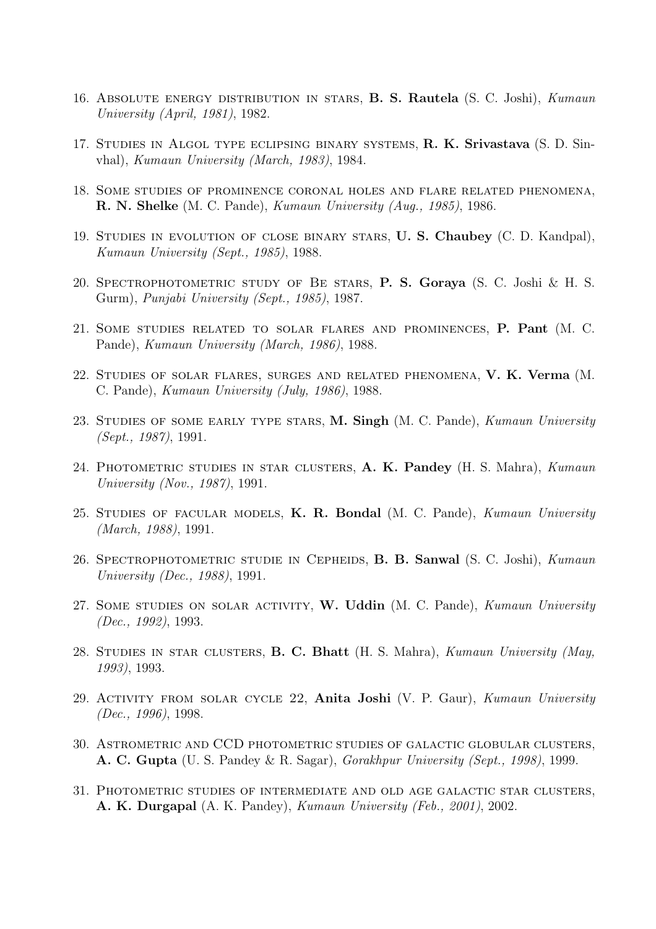- 16. Absolute energy distribution in stars, B. S. Rautela (S. C. Joshi), Kumaun University (April, 1981), 1982.
- 17. Studies in Algol type eclipsing binary systems, R. K. Srivastava (S. D. Sinvhal), Kumaun University (March, 1983), 1984.
- 18. Some studies of prominence coronal holes and flare related phenomena, R. N. Shelke (M. C. Pande), Kumaun University (Aug., 1985), 1986.
- 19. Studies in evolution of close binary stars, U. S. Chaubey (C. D. Kandpal), Kumaun University (Sept., 1985), 1988.
- 20. Spectrophotometric study of Be stars, P. S. Goraya (S. C. Joshi & H. S. Gurm), Punjabi University (Sept., 1985), 1987.
- 21. Some studies related to solar flares and prominences, P. Pant (M. C. Pande), Kumaun University (March, 1986), 1988.
- 22. Studies of solar flares, surges and related phenomena, V. K. Verma (M. C. Pande), Kumaun University (July, 1986), 1988.
- 23. STUDIES OF SOME EARLY TYPE STARS, M. Singh (M. C. Pande), Kumaun University (Sept., 1987), 1991.
- 24. PHOTOMETRIC STUDIES IN STAR CLUSTERS, A. K. Pandey (H. S. Mahra), Kumaun University (Nov., 1987), 1991.
- 25. STUDIES OF FACULAR MODELS, K. R. Bondal (M. C. Pande), Kumaun University (March, 1988), 1991.
- 26. Spectrophotometric studie in Cepheids, B. B. Sanwal (S. C. Joshi), Kumaun University (Dec., 1988), 1991.
- 27. SOME STUDIES ON SOLAR ACTIVITY, W. Uddin (M. C. Pande), Kumaun University (Dec., 1992), 1993.
- 28. STUDIES IN STAR CLUSTERS, B. C. Bhatt (H. S. Mahra), Kumaun University (May, 1993), 1993.
- 29. Activity from solar cycle 22, Anita Joshi (V. P. Gaur), Kumaun University (Dec., 1996), 1998.
- 30. Astrometric and CCD photometric studies of galactic globular clusters, A. C. Gupta (U. S. Pandey & R. Sagar), Gorakhpur University (Sept., 1998), 1999.
- 31. Photometric studies of intermediate and old age galactic star clusters, A. K. Durgapal (A. K. Pandey), Kumaun University (Feb., 2001), 2002.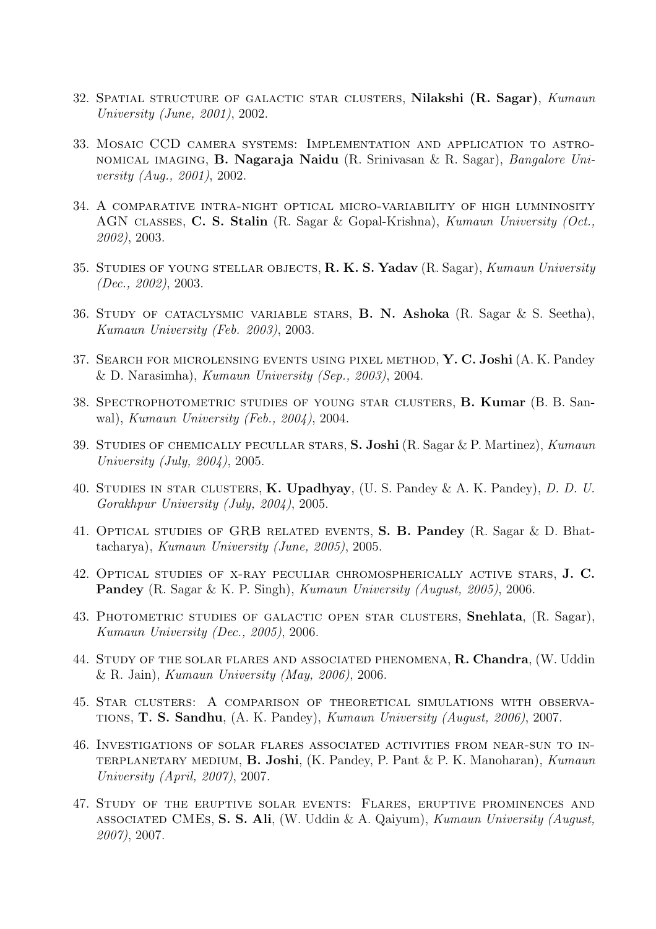- 32. SPATIAL STRUCTURE OF GALACTIC STAR CLUSTERS, Nilakshi (R. Sagar), Kumaun University (June, 2001), 2002.
- 33. Mosaic CCD camera systems: Implementation and application to astronomical imaging, B. Nagaraja Naidu (R. Srinivasan & R. Sagar), Bangalore University (Aug., 2001), 2002.
- 34. A comparative intra-night optical micro-variability of high lumninosity AGN classes, C. S. Stalin (R. Sagar & Gopal-Krishna), Kumaun University (Oct., 2002), 2003.
- 35. STUDIES OF YOUNG STELLAR OBJECTS, R. K. S. Yadav (R. Sagar), Kumaun University (Dec., 2002), 2003.
- 36. Study of cataclysmic variable stars, B. N. Ashoka (R. Sagar & S. Seetha), Kumaun University (Feb. 2003), 2003.
- 37. Search for microlensing events using pixel method, Y. C. Joshi (A. K. Pandey & D. Narasimha), Kumaun University (Sep., 2003), 2004.
- 38. Spectrophotometric studies of young star clusters, B. Kumar (B. B. Sanwal), Kumaun University (Feb., 2004), 2004.
- 39. Studies of chemically pecullar stars, S. Joshi (R. Sagar & P. Martinez), Kumaun University (July, 2004), 2005.
- 40. Studies in star clusters, K. Upadhyay, (U. S. Pandey & A. K. Pandey), D. D. U. Gorakhpur University (July, 2004), 2005.
- 41. Optical studies of GRB related events, S. B. Pandey (R. Sagar & D. Bhattacharya), Kumaun University (June, 2005), 2005.
- 42. Optical studies of x-ray peculiar chromospherically active stars, J. C. Pandey (R. Sagar & K. P. Singh), *Kumaun University (August, 2005)*, 2006.
- 43. Photometric studies of galactic open star clusters, Snehlata, (R. Sagar), Kumaun University (Dec., 2005), 2006.
- 44. Study of the solar flares and associated phenomena, R. Chandra, (W. Uddin & R. Jain), Kumaun University (May, 2006), 2006.
- 45. Star clusters: A comparison of theoretical simulations with observations, T. S. Sandhu, (A. K. Pandey), Kumaun University (August, 2006), 2007.
- 46. Investigations of solar flares associated activities from near-sun to interplanetary medium, B. Joshi, (K. Pandey, P. Pant & P. K. Manoharan), Kumaun University (April, 2007), 2007.
- 47. Study of the eruptive solar events: Flares, eruptive prominences and associated CMEs, S. S. Ali, (W. Uddin & A. Qaiyum), Kumaun University (August, 2007), 2007.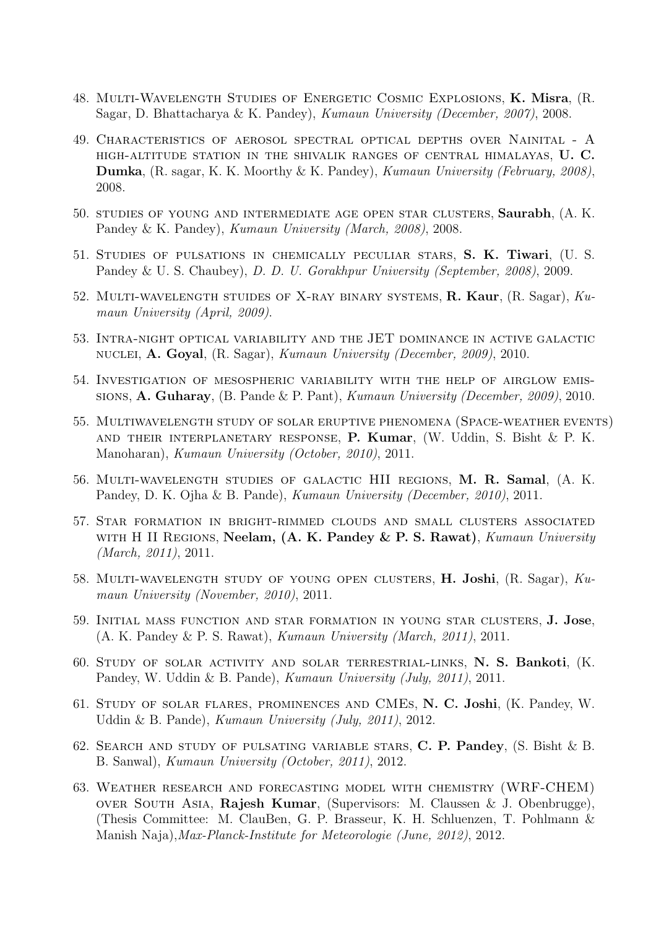- 48. Multi-Wavelength Studies of Energetic Cosmic Explosions, K. Misra, (R. Sagar, D. Bhattacharya & K. Pandey), Kumaun University (December, 2007), 2008.
- 49. Characteristics of aerosol spectral optical depths over Nainital A high-altitude station in the shivalik ranges of central himalayas, U. C. Dumka, (R. sagar, K. K. Moorthy & K. Pandey), Kumaun University (February, 2008), 2008.
- 50. studies of young and intermediate age open star clusters, Saurabh, (A. K. Pandey & K. Pandey), Kumaun University (March, 2008), 2008.
- 51. Studies of pulsations in chemically peculiar stars, S. K. Tiwari, (U. S. Pandey & U. S. Chaubey), D. D. U. Gorakhpur University (September, 2008), 2009.
- 52. Multi-wavelength stuides of X-ray binary systems, R. Kaur, (R. Sagar), Kumaun University (April, 2009).
- 53. Intra-night optical variability and the JET dominance in active galactic nuclei, A. Goyal, (R. Sagar), Kumaun University (December, 2009), 2010.
- 54. Investigation of mesospheric variability with the help of airglow emissions, A. Guharay, (B. Pande & P. Pant), Kumaun University (December, 2009), 2010.
- 55. Multiwavelength study of solar eruptive phenomena (Space-weather events) AND THEIR INTERPLANETARY RESPONSE, P. Kumar,  $(W. Uddin, S. Bisht \& P. K.$ Manoharan), Kumaun University (October, 2010), 2011.
- 56. Multi-wavelength studies of galactic HII regions, M. R. Samal, (A. K. Pandey, D. K. Ojha & B. Pande), Kumaun University (December, 2010), 2011.
- 57. Star formation in bright-rimmed clouds and small clusters associated WITH H II REGIONS, Neelam, (A. K. Pandey & P. S. Rawat), Kumaun University (March, 2011), 2011.
- 58. Multi-wavelength study of young open clusters, H. Joshi, (R. Sagar), Kumaun University (November, 2010), 2011.
- 59. Initial mass function and star formation in young star clusters, J. Jose, (A. K. Pandey & P. S. Rawat), Kumaun University (March, 2011), 2011.
- 60. Study of solar activity and solar terrestrial-links, N. S. Bankoti, (K. Pandey, W. Uddin & B. Pande), Kumaun University (July, 2011), 2011.
- 61. Study of solar flares, prominences and CMEs, N. C. Joshi, (K. Pandey, W. Uddin & B. Pande), Kumaun University (July, 2011), 2012.
- 62. Search and study of pulsating variable stars, C. P. Pandey, (S. Bisht & B. B. Sanwal), Kumaun University (October, 2011), 2012.
- 63. Weather research and forecasting model with chemistry (WRF-CHEM) over South Asia, Rajesh Kumar, (Supervisors: M. Claussen & J. Obenbrugge), (Thesis Committee: M. ClauBen, G. P. Brasseur, K. H. Schluenzen, T. Pohlmann & Manish Naja),Max-Planck-Institute for Meteorologie (June, 2012), 2012.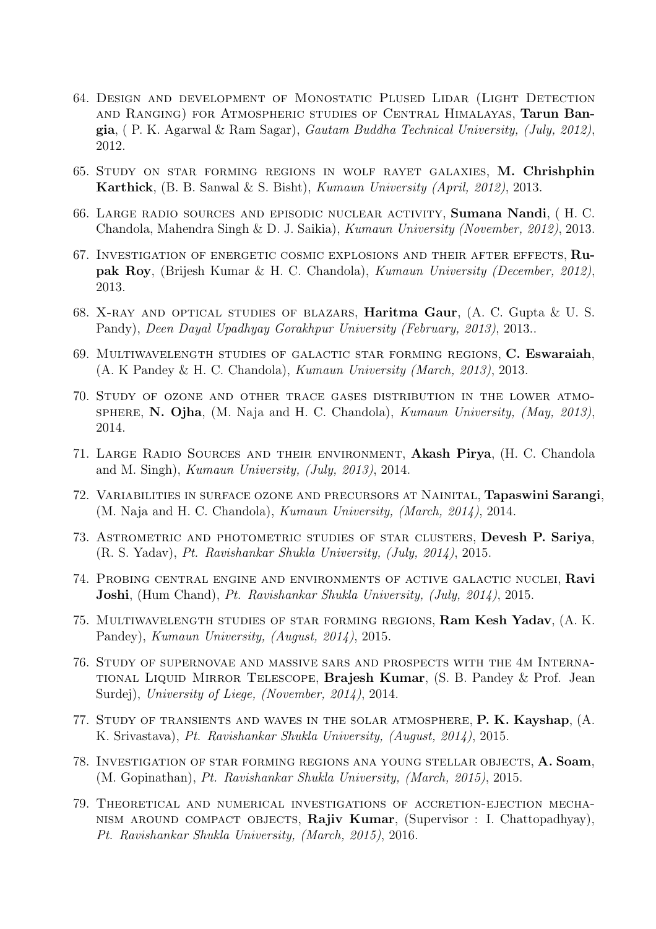- 64. Design and development of Monostatic Plused Lidar (Light Detection and Ranging) for Atmospheric studies of Central Himalayas, Tarun Bangia, ( P. K. Agarwal & Ram Sagar), Gautam Buddha Technical University, (July, 2012), 2012.
- 65. Study on star forming regions in wolf rayet galaxies, M. Chrishphin Karthick, (B. B. Sanwal & S. Bisht), Kumaun University (April, 2012), 2013.
- 66. Large radio sources and episodic nuclear activity, Sumana Nandi, ( H. C. Chandola, Mahendra Singh & D. J. Saikia), Kumaun University (November, 2012), 2013.
- 67. Investigation of energetic cosmic explosions and their after effects, Rupak Roy, (Brijesh Kumar & H. C. Chandola), Kumaun University (December, 2012), 2013.
- 68. X-RAY AND OPTICAL STUDIES OF BLAZARS, **Haritma Gaur**,  $(A, C, G)$  Gupta & U.S. Pandy), Deen Dayal Upadhyay Gorakhpur University (February, 2013), 2013..
- 69. Multiwavelength studies of galactic star forming regions, C. Eswaraiah, (A. K Pandey & H. C. Chandola), Kumaun University (March, 2013), 2013.
- 70. Study of ozone and other trace gases distribution in the lower atmo-SPHERE, N. Ojha, (M. Naja and H. C. Chandola), Kumaun University, (May, 2013), 2014.
- 71. Large Radio Sources and their environment, Akash Pirya, (H. C. Chandola and M. Singh), Kumaun University, (July, 2013), 2014.
- 72. Variabilities in surface ozone and precursors at Nainital, Tapaswini Sarangi, (M. Naja and H. C. Chandola), Kumaun University, (March, 2014), 2014.
- 73. Astrometric and photometric studies of star clusters, Devesh P. Sariya, (R. S. Yadav), Pt. Ravishankar Shukla University, (July, 2014), 2015.
- 74. Probing central engine and environments of active galactic nuclei, Ravi Joshi, (Hum Chand), Pt. Ravishankar Shukla University, (July, 2014), 2015.
- 75. Multiwavelength studies of star forming regions, Ram Kesh Yadav, (A. K. Pandey), Kumaun University, (August, 2014), 2015.
- 76. Study of supernovae and massive sars and prospects with the 4m International Liquid Mirror Telescope, Brajesh Kumar, (S. B. Pandey & Prof. Jean Surdej), University of Liege, (November, 2014), 2014.
- 77. Study of transients and waves in the solar atmosphere, P. K. Kayshap, (A. K. Srivastava), Pt. Ravishankar Shukla University, (August, 2014), 2015.
- 78. Investigation of star forming regions ana young stellar objects, A. Soam, (M. Gopinathan), Pt. Ravishankar Shukla University, (March, 2015), 2015.
- 79. Theoretical and numerical investigations of accretion-ejection mecha-NISM AROUND COMPACT OBJECTS, Rajiv Kumar, (Supervisor : I. Chattopadhyay), Pt. Ravishankar Shukla University, (March, 2015), 2016.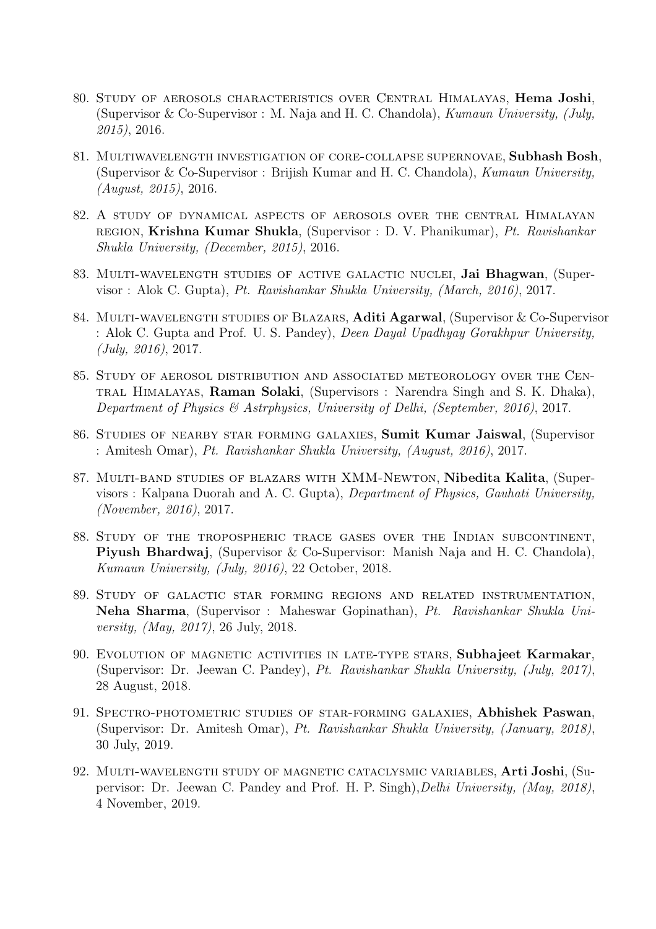- 80. Study of aerosols characteristics over Central Himalayas, Hema Joshi, (Supervisor & Co-Supervisor : M. Naja and H. C. Chandola), Kumaun University, (July, 2015), 2016.
- 81. Multiwavelength investigation of core-collapse supernovae, Subhash Bosh, (Supervisor & Co-Supervisor : Brijish Kumar and H. C. Chandola), Kumaun University, (August, 2015), 2016.
- 82. A study of dynamical aspects of aerosols over the central Himalayan region, Krishna Kumar Shukla, (Supervisor : D. V. Phanikumar), Pt. Ravishankar Shukla University, (December, 2015), 2016.
- 83. Multi-wavelength studies of active galactic nuclei, Jai Bhagwan, (Supervisor : Alok C. Gupta), Pt. Ravishankar Shukla University, (March, 2016), 2017.
- 84. MULTI-WAVELENGTH STUDIES OF BLAZARS, Aditi Agarwal, (Supervisor & Co-Supervisor : Alok C. Gupta and Prof. U. S. Pandey), Deen Dayal Upadhyay Gorakhpur University, (July, 2016), 2017.
- 85. Study of aerosol distribution and associated meteorology over the Central Himalayas, Raman Solaki, (Supervisors : Narendra Singh and S. K. Dhaka), Department of Physics & Astrphysics, University of Delhi, (September, 2016), 2017.
- 86. Studies of nearby star forming galaxies, Sumit Kumar Jaiswal, (Supervisor : Amitesh Omar), Pt. Ravishankar Shukla University, (August, 2016), 2017.
- 87. MULTI-BAND STUDIES OF BLAZARS WITH XMM-NEWTON, Nibedita Kalita, (Supervisors : Kalpana Duorah and A. C. Gupta), Department of Physics, Gauhati University, (November, 2016), 2017.
- 88. Study of the tropospheric trace gases over the Indian subcontinent, Piyush Bhardwaj, (Supervisor & Co-Supervisor: Manish Naja and H. C. Chandola), Kumaun University, (July, 2016), 22 October, 2018.
- 89. Study of galactic star forming regions and related instrumentation, Neha Sharma, (Supervisor : Maheswar Gopinathan), Pt. Ravishankar Shukla University, (May, 2017), 26 July, 2018.
- 90. EVOLUTION OF MAGNETIC ACTIVITIES IN LATE-TYPE STARS, Subhajeet Karmakar, (Supervisor: Dr. Jeewan C. Pandey), Pt. Ravishankar Shukla University, (July, 2017), 28 August, 2018.
- 91. Spectro-photometric studies of star-forming galaxies, Abhishek Paswan, (Supervisor: Dr. Amitesh Omar), Pt. Ravishankar Shukla University, (January, 2018), 30 July, 2019.
- 92. Multi-wavelength study of magnetic cataclysmic variables, Arti Joshi, (Supervisor: Dr. Jeewan C. Pandey and Prof. H. P. Singh),Delhi University, (May, 2018), 4 November, 2019.